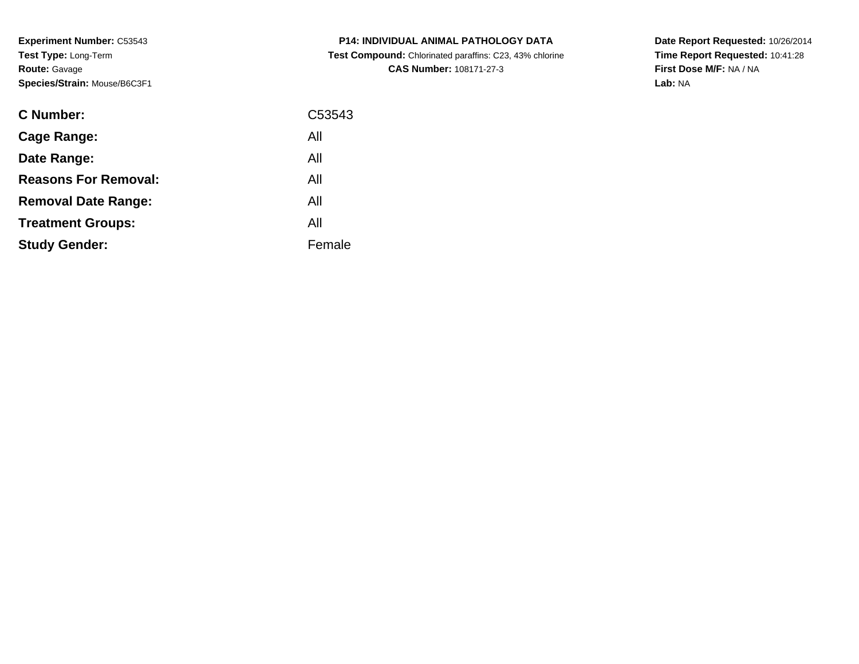| <b>C Number:</b>            | C53543 |
|-----------------------------|--------|
| <b>Cage Range:</b>          | All    |
| Date Range:                 | All    |
| <b>Reasons For Removal:</b> | All    |
| <b>Removal Date Range:</b>  | All    |
| <b>Treatment Groups:</b>    | All    |
| <b>Study Gender:</b>        | Female |
|                             |        |

**P14: INDIVIDUAL ANIMAL PATHOLOGY DATA Test Compound:** Chlorinated paraffins: C23, 43% chlorine**CAS Number:** 108171-27-3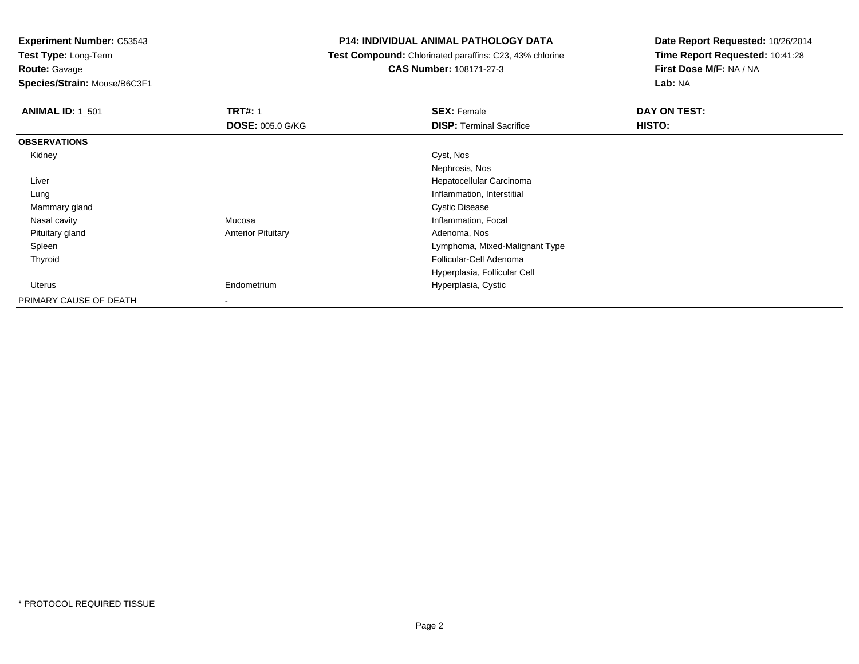**Experiment Number:** C53543

**Test Type:** Long-Term**Route:** Gavage

**Species/Strain:** Mouse/B6C3F1

# **P14: INDIVIDUAL ANIMAL PATHOLOGY DATA**

 **Test Compound:** Chlorinated paraffins: C23, 43% chlorine**CAS Number:** 108171-27-3

| <b>ANIMAL ID: 1 501</b> | <b>TRT#: 1</b><br><b>DOSE: 005.0 G/KG</b> | <b>SEX: Female</b><br><b>DISP: Terminal Sacrifice</b> | DAY ON TEST:<br>HISTO: |
|-------------------------|-------------------------------------------|-------------------------------------------------------|------------------------|
| <b>OBSERVATIONS</b>     |                                           |                                                       |                        |
| Kidney                  |                                           | Cyst, Nos                                             |                        |
|                         |                                           | Nephrosis, Nos                                        |                        |
| Liver                   |                                           | Hepatocellular Carcinoma                              |                        |
| Lung                    |                                           | Inflammation, Interstitial                            |                        |
| Mammary gland           |                                           | <b>Cystic Disease</b>                                 |                        |
| Nasal cavity            | Mucosa                                    | Inflammation, Focal                                   |                        |
| Pituitary gland         | <b>Anterior Pituitary</b>                 | Adenoma, Nos                                          |                        |
| Spleen                  |                                           | Lymphoma, Mixed-Malignant Type                        |                        |
| Thyroid                 |                                           | Follicular-Cell Adenoma                               |                        |
|                         |                                           | Hyperplasia, Follicular Cell                          |                        |
| Uterus                  | Endometrium                               | Hyperplasia, Cystic                                   |                        |
| PRIMARY CAUSE OF DEATH  | ۰                                         |                                                       |                        |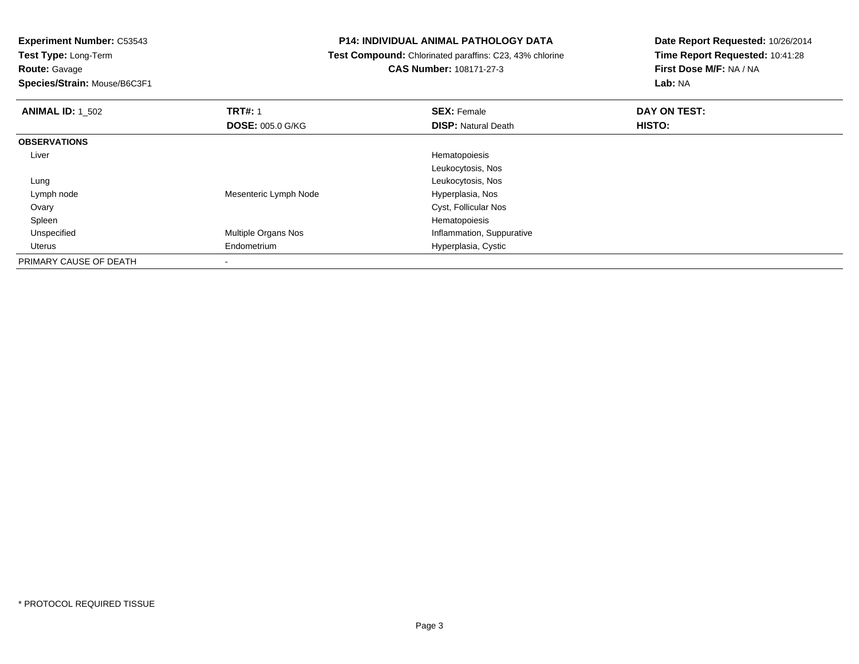**Route:** Gavage

**Species/Strain:** Mouse/B6C3F1

# **P14: INDIVIDUAL ANIMAL PATHOLOGY DATA**

 **Test Compound:** Chlorinated paraffins: C23, 43% chlorine**CAS Number:** 108171-27-3

| <b>ANIMAL ID: 1_502</b> | <b>TRT#: 1</b>          | <b>SEX: Female</b>         | DAY ON TEST: |  |
|-------------------------|-------------------------|----------------------------|--------------|--|
|                         | <b>DOSE: 005.0 G/KG</b> | <b>DISP: Natural Death</b> | HISTO:       |  |
| <b>OBSERVATIONS</b>     |                         |                            |              |  |
| Liver                   |                         | Hematopoiesis              |              |  |
|                         |                         | Leukocytosis, Nos          |              |  |
| Lung                    |                         | Leukocytosis, Nos          |              |  |
| Lymph node              | Mesenteric Lymph Node   | Hyperplasia, Nos           |              |  |
| Ovary                   |                         | Cyst, Follicular Nos       |              |  |
| Spleen                  |                         | Hematopoiesis              |              |  |
| Unspecified             | Multiple Organs Nos     | Inflammation, Suppurative  |              |  |
| Uterus                  | Endometrium             | Hyperplasia, Cystic        |              |  |
| PRIMARY CAUSE OF DEATH  |                         |                            |              |  |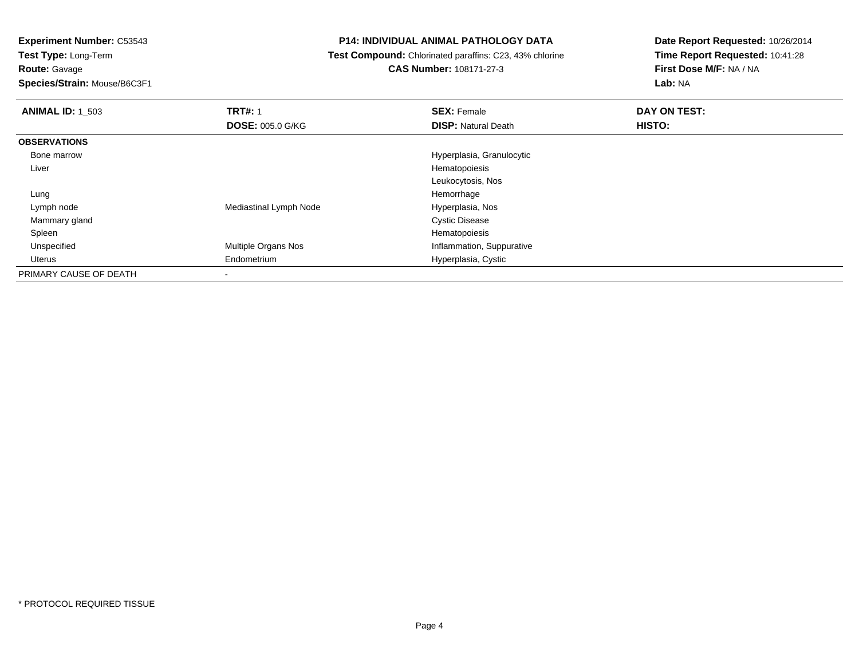**Experiment Number:** C53543

**Test Type:** Long-Term**Route:** Gavage

**Species/Strain:** Mouse/B6C3F1

# **P14: INDIVIDUAL ANIMAL PATHOLOGY DATA**

**Test Compound:** Chlorinated paraffins: C23, 43% chlorine

**CAS Number:** 108171-27-3

| <b>ANIMAL ID: 1 503</b> | <b>TRT#: 1</b>          | <b>SEX: Female</b>         | DAY ON TEST: |  |
|-------------------------|-------------------------|----------------------------|--------------|--|
|                         | <b>DOSE: 005.0 G/KG</b> | <b>DISP: Natural Death</b> | HISTO:       |  |
| <b>OBSERVATIONS</b>     |                         |                            |              |  |
| Bone marrow             |                         | Hyperplasia, Granulocytic  |              |  |
| Liver                   |                         | Hematopoiesis              |              |  |
|                         |                         | Leukocytosis, Nos          |              |  |
| Lung                    |                         | Hemorrhage                 |              |  |
| Lymph node              | Mediastinal Lymph Node  | Hyperplasia, Nos           |              |  |
| Mammary gland           |                         | <b>Cystic Disease</b>      |              |  |
| Spleen                  |                         | Hematopoiesis              |              |  |
| Unspecified             | Multiple Organs Nos     | Inflammation, Suppurative  |              |  |
| Uterus                  | Endometrium             | Hyperplasia, Cystic        |              |  |
| PRIMARY CAUSE OF DEATH  |                         |                            |              |  |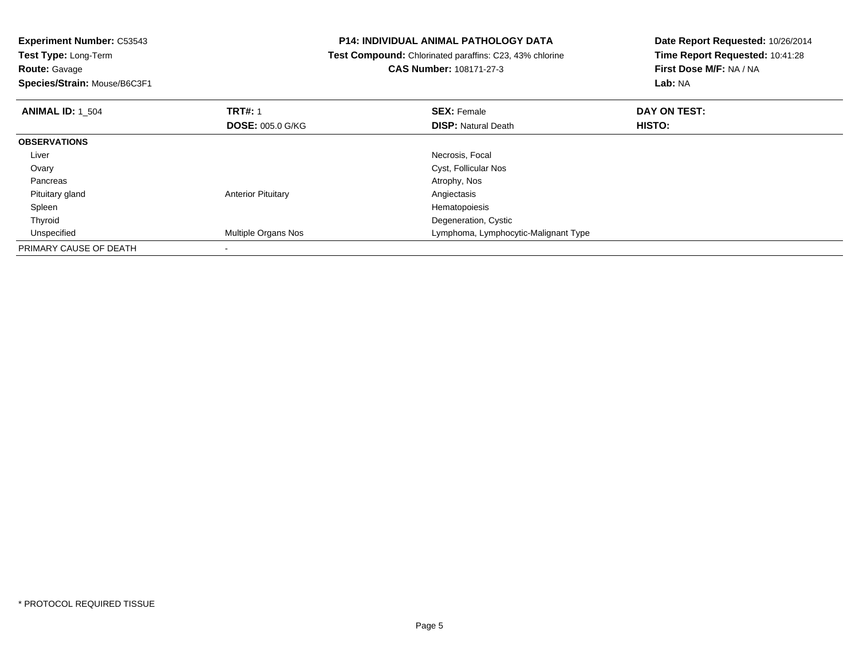| <b>Experiment Number: C53543</b>          | <b>P14: INDIVIDUAL ANIMAL PATHOLOGY DATA</b> |                                                                | Date Report Requested: 10/26/2014 |  |
|-------------------------------------------|----------------------------------------------|----------------------------------------------------------------|-----------------------------------|--|
| Test Type: Long-Term                      |                                              | <b>Test Compound:</b> Chlorinated paraffins: C23, 43% chlorine | Time Report Requested: 10:41:28   |  |
| <b>Route: Gavage</b>                      |                                              | <b>CAS Number: 108171-27-3</b>                                 | First Dose M/F: NA / NA           |  |
| Species/Strain: Mouse/B6C3F1              |                                              |                                                                | Lab: NA                           |  |
| <b>TRT#: 1</b><br><b>ANIMAL ID: 1 504</b> |                                              | <b>SEX: Female</b>                                             | DAY ON TEST:                      |  |
|                                           | <b>DOSE: 005.0 G/KG</b>                      | <b>DISP:</b> Natural Death                                     | HISTO:                            |  |
| <b>OBSERVATIONS</b>                       |                                              |                                                                |                                   |  |
| Liver                                     |                                              | Necrosis, Focal                                                |                                   |  |
| Ovary                                     |                                              | Cyst, Follicular Nos                                           |                                   |  |
| Pancreas                                  |                                              | Atrophy, Nos                                                   |                                   |  |
| Pituitary gland                           | <b>Anterior Pituitary</b>                    | Angiectasis                                                    |                                   |  |
| Spleen                                    |                                              | Hematopoiesis                                                  |                                   |  |
| Thyroid                                   |                                              | Degeneration, Cystic                                           |                                   |  |
| Unspecified                               | Multiple Organs Nos                          | Lymphoma, Lymphocytic-Malignant Type                           |                                   |  |
| PRIMARY CAUSE OF DEATH                    |                                              |                                                                |                                   |  |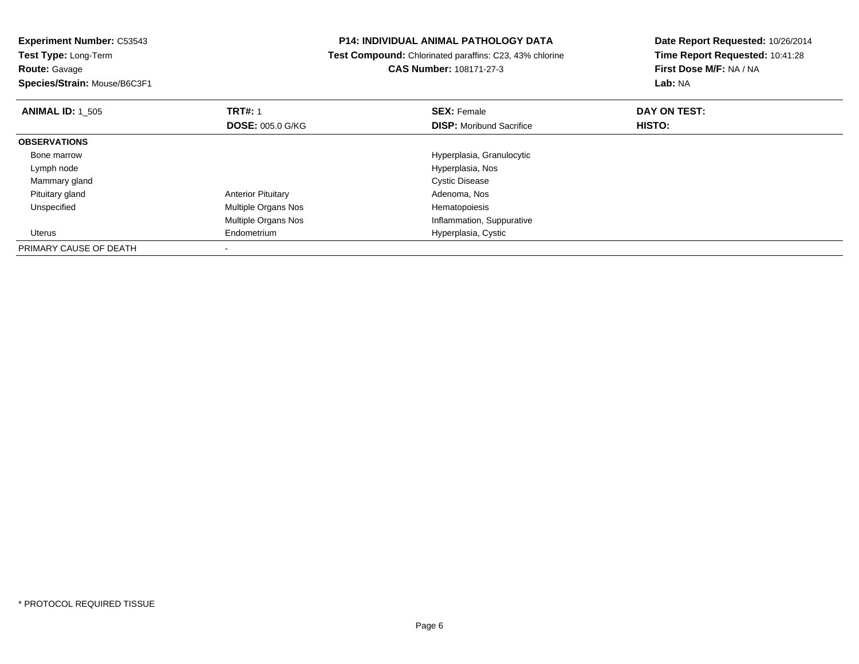**Experiment Number:** C53543**Test Type:** Long-Term**Route:** Gavage **Species/Strain:** Mouse/B6C3F1**P14: INDIVIDUAL ANIMAL PATHOLOGY DATA Test Compound:** Chlorinated paraffins: C23, 43% chlorine**CAS Number:** 108171-27-3**Date Report Requested:** 10/26/2014**Time Report Requested:** 10:41:28**First Dose M/F:** NA / NA**Lab:** NA**ANIMAL ID:** 1\_505**TRT#:** 1 **SEX:** Female **DAY ON TEST: DOSE:** 005.0 G/KG**DISP:** Moribund Sacrifice **HISTO: OBSERVATIONS** Bone marrow Hyperplasia, Granulocytic Lymph node Hyperplasia, Nos Mammary gland Cystic Disease Pituitary glandAnterior Pituitary **Adenoma, Nos**<br>
Multiple Organs Nos<br>
Hematopoiesis UnspecifiedMultiple Organs Nos Multiple Organs Nos Inflammation, Suppurative Uterus Endometrium Hyperplasia, Cystic PRIMARY CAUSE OF DEATH-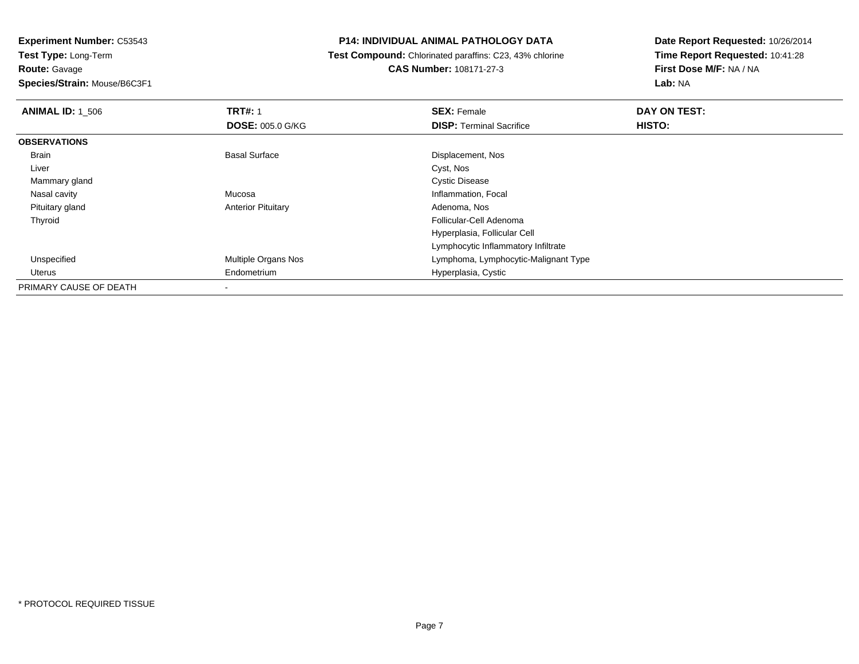## **P14: INDIVIDUAL ANIMAL PATHOLOGY DATA**

 **Test Compound:** Chlorinated paraffins: C23, 43% chlorine**CAS Number:** 108171-27-3

| <b>ANIMAL ID: 1_506</b> | <b>TRT#: 1</b>            | <b>SEX: Female</b>                   | DAY ON TEST: |  |
|-------------------------|---------------------------|--------------------------------------|--------------|--|
|                         | <b>DOSE: 005.0 G/KG</b>   | <b>DISP: Terminal Sacrifice</b>      | HISTO:       |  |
| <b>OBSERVATIONS</b>     |                           |                                      |              |  |
| Brain                   | <b>Basal Surface</b>      | Displacement, Nos                    |              |  |
| Liver                   |                           | Cyst, Nos                            |              |  |
| Mammary gland           |                           | <b>Cystic Disease</b>                |              |  |
| Nasal cavity            | Mucosa                    | Inflammation, Focal                  |              |  |
| Pituitary gland         | <b>Anterior Pituitary</b> | Adenoma, Nos                         |              |  |
| Thyroid                 |                           | Follicular-Cell Adenoma              |              |  |
|                         |                           | Hyperplasia, Follicular Cell         |              |  |
|                         |                           | Lymphocytic Inflammatory Infiltrate  |              |  |
| Unspecified             | Multiple Organs Nos       | Lymphoma, Lymphocytic-Malignant Type |              |  |
| Uterus                  | Endometrium               | Hyperplasia, Cystic                  |              |  |
| PRIMARY CAUSE OF DEATH  | $\overline{\phantom{a}}$  |                                      |              |  |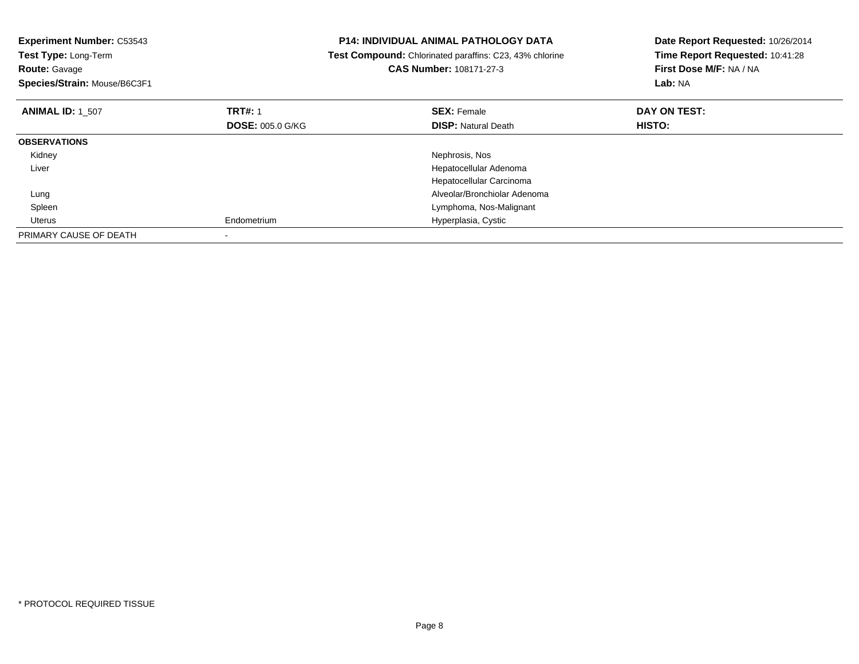| <b>Experiment Number: C53543</b><br>Test Type: Long-Term<br><b>Route: Gavage</b><br>Species/Strain: Mouse/B6C3F1 |                         | <b>P14: INDIVIDUAL ANIMAL PATHOLOGY DATA</b><br>Test Compound: Chlorinated paraffins: C23, 43% chlorine<br>CAS Number: 108171-27-3 | Date Report Requested: 10/26/2014<br>Time Report Requested: 10:41:28<br>First Dose M/F: NA / NA<br>Lab: NA |
|------------------------------------------------------------------------------------------------------------------|-------------------------|------------------------------------------------------------------------------------------------------------------------------------|------------------------------------------------------------------------------------------------------------|
| <b>ANIMAL ID: 1_507</b>                                                                                          | <b>TRT#: 1</b>          | <b>SEX: Female</b>                                                                                                                 | DAY ON TEST:                                                                                               |
|                                                                                                                  | <b>DOSE: 005.0 G/KG</b> | <b>DISP:</b> Natural Death                                                                                                         | HISTO:                                                                                                     |
| <b>OBSERVATIONS</b>                                                                                              |                         |                                                                                                                                    |                                                                                                            |
| Kidney                                                                                                           |                         | Nephrosis, Nos                                                                                                                     |                                                                                                            |
| Liver                                                                                                            |                         | Hepatocellular Adenoma                                                                                                             |                                                                                                            |
|                                                                                                                  |                         | Hepatocellular Carcinoma                                                                                                           |                                                                                                            |
| Lung                                                                                                             |                         | Alveolar/Bronchiolar Adenoma                                                                                                       |                                                                                                            |
| Spleen                                                                                                           |                         | Lymphoma, Nos-Malignant                                                                                                            |                                                                                                            |
| Uterus                                                                                                           | Endometrium             | Hyperplasia, Cystic                                                                                                                |                                                                                                            |
| PRIMARY CAUSE OF DEATH                                                                                           |                         |                                                                                                                                    |                                                                                                            |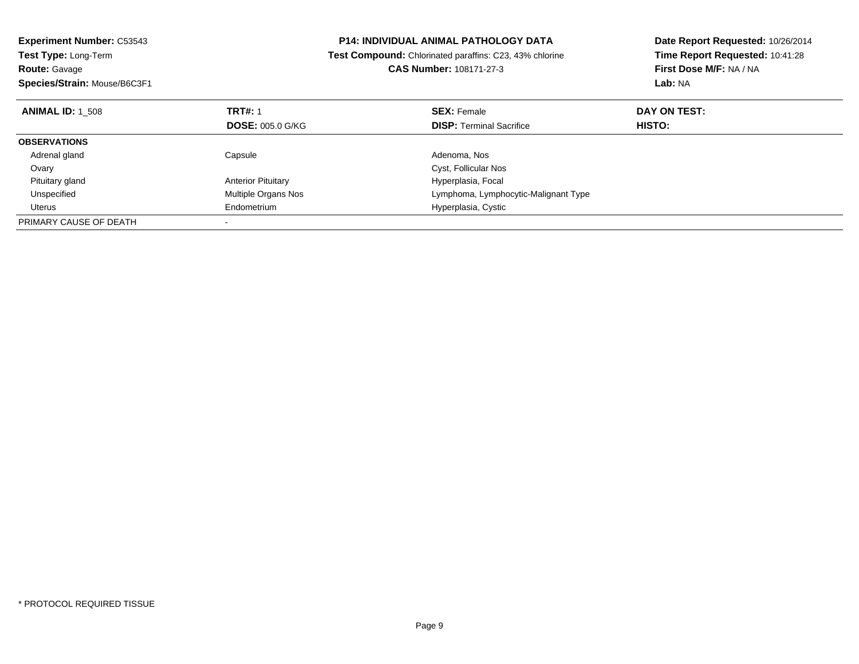| <b>Experiment Number: C53543</b> | <b>P14: INDIVIDUAL ANIMAL PATHOLOGY DATA</b> |                                                         | Date Report Requested: 10/26/2014 |  |
|----------------------------------|----------------------------------------------|---------------------------------------------------------|-----------------------------------|--|
| <b>Test Type: Long-Term</b>      |                                              | Test Compound: Chlorinated paraffins: C23, 43% chlorine | Time Report Requested: 10:41:28   |  |
| <b>Route: Gavage</b>             |                                              | <b>CAS Number: 108171-27-3</b>                          | First Dose M/F: NA / NA           |  |
| Species/Strain: Mouse/B6C3F1     |                                              |                                                         | Lab: NA                           |  |
| <b>ANIMAL ID: 1 508</b>          | <b>TRT#: 1</b>                               | <b>SEX: Female</b>                                      | DAY ON TEST:                      |  |
|                                  | <b>DOSE: 005.0 G/KG</b>                      | <b>DISP:</b> Terminal Sacrifice                         | <b>HISTO:</b>                     |  |
| <b>OBSERVATIONS</b>              |                                              |                                                         |                                   |  |
| Adrenal gland                    | Capsule                                      | Adenoma, Nos                                            |                                   |  |
| Ovary                            |                                              | Cyst, Follicular Nos                                    |                                   |  |
| Pituitary gland                  | <b>Anterior Pituitary</b>                    | Hyperplasia, Focal                                      |                                   |  |
| Unspecified                      | <b>Multiple Organs Nos</b>                   | Lymphoma, Lymphocytic-Malignant Type                    |                                   |  |
| Uterus                           | Endometrium                                  | Hyperplasia, Cystic                                     |                                   |  |
| PRIMARY CAUSE OF DEATH           |                                              |                                                         |                                   |  |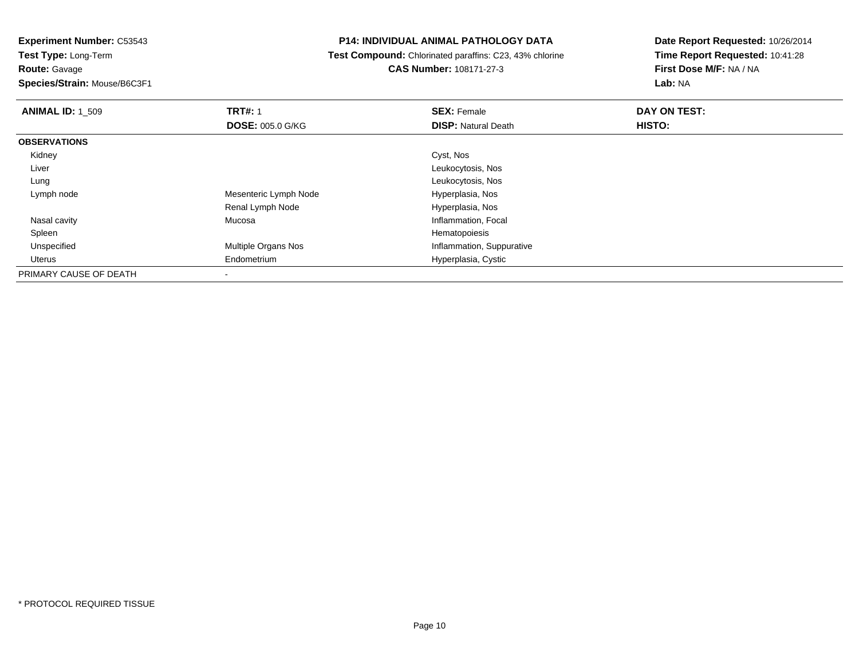**Route:** Gavage

**Species/Strain:** Mouse/B6C3F1

# **P14: INDIVIDUAL ANIMAL PATHOLOGY DATA**

 **Test Compound:** Chlorinated paraffins: C23, 43% chlorine**CAS Number:** 108171-27-3

| <b>ANIMAL ID: 1 509</b> | <b>TRT#: 1</b>             | <b>SEX: Female</b>         | DAY ON TEST: |  |
|-------------------------|----------------------------|----------------------------|--------------|--|
|                         | <b>DOSE: 005.0 G/KG</b>    | <b>DISP: Natural Death</b> | HISTO:       |  |
| <b>OBSERVATIONS</b>     |                            |                            |              |  |
| Kidney                  |                            | Cyst, Nos                  |              |  |
| Liver                   |                            | Leukocytosis, Nos          |              |  |
| Lung                    |                            | Leukocytosis, Nos          |              |  |
| Lymph node              | Mesenteric Lymph Node      | Hyperplasia, Nos           |              |  |
|                         | Renal Lymph Node           | Hyperplasia, Nos           |              |  |
| Nasal cavity            | Mucosa                     | Inflammation, Focal        |              |  |
| Spleen                  |                            | Hematopoiesis              |              |  |
| Unspecified             | <b>Multiple Organs Nos</b> | Inflammation, Suppurative  |              |  |
| Uterus                  | Endometrium                | Hyperplasia, Cystic        |              |  |
| PRIMARY CAUSE OF DEATH  |                            |                            |              |  |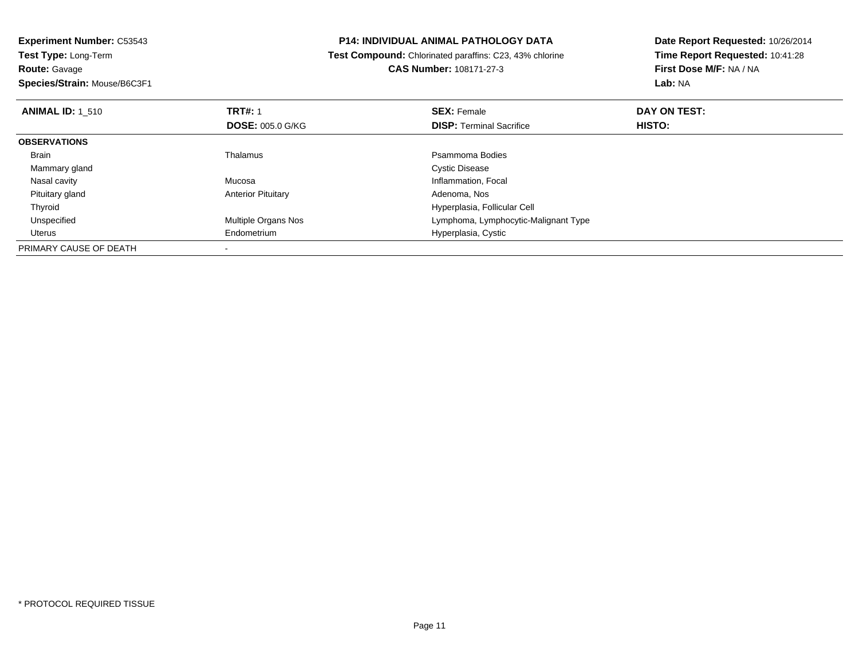**Experiment Number:** C53543**Test Type:** Long-Term**Route:** Gavage **Species/Strain:** Mouse/B6C3F1**P14: INDIVIDUAL ANIMAL PATHOLOGY DATA Test Compound:** Chlorinated paraffins: C23, 43% chlorine**CAS Number:** 108171-27-3**Date Report Requested:** 10/26/2014**Time Report Requested:** 10:41:28**First Dose M/F:** NA / NA**Lab:** NA**ANIMAL ID:** 1\_510**C TRT#:** 1 **SEX:** Female **DAY ON TEST: DOSE:** 005.0 G/KG**DISP:** Terminal Sacrifice **HISTO: OBSERVATIONS** Brainn and the control of the Thalamus and the control of the Psammoma Bodies and the Psammoma Bodies of the Psammoma Bodies and the Psammoma Bodies of the Psammoma Bodies of the Psammoma Bodies of the Psammoma Bodies of the Ps Mammary glandd **Cystic Disease**  Nasal cavity MucosaInflammation, Focal<br>Adenoma, Nos Pituitary glandAnterior Pituitary ThyroidHyperplasia, Follicular Cell<br>Multiple Organs Nos extension of the Hymphoma, Lymphocytic-M UnspecifiedLymphoma, Lymphocytic-Malignant Type Uterus Endometrium Hyperplasia, Cystic PRIMARY CAUSE OF DEATH-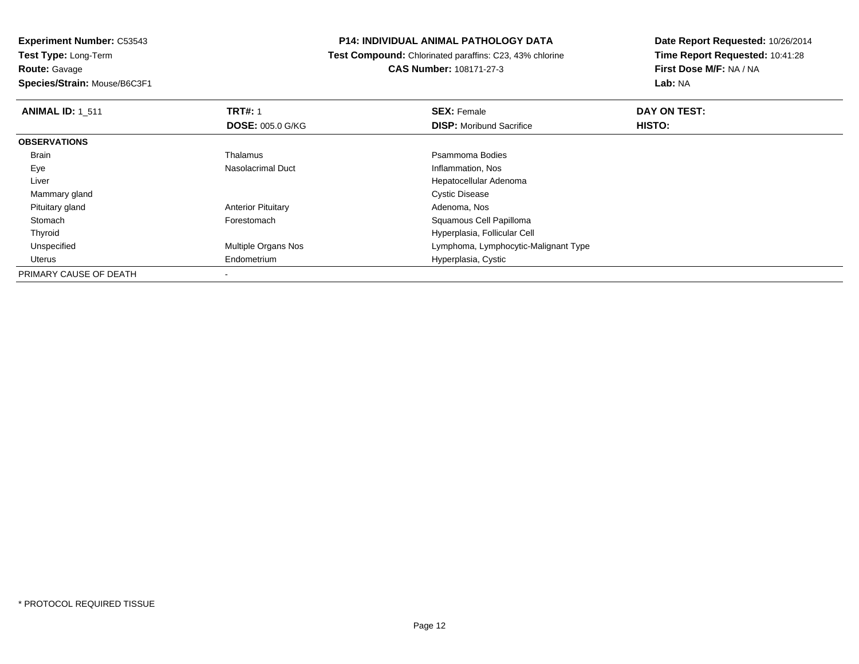## **P14: INDIVIDUAL ANIMAL PATHOLOGY DATA**

 **Test Compound:** Chlorinated paraffins: C23, 43% chlorine**CAS Number:** 108171-27-3

| <b>ANIMAL ID: 1 511</b> | <b>TRT#: 1</b>             | <b>SEX: Female</b>                   | DAY ON TEST: |  |
|-------------------------|----------------------------|--------------------------------------|--------------|--|
|                         | <b>DOSE: 005.0 G/KG</b>    | <b>DISP:</b> Moribund Sacrifice      | HISTO:       |  |
| <b>OBSERVATIONS</b>     |                            |                                      |              |  |
| Brain                   | Thalamus                   | Psammoma Bodies                      |              |  |
| Eye                     | Nasolacrimal Duct          | Inflammation, Nos                    |              |  |
| Liver                   |                            | Hepatocellular Adenoma               |              |  |
| Mammary gland           |                            | <b>Cystic Disease</b>                |              |  |
| Pituitary gland         | <b>Anterior Pituitary</b>  | Adenoma, Nos                         |              |  |
| Stomach                 | Forestomach                | Squamous Cell Papilloma              |              |  |
| Thyroid                 |                            | Hyperplasia, Follicular Cell         |              |  |
| Unspecified             | <b>Multiple Organs Nos</b> | Lymphoma, Lymphocytic-Malignant Type |              |  |
| Uterus                  | Endometrium                | Hyperplasia, Cystic                  |              |  |
| PRIMARY CAUSE OF DEATH  |                            |                                      |              |  |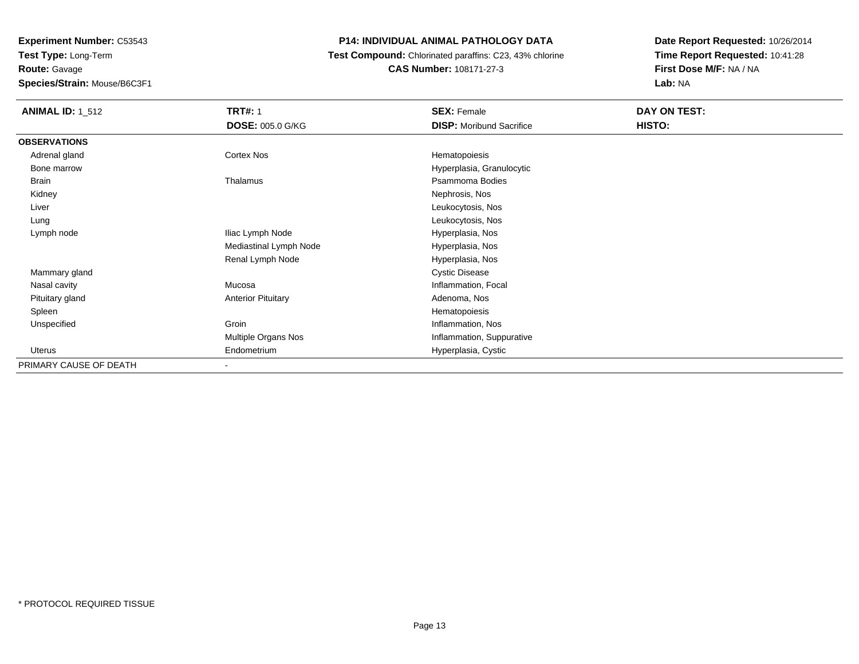# **P14: INDIVIDUAL ANIMAL PATHOLOGY DATA**

## **Test Compound:** Chlorinated paraffins: C23, 43% chlorine**CAS Number:** 108171-27-3

| <b>ANIMAL ID: 1_512</b> | <b>TRT#: 1</b><br><b>DOSE: 005.0 G/KG</b> | <b>SEX: Female</b><br><b>DISP:</b> Moribund Sacrifice | DAY ON TEST:<br>HISTO: |  |
|-------------------------|-------------------------------------------|-------------------------------------------------------|------------------------|--|
|                         |                                           |                                                       |                        |  |
| <b>OBSERVATIONS</b>     |                                           |                                                       |                        |  |
| Adrenal gland           | Cortex Nos                                | Hematopoiesis                                         |                        |  |
| Bone marrow             |                                           | Hyperplasia, Granulocytic                             |                        |  |
| Brain                   | Thalamus                                  | Psammoma Bodies                                       |                        |  |
| Kidney                  |                                           | Nephrosis, Nos                                        |                        |  |
| Liver                   |                                           | Leukocytosis, Nos                                     |                        |  |
| Lung                    |                                           | Leukocytosis, Nos                                     |                        |  |
| Lymph node              | Iliac Lymph Node                          | Hyperplasia, Nos                                      |                        |  |
|                         | Mediastinal Lymph Node                    | Hyperplasia, Nos                                      |                        |  |
|                         | Renal Lymph Node                          | Hyperplasia, Nos                                      |                        |  |
| Mammary gland           |                                           | <b>Cystic Disease</b>                                 |                        |  |
| Nasal cavity            | Mucosa                                    | Inflammation, Focal                                   |                        |  |
| Pituitary gland         | <b>Anterior Pituitary</b>                 | Adenoma, Nos                                          |                        |  |
| Spleen                  |                                           | Hematopoiesis                                         |                        |  |
| Unspecified             | Groin                                     | Inflammation, Nos                                     |                        |  |
|                         | Multiple Organs Nos                       | Inflammation, Suppurative                             |                        |  |
| Uterus                  | Endometrium                               | Hyperplasia, Cystic                                   |                        |  |
| PRIMARY CAUSE OF DEATH  | ۰                                         |                                                       |                        |  |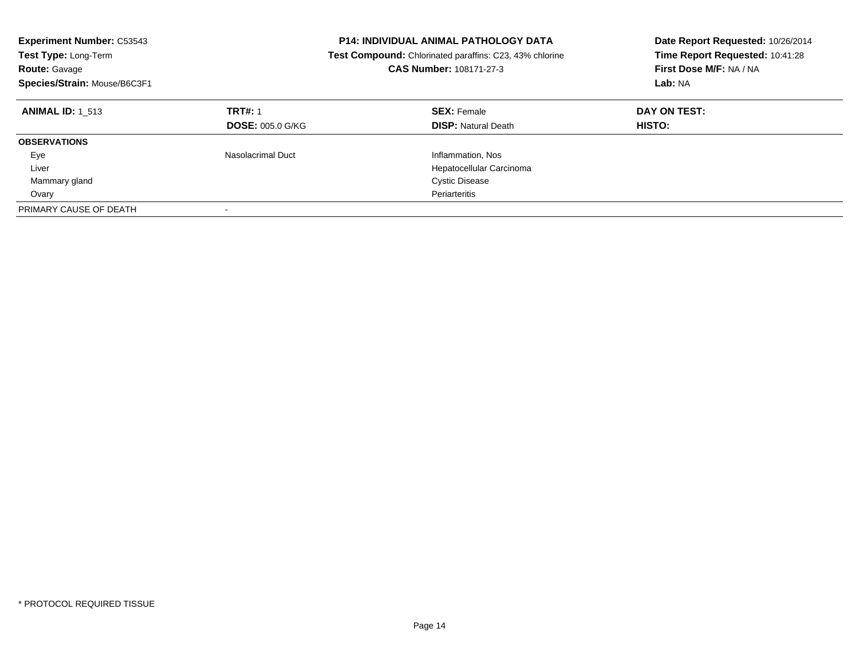| <b>Experiment Number: C53543</b><br><b>Test Type: Long-Term</b><br><b>Route: Gavage</b><br>Species/Strain: Mouse/B6C3F1 |                                           | <b>P14: INDIVIDUAL ANIMAL PATHOLOGY DATA</b><br><b>Test Compound:</b> Chlorinated paraffins: C23, 43% chlorine<br>CAS Number: 108171-27-3 | Date Report Requested: 10/26/2014<br>Time Report Requested: 10:41:28<br>First Dose M/F: NA / NA<br>Lab: NA |
|-------------------------------------------------------------------------------------------------------------------------|-------------------------------------------|-------------------------------------------------------------------------------------------------------------------------------------------|------------------------------------------------------------------------------------------------------------|
| <b>ANIMAL ID:</b> 1 513                                                                                                 | <b>TRT#: 1</b><br><b>DOSE: 005.0 G/KG</b> | <b>SEX: Female</b><br><b>DISP:</b> Natural Death                                                                                          | DAY ON TEST:<br><b>HISTO:</b>                                                                              |
| <b>OBSERVATIONS</b>                                                                                                     |                                           |                                                                                                                                           |                                                                                                            |
| Eye                                                                                                                     | Nasolacrimal Duct                         | Inflammation, Nos                                                                                                                         |                                                                                                            |
| Liver                                                                                                                   |                                           | Hepatocellular Carcinoma                                                                                                                  |                                                                                                            |
| Mammary gland                                                                                                           |                                           | <b>Cystic Disease</b>                                                                                                                     |                                                                                                            |
| Ovary                                                                                                                   |                                           | Periarteritis                                                                                                                             |                                                                                                            |
| PRIMARY CAUSE OF DEATH                                                                                                  |                                           |                                                                                                                                           |                                                                                                            |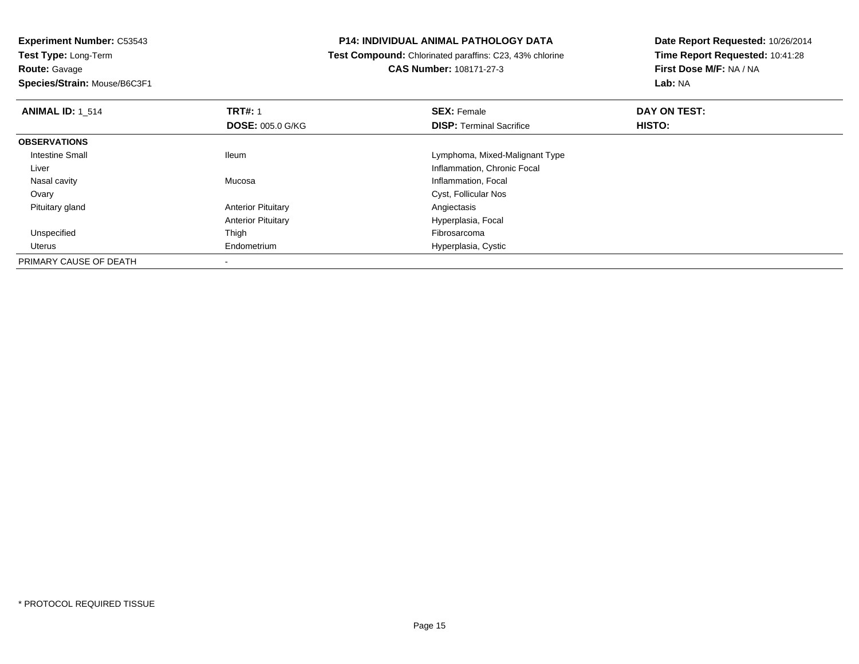**Experiment Number:** C53543**Test Type:** Long-Term**Route:** Gavage

**Species/Strain:** Mouse/B6C3F1

## **P14: INDIVIDUAL ANIMAL PATHOLOGY DATA**

 **Test Compound:** Chlorinated paraffins: C23, 43% chlorine**CAS Number:** 108171-27-3

| <b>ANIMAL ID: 1 514</b> | <b>TRT#: 1</b>            | <b>SEX: Female</b>              | DAY ON TEST: |  |
|-------------------------|---------------------------|---------------------------------|--------------|--|
|                         | <b>DOSE: 005.0 G/KG</b>   | <b>DISP: Terminal Sacrifice</b> | HISTO:       |  |
| <b>OBSERVATIONS</b>     |                           |                                 |              |  |
| Intestine Small         | <b>Ileum</b>              | Lymphoma, Mixed-Malignant Type  |              |  |
| Liver                   |                           | Inflammation, Chronic Focal     |              |  |
| Nasal cavity            | Mucosa                    | Inflammation, Focal             |              |  |
| Ovary                   |                           | Cyst, Follicular Nos            |              |  |
| Pituitary gland         | <b>Anterior Pituitary</b> | Angiectasis                     |              |  |
|                         | <b>Anterior Pituitary</b> | Hyperplasia, Focal              |              |  |
| Unspecified             | Thigh                     | Fibrosarcoma                    |              |  |
| Uterus                  | Endometrium               | Hyperplasia, Cystic             |              |  |
| PRIMARY CAUSE OF DEATH  |                           |                                 |              |  |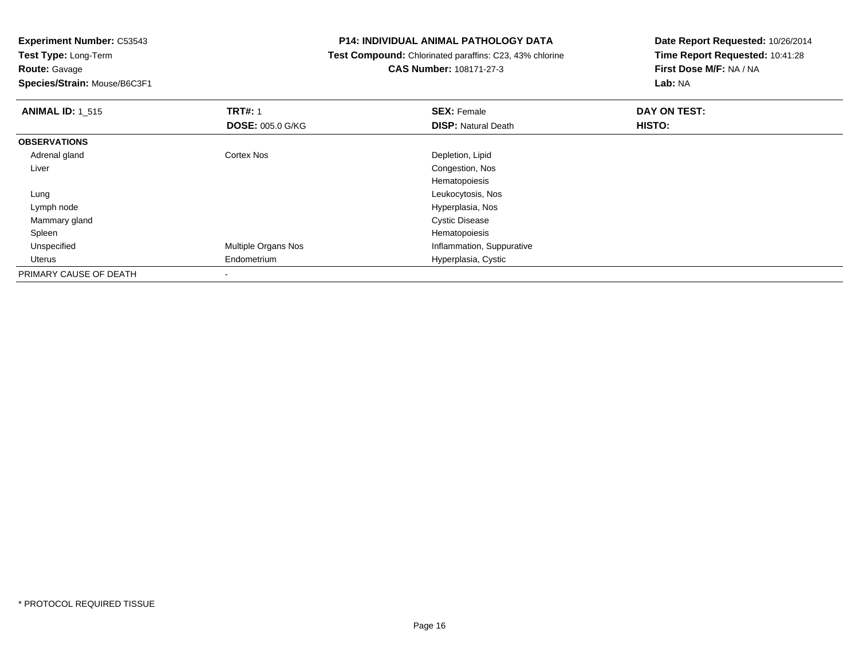**Experiment Number:** C53543

**Test Type:** Long-Term**Route:** Gavage

**Species/Strain:** Mouse/B6C3F1

# **P14: INDIVIDUAL ANIMAL PATHOLOGY DATA**

 **Test Compound:** Chlorinated paraffins: C23, 43% chlorine**CAS Number:** 108171-27-3

| <b>ANIMAL ID: 1_515</b> | <b>TRT#: 1</b>             | <b>SEX: Female</b>         | DAY ON TEST: |  |
|-------------------------|----------------------------|----------------------------|--------------|--|
|                         | <b>DOSE: 005.0 G/KG</b>    | <b>DISP: Natural Death</b> | HISTO:       |  |
| <b>OBSERVATIONS</b>     |                            |                            |              |  |
| Adrenal gland           | <b>Cortex Nos</b>          | Depletion, Lipid           |              |  |
| Liver                   |                            | Congestion, Nos            |              |  |
|                         |                            | Hematopoiesis              |              |  |
| Lung                    |                            | Leukocytosis, Nos          |              |  |
| Lymph node              |                            | Hyperplasia, Nos           |              |  |
| Mammary gland           |                            | <b>Cystic Disease</b>      |              |  |
| Spleen                  |                            | Hematopoiesis              |              |  |
| Unspecified             | <b>Multiple Organs Nos</b> | Inflammation, Suppurative  |              |  |
| Uterus                  | Endometrium                | Hyperplasia, Cystic        |              |  |
| PRIMARY CAUSE OF DEATH  |                            |                            |              |  |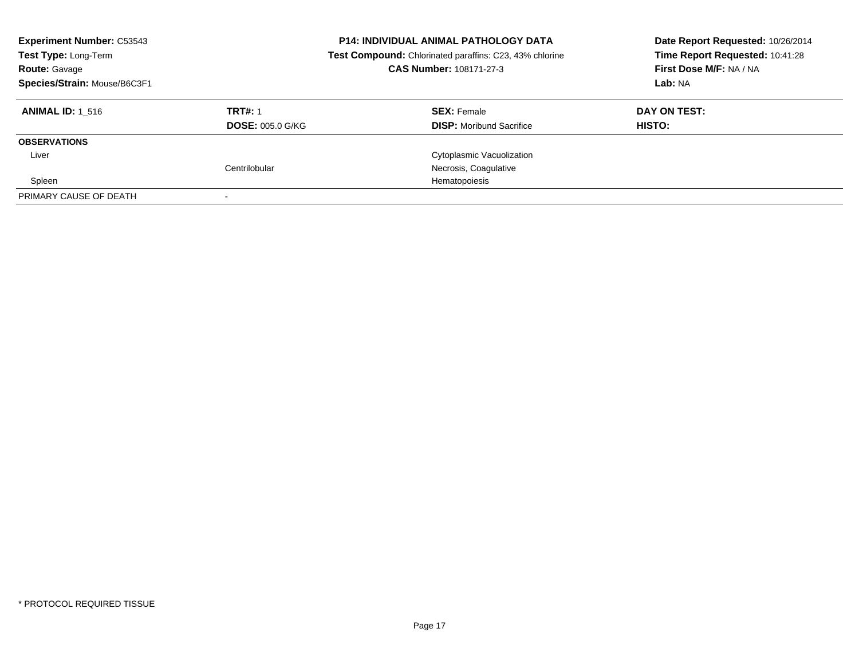| <b>Experiment Number: C53543</b><br>Test Type: Long-Term<br><b>Route: Gavage</b><br>Species/Strain: Mouse/B6C3F1 | <b>P14: INDIVIDUAL ANIMAL PATHOLOGY DATA</b><br>Test Compound: Chlorinated paraffins: C23, 43% chlorine<br>CAS Number: 108171-27-3 |                                 | Date Report Requested: 10/26/2014<br>Time Report Requested: 10:41:28<br>First Dose M/F: NA / NA<br>Lab: NA |
|------------------------------------------------------------------------------------------------------------------|------------------------------------------------------------------------------------------------------------------------------------|---------------------------------|------------------------------------------------------------------------------------------------------------|
| <b>ANIMAL ID: 1 516</b>                                                                                          | <b>TRT#: 1</b>                                                                                                                     | <b>SEX: Female</b>              | DAY ON TEST:                                                                                               |
|                                                                                                                  | <b>DOSE: 005.0 G/KG</b>                                                                                                            | <b>DISP:</b> Moribund Sacrifice | HISTO:                                                                                                     |
| <b>OBSERVATIONS</b>                                                                                              |                                                                                                                                    |                                 |                                                                                                            |
| Liver                                                                                                            |                                                                                                                                    | Cytoplasmic Vacuolization       |                                                                                                            |
|                                                                                                                  | Centrilobular                                                                                                                      | Necrosis, Coagulative           |                                                                                                            |
| Spleen                                                                                                           |                                                                                                                                    | Hematopoiesis                   |                                                                                                            |
| PRIMARY CAUSE OF DEATH                                                                                           |                                                                                                                                    |                                 |                                                                                                            |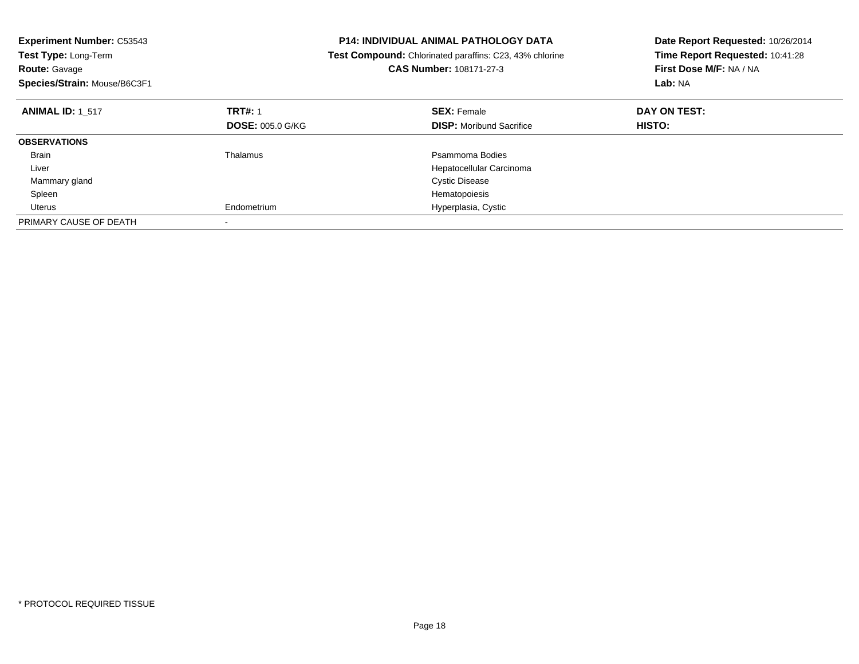| <b>Experiment Number: C53543</b><br>Test Type: Long-Term<br><b>Route: Gavage</b><br>Species/Strain: Mouse/B6C3F1 |                         | <b>P14: INDIVIDUAL ANIMAL PATHOLOGY DATA</b><br>Test Compound: Chlorinated paraffins: C23, 43% chlorine<br><b>CAS Number: 108171-27-3</b> | Date Report Requested: 10/26/2014<br>Time Report Requested: 10:41:28<br>First Dose M/F: NA / NA<br>Lab: NA |
|------------------------------------------------------------------------------------------------------------------|-------------------------|-------------------------------------------------------------------------------------------------------------------------------------------|------------------------------------------------------------------------------------------------------------|
| <b>ANIMAL ID: 1 517</b>                                                                                          | <b>TRT#: 1</b>          | <b>SEX: Female</b>                                                                                                                        | DAY ON TEST:                                                                                               |
|                                                                                                                  | <b>DOSE: 005.0 G/KG</b> | <b>DISP:</b> Moribund Sacrifice                                                                                                           | HISTO:                                                                                                     |
| <b>OBSERVATIONS</b>                                                                                              |                         |                                                                                                                                           |                                                                                                            |
| <b>Brain</b>                                                                                                     | Thalamus                | Psammoma Bodies                                                                                                                           |                                                                                                            |
| Liver                                                                                                            |                         | Hepatocellular Carcinoma                                                                                                                  |                                                                                                            |
| Mammary gland                                                                                                    |                         | <b>Cystic Disease</b>                                                                                                                     |                                                                                                            |
| Spleen                                                                                                           |                         | Hematopoiesis                                                                                                                             |                                                                                                            |
| Uterus                                                                                                           | Endometrium             | Hyperplasia, Cystic                                                                                                                       |                                                                                                            |
| PRIMARY CAUSE OF DEATH                                                                                           |                         |                                                                                                                                           |                                                                                                            |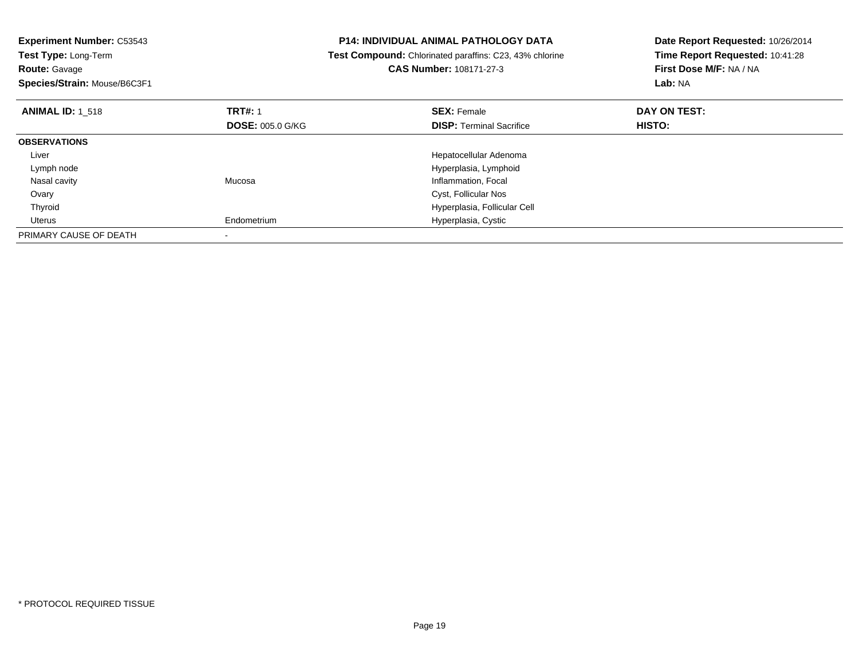| <b>Experiment Number: C53543</b><br>Test Type: Long-Term<br><b>Route: Gavage</b><br>Species/Strain: Mouse/B6C3F1 |                         | <b>P14: INDIVIDUAL ANIMAL PATHOLOGY DATA</b><br>Test Compound: Chlorinated paraffins: C23, 43% chlorine<br>CAS Number: 108171-27-3 | Date Report Requested: 10/26/2014<br>Time Report Requested: 10:41:28<br>First Dose M/F: NA / NA<br>Lab: NA |
|------------------------------------------------------------------------------------------------------------------|-------------------------|------------------------------------------------------------------------------------------------------------------------------------|------------------------------------------------------------------------------------------------------------|
| <b>ANIMAL ID: 1 518</b>                                                                                          | <b>TRT#: 1</b>          | <b>SEX: Female</b>                                                                                                                 | DAY ON TEST:                                                                                               |
|                                                                                                                  | <b>DOSE: 005.0 G/KG</b> | <b>DISP:</b> Terminal Sacrifice                                                                                                    | HISTO:                                                                                                     |
| <b>OBSERVATIONS</b>                                                                                              |                         |                                                                                                                                    |                                                                                                            |
| Liver                                                                                                            |                         | Hepatocellular Adenoma                                                                                                             |                                                                                                            |
| Lymph node                                                                                                       |                         | Hyperplasia, Lymphoid                                                                                                              |                                                                                                            |
| Nasal cavity                                                                                                     | Mucosa                  | Inflammation, Focal                                                                                                                |                                                                                                            |
| Ovary                                                                                                            |                         | Cyst, Follicular Nos                                                                                                               |                                                                                                            |
| Thyroid                                                                                                          |                         | Hyperplasia, Follicular Cell                                                                                                       |                                                                                                            |
| Uterus                                                                                                           | Endometrium             | Hyperplasia, Cystic                                                                                                                |                                                                                                            |
| PRIMARY CAUSE OF DEATH                                                                                           |                         |                                                                                                                                    |                                                                                                            |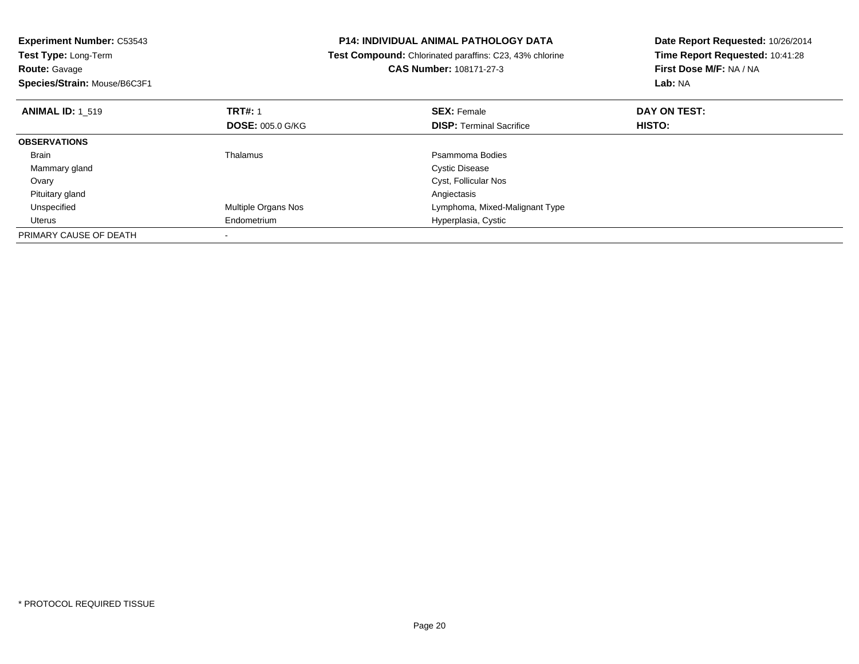| <b>Experiment Number: C53543</b> |                         | <b>P14: INDIVIDUAL ANIMAL PATHOLOGY DATA</b>                   | Date Report Requested: 10/26/2014 |
|----------------------------------|-------------------------|----------------------------------------------------------------|-----------------------------------|
| Test Type: Long-Term             |                         | <b>Test Compound:</b> Chlorinated paraffins: C23, 43% chlorine | Time Report Requested: 10:41:28   |
| <b>Route: Gavage</b>             |                         | <b>CAS Number: 108171-27-3</b>                                 | First Dose M/F: NA / NA           |
| Species/Strain: Mouse/B6C3F1     |                         |                                                                | Lab: NA                           |
| <b>ANIMAL ID: 1 519</b>          | <b>TRT#: 1</b>          | <b>SEX: Female</b>                                             | DAY ON TEST:                      |
|                                  | <b>DOSE: 005.0 G/KG</b> | <b>DISP: Terminal Sacrifice</b>                                | HISTO:                            |
| <b>OBSERVATIONS</b>              |                         |                                                                |                                   |
| Brain                            | Thalamus                | Psammoma Bodies                                                |                                   |
| Mammary gland                    |                         | <b>Cystic Disease</b>                                          |                                   |
| Ovary                            |                         | Cyst, Follicular Nos                                           |                                   |
| Pituitary gland                  |                         | Angiectasis                                                    |                                   |
| Unspecified                      | Multiple Organs Nos     | Lymphoma, Mixed-Malignant Type                                 |                                   |
| Uterus                           | Endometrium             | Hyperplasia, Cystic                                            |                                   |
| PRIMARY CAUSE OF DEATH           |                         |                                                                |                                   |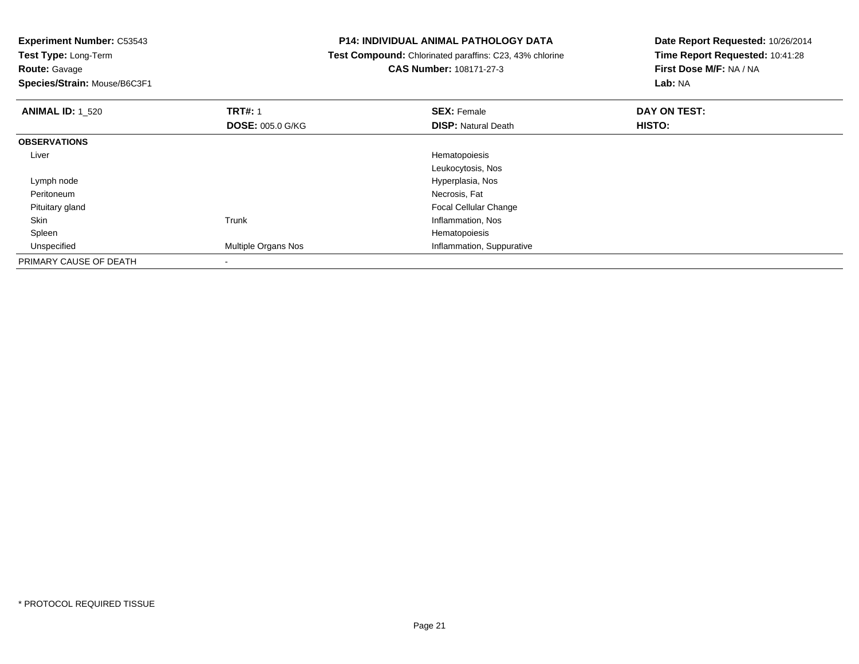**Experiment Number:** C53543

**Test Type:** Long-Term**Route:** Gavage

**Species/Strain:** Mouse/B6C3F1

# **P14: INDIVIDUAL ANIMAL PATHOLOGY DATA**

 **Test Compound:** Chlorinated paraffins: C23, 43% chlorine**CAS Number:** 108171-27-3

| <b>ANIMAL ID: 1_520</b> | <b>TRT#: 1</b>          | <b>SEX: Female</b>         | DAY ON TEST: |  |
|-------------------------|-------------------------|----------------------------|--------------|--|
|                         | <b>DOSE: 005.0 G/KG</b> | <b>DISP: Natural Death</b> | HISTO:       |  |
| <b>OBSERVATIONS</b>     |                         |                            |              |  |
| Liver                   |                         | Hematopoiesis              |              |  |
|                         |                         | Leukocytosis, Nos          |              |  |
| Lymph node              |                         | Hyperplasia, Nos           |              |  |
| Peritoneum              |                         | Necrosis, Fat              |              |  |
| Pituitary gland         |                         | Focal Cellular Change      |              |  |
| Skin                    | Trunk                   | Inflammation, Nos          |              |  |
| Spleen                  |                         | Hematopoiesis              |              |  |
| Unspecified             | Multiple Organs Nos     | Inflammation, Suppurative  |              |  |
| PRIMARY CAUSE OF DEATH  |                         |                            |              |  |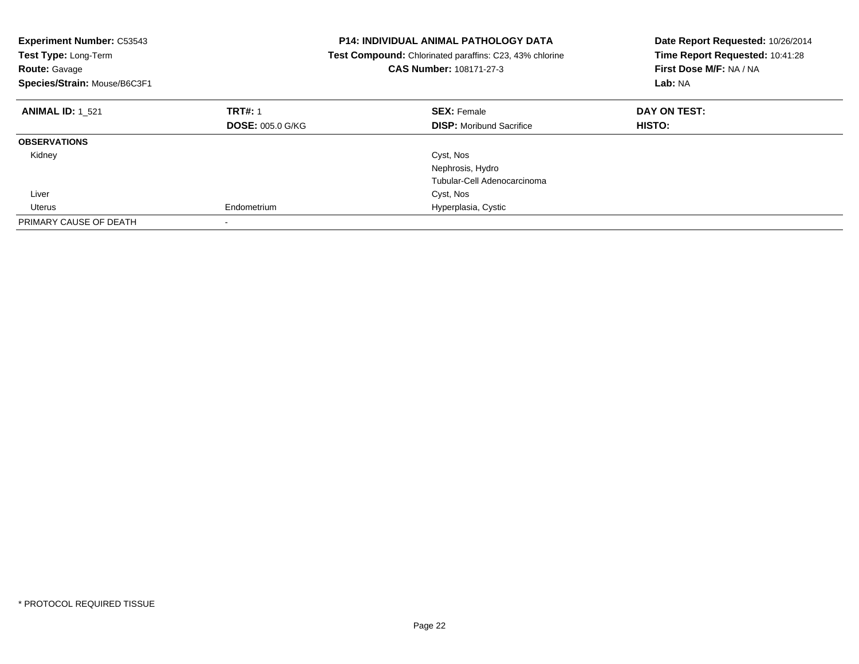| <b>Experiment Number: C53543</b><br>Test Type: Long-Term<br><b>Route: Gavage</b><br>Species/Strain: Mouse/B6C3F1 |                         | <b>P14: INDIVIDUAL ANIMAL PATHOLOGY DATA</b><br>Date Report Requested: 10/26/2014<br>Time Report Requested: 10:41:28<br>Test Compound: Chlorinated paraffins: C23, 43% chlorine<br>CAS Number: 108171-27-3<br>First Dose M/F: NA / NA<br>Lab: NA |               |
|------------------------------------------------------------------------------------------------------------------|-------------------------|--------------------------------------------------------------------------------------------------------------------------------------------------------------------------------------------------------------------------------------------------|---------------|
| <b>ANIMAL ID: 1 521</b>                                                                                          | <b>TRT#: 1</b>          | <b>SEX: Female</b>                                                                                                                                                                                                                               | DAY ON TEST:  |
|                                                                                                                  | <b>DOSE: 005.0 G/KG</b> | <b>DISP:</b> Moribund Sacrifice                                                                                                                                                                                                                  | <b>HISTO:</b> |
| <b>OBSERVATIONS</b>                                                                                              |                         |                                                                                                                                                                                                                                                  |               |
| Kidney                                                                                                           |                         | Cyst, Nos                                                                                                                                                                                                                                        |               |
|                                                                                                                  |                         | Nephrosis, Hydro                                                                                                                                                                                                                                 |               |
|                                                                                                                  |                         | Tubular-Cell Adenocarcinoma                                                                                                                                                                                                                      |               |
| Liver                                                                                                            |                         | Cyst, Nos                                                                                                                                                                                                                                        |               |
| Uterus                                                                                                           | Endometrium             | Hyperplasia, Cystic                                                                                                                                                                                                                              |               |
| PRIMARY CAUSE OF DEATH                                                                                           |                         |                                                                                                                                                                                                                                                  |               |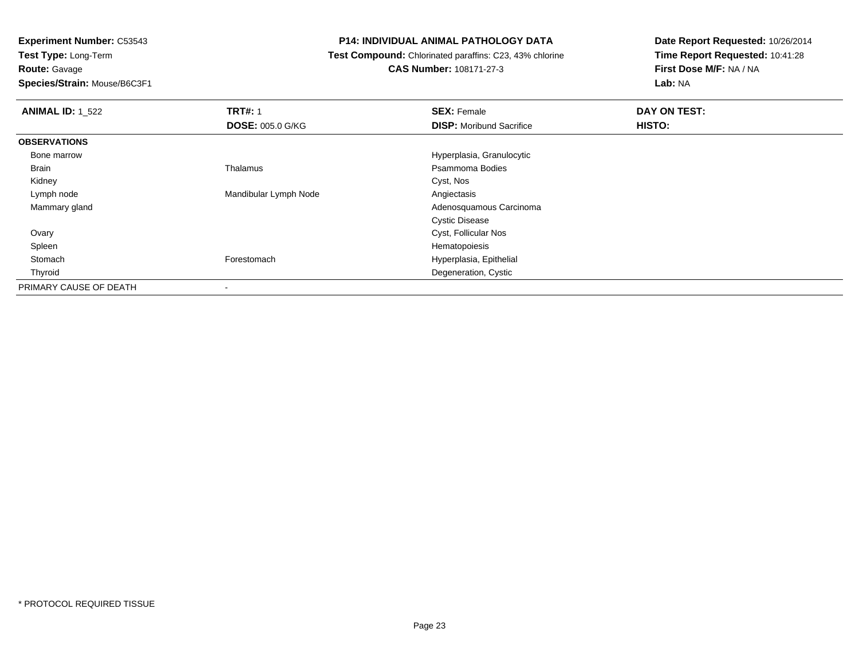**Route:** Gavage

**Species/Strain:** Mouse/B6C3F1

# **P14: INDIVIDUAL ANIMAL PATHOLOGY DATA**

**Test Compound:** Chlorinated paraffins: C23, 43% chlorine

**CAS Number:** 108171-27-3

| <b>ANIMAL ID: 1_522</b> | <b>TRT#: 1</b>          | <b>SEX: Female</b>              | DAY ON TEST: |  |
|-------------------------|-------------------------|---------------------------------|--------------|--|
|                         | <b>DOSE: 005.0 G/KG</b> | <b>DISP:</b> Moribund Sacrifice | HISTO:       |  |
| <b>OBSERVATIONS</b>     |                         |                                 |              |  |
| Bone marrow             |                         | Hyperplasia, Granulocytic       |              |  |
| <b>Brain</b>            | Thalamus                | Psammoma Bodies                 |              |  |
| Kidney                  |                         | Cyst, Nos                       |              |  |
| Lymph node              | Mandibular Lymph Node   | Angiectasis                     |              |  |
| Mammary gland           |                         | Adenosquamous Carcinoma         |              |  |
|                         |                         | <b>Cystic Disease</b>           |              |  |
| Ovary                   |                         | Cyst, Follicular Nos            |              |  |
| Spleen                  |                         | Hematopoiesis                   |              |  |
| Stomach                 | Forestomach             | Hyperplasia, Epithelial         |              |  |
| Thyroid                 |                         | Degeneration, Cystic            |              |  |
| PRIMARY CAUSE OF DEATH  |                         |                                 |              |  |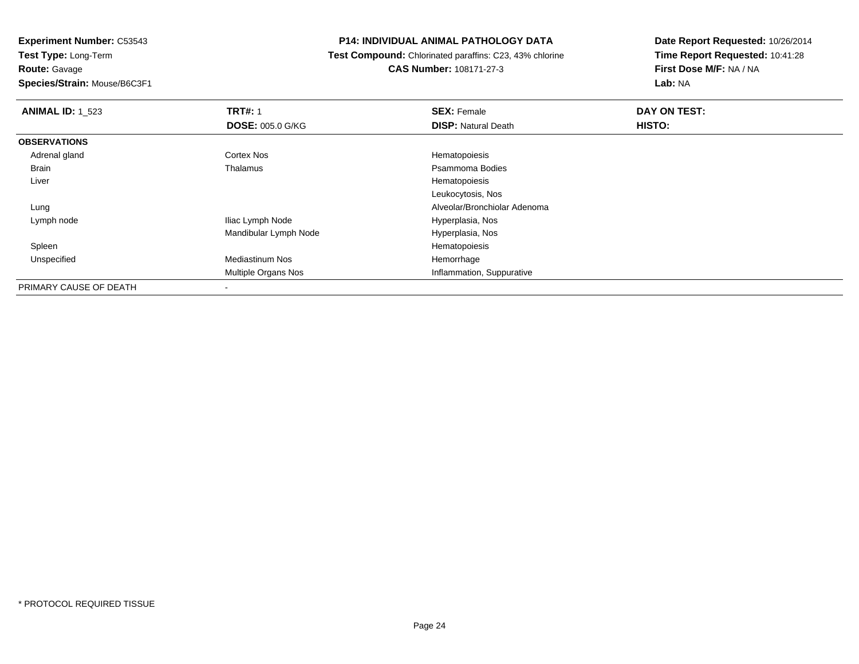**Experiment Number:** C53543**Test Type:** Long-Term**Route:** Gavage

**Species/Strain:** Mouse/B6C3F1

## **P14: INDIVIDUAL ANIMAL PATHOLOGY DATA**

 **Test Compound:** Chlorinated paraffins: C23, 43% chlorine**CAS Number:** 108171-27-3

| <b>ANIMAL ID: 1_523</b> | <b>TRT#: 1</b>          | <b>SEX: Female</b>           | DAY ON TEST: |  |
|-------------------------|-------------------------|------------------------------|--------------|--|
|                         | <b>DOSE: 005.0 G/KG</b> | <b>DISP: Natural Death</b>   | HISTO:       |  |
| <b>OBSERVATIONS</b>     |                         |                              |              |  |
| Adrenal gland           | <b>Cortex Nos</b>       | Hematopoiesis                |              |  |
| <b>Brain</b>            | Thalamus                | Psammoma Bodies              |              |  |
| Liver                   |                         | Hematopoiesis                |              |  |
|                         |                         | Leukocytosis, Nos            |              |  |
| Lung                    |                         | Alveolar/Bronchiolar Adenoma |              |  |
| Lymph node              | Iliac Lymph Node        | Hyperplasia, Nos             |              |  |
|                         | Mandibular Lymph Node   | Hyperplasia, Nos             |              |  |
| Spleen                  |                         | Hematopoiesis                |              |  |
| Unspecified             | <b>Mediastinum Nos</b>  | Hemorrhage                   |              |  |
|                         | Multiple Organs Nos     | Inflammation, Suppurative    |              |  |
| PRIMARY CAUSE OF DEATH  |                         |                              |              |  |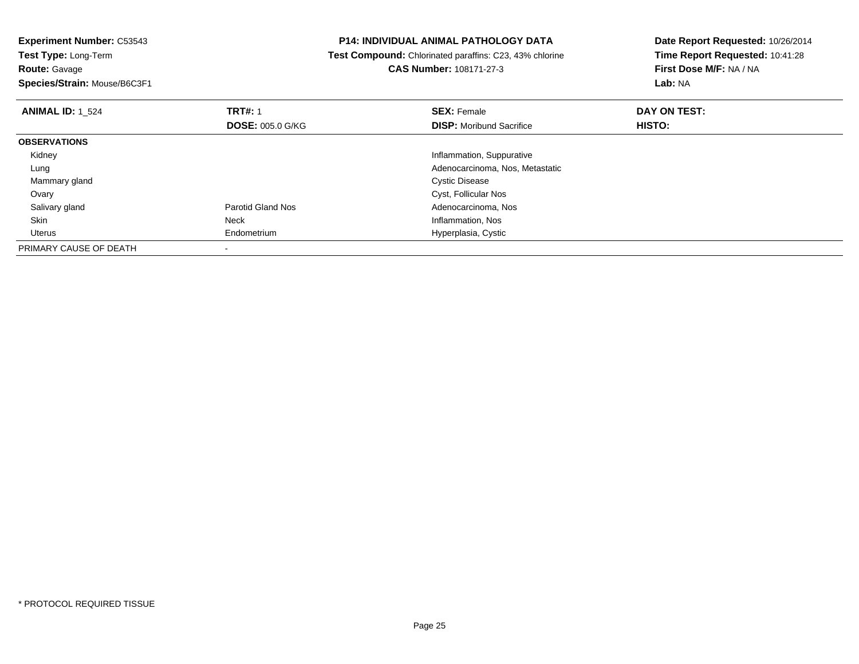**Experiment Number:** C53543**Test Type:** Long-Term**Route:** Gavage **Species/Strain:** Mouse/B6C3F1**P14: INDIVIDUAL ANIMAL PATHOLOGY DATA Test Compound:** Chlorinated paraffins: C23, 43% chlorine**CAS Number:** 108171-27-3**Date Report Requested:** 10/26/2014**Time Report Requested:** 10:41:28**First Dose M/F:** NA / NA**Lab:** NA**ANIMAL ID:** 1\_524**TRT#:** 1 **SEX:** Female **DAY ON TEST: DOSE:** 005.0 G/KG**DISP:** Moribund Sacrifice **HISTO: OBSERVATIONS** Kidney Inflammation, Suppurative Adenocarcinoma, Nos, Metastatic Lung Mammary gland Cystic Disease Ovary Cyst, Follicular Nos Salivary glandParotid Gland Nos<br>
Neck Adenocarcinoma, Nos<br>
Neck Anticomation, Nos SkinInflammation, Nos Uterus Endometrium Hyperplasia, Cystic PRIMARY CAUSE OF DEATH-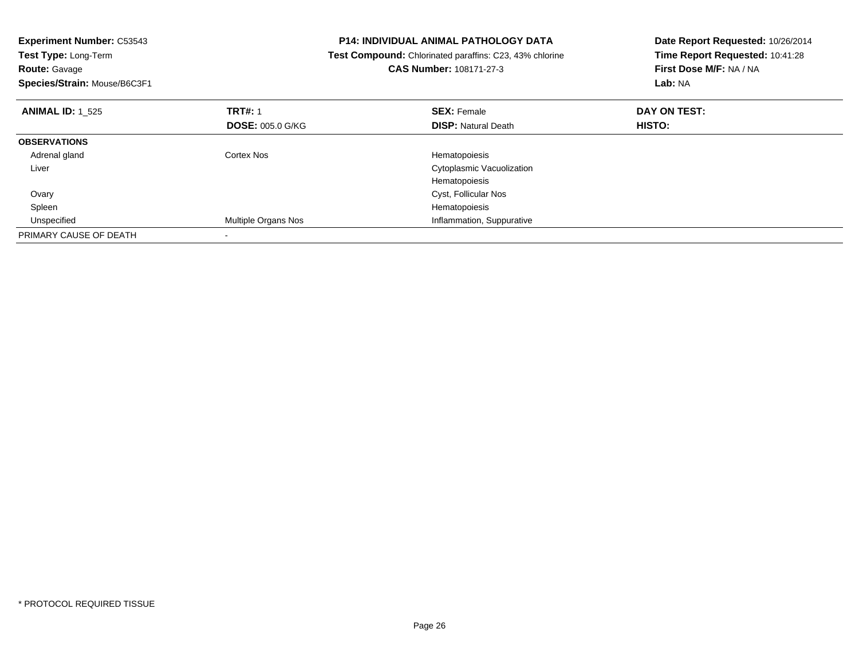| <b>Experiment Number: C53543</b><br>Test Type: Long-Term<br><b>Route: Gavage</b><br>Species/Strain: Mouse/B6C3F1 |                         | <b>P14: INDIVIDUAL ANIMAL PATHOLOGY DATA</b><br>Date Report Requested: 10/26/2014<br>Time Report Requested: 10:41:28<br>Test Compound: Chlorinated paraffins: C23, 43% chlorine<br>CAS Number: 108171-27-3<br>First Dose M/F: NA / NA<br>Lab: NA |               |
|------------------------------------------------------------------------------------------------------------------|-------------------------|--------------------------------------------------------------------------------------------------------------------------------------------------------------------------------------------------------------------------------------------------|---------------|
| <b>ANIMAL ID: 1 525</b>                                                                                          | <b>TRT#: 1</b>          | <b>SEX: Female</b>                                                                                                                                                                                                                               | DAY ON TEST:  |
|                                                                                                                  | <b>DOSE: 005.0 G/KG</b> | <b>DISP:</b> Natural Death                                                                                                                                                                                                                       | <b>HISTO:</b> |
| <b>OBSERVATIONS</b>                                                                                              |                         |                                                                                                                                                                                                                                                  |               |
| Adrenal gland                                                                                                    | Cortex Nos              | Hematopoiesis                                                                                                                                                                                                                                    |               |
| Liver                                                                                                            |                         | Cytoplasmic Vacuolization                                                                                                                                                                                                                        |               |
|                                                                                                                  |                         | Hematopoiesis                                                                                                                                                                                                                                    |               |
| Ovary                                                                                                            |                         | Cyst, Follicular Nos                                                                                                                                                                                                                             |               |
| Spleen                                                                                                           |                         | Hematopoiesis                                                                                                                                                                                                                                    |               |
| Unspecified                                                                                                      | Multiple Organs Nos     | Inflammation, Suppurative                                                                                                                                                                                                                        |               |
| PRIMARY CAUSE OF DEATH                                                                                           |                         |                                                                                                                                                                                                                                                  |               |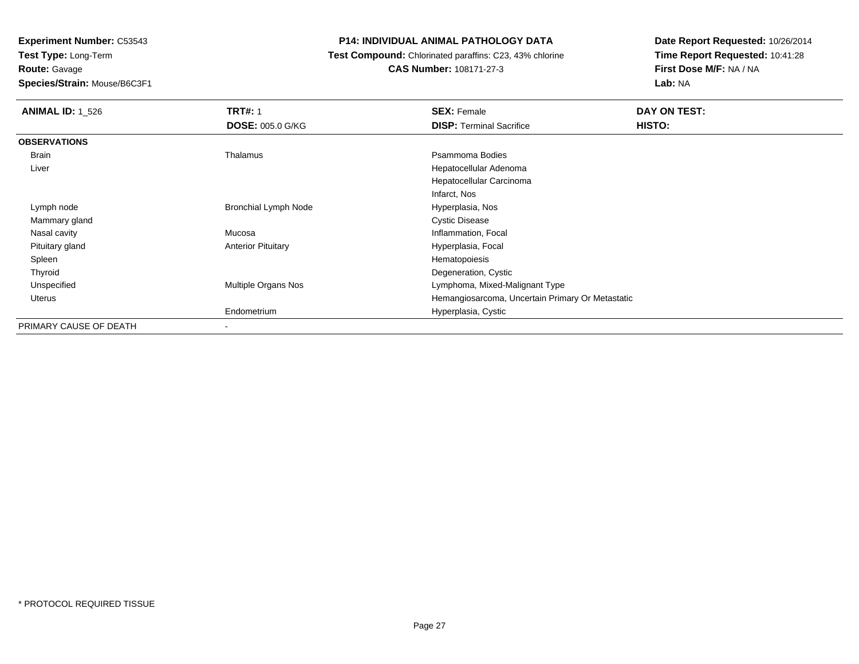# **Route:** Gavage

**Species/Strain:** Mouse/B6C3F1

# **P14: INDIVIDUAL ANIMAL PATHOLOGY DATA**

## **Test Compound:** Chlorinated paraffins: C23, 43% chlorine**CAS Number:** 108171-27-3

| <b>ANIMAL ID: 1_526</b> | <b>TRT#: 1</b>              | <b>SEX: Female</b>                               | DAY ON TEST: |
|-------------------------|-----------------------------|--------------------------------------------------|--------------|
|                         | <b>DOSE: 005.0 G/KG</b>     | <b>DISP: Terminal Sacrifice</b>                  | HISTO:       |
| <b>OBSERVATIONS</b>     |                             |                                                  |              |
| Brain                   | Thalamus                    | Psammoma Bodies                                  |              |
| Liver                   |                             | Hepatocellular Adenoma                           |              |
|                         |                             | Hepatocellular Carcinoma                         |              |
|                         |                             | Infarct, Nos                                     |              |
| Lymph node              | <b>Bronchial Lymph Node</b> | Hyperplasia, Nos                                 |              |
| Mammary gland           |                             | <b>Cystic Disease</b>                            |              |
| Nasal cavity            | Mucosa                      | Inflammation, Focal                              |              |
| Pituitary gland         | <b>Anterior Pituitary</b>   | Hyperplasia, Focal                               |              |
| Spleen                  |                             | Hematopoiesis                                    |              |
| Thyroid                 |                             | Degeneration, Cystic                             |              |
| Unspecified             | <b>Multiple Organs Nos</b>  | Lymphoma, Mixed-Malignant Type                   |              |
| Uterus                  |                             | Hemangiosarcoma, Uncertain Primary Or Metastatic |              |
|                         | Endometrium                 | Hyperplasia, Cystic                              |              |
| PRIMARY CAUSE OF DEATH  |                             |                                                  |              |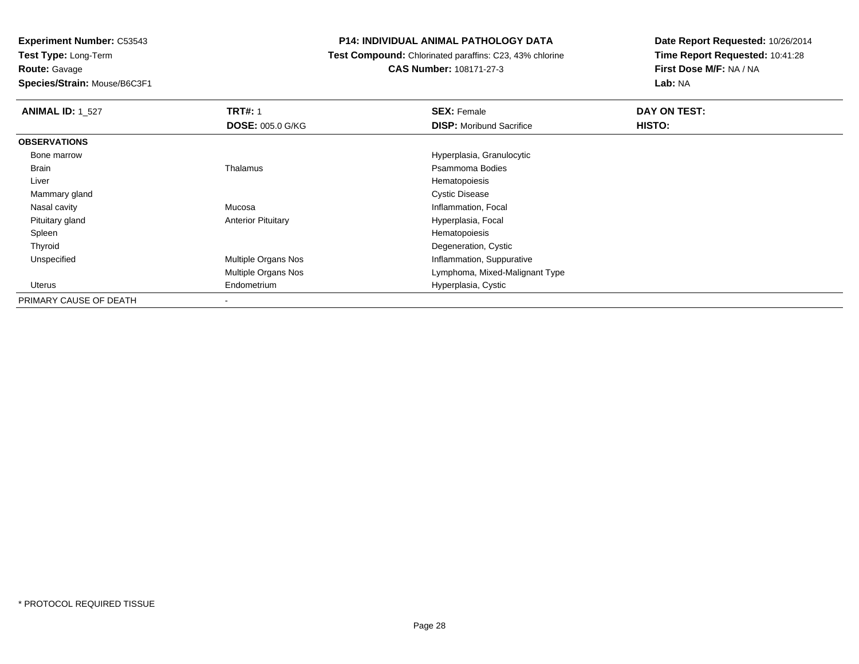**Route:** Gavage

**Species/Strain:** Mouse/B6C3F1

# **P14: INDIVIDUAL ANIMAL PATHOLOGY DATA**

 **Test Compound:** Chlorinated paraffins: C23, 43% chlorine**CAS Number:** 108171-27-3

| <b>ANIMAL ID: 1 527</b> | <b>TRT#: 1</b>            | <b>SEX: Female</b>              | DAY ON TEST: |  |
|-------------------------|---------------------------|---------------------------------|--------------|--|
|                         | <b>DOSE: 005.0 G/KG</b>   | <b>DISP:</b> Moribund Sacrifice | HISTO:       |  |
| <b>OBSERVATIONS</b>     |                           |                                 |              |  |
| Bone marrow             |                           | Hyperplasia, Granulocytic       |              |  |
| Brain                   | Thalamus                  | Psammoma Bodies                 |              |  |
| Liver                   |                           | Hematopoiesis                   |              |  |
| Mammary gland           |                           | <b>Cystic Disease</b>           |              |  |
| Nasal cavity            | Mucosa                    | Inflammation, Focal             |              |  |
| Pituitary gland         | <b>Anterior Pituitary</b> | Hyperplasia, Focal              |              |  |
| Spleen                  |                           | Hematopoiesis                   |              |  |
| Thyroid                 |                           | Degeneration, Cystic            |              |  |
| Unspecified             | Multiple Organs Nos       | Inflammation, Suppurative       |              |  |
|                         | Multiple Organs Nos       | Lymphoma, Mixed-Malignant Type  |              |  |
| Uterus                  | Endometrium               | Hyperplasia, Cystic             |              |  |
| PRIMARY CAUSE OF DEATH  |                           |                                 |              |  |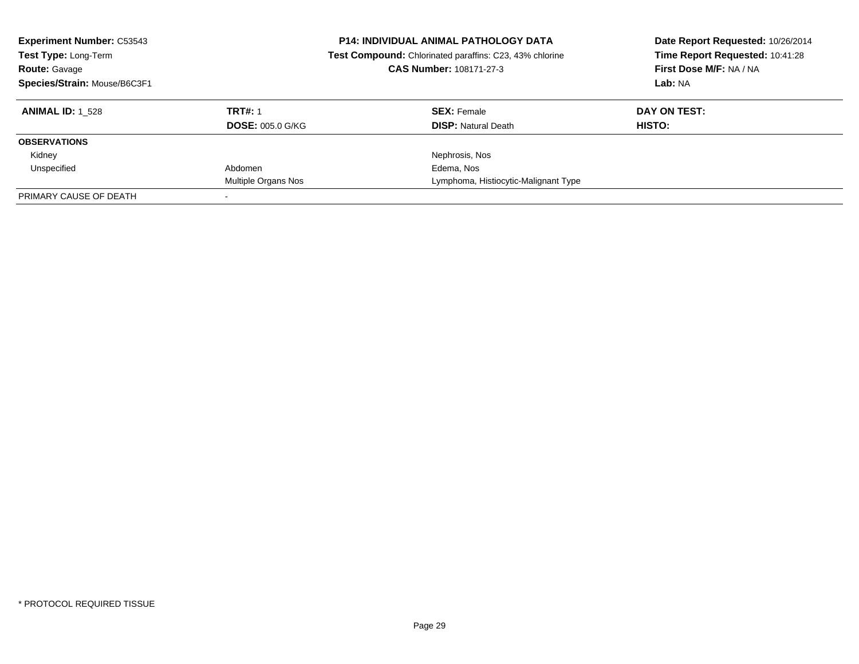| <b>Experiment Number: C53543</b><br>Test Type: Long-Term<br><b>Route: Gavage</b><br>Species/Strain: Mouse/B6C3F1 |                         | <b>P14: INDIVIDUAL ANIMAL PATHOLOGY DATA</b><br>Test Compound: Chlorinated paraffins: C23, 43% chlorine<br>CAS Number: 108171-27-3 | Date Report Requested: 10/26/2014<br>Time Report Requested: 10:41:28<br>First Dose M/F: NA / NA<br>Lab: NA |  |
|------------------------------------------------------------------------------------------------------------------|-------------------------|------------------------------------------------------------------------------------------------------------------------------------|------------------------------------------------------------------------------------------------------------|--|
| <b>ANIMAL ID:</b> 1 528                                                                                          | <b>TRT#: 1</b>          | <b>SEX: Female</b>                                                                                                                 | DAY ON TEST:                                                                                               |  |
|                                                                                                                  | <b>DOSE: 005.0 G/KG</b> | <b>DISP:</b> Natural Death                                                                                                         | HISTO:                                                                                                     |  |
| <b>OBSERVATIONS</b>                                                                                              |                         |                                                                                                                                    |                                                                                                            |  |
| Kidney                                                                                                           |                         | Nephrosis, Nos                                                                                                                     |                                                                                                            |  |
| Unspecified                                                                                                      | Abdomen                 | Edema, Nos                                                                                                                         |                                                                                                            |  |
|                                                                                                                  | Multiple Organs Nos     | Lymphoma, Histiocytic-Malignant Type                                                                                               |                                                                                                            |  |
| PRIMARY CAUSE OF DEATH                                                                                           |                         |                                                                                                                                    |                                                                                                            |  |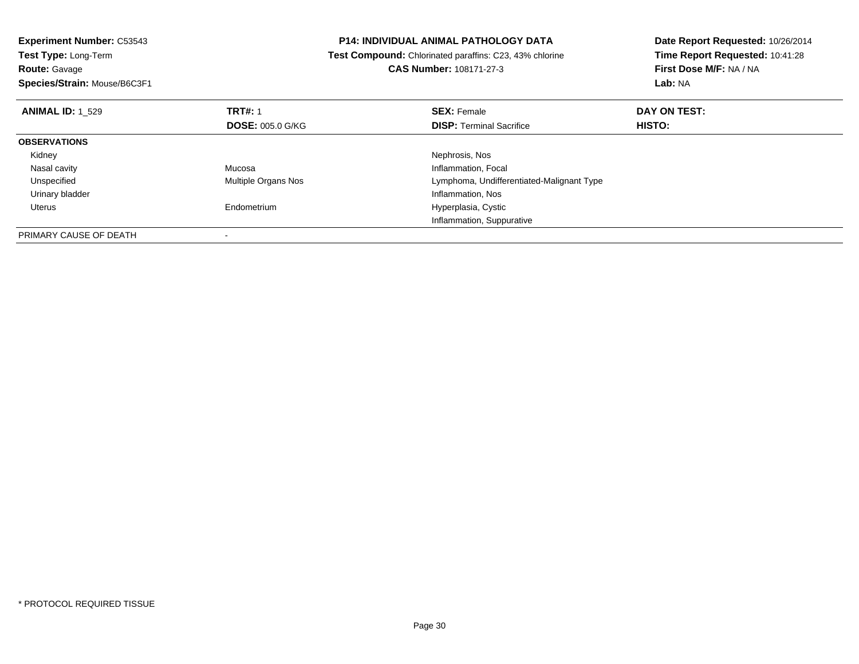| <b>Experiment Number: C53543</b>          | <b>P14: INDIVIDUAL ANIMAL PATHOLOGY DATA</b>                   | Date Report Requested: 10/26/2014 |
|-------------------------------------------|----------------------------------------------------------------|-----------------------------------|
| Test Type: Long-Term                      | <b>Test Compound:</b> Chlorinated paraffins: C23, 43% chlorine | Time Report Requested: 10:41:28   |
| <b>Route: Gavage</b>                      | CAS Number: 108171-27-3                                        | First Dose M/F: NA / NA           |
| Species/Strain: Mouse/B6C3F1              |                                                                | Lab: NA                           |
| <b>TRT#: 1</b><br><b>ANIMAL ID: 1 529</b> | <b>SEX: Female</b>                                             | DAY ON TEST:                      |
| <b>DOSE: 005.0 G/KG</b>                   | <b>DISP:</b> Terminal Sacrifice                                | HISTO:                            |
| <b>OBSERVATIONS</b>                       |                                                                |                                   |
| Kidney                                    | Nephrosis, Nos                                                 |                                   |
| Mucosa<br>Nasal cavity                    | Inflammation, Focal                                            |                                   |
| Unspecified<br><b>Multiple Organs Nos</b> | Lymphoma, Undifferentiated-Malignant Type                      |                                   |
| Urinary bladder                           | Inflammation, Nos                                              |                                   |
| Endometrium<br>Uterus                     | Hyperplasia, Cystic                                            |                                   |
|                                           | Inflammation, Suppurative                                      |                                   |
| PRIMARY CAUSE OF DEATH                    |                                                                |                                   |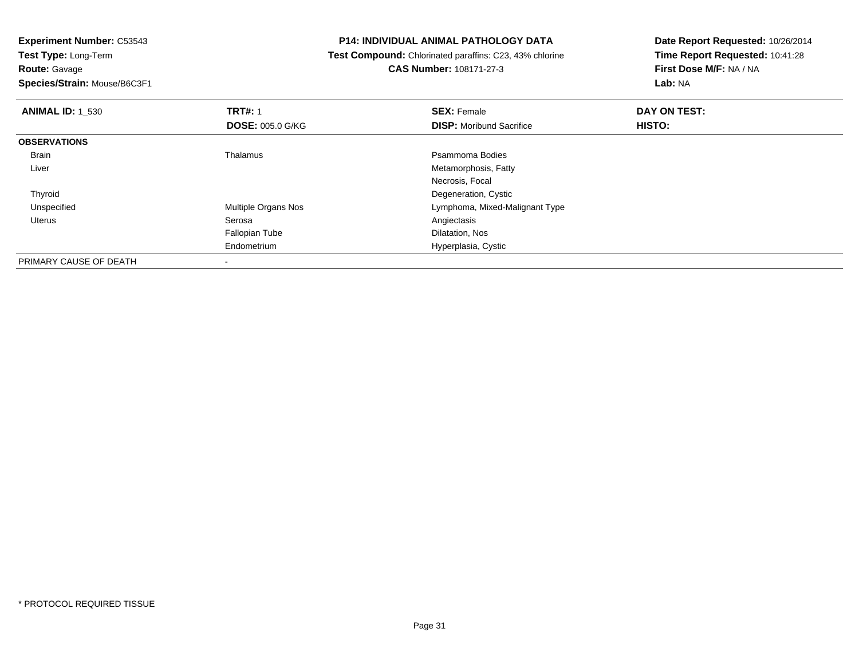**Route:** Gavage

**Species/Strain:** Mouse/B6C3F1

# **P14: INDIVIDUAL ANIMAL PATHOLOGY DATA**

 **Test Compound:** Chlorinated paraffins: C23, 43% chlorine**CAS Number:** 108171-27-3

| <b>ANIMAL ID: 1 530</b> | <b>TRT#: 1</b>          | <b>SEX: Female</b>              | DAY ON TEST: |  |
|-------------------------|-------------------------|---------------------------------|--------------|--|
|                         | <b>DOSE: 005.0 G/KG</b> | <b>DISP:</b> Moribund Sacrifice | HISTO:       |  |
| <b>OBSERVATIONS</b>     |                         |                                 |              |  |
| Brain                   | Thalamus                | Psammoma Bodies                 |              |  |
| Liver                   |                         | Metamorphosis, Fatty            |              |  |
|                         |                         | Necrosis, Focal                 |              |  |
| Thyroid                 |                         | Degeneration, Cystic            |              |  |
| Unspecified             | Multiple Organs Nos     | Lymphoma, Mixed-Malignant Type  |              |  |
| Uterus                  | Serosa                  | Angiectasis                     |              |  |
|                         | <b>Fallopian Tube</b>   | Dilatation, Nos                 |              |  |
|                         | Endometrium             | Hyperplasia, Cystic             |              |  |
| PRIMARY CAUSE OF DEATH  |                         |                                 |              |  |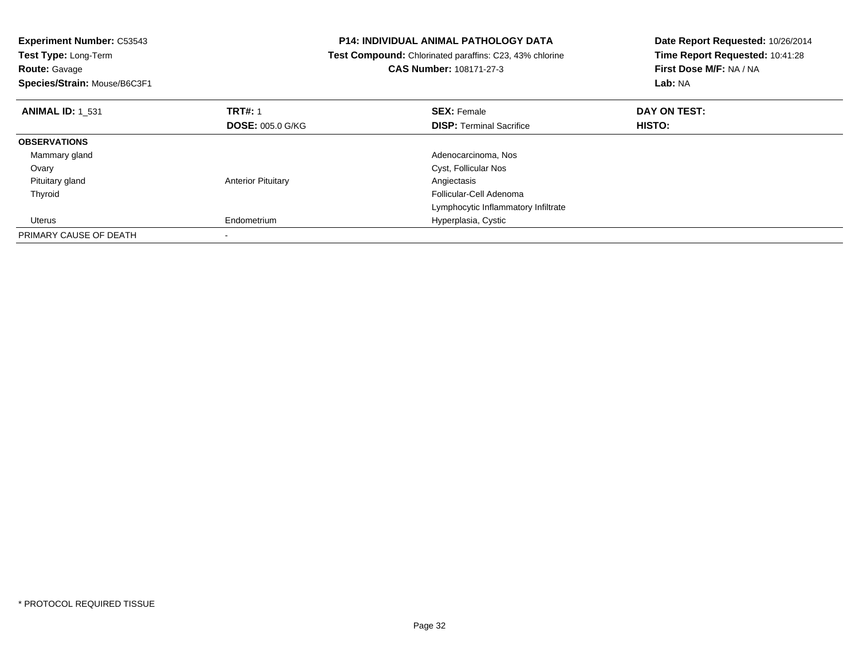| <b>Experiment Number: C53543</b><br>Test Type: Long-Term<br><b>Route: Gavage</b><br>Species/Strain: Mouse/B6C3F1 |                           | P14: INDIVIDUAL ANIMAL PATHOLOGY DATA<br>Test Compound: Chlorinated paraffins: C23, 43% chlorine<br><b>CAS Number: 108171-27-3</b> | Date Report Requested: 10/26/2014<br>Time Report Requested: 10:41:28<br>First Dose M/F: NA / NA<br>Lab: NA |  |
|------------------------------------------------------------------------------------------------------------------|---------------------------|------------------------------------------------------------------------------------------------------------------------------------|------------------------------------------------------------------------------------------------------------|--|
| <b>ANIMAL ID: 1 531</b>                                                                                          | <b>TRT#: 1</b>            | <b>SEX: Female</b>                                                                                                                 | DAY ON TEST:                                                                                               |  |
|                                                                                                                  | <b>DOSE: 005.0 G/KG</b>   | <b>DISP:</b> Terminal Sacrifice                                                                                                    | HISTO:                                                                                                     |  |
| <b>OBSERVATIONS</b>                                                                                              |                           |                                                                                                                                    |                                                                                                            |  |
| Mammary gland                                                                                                    |                           | Adenocarcinoma, Nos                                                                                                                |                                                                                                            |  |
| Ovary                                                                                                            |                           | Cyst, Follicular Nos                                                                                                               |                                                                                                            |  |
| Pituitary gland                                                                                                  | <b>Anterior Pituitary</b> | Angiectasis                                                                                                                        |                                                                                                            |  |
| Thyroid                                                                                                          |                           | Follicular-Cell Adenoma                                                                                                            |                                                                                                            |  |
|                                                                                                                  |                           | Lymphocytic Inflammatory Infiltrate                                                                                                |                                                                                                            |  |
| Uterus                                                                                                           | Endometrium               | Hyperplasia, Cystic                                                                                                                |                                                                                                            |  |
| PRIMARY CAUSE OF DEATH                                                                                           |                           |                                                                                                                                    |                                                                                                            |  |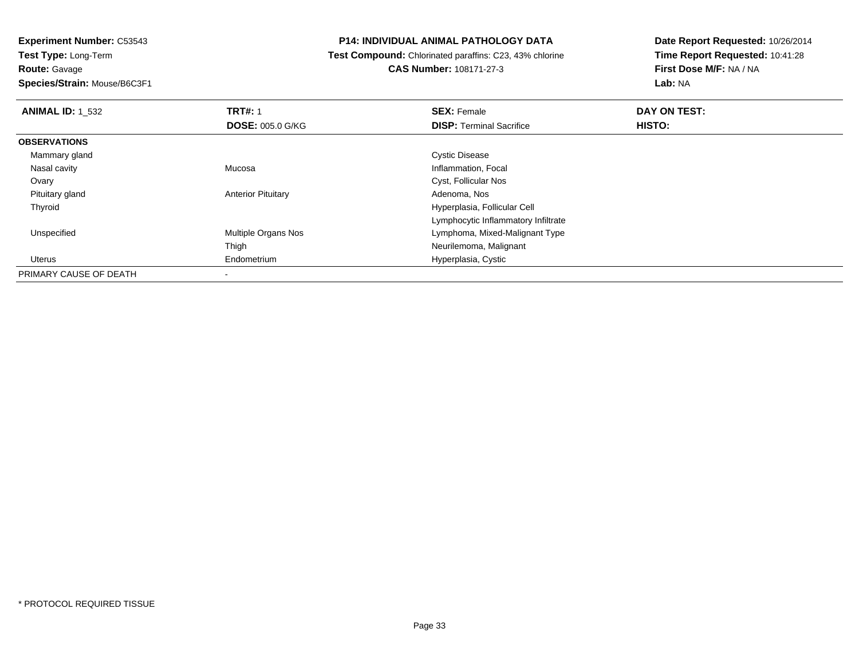**Route:** Gavage

**Species/Strain:** Mouse/B6C3F1

## **P14: INDIVIDUAL ANIMAL PATHOLOGY DATA**

 **Test Compound:** Chlorinated paraffins: C23, 43% chlorine**CAS Number:** 108171-27-3

| <b>ANIMAL ID: 1 532</b> | <b>TRT#: 1</b>            | <b>SEX: Female</b>                  | DAY ON TEST: |  |
|-------------------------|---------------------------|-------------------------------------|--------------|--|
|                         | <b>DOSE: 005.0 G/KG</b>   | <b>DISP: Terminal Sacrifice</b>     | HISTO:       |  |
| <b>OBSERVATIONS</b>     |                           |                                     |              |  |
| Mammary gland           |                           | <b>Cystic Disease</b>               |              |  |
| Nasal cavity            | Mucosa                    | Inflammation, Focal                 |              |  |
| Ovary                   |                           | Cyst, Follicular Nos                |              |  |
| Pituitary gland         | <b>Anterior Pituitary</b> | Adenoma, Nos                        |              |  |
| Thyroid                 |                           | Hyperplasia, Follicular Cell        |              |  |
|                         |                           | Lymphocytic Inflammatory Infiltrate |              |  |
| Unspecified             | Multiple Organs Nos       | Lymphoma, Mixed-Malignant Type      |              |  |
|                         | Thigh                     | Neurilemoma, Malignant              |              |  |
| Uterus                  | Endometrium               | Hyperplasia, Cystic                 |              |  |
| PRIMARY CAUSE OF DEATH  |                           |                                     |              |  |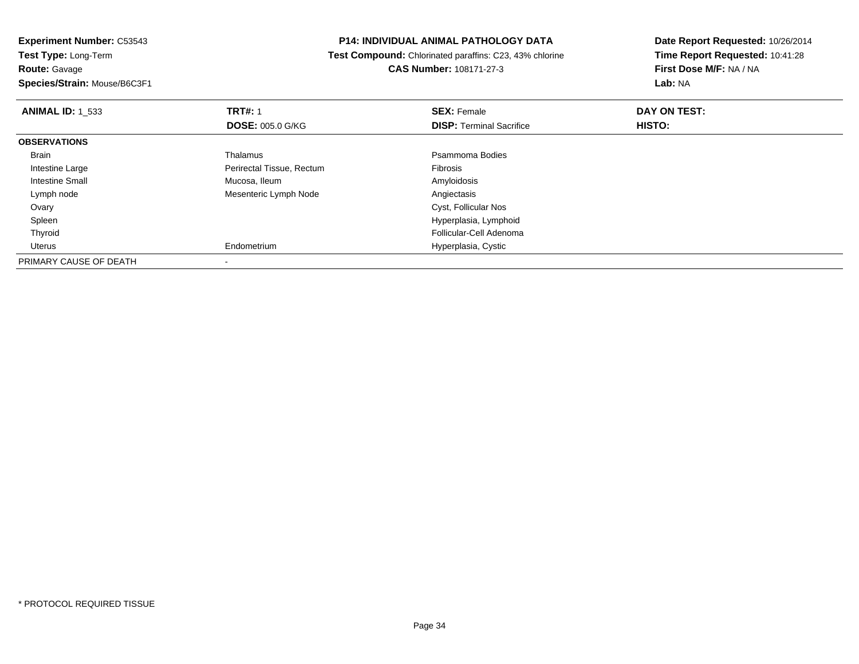## **P14: INDIVIDUAL ANIMAL PATHOLOGY DATA**

 **Test Compound:** Chlorinated paraffins: C23, 43% chlorine**CAS Number:** 108171-27-3

| <b>ANIMAL ID: 1 533</b> | <b>TRT#: 1</b>            | <b>SEX: Female</b>              | DAY ON TEST: |  |
|-------------------------|---------------------------|---------------------------------|--------------|--|
|                         | <b>DOSE: 005.0 G/KG</b>   | <b>DISP: Terminal Sacrifice</b> | HISTO:       |  |
| <b>OBSERVATIONS</b>     |                           |                                 |              |  |
| Brain                   | Thalamus                  | Psammoma Bodies                 |              |  |
| Intestine Large         | Perirectal Tissue, Rectum | Fibrosis                        |              |  |
| Intestine Small         | Mucosa, Ileum             | Amyloidosis                     |              |  |
| Lymph node              | Mesenteric Lymph Node     | Angiectasis                     |              |  |
| Ovary                   |                           | Cyst, Follicular Nos            |              |  |
| Spleen                  |                           | Hyperplasia, Lymphoid           |              |  |
| Thyroid                 |                           | Follicular-Cell Adenoma         |              |  |
| Uterus                  | Endometrium               | Hyperplasia, Cystic             |              |  |
| PRIMARY CAUSE OF DEATH  |                           |                                 |              |  |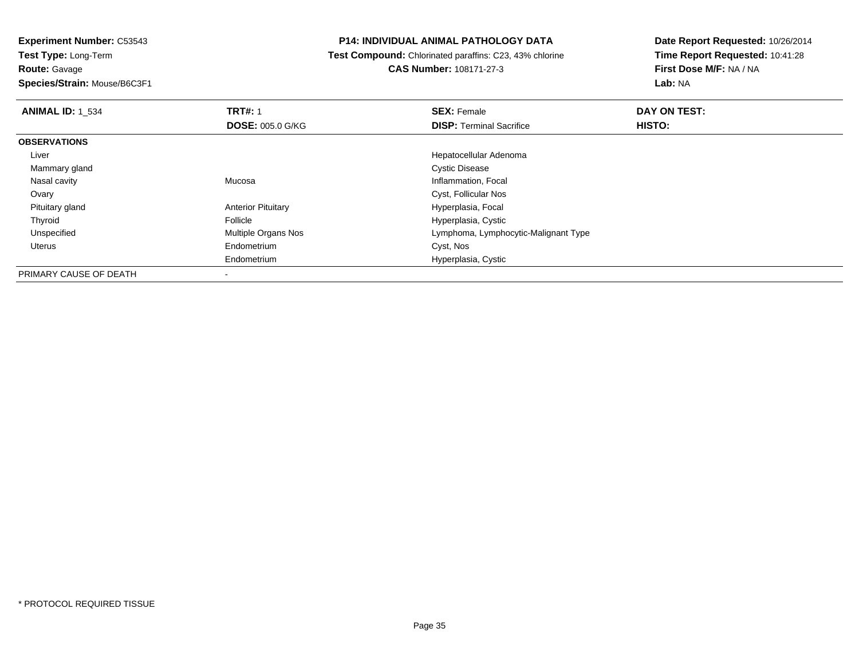**Route:** Gavage

**Species/Strain:** Mouse/B6C3F1

# **P14: INDIVIDUAL ANIMAL PATHOLOGY DATA**

 **Test Compound:** Chlorinated paraffins: C23, 43% chlorine**CAS Number:** 108171-27-3

| <b>ANIMAL ID: 1_534</b> | <b>TRT#: 1</b>            | <b>SEX: Female</b>                   | <b>DAY ON TEST:</b> |  |
|-------------------------|---------------------------|--------------------------------------|---------------------|--|
|                         | <b>DOSE: 005.0 G/KG</b>   | <b>DISP: Terminal Sacrifice</b>      | HISTO:              |  |
| <b>OBSERVATIONS</b>     |                           |                                      |                     |  |
| Liver                   |                           | Hepatocellular Adenoma               |                     |  |
| Mammary gland           |                           | <b>Cystic Disease</b>                |                     |  |
| Nasal cavity            | Mucosa                    | Inflammation, Focal                  |                     |  |
| Ovary                   |                           | Cyst, Follicular Nos                 |                     |  |
| Pituitary gland         | <b>Anterior Pituitary</b> | Hyperplasia, Focal                   |                     |  |
| Thyroid                 | Follicle                  | Hyperplasia, Cystic                  |                     |  |
| Unspecified             | Multiple Organs Nos       | Lymphoma, Lymphocytic-Malignant Type |                     |  |
| Uterus                  | Endometrium               | Cyst, Nos                            |                     |  |
|                         | Endometrium               | Hyperplasia, Cystic                  |                     |  |
| PRIMARY CAUSE OF DEATH  |                           |                                      |                     |  |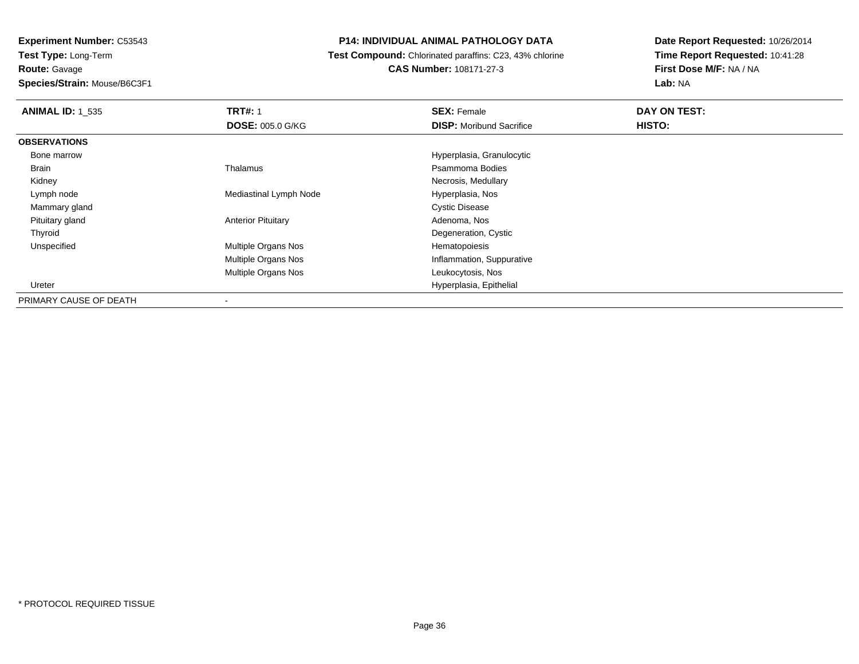# **P14: INDIVIDUAL ANIMAL PATHOLOGY DATA**

 **Test Compound:** Chlorinated paraffins: C23, 43% chlorine**CAS Number:** 108171-27-3

| <b>ANIMAL ID: 1 535</b> | <b>TRT#: 1</b>             | <b>SEX: Female</b>              | DAY ON TEST: |  |
|-------------------------|----------------------------|---------------------------------|--------------|--|
|                         | <b>DOSE: 005.0 G/KG</b>    | <b>DISP:</b> Moribund Sacrifice | HISTO:       |  |
| <b>OBSERVATIONS</b>     |                            |                                 |              |  |
| Bone marrow             |                            | Hyperplasia, Granulocytic       |              |  |
| Brain                   | Thalamus                   | Psammoma Bodies                 |              |  |
| Kidney                  |                            | Necrosis, Medullary             |              |  |
| Lymph node              | Mediastinal Lymph Node     | Hyperplasia, Nos                |              |  |
| Mammary gland           |                            | <b>Cystic Disease</b>           |              |  |
| Pituitary gland         | <b>Anterior Pituitary</b>  | Adenoma, Nos                    |              |  |
| Thyroid                 |                            | Degeneration, Cystic            |              |  |
| Unspecified             | Multiple Organs Nos        | Hematopoiesis                   |              |  |
|                         | <b>Multiple Organs Nos</b> | Inflammation, Suppurative       |              |  |
|                         | <b>Multiple Organs Nos</b> | Leukocytosis, Nos               |              |  |
| Ureter                  |                            | Hyperplasia, Epithelial         |              |  |
| PRIMARY CAUSE OF DEATH  |                            |                                 |              |  |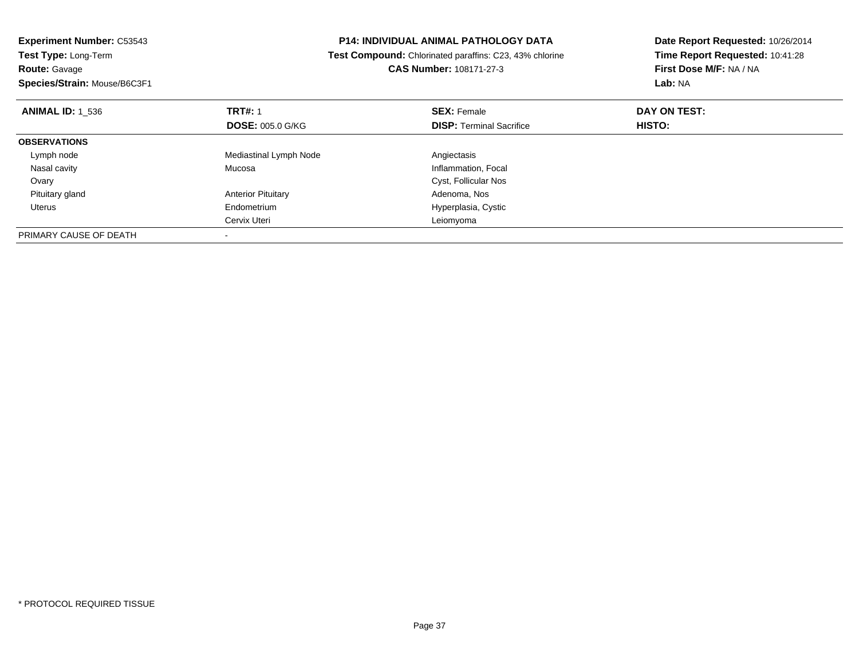| <b>Experiment Number: C53543</b><br><b>Test Type: Long-Term</b><br><b>Route: Gavage</b> | P14: INDIVIDUAL ANIMAL PATHOLOGY DATA<br>Test Compound: Chlorinated paraffins: C23, 43% chlorine<br><b>CAS Number: 108171-27-3</b> |                                 | Date Report Requested: 10/26/2014<br>Time Report Requested: 10:41:28<br>First Dose M/F: NA / NA |
|-----------------------------------------------------------------------------------------|------------------------------------------------------------------------------------------------------------------------------------|---------------------------------|-------------------------------------------------------------------------------------------------|
| Species/Strain: Mouse/B6C3F1                                                            |                                                                                                                                    |                                 | Lab: NA                                                                                         |
| <b>ANIMAL ID: 1 536</b>                                                                 | <b>TRT#: 1</b>                                                                                                                     | <b>SEX: Female</b>              | DAY ON TEST:                                                                                    |
|                                                                                         | <b>DOSE: 005.0 G/KG</b>                                                                                                            | <b>DISP:</b> Terminal Sacrifice | <b>HISTO:</b>                                                                                   |
| <b>OBSERVATIONS</b>                                                                     |                                                                                                                                    |                                 |                                                                                                 |
| Lymph node                                                                              | Mediastinal Lymph Node                                                                                                             | Angiectasis                     |                                                                                                 |
| Nasal cavity                                                                            | Mucosa                                                                                                                             | Inflammation, Focal             |                                                                                                 |
| Ovary                                                                                   |                                                                                                                                    | Cyst, Follicular Nos            |                                                                                                 |
| Pituitary gland                                                                         | <b>Anterior Pituitary</b>                                                                                                          | Adenoma, Nos                    |                                                                                                 |
| Uterus                                                                                  | Endometrium                                                                                                                        | Hyperplasia, Cystic             |                                                                                                 |
|                                                                                         | Cervix Uteri                                                                                                                       | Leiomyoma                       |                                                                                                 |
| PRIMARY CAUSE OF DEATH                                                                  |                                                                                                                                    |                                 |                                                                                                 |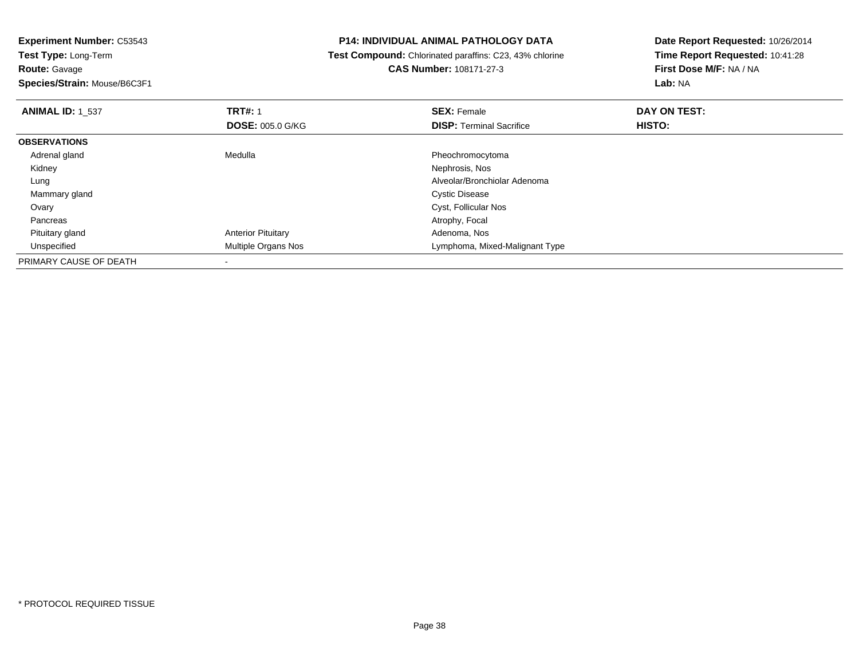**Experiment Number:** C53543**Test Type:** Long-Term**Route:** Gavage **Species/Strain:** Mouse/B6C3F1**P14: INDIVIDUAL ANIMAL PATHOLOGY DATA Test Compound:** Chlorinated paraffins: C23, 43% chlorine**CAS Number:** 108171-27-3**Date Report Requested:** 10/26/2014**Time Report Requested:** 10:41:28**First Dose M/F:** NA / NA**Lab:** NA**ANIMAL ID:** 1\_537**TRT#:** 1 **SEX:** Female **DAY ON TEST: DOSE:** 005.0 G/KG**DISP:** Terminal Sacrifice **HISTO: OBSERVATIONS** Adrenal glandMedulla Pheochromocytoma<br>
Mephrosis, Nos Kidneyy which is a set of the set of the set of the set of the set of the set of the Nephrosis, Nos Lung Alveolar/Bronchiolar Adenoma Mammary glandd **Cystic Disease**  Ovary Cyst, Follicular Nos Pancreas Atrophy, Focal Pituitary glandAnterior Pituitary **Adenoma, Nos**<br>
Multiple Organs Nos<br>
Multiple Organs Nos UnspecifiedLymphoma, Mixed-Malignant Type PRIMARY CAUSE OF DEATH

\* PROTOCOL REQUIRED TISSUE

-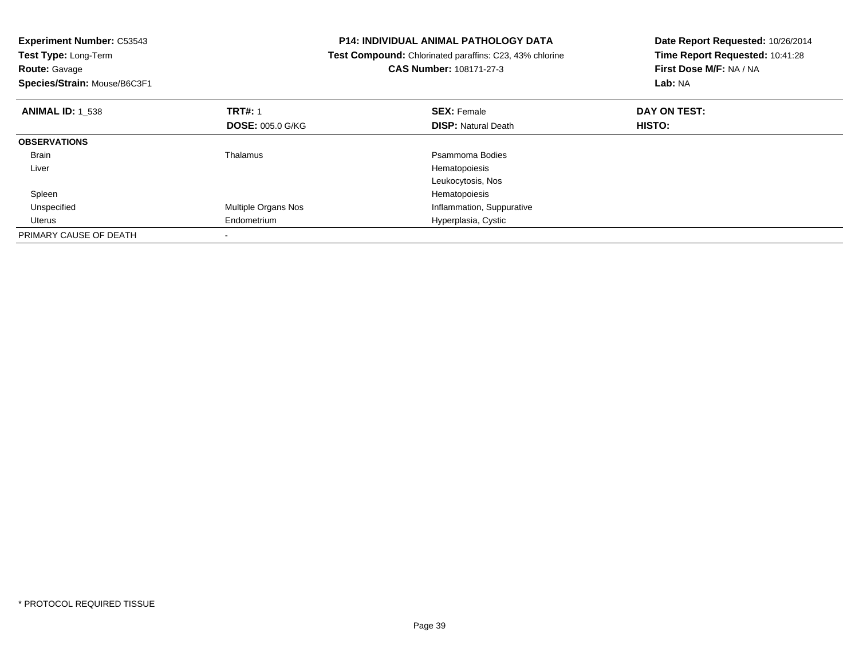| <b>Experiment Number: C53543</b> |                         | P14: INDIVIDUAL ANIMAL PATHOLOGY DATA<br>Date Report Requested: 10/26/2014 |                                 |  |
|----------------------------------|-------------------------|----------------------------------------------------------------------------|---------------------------------|--|
| Test Type: Long-Term             |                         | <b>Test Compound:</b> Chlorinated paraffins: C23, 43% chlorine             | Time Report Requested: 10:41:28 |  |
| <b>Route: Gavage</b>             |                         | CAS Number: 108171-27-3                                                    | First Dose M/F: NA / NA         |  |
| Species/Strain: Mouse/B6C3F1     |                         |                                                                            | Lab: NA                         |  |
| <b>ANIMAL ID: 1 538</b>          | <b>TRT#: 1</b>          | <b>SEX: Female</b>                                                         | DAY ON TEST:                    |  |
|                                  | <b>DOSE: 005.0 G/KG</b> | <b>DISP: Natural Death</b>                                                 | HISTO:                          |  |
| <b>OBSERVATIONS</b>              |                         |                                                                            |                                 |  |
| Brain                            | Thalamus                | Psammoma Bodies                                                            |                                 |  |
| Liver                            |                         | Hematopoiesis                                                              |                                 |  |
|                                  |                         | Leukocytosis, Nos                                                          |                                 |  |
| Spleen                           |                         | Hematopoiesis                                                              |                                 |  |
| Unspecified                      | Multiple Organs Nos     | Inflammation, Suppurative                                                  |                                 |  |
| Uterus                           | Endometrium             | Hyperplasia, Cystic                                                        |                                 |  |
| PRIMARY CAUSE OF DEATH           |                         |                                                                            |                                 |  |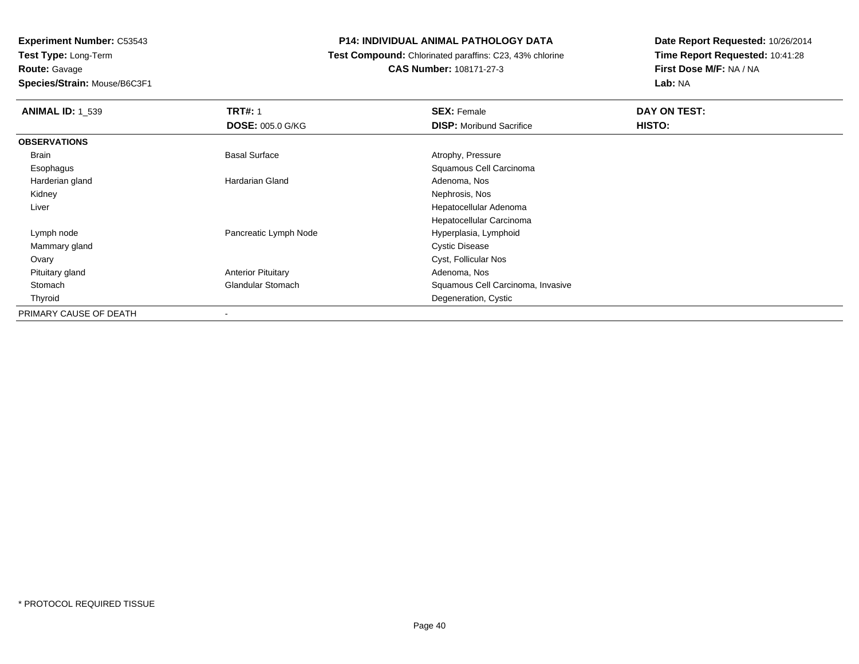**Experiment Number:** C53543**Test Type:** Long-Term**Route:** Gavage**Species/Strain:** Mouse/B6C3F1

#### **P14: INDIVIDUAL ANIMAL PATHOLOGY DATA**

#### **Test Compound:** Chlorinated paraffins: C23, 43% chlorine**CAS Number:** 108171-27-3

| <b>ANIMAL ID: 1 539</b> | <b>TRT#: 1</b>            | <b>SEX: Female</b>                | DAY ON TEST: |  |
|-------------------------|---------------------------|-----------------------------------|--------------|--|
|                         | <b>DOSE: 005.0 G/KG</b>   | <b>DISP:</b> Moribund Sacrifice   | HISTO:       |  |
| <b>OBSERVATIONS</b>     |                           |                                   |              |  |
| Brain                   | <b>Basal Surface</b>      | Atrophy, Pressure                 |              |  |
| Esophagus               |                           | Squamous Cell Carcinoma           |              |  |
| Harderian gland         | Hardarian Gland           | Adenoma, Nos                      |              |  |
| Kidney                  |                           | Nephrosis, Nos                    |              |  |
| Liver                   |                           | Hepatocellular Adenoma            |              |  |
|                         |                           | Hepatocellular Carcinoma          |              |  |
| Lymph node              | Pancreatic Lymph Node     | Hyperplasia, Lymphoid             |              |  |
| Mammary gland           |                           | <b>Cystic Disease</b>             |              |  |
| Ovary                   |                           | Cyst, Follicular Nos              |              |  |
| Pituitary gland         | <b>Anterior Pituitary</b> | Adenoma, Nos                      |              |  |
| Stomach                 | <b>Glandular Stomach</b>  | Squamous Cell Carcinoma, Invasive |              |  |
| Thyroid                 |                           | Degeneration, Cystic              |              |  |
| PRIMARY CAUSE OF DEATH  | $\overline{\phantom{a}}$  |                                   |              |  |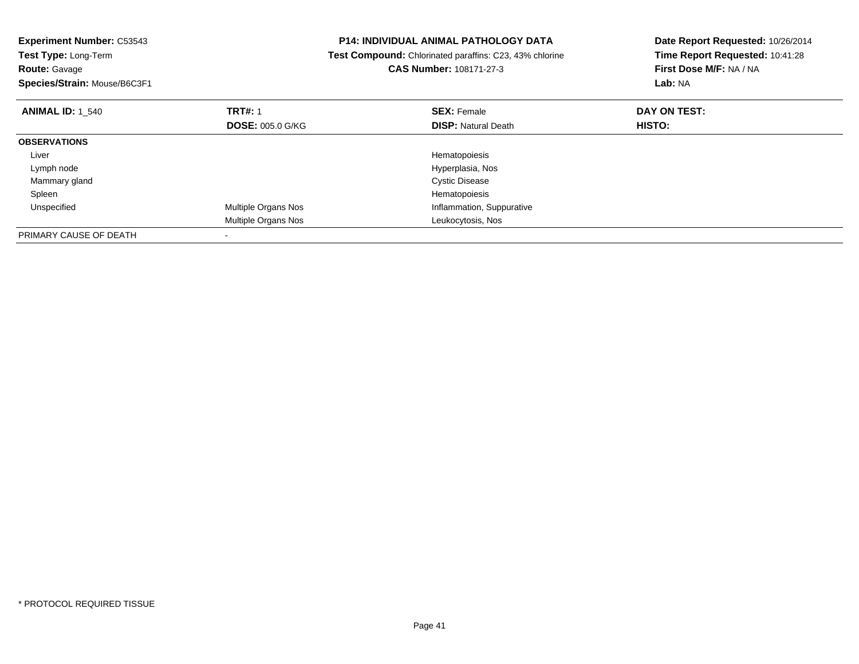| <b>Experiment Number: C53543</b><br>Test Type: Long-Term<br><b>Route: Gavage</b><br>Species/Strain: Mouse/B6C3F1 |                         | P14: INDIVIDUAL ANIMAL PATHOLOGY DATA<br>Test Compound: Chlorinated paraffins: C23, 43% chlorine<br><b>CAS Number: 108171-27-3</b> | Date Report Requested: 10/26/2014<br>Time Report Requested: 10:41:28<br>First Dose M/F: NA / NA<br>Lab: NA |
|------------------------------------------------------------------------------------------------------------------|-------------------------|------------------------------------------------------------------------------------------------------------------------------------|------------------------------------------------------------------------------------------------------------|
| <b>ANIMAL ID: 1 540</b>                                                                                          | <b>TRT#: 1</b>          | <b>SEX: Female</b>                                                                                                                 | DAY ON TEST:                                                                                               |
|                                                                                                                  | <b>DOSE: 005.0 G/KG</b> | <b>DISP: Natural Death</b>                                                                                                         | HISTO:                                                                                                     |
| <b>OBSERVATIONS</b>                                                                                              |                         |                                                                                                                                    |                                                                                                            |
| Liver                                                                                                            |                         | Hematopoiesis                                                                                                                      |                                                                                                            |
| Lymph node                                                                                                       |                         | Hyperplasia, Nos                                                                                                                   |                                                                                                            |
| Mammary gland                                                                                                    |                         | <b>Cystic Disease</b>                                                                                                              |                                                                                                            |
| Spleen                                                                                                           |                         | Hematopoiesis                                                                                                                      |                                                                                                            |
| Unspecified                                                                                                      | Multiple Organs Nos     | Inflammation, Suppurative                                                                                                          |                                                                                                            |
|                                                                                                                  | Multiple Organs Nos     | Leukocytosis, Nos                                                                                                                  |                                                                                                            |
| PRIMARY CAUSE OF DEATH                                                                                           |                         |                                                                                                                                    |                                                                                                            |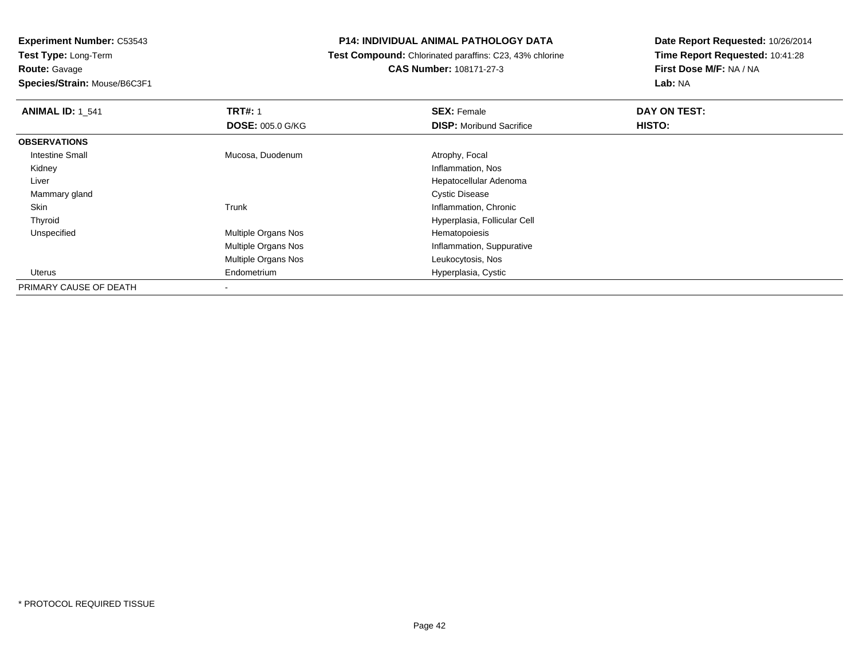**Experiment Number:** C53543**Test Type:** Long-Term**Route:** Gavage

**Species/Strain:** Mouse/B6C3F1

#### **P14: INDIVIDUAL ANIMAL PATHOLOGY DATA**

 **Test Compound:** Chlorinated paraffins: C23, 43% chlorine**CAS Number:** 108171-27-3

| <b>ANIMAL ID: 1 541</b> | <b>TRT#: 1</b>             | <b>SEX: Female</b>              | DAY ON TEST: |  |
|-------------------------|----------------------------|---------------------------------|--------------|--|
|                         | <b>DOSE: 005.0 G/KG</b>    | <b>DISP:</b> Moribund Sacrifice | HISTO:       |  |
| <b>OBSERVATIONS</b>     |                            |                                 |              |  |
| Intestine Small         | Mucosa, Duodenum           | Atrophy, Focal                  |              |  |
| Kidney                  |                            | Inflammation, Nos               |              |  |
| Liver                   |                            | Hepatocellular Adenoma          |              |  |
| Mammary gland           |                            | <b>Cystic Disease</b>           |              |  |
| Skin                    | Trunk                      | Inflammation, Chronic           |              |  |
| Thyroid                 |                            | Hyperplasia, Follicular Cell    |              |  |
| Unspecified             | <b>Multiple Organs Nos</b> | Hematopoiesis                   |              |  |
|                         | <b>Multiple Organs Nos</b> | Inflammation, Suppurative       |              |  |
|                         | <b>Multiple Organs Nos</b> | Leukocytosis, Nos               |              |  |
| Uterus                  | Endometrium                | Hyperplasia, Cystic             |              |  |
| PRIMARY CAUSE OF DEATH  | $\overline{\phantom{a}}$   |                                 |              |  |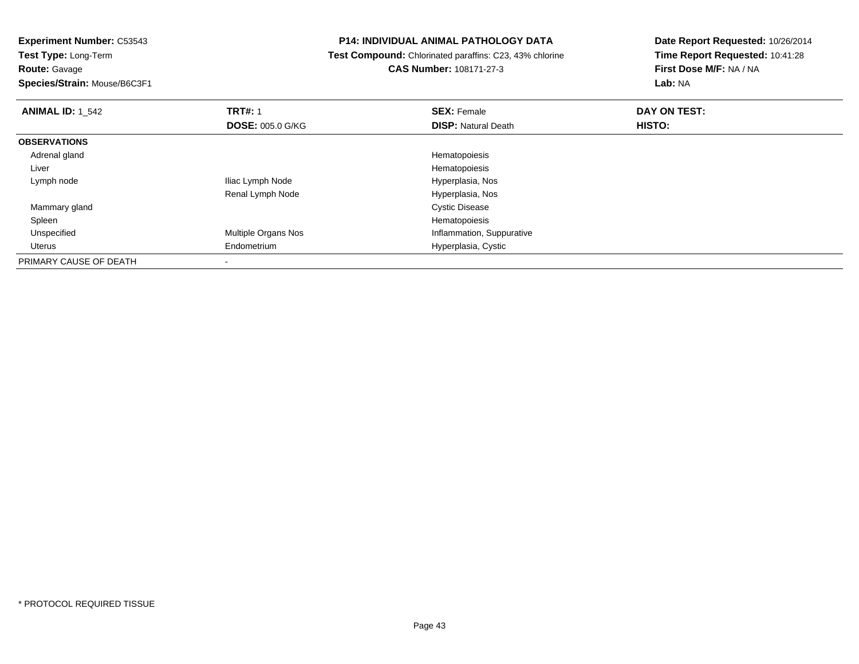**Route:** Gavage

**Species/Strain:** Mouse/B6C3F1

## **P14: INDIVIDUAL ANIMAL PATHOLOGY DATA**

 **Test Compound:** Chlorinated paraffins: C23, 43% chlorine**CAS Number:** 108171-27-3

| <b>ANIMAL ID: 1 542</b> | <b>TRT#: 1</b>             | <b>SEX: Female</b>         | DAY ON TEST: |  |
|-------------------------|----------------------------|----------------------------|--------------|--|
|                         | <b>DOSE: 005.0 G/KG</b>    | <b>DISP: Natural Death</b> | HISTO:       |  |
| <b>OBSERVATIONS</b>     |                            |                            |              |  |
| Adrenal gland           |                            | Hematopoiesis              |              |  |
| Liver                   |                            | Hematopoiesis              |              |  |
| Lymph node              | Iliac Lymph Node           | Hyperplasia, Nos           |              |  |
|                         | Renal Lymph Node           | Hyperplasia, Nos           |              |  |
| Mammary gland           |                            | <b>Cystic Disease</b>      |              |  |
| Spleen                  |                            | Hematopoiesis              |              |  |
| Unspecified             | <b>Multiple Organs Nos</b> | Inflammation, Suppurative  |              |  |
| Uterus                  | Endometrium                | Hyperplasia, Cystic        |              |  |
| PRIMARY CAUSE OF DEATH  |                            |                            |              |  |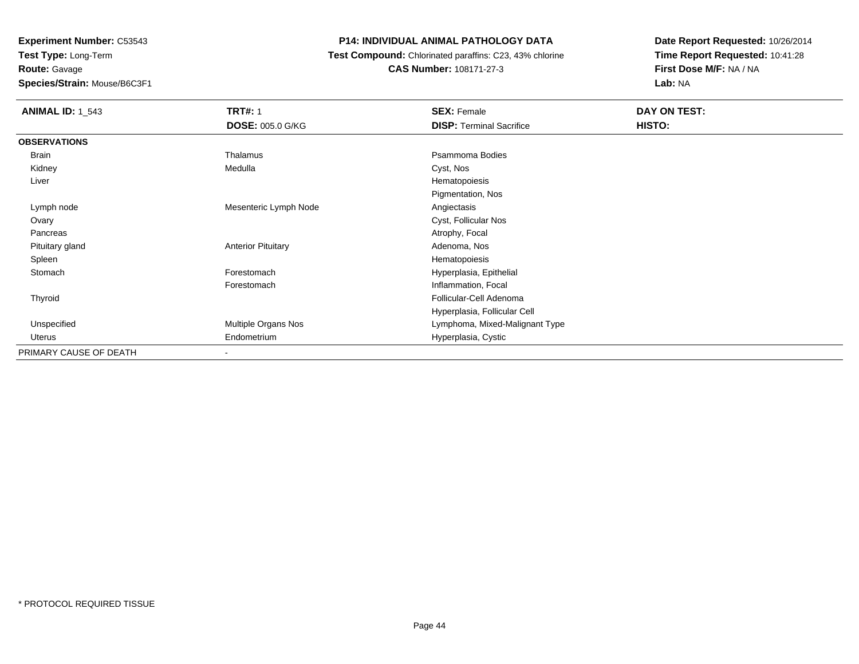**Experiment Number:** C53543**Test Type:** Long-Term**Route:** Gavage**Species/Strain:** Mouse/B6C3F1

## **P14: INDIVIDUAL ANIMAL PATHOLOGY DATA**

 **Test Compound:** Chlorinated paraffins: C23, 43% chlorine**CAS Number:** 108171-27-3

| <b>ANIMAL ID: 1_543</b> | <b>TRT#: 1</b>            | <b>SEX: Female</b>              | DAY ON TEST: |
|-------------------------|---------------------------|---------------------------------|--------------|
|                         | <b>DOSE: 005.0 G/KG</b>   | <b>DISP: Terminal Sacrifice</b> | HISTO:       |
| <b>OBSERVATIONS</b>     |                           |                                 |              |
| Brain                   | Thalamus                  | Psammoma Bodies                 |              |
| Kidney                  | Medulla                   | Cyst, Nos                       |              |
| Liver                   |                           | Hematopoiesis                   |              |
|                         |                           | Pigmentation, Nos               |              |
| Lymph node              | Mesenteric Lymph Node     | Angiectasis                     |              |
| Ovary                   |                           | Cyst, Follicular Nos            |              |
| Pancreas                |                           | Atrophy, Focal                  |              |
| Pituitary gland         | <b>Anterior Pituitary</b> | Adenoma, Nos                    |              |
| Spleen                  |                           | Hematopoiesis                   |              |
| Stomach                 | Forestomach               | Hyperplasia, Epithelial         |              |
|                         | Forestomach               | Inflammation, Focal             |              |
| Thyroid                 |                           | Follicular-Cell Adenoma         |              |
|                         |                           | Hyperplasia, Follicular Cell    |              |
| Unspecified             | Multiple Organs Nos       | Lymphoma, Mixed-Malignant Type  |              |
| Uterus                  | Endometrium               | Hyperplasia, Cystic             |              |
| PRIMARY CAUSE OF DEATH  | $\overline{\phantom{a}}$  |                                 |              |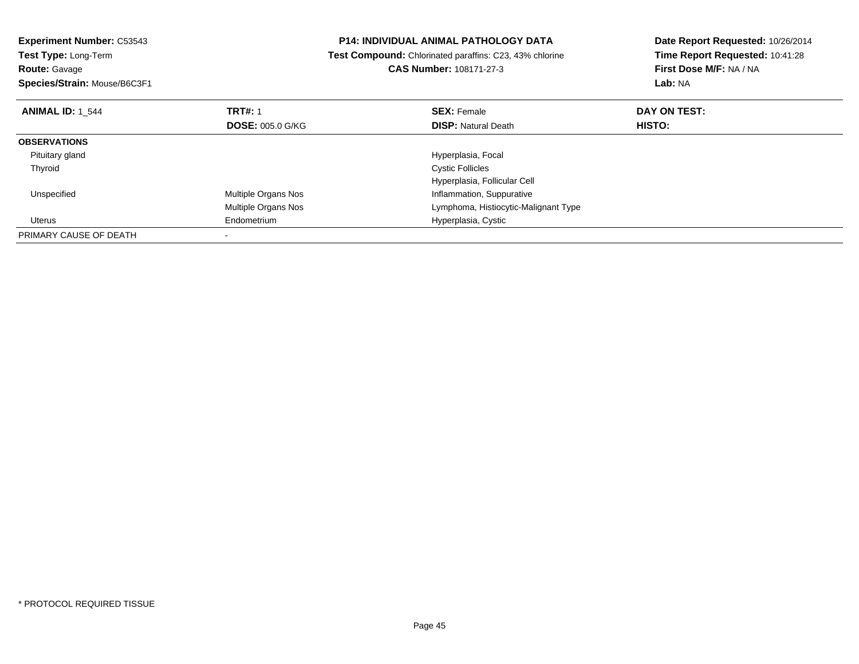| <b>Experiment Number: C53543</b> | <b>P14: INDIVIDUAL ANIMAL PATHOLOGY DATA</b><br>Test Compound: Chlorinated paraffins: C23, 43% chlorine |                                      | Date Report Requested: 10/26/2014 |
|----------------------------------|---------------------------------------------------------------------------------------------------------|--------------------------------------|-----------------------------------|
| Test Type: Long-Term             |                                                                                                         |                                      | Time Report Requested: 10:41:28   |
| <b>Route: Gavage</b>             |                                                                                                         | <b>CAS Number: 108171-27-3</b>       | First Dose M/F: NA / NA           |
| Species/Strain: Mouse/B6C3F1     |                                                                                                         |                                      | Lab: NA                           |
| <b>ANIMAL ID: 1 544</b>          | <b>TRT#: 1</b>                                                                                          | <b>SEX: Female</b>                   | DAY ON TEST:                      |
|                                  | <b>DOSE: 005.0 G/KG</b>                                                                                 | <b>DISP: Natural Death</b>           | <b>HISTO:</b>                     |
| <b>OBSERVATIONS</b>              |                                                                                                         |                                      |                                   |
| Pituitary gland                  |                                                                                                         | Hyperplasia, Focal                   |                                   |
| Thyroid                          |                                                                                                         | <b>Cystic Follicles</b>              |                                   |
|                                  |                                                                                                         | Hyperplasia, Follicular Cell         |                                   |
| Unspecified                      | <b>Multiple Organs Nos</b>                                                                              | Inflammation, Suppurative            |                                   |
|                                  | <b>Multiple Organs Nos</b>                                                                              | Lymphoma, Histiocytic-Malignant Type |                                   |
| Uterus                           | Endometrium                                                                                             | Hyperplasia, Cystic                  |                                   |
| PRIMARY CAUSE OF DEATH           |                                                                                                         |                                      |                                   |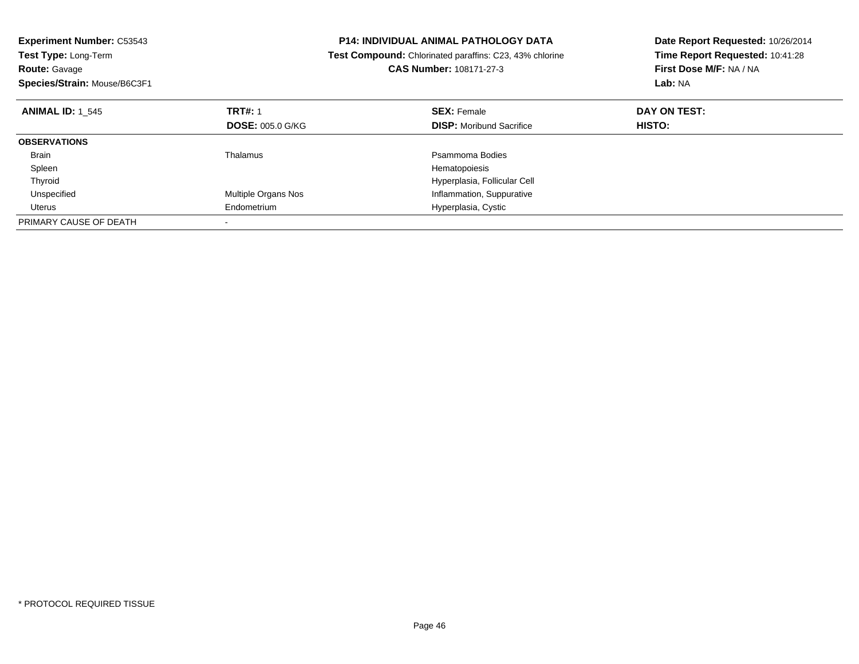| <b>Experiment Number: C53543</b> |                         | <b>P14: INDIVIDUAL ANIMAL PATHOLOGY DATA</b><br>Date Report Requested: 10/26/2014 |                                 |
|----------------------------------|-------------------------|-----------------------------------------------------------------------------------|---------------------------------|
| Test Type: Long-Term             |                         | Test Compound: Chlorinated paraffins: C23, 43% chlorine                           | Time Report Requested: 10:41:28 |
| <b>Route: Gavage</b>             |                         | CAS Number: 108171-27-3                                                           | First Dose M/F: NA / NA         |
| Species/Strain: Mouse/B6C3F1     |                         |                                                                                   | Lab: NA                         |
| <b>ANIMAL ID: 1 545</b>          | <b>TRT#: 1</b>          | <b>SEX: Female</b>                                                                | DAY ON TEST:                    |
|                                  | <b>DOSE: 005.0 G/KG</b> | <b>DISP:</b> Moribund Sacrifice                                                   | <b>HISTO:</b>                   |
| <b>OBSERVATIONS</b>              |                         |                                                                                   |                                 |
| <b>Brain</b>                     | Thalamus                | Psammoma Bodies                                                                   |                                 |
| Spleen                           |                         | Hematopoiesis                                                                     |                                 |
| Thyroid                          |                         | Hyperplasia, Follicular Cell                                                      |                                 |
| Unspecified                      | Multiple Organs Nos     | Inflammation, Suppurative                                                         |                                 |
| Uterus                           | Endometrium             | Hyperplasia, Cystic                                                               |                                 |
| PRIMARY CAUSE OF DEATH           |                         |                                                                                   |                                 |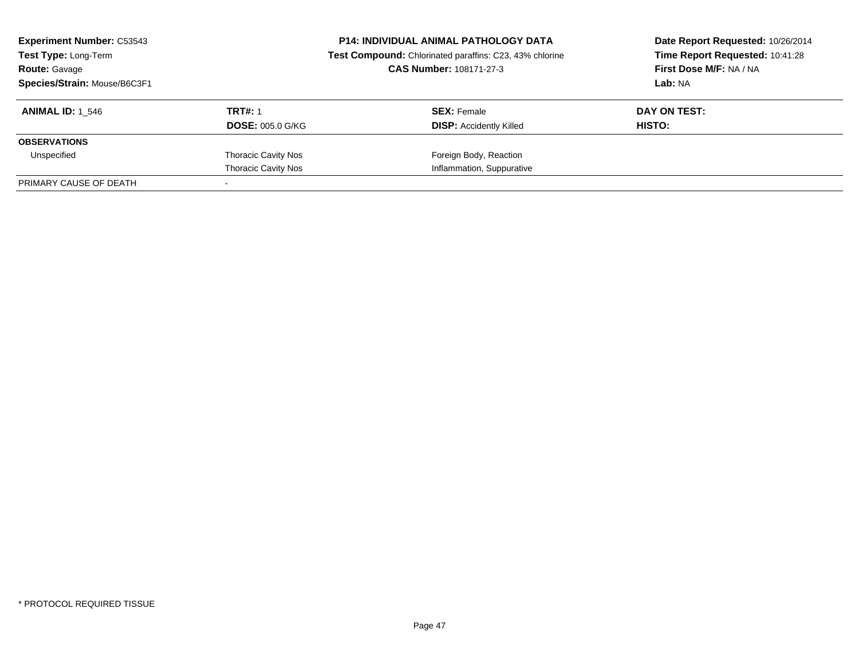| <b>Experiment Number: C53543</b><br><b>Test Type: Long-Term</b><br><b>Route: Gavage</b><br>Species/Strain: Mouse/B6C3F1 |                                           | <b>P14: INDIVIDUAL ANIMAL PATHOLOGY DATA</b><br>Test Compound: Chlorinated paraffins: C23, 43% chlorine<br>CAS Number: 108171-27-3 | Date Report Requested: 10/26/2014<br>Time Report Requested: 10:41:28<br>First Dose M/F: NA / NA<br>Lab: NA |
|-------------------------------------------------------------------------------------------------------------------------|-------------------------------------------|------------------------------------------------------------------------------------------------------------------------------------|------------------------------------------------------------------------------------------------------------|
| <b>ANIMAL ID: 1 546</b>                                                                                                 | <b>TRT#: 1</b><br><b>DOSE: 005.0 G/KG</b> | <b>SEX: Female</b><br><b>DISP:</b> Accidently Killed                                                                               | DAY ON TEST:<br>HISTO:                                                                                     |
| <b>OBSERVATIONS</b>                                                                                                     |                                           |                                                                                                                                    |                                                                                                            |
| Unspecified                                                                                                             | <b>Thoracic Cavity Nos</b>                | Foreign Body, Reaction                                                                                                             |                                                                                                            |
|                                                                                                                         | <b>Thoracic Cavity Nos</b>                | Inflammation, Suppurative                                                                                                          |                                                                                                            |
| PRIMARY CAUSE OF DEATH                                                                                                  |                                           |                                                                                                                                    |                                                                                                            |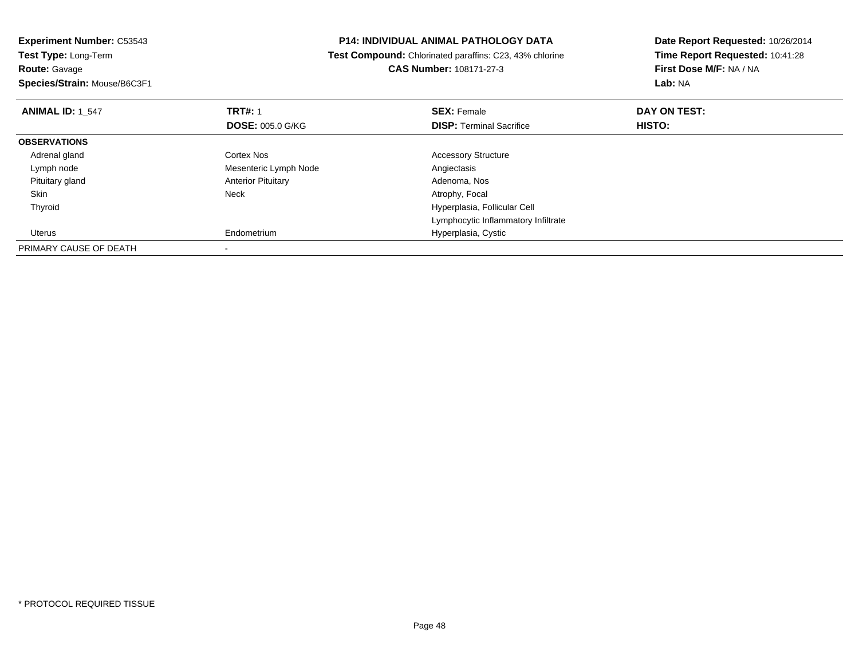| <b>P14: INDIVIDUAL ANIMAL PATHOLOGY DATA</b><br><b>Experiment Number: C53543</b><br>Test Compound: Chlorinated paraffins: C23, 43% chlorine<br><b>Test Type: Long-Term</b> |                           |                                     | Date Report Requested: 10/26/2014 |  |
|----------------------------------------------------------------------------------------------------------------------------------------------------------------------------|---------------------------|-------------------------------------|-----------------------------------|--|
|                                                                                                                                                                            |                           | Time Report Requested: 10:41:28     |                                   |  |
| <b>Route: Gavage</b>                                                                                                                                                       | CAS Number: 108171-27-3   |                                     | First Dose M/F: NA / NA           |  |
| Species/Strain: Mouse/B6C3F1                                                                                                                                               |                           |                                     | Lab: NA                           |  |
| <b>ANIMAL ID: 1 547</b>                                                                                                                                                    | <b>TRT#: 1</b>            | <b>SEX: Female</b>                  | DAY ON TEST:                      |  |
|                                                                                                                                                                            | <b>DOSE: 005.0 G/KG</b>   | <b>DISP:</b> Terminal Sacrifice     | HISTO:                            |  |
| <b>OBSERVATIONS</b>                                                                                                                                                        |                           |                                     |                                   |  |
| Adrenal gland                                                                                                                                                              | Cortex Nos                | <b>Accessory Structure</b>          |                                   |  |
| Lymph node                                                                                                                                                                 | Mesenteric Lymph Node     | Angiectasis                         |                                   |  |
| Pituitary gland                                                                                                                                                            | <b>Anterior Pituitary</b> | Adenoma, Nos                        |                                   |  |
| Skin                                                                                                                                                                       | Neck                      | Atrophy, Focal                      |                                   |  |
| Thyroid                                                                                                                                                                    |                           | Hyperplasia, Follicular Cell        |                                   |  |
|                                                                                                                                                                            |                           | Lymphocytic Inflammatory Infiltrate |                                   |  |
| Uterus                                                                                                                                                                     | Endometrium               | Hyperplasia, Cystic                 |                                   |  |
| PRIMARY CAUSE OF DEATH                                                                                                                                                     |                           |                                     |                                   |  |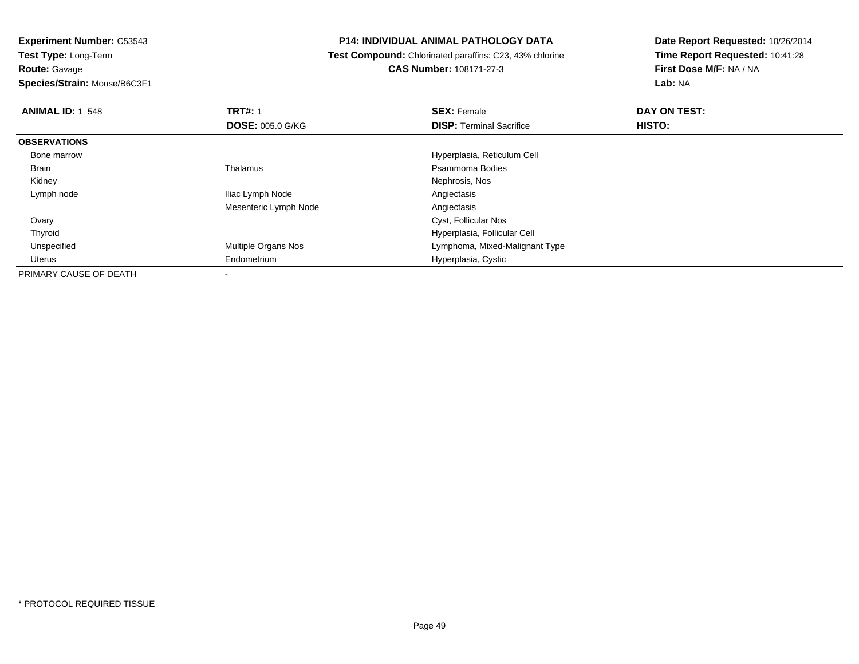**Route:** Gavage

**Species/Strain:** Mouse/B6C3F1

## **P14: INDIVIDUAL ANIMAL PATHOLOGY DATA**

 **Test Compound:** Chlorinated paraffins: C23, 43% chlorine**CAS Number:** 108171-27-3

| <b>ANIMAL ID: 1 548</b> | <b>TRT#: 1</b>          | <b>SEX: Female</b>              | DAY ON TEST: |  |
|-------------------------|-------------------------|---------------------------------|--------------|--|
|                         | <b>DOSE: 005.0 G/KG</b> | <b>DISP: Terminal Sacrifice</b> | HISTO:       |  |
| <b>OBSERVATIONS</b>     |                         |                                 |              |  |
| Bone marrow             |                         | Hyperplasia, Reticulum Cell     |              |  |
| Brain                   | Thalamus                | Psammoma Bodies                 |              |  |
| Kidney                  |                         | Nephrosis, Nos                  |              |  |
| Lymph node              | Iliac Lymph Node        | Angiectasis                     |              |  |
|                         | Mesenteric Lymph Node   | Angiectasis                     |              |  |
| Ovary                   |                         | Cyst, Follicular Nos            |              |  |
| Thyroid                 |                         | Hyperplasia, Follicular Cell    |              |  |
| Unspecified             | Multiple Organs Nos     | Lymphoma, Mixed-Malignant Type  |              |  |
| Uterus                  | Endometrium             | Hyperplasia, Cystic             |              |  |
| PRIMARY CAUSE OF DEATH  |                         |                                 |              |  |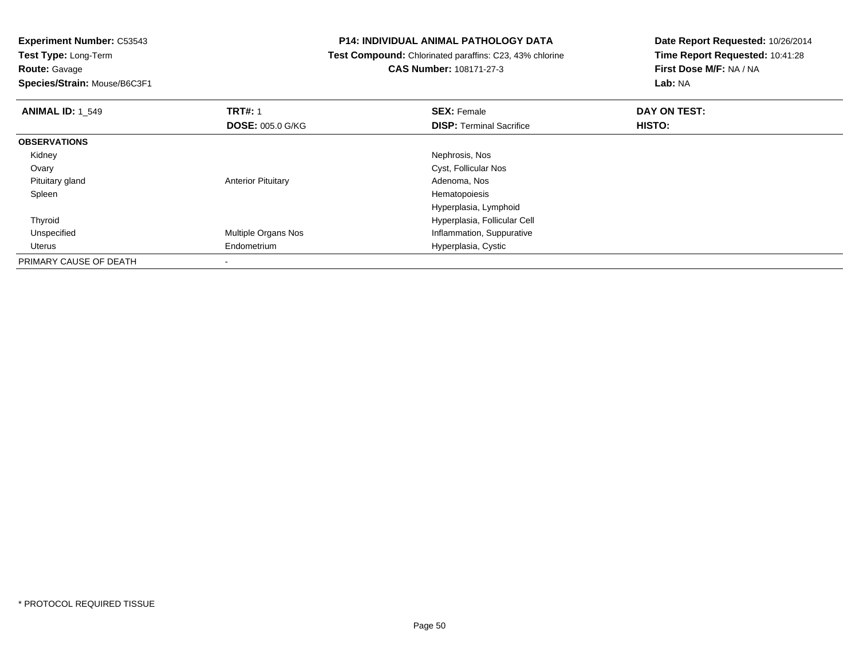**Route:** Gavage

**Species/Strain:** Mouse/B6C3F1

## **P14: INDIVIDUAL ANIMAL PATHOLOGY DATA**

 **Test Compound:** Chlorinated paraffins: C23, 43% chlorine**CAS Number:** 108171-27-3

| <b>ANIMAL ID: 1 549</b> | <b>TRT#: 1</b>            | <b>SEX: Female</b>              | DAY ON TEST: |  |
|-------------------------|---------------------------|---------------------------------|--------------|--|
|                         | <b>DOSE: 005.0 G/KG</b>   | <b>DISP: Terminal Sacrifice</b> | HISTO:       |  |
| <b>OBSERVATIONS</b>     |                           |                                 |              |  |
| Kidney                  |                           | Nephrosis, Nos                  |              |  |
| Ovary                   |                           | Cyst, Follicular Nos            |              |  |
| Pituitary gland         | <b>Anterior Pituitary</b> | Adenoma, Nos                    |              |  |
| Spleen                  |                           | Hematopoiesis                   |              |  |
|                         |                           | Hyperplasia, Lymphoid           |              |  |
| Thyroid                 |                           | Hyperplasia, Follicular Cell    |              |  |
| Unspecified             | Multiple Organs Nos       | Inflammation, Suppurative       |              |  |
| Uterus                  | Endometrium               | Hyperplasia, Cystic             |              |  |
| PRIMARY CAUSE OF DEATH  |                           |                                 |              |  |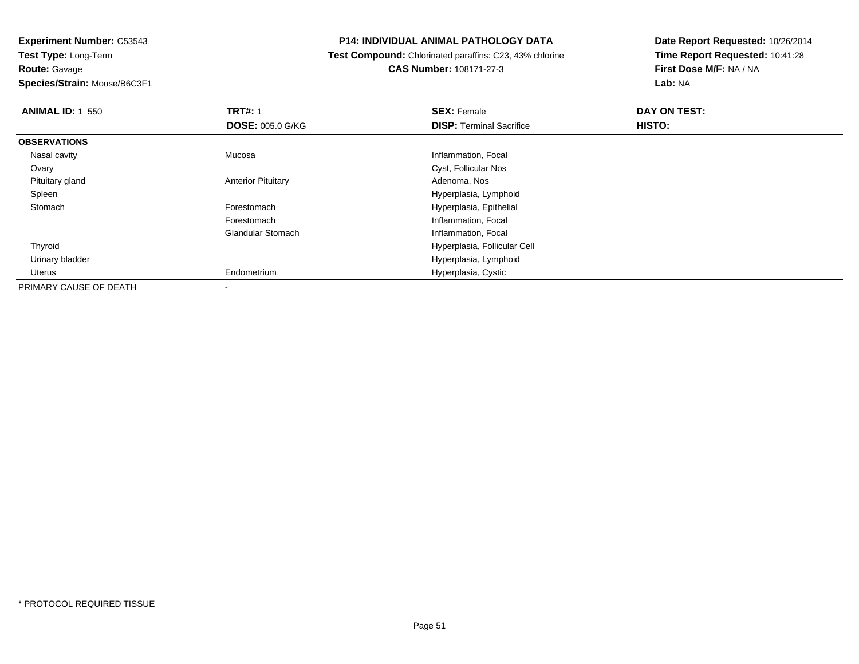# **Route:** Gavage

**Species/Strain:** Mouse/B6C3F1

#### **P14: INDIVIDUAL ANIMAL PATHOLOGY DATA**

#### **Test Compound:** Chlorinated paraffins: C23, 43% chlorine**CAS Number:** 108171-27-3

| <b>ANIMAL ID: 1 550</b> | <b>TRT#: 1</b>            | <b>SEX: Female</b>              | DAY ON TEST: |  |
|-------------------------|---------------------------|---------------------------------|--------------|--|
|                         | <b>DOSE: 005.0 G/KG</b>   | <b>DISP: Terminal Sacrifice</b> | HISTO:       |  |
| <b>OBSERVATIONS</b>     |                           |                                 |              |  |
| Nasal cavity            | Mucosa                    | Inflammation, Focal             |              |  |
| Ovary                   |                           | Cyst, Follicular Nos            |              |  |
| Pituitary gland         | <b>Anterior Pituitary</b> | Adenoma, Nos                    |              |  |
| Spleen                  |                           | Hyperplasia, Lymphoid           |              |  |
| Stomach                 | Forestomach               | Hyperplasia, Epithelial         |              |  |
|                         | Forestomach               | Inflammation, Focal             |              |  |
|                         | <b>Glandular Stomach</b>  | Inflammation, Focal             |              |  |
| Thyroid                 |                           | Hyperplasia, Follicular Cell    |              |  |
| Urinary bladder         |                           | Hyperplasia, Lymphoid           |              |  |
| Uterus                  | Endometrium               | Hyperplasia, Cystic             |              |  |
| PRIMARY CAUSE OF DEATH  | $\blacksquare$            |                                 |              |  |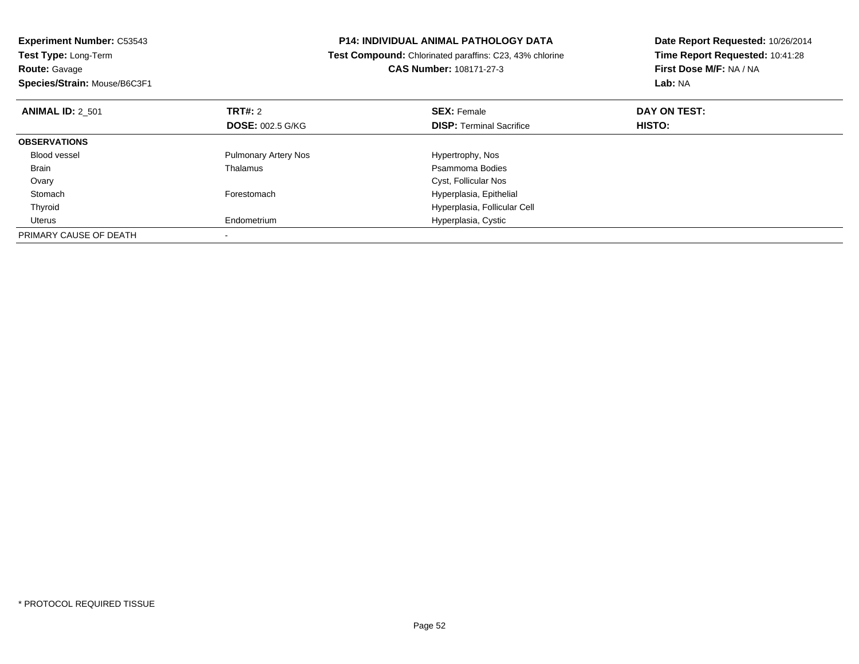| <b>Experiment Number: C53543</b> | <b>P14: INDIVIDUAL ANIMAL PATHOLOGY DATA</b> |                                                         | Date Report Requested: 10/26/2014 |
|----------------------------------|----------------------------------------------|---------------------------------------------------------|-----------------------------------|
| Test Type: Long-Term             |                                              | Test Compound: Chlorinated paraffins: C23, 43% chlorine | Time Report Requested: 10:41:28   |
| <b>Route: Gavage</b>             |                                              | CAS Number: 108171-27-3                                 | First Dose M/F: NA / NA           |
| Species/Strain: Mouse/B6C3F1     |                                              |                                                         | Lab: NA                           |
| <b>ANIMAL ID: 2 501</b>          | <b>TRT#: 2</b>                               | <b>SEX: Female</b>                                      | DAY ON TEST:                      |
|                                  | <b>DOSE: 002.5 G/KG</b>                      | <b>DISP: Terminal Sacrifice</b>                         | HISTO:                            |
| <b>OBSERVATIONS</b>              |                                              |                                                         |                                   |
| <b>Blood vessel</b>              | <b>Pulmonary Artery Nos</b>                  | Hypertrophy, Nos                                        |                                   |
| Brain                            | Thalamus                                     | Psammoma Bodies                                         |                                   |
| Ovary                            |                                              | Cyst, Follicular Nos                                    |                                   |
| Stomach                          | Forestomach                                  | Hyperplasia, Epithelial                                 |                                   |
| Thyroid                          |                                              | Hyperplasia, Follicular Cell                            |                                   |
| Uterus                           | Endometrium                                  | Hyperplasia, Cystic                                     |                                   |
| PRIMARY CAUSE OF DEATH           |                                              |                                                         |                                   |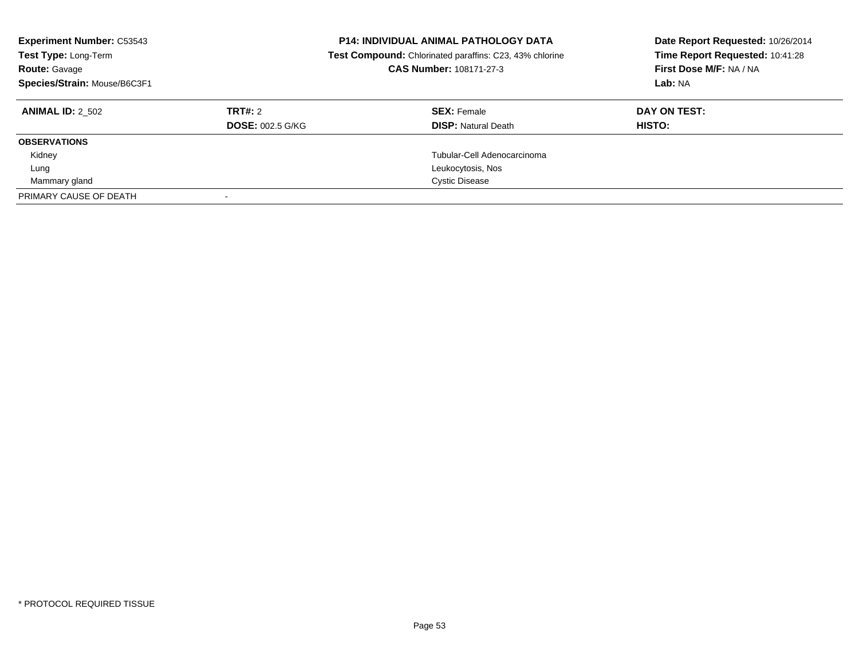| <b>Experiment Number: C53543</b><br>Test Type: Long-Term<br><b>Route: Gavage</b><br>Species/Strain: Mouse/B6C3F1 |                         | <b>P14: INDIVIDUAL ANIMAL PATHOLOGY DATA</b><br>Test Compound: Chlorinated paraffins: C23, 43% chlorine<br>CAS Number: 108171-27-3 | Date Report Requested: 10/26/2014<br>Time Report Requested: 10:41:28<br>First Dose M/F: NA / NA<br>Lab: NA |
|------------------------------------------------------------------------------------------------------------------|-------------------------|------------------------------------------------------------------------------------------------------------------------------------|------------------------------------------------------------------------------------------------------------|
| <b>ANIMAL ID: 2 502</b>                                                                                          | TRT#: 2                 | <b>SEX: Female</b>                                                                                                                 | DAY ON TEST:                                                                                               |
|                                                                                                                  | <b>DOSE: 002.5 G/KG</b> | <b>DISP: Natural Death</b>                                                                                                         | <b>HISTO:</b>                                                                                              |
| <b>OBSERVATIONS</b>                                                                                              |                         |                                                                                                                                    |                                                                                                            |
| Kidney                                                                                                           |                         | Tubular-Cell Adenocarcinoma                                                                                                        |                                                                                                            |
| Lung                                                                                                             |                         | Leukocytosis, Nos                                                                                                                  |                                                                                                            |
| Mammary gland                                                                                                    |                         | <b>Cystic Disease</b>                                                                                                              |                                                                                                            |
| PRIMARY CAUSE OF DEATH                                                                                           |                         |                                                                                                                                    |                                                                                                            |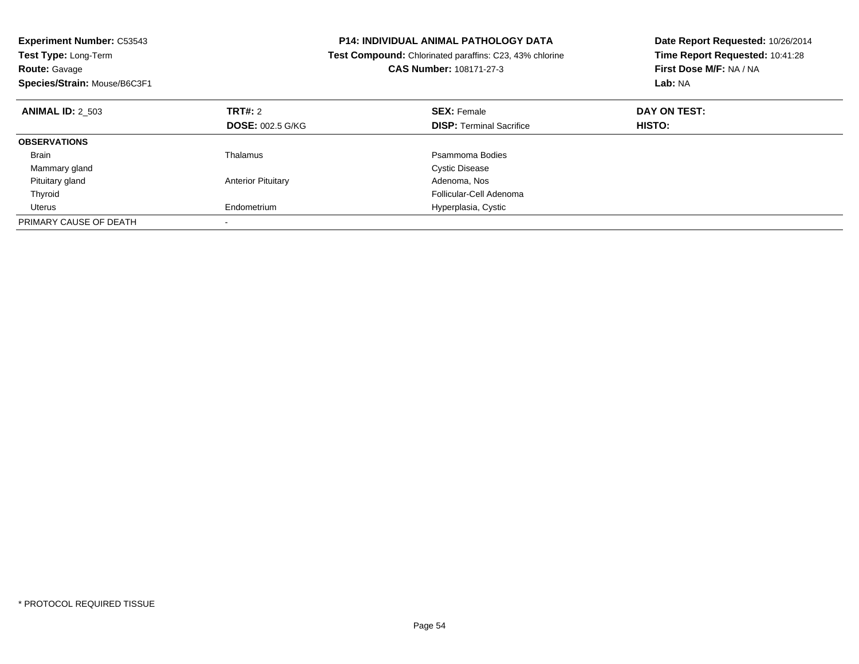| <b>Experiment Number: C53543</b><br>Test Type: Long-Term<br><b>Route: Gavage</b><br>Species/Strain: Mouse/B6C3F1 |                           | <b>P14: INDIVIDUAL ANIMAL PATHOLOGY DATA</b><br>Test Compound: Chlorinated paraffins: C23, 43% chlorine<br>CAS Number: 108171-27-3 | Date Report Requested: 10/26/2014<br>Time Report Requested: 10:41:28<br>First Dose M/F: NA / NA<br>Lab: NA |
|------------------------------------------------------------------------------------------------------------------|---------------------------|------------------------------------------------------------------------------------------------------------------------------------|------------------------------------------------------------------------------------------------------------|
| <b>ANIMAL ID: 2 503</b>                                                                                          | TRT#: 2                   | <b>SEX: Female</b>                                                                                                                 | DAY ON TEST:                                                                                               |
|                                                                                                                  | <b>DOSE: 002.5 G/KG</b>   | <b>DISP: Terminal Sacrifice</b>                                                                                                    | <b>HISTO:</b>                                                                                              |
| <b>OBSERVATIONS</b>                                                                                              |                           |                                                                                                                                    |                                                                                                            |
| Brain                                                                                                            | Thalamus                  | Psammoma Bodies                                                                                                                    |                                                                                                            |
| Mammary gland                                                                                                    |                           | <b>Cystic Disease</b>                                                                                                              |                                                                                                            |
| Pituitary gland                                                                                                  | <b>Anterior Pituitary</b> | Adenoma, Nos                                                                                                                       |                                                                                                            |
| Thyroid                                                                                                          |                           | Follicular-Cell Adenoma                                                                                                            |                                                                                                            |
| Uterus                                                                                                           | Endometrium               | Hyperplasia, Cystic                                                                                                                |                                                                                                            |
| PRIMARY CAUSE OF DEATH                                                                                           |                           |                                                                                                                                    |                                                                                                            |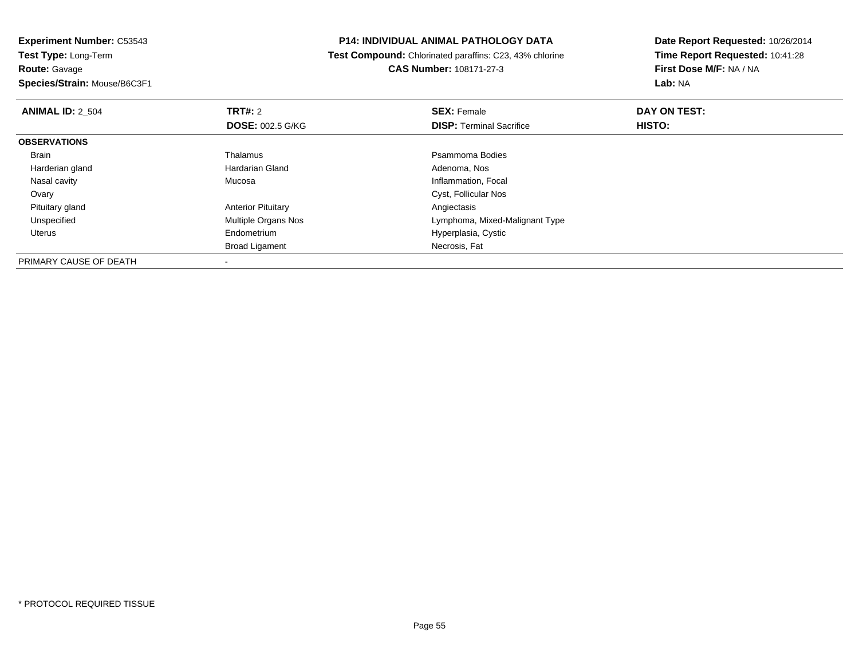**Experiment Number:** C53543**Test Type:** Long-Term**Route:** Gavage

**Species/Strain:** Mouse/B6C3F1

-

## **P14: INDIVIDUAL ANIMAL PATHOLOGY DATA**

 **Test Compound:** Chlorinated paraffins: C23, 43% chlorine**CAS Number:** 108171-27-3

| <b>ANIMAL ID: 2 504</b> | <b>TRT#:</b> 2            | <b>SEX: Female</b>              | DAY ON TEST: |  |
|-------------------------|---------------------------|---------------------------------|--------------|--|
|                         | <b>DOSE: 002.5 G/KG</b>   | <b>DISP: Terminal Sacrifice</b> | HISTO:       |  |
| <b>OBSERVATIONS</b>     |                           |                                 |              |  |
| Brain                   | Thalamus                  | Psammoma Bodies                 |              |  |
| Harderian gland         | Hardarian Gland           | Adenoma, Nos                    |              |  |
| Nasal cavity            | Mucosa                    | Inflammation, Focal             |              |  |
| Ovary                   |                           | Cyst, Follicular Nos            |              |  |
| Pituitary gland         | <b>Anterior Pituitary</b> | Angiectasis                     |              |  |
| Unspecified             | Multiple Organs Nos       | Lymphoma, Mixed-Malignant Type  |              |  |
| Uterus                  | Endometrium               | Hyperplasia, Cystic             |              |  |
|                         | <b>Broad Ligament</b>     | Necrosis, Fat                   |              |  |
| PRIMARY CAUSE OF DEATH  |                           |                                 |              |  |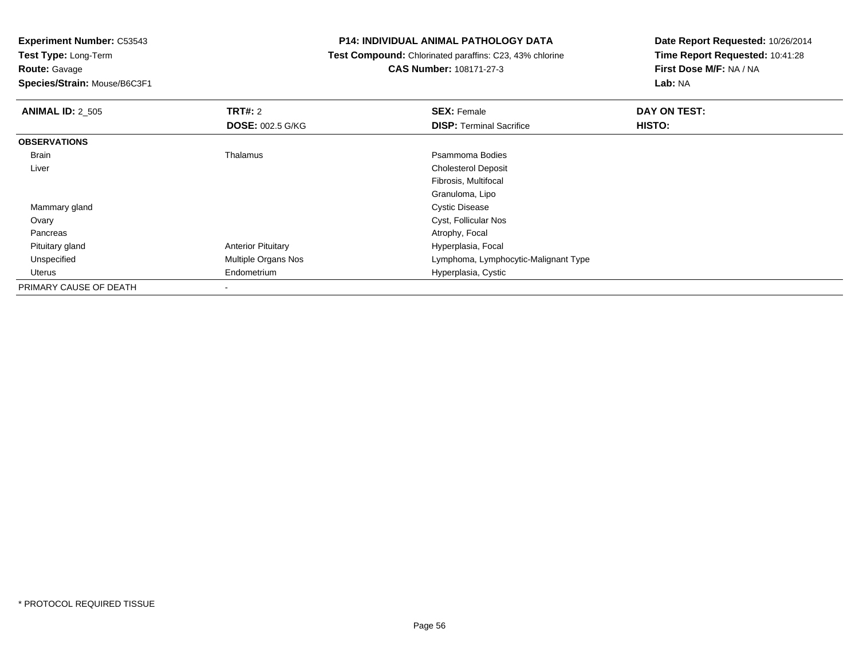**Test Type:** Long-Term**Route:** Gavage

**Species/Strain:** Mouse/B6C3F1

## **P14: INDIVIDUAL ANIMAL PATHOLOGY DATA**

 **Test Compound:** Chlorinated paraffins: C23, 43% chlorine**CAS Number:** 108171-27-3

| <b>ANIMAL ID: 2_505</b> | TRT#: 2                   | <b>SEX: Female</b>                   | DAY ON TEST: |  |
|-------------------------|---------------------------|--------------------------------------|--------------|--|
|                         | <b>DOSE: 002.5 G/KG</b>   | <b>DISP: Terminal Sacrifice</b>      | HISTO:       |  |
| <b>OBSERVATIONS</b>     |                           |                                      |              |  |
| <b>Brain</b>            | Thalamus                  | Psammoma Bodies                      |              |  |
| Liver                   |                           | <b>Cholesterol Deposit</b>           |              |  |
|                         |                           | Fibrosis, Multifocal                 |              |  |
|                         |                           | Granuloma, Lipo                      |              |  |
| Mammary gland           |                           | <b>Cystic Disease</b>                |              |  |
| Ovary                   |                           | Cyst, Follicular Nos                 |              |  |
| Pancreas                |                           | Atrophy, Focal                       |              |  |
| Pituitary gland         | <b>Anterior Pituitary</b> | Hyperplasia, Focal                   |              |  |
| Unspecified             | Multiple Organs Nos       | Lymphoma, Lymphocytic-Malignant Type |              |  |
| Uterus                  | Endometrium               | Hyperplasia, Cystic                  |              |  |
| PRIMARY CAUSE OF DEATH  | ۰                         |                                      |              |  |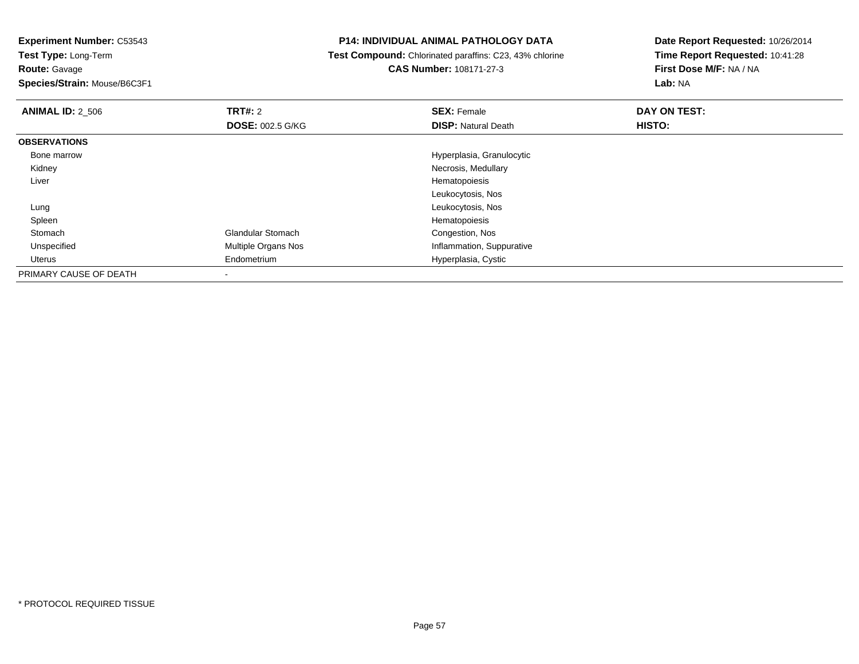**Test Type:** Long-Term**Route:** Gavage

**Species/Strain:** Mouse/B6C3F1

#### **P14: INDIVIDUAL ANIMAL PATHOLOGY DATA**

 **Test Compound:** Chlorinated paraffins: C23, 43% chlorine**CAS Number:** 108171-27-3

| <b>ANIMAL ID: 2_506</b> | TRT#: 2                  | <b>SEX: Female</b>         | DAY ON TEST: |  |
|-------------------------|--------------------------|----------------------------|--------------|--|
|                         | <b>DOSE: 002.5 G/KG</b>  | <b>DISP: Natural Death</b> | HISTO:       |  |
| <b>OBSERVATIONS</b>     |                          |                            |              |  |
| Bone marrow             |                          | Hyperplasia, Granulocytic  |              |  |
| Kidney                  |                          | Necrosis, Medullary        |              |  |
| Liver                   |                          | Hematopoiesis              |              |  |
|                         |                          | Leukocytosis, Nos          |              |  |
| Lung                    |                          | Leukocytosis, Nos          |              |  |
| Spleen                  |                          | Hematopoiesis              |              |  |
| Stomach                 | <b>Glandular Stomach</b> | Congestion, Nos            |              |  |
| Unspecified             | Multiple Organs Nos      | Inflammation, Suppurative  |              |  |
| Uterus                  | Endometrium              | Hyperplasia, Cystic        |              |  |
| PRIMARY CAUSE OF DEATH  |                          |                            |              |  |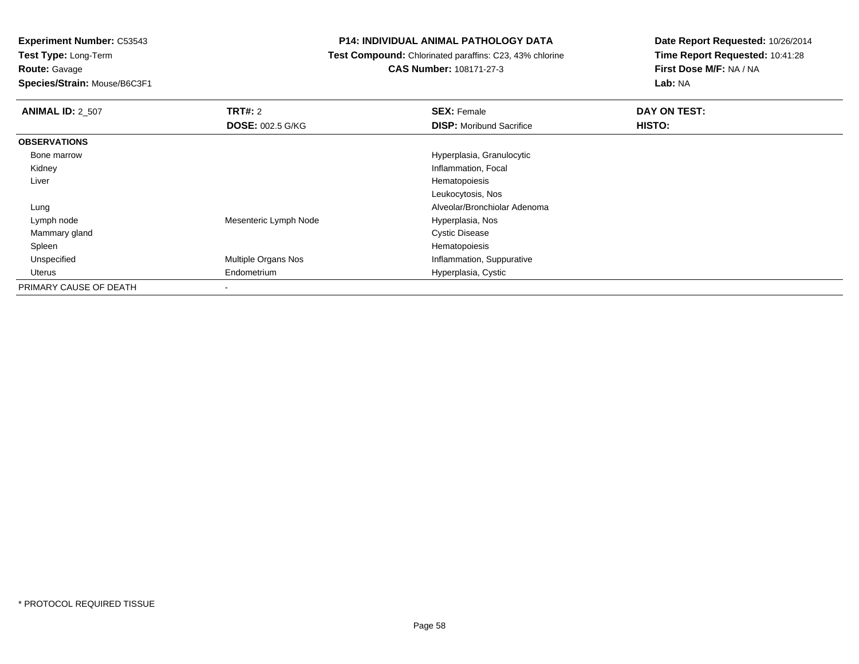**Test Type:** Long-Term**Route:** Gavage

**Species/Strain:** Mouse/B6C3F1

## **P14: INDIVIDUAL ANIMAL PATHOLOGY DATA**

 **Test Compound:** Chlorinated paraffins: C23, 43% chlorine**CAS Number:** 108171-27-3

| <b>ANIMAL ID: 2_507</b> | TRT#: 2                 | <b>SEX: Female</b>              | DAY ON TEST: |  |
|-------------------------|-------------------------|---------------------------------|--------------|--|
|                         | <b>DOSE: 002.5 G/KG</b> | <b>DISP:</b> Moribund Sacrifice | HISTO:       |  |
| <b>OBSERVATIONS</b>     |                         |                                 |              |  |
| Bone marrow             |                         | Hyperplasia, Granulocytic       |              |  |
| Kidney                  |                         | Inflammation, Focal             |              |  |
| Liver                   |                         | Hematopoiesis                   |              |  |
|                         |                         | Leukocytosis, Nos               |              |  |
| Lung                    |                         | Alveolar/Bronchiolar Adenoma    |              |  |
| Lymph node              | Mesenteric Lymph Node   | Hyperplasia, Nos                |              |  |
| Mammary gland           |                         | <b>Cystic Disease</b>           |              |  |
| Spleen                  |                         | Hematopoiesis                   |              |  |
| Unspecified             | Multiple Organs Nos     | Inflammation, Suppurative       |              |  |
| Uterus                  | Endometrium             | Hyperplasia, Cystic             |              |  |
| PRIMARY CAUSE OF DEATH  |                         |                                 |              |  |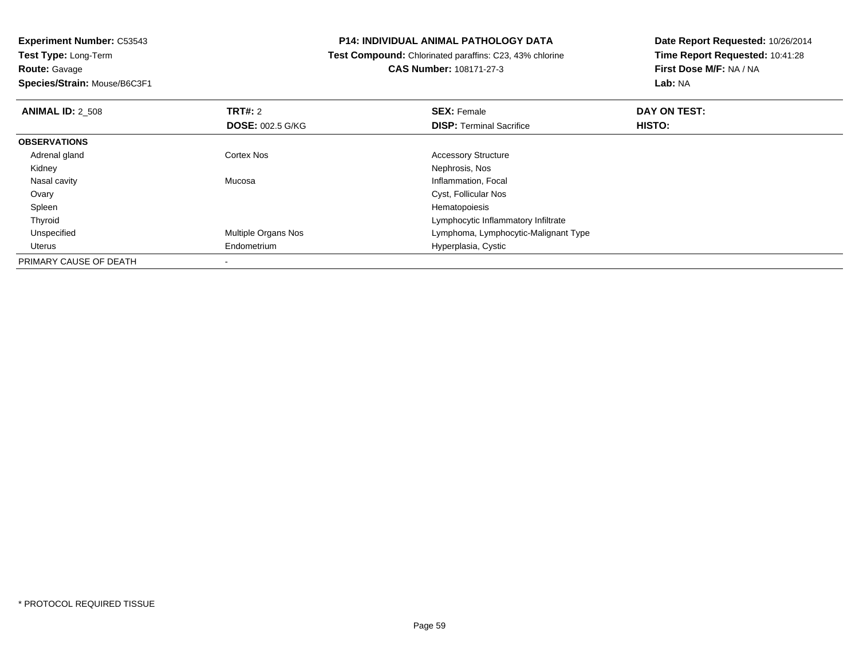**Experiment Number:** C53543**Test Type:** Long-Term**Route:** Gavage**Species/Strain:** Mouse/B6C3F1

## **P14: INDIVIDUAL ANIMAL PATHOLOGY DATA**

 **Test Compound:** Chlorinated paraffins: C23, 43% chlorine**CAS Number:** 108171-27-3

| <b>ANIMAL ID: 2 508</b> | TRT#: 2<br><b>DOSE: 002.5 G/KG</b> | <b>SEX: Female</b><br><b>DISP: Terminal Sacrifice</b> | DAY ON TEST:<br>HISTO: |  |
|-------------------------|------------------------------------|-------------------------------------------------------|------------------------|--|
| <b>OBSERVATIONS</b>     |                                    |                                                       |                        |  |
| Adrenal gland           | Cortex Nos                         | <b>Accessory Structure</b>                            |                        |  |
| Kidney                  |                                    | Nephrosis, Nos                                        |                        |  |
| Nasal cavity            | Mucosa                             | Inflammation, Focal                                   |                        |  |
| Ovary                   |                                    | Cyst, Follicular Nos                                  |                        |  |
| Spleen                  |                                    | Hematopoiesis                                         |                        |  |
| Thyroid                 |                                    | Lymphocytic Inflammatory Infiltrate                   |                        |  |
| Unspecified             | Multiple Organs Nos                | Lymphoma, Lymphocytic-Malignant Type                  |                        |  |
| Uterus                  | Endometrium                        | Hyperplasia, Cystic                                   |                        |  |
| PRIMARY CAUSE OF DEATH  |                                    |                                                       |                        |  |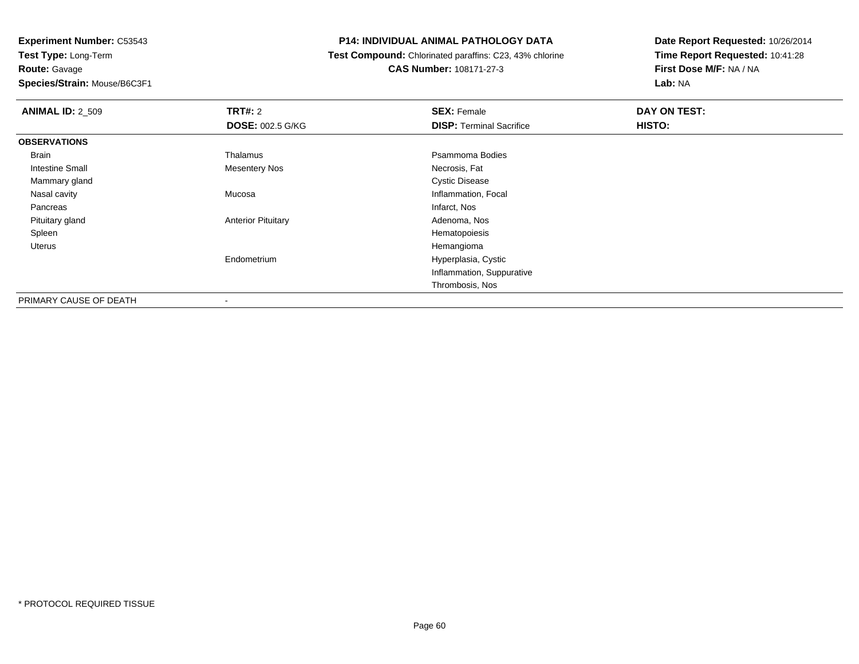**Experiment Number:** C53543**Test Type:** Long-Term**Route:** Gavage**Species/Strain:** Mouse/B6C3F1

#### **P14: INDIVIDUAL ANIMAL PATHOLOGY DATA**

 **Test Compound:** Chlorinated paraffins: C23, 43% chlorine**CAS Number:** 108171-27-3

| <b>ANIMAL ID: 2_509</b> | TRT#: 2                   | <b>SEX: Female</b>              | DAY ON TEST: |  |
|-------------------------|---------------------------|---------------------------------|--------------|--|
|                         | <b>DOSE: 002.5 G/KG</b>   | <b>DISP: Terminal Sacrifice</b> | HISTO:       |  |
| <b>OBSERVATIONS</b>     |                           |                                 |              |  |
| Brain                   | Thalamus                  | Psammoma Bodies                 |              |  |
| <b>Intestine Small</b>  | <b>Mesentery Nos</b>      | Necrosis, Fat                   |              |  |
| Mammary gland           |                           | <b>Cystic Disease</b>           |              |  |
| Nasal cavity            | Mucosa                    | Inflammation, Focal             |              |  |
| Pancreas                |                           | Infarct, Nos                    |              |  |
| Pituitary gland         | <b>Anterior Pituitary</b> | Adenoma, Nos                    |              |  |
| Spleen                  |                           | Hematopoiesis                   |              |  |
| Uterus                  |                           | Hemangioma                      |              |  |
|                         | Endometrium               | Hyperplasia, Cystic             |              |  |
|                         |                           | Inflammation, Suppurative       |              |  |
|                         |                           | Thrombosis, Nos                 |              |  |
| PRIMARY CAUSE OF DEATH  | ۰                         |                                 |              |  |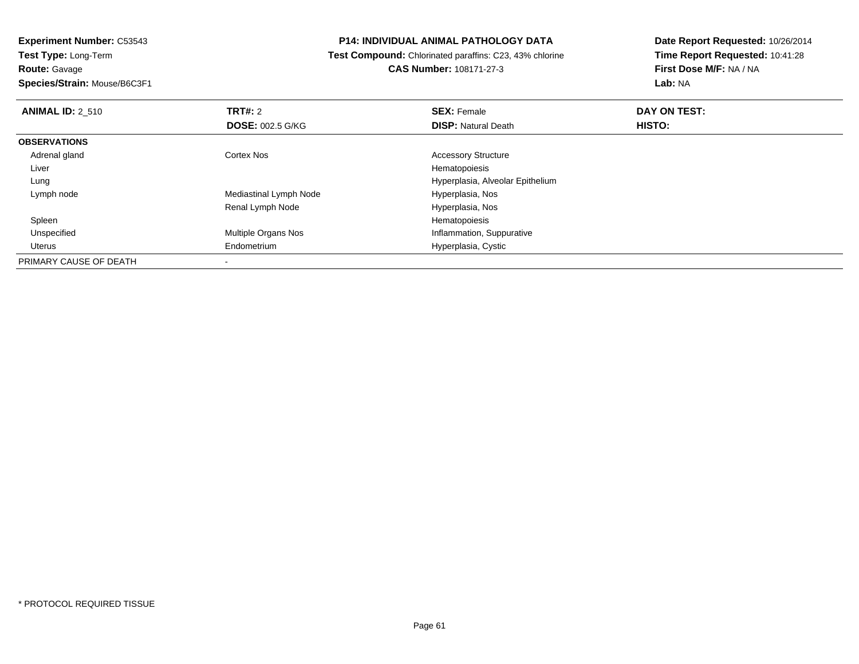# **Route:** Gavage

**Species/Strain:** Mouse/B6C3F1

#### **P14: INDIVIDUAL ANIMAL PATHOLOGY DATA**

 **Test Compound:** Chlorinated paraffins: C23, 43% chlorine**CAS Number:** 108171-27-3

| <b>ANIMAL ID: 2 510</b> | TRT#: 2                    | <b>SEX: Female</b>               | DAY ON TEST: |  |
|-------------------------|----------------------------|----------------------------------|--------------|--|
|                         | <b>DOSE: 002.5 G/KG</b>    | <b>DISP: Natural Death</b>       | HISTO:       |  |
| <b>OBSERVATIONS</b>     |                            |                                  |              |  |
| Adrenal gland           | Cortex Nos                 | <b>Accessory Structure</b>       |              |  |
| Liver                   |                            | Hematopoiesis                    |              |  |
| Lung                    |                            | Hyperplasia, Alveolar Epithelium |              |  |
| Lymph node              | Mediastinal Lymph Node     | Hyperplasia, Nos                 |              |  |
|                         | Renal Lymph Node           | Hyperplasia, Nos                 |              |  |
| Spleen                  |                            | Hematopoiesis                    |              |  |
| Unspecified             | <b>Multiple Organs Nos</b> | Inflammation, Suppurative        |              |  |
| Uterus                  | Endometrium                | Hyperplasia, Cystic              |              |  |
| PRIMARY CAUSE OF DEATH  |                            |                                  |              |  |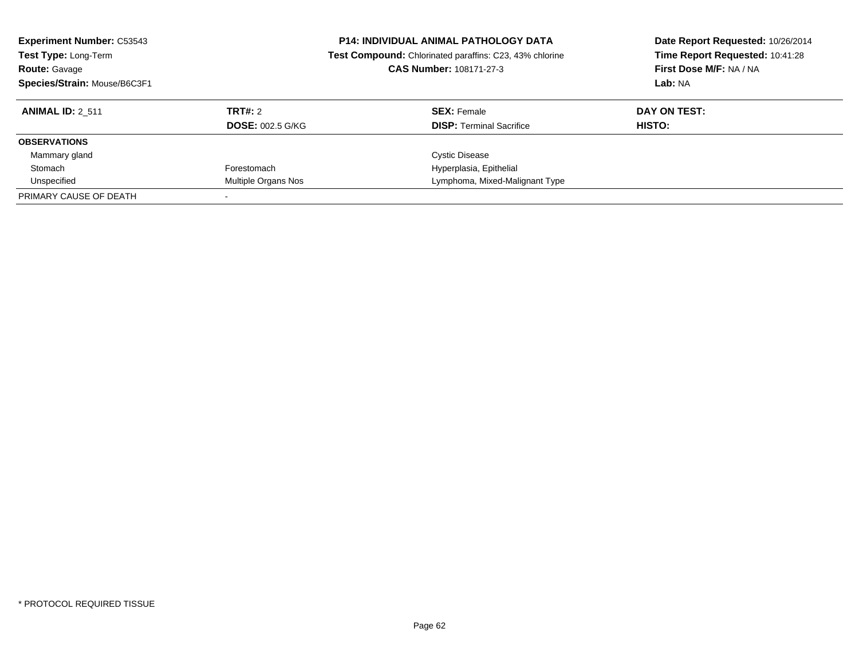| <b>Experiment Number: C53543</b><br>Test Type: Long-Term<br><b>Route: Gavage</b><br>Species/Strain: Mouse/B6C3F1 |                         | <b>P14: INDIVIDUAL ANIMAL PATHOLOGY DATA</b><br>Test Compound: Chlorinated paraffins: C23, 43% chlorine<br>CAS Number: 108171-27-3 | Date Report Requested: 10/26/2014<br>Time Report Requested: 10:41:28<br>First Dose M/F: NA / NA<br>Lab: NA |  |
|------------------------------------------------------------------------------------------------------------------|-------------------------|------------------------------------------------------------------------------------------------------------------------------------|------------------------------------------------------------------------------------------------------------|--|
| <b>ANIMAL ID: 2 511</b>                                                                                          | TRT#: 2                 | <b>SEX: Female</b>                                                                                                                 | DAY ON TEST:                                                                                               |  |
|                                                                                                                  | <b>DOSE: 002.5 G/KG</b> | <b>DISP:</b> Terminal Sacrifice                                                                                                    | HISTO:                                                                                                     |  |
| <b>OBSERVATIONS</b>                                                                                              |                         |                                                                                                                                    |                                                                                                            |  |
| Mammary gland                                                                                                    |                         | <b>Cystic Disease</b>                                                                                                              |                                                                                                            |  |
| Stomach                                                                                                          | Forestomach             | Hyperplasia, Epithelial                                                                                                            |                                                                                                            |  |
| Unspecified                                                                                                      | Multiple Organs Nos     | Lymphoma, Mixed-Malignant Type                                                                                                     |                                                                                                            |  |
| PRIMARY CAUSE OF DEATH                                                                                           |                         |                                                                                                                                    |                                                                                                            |  |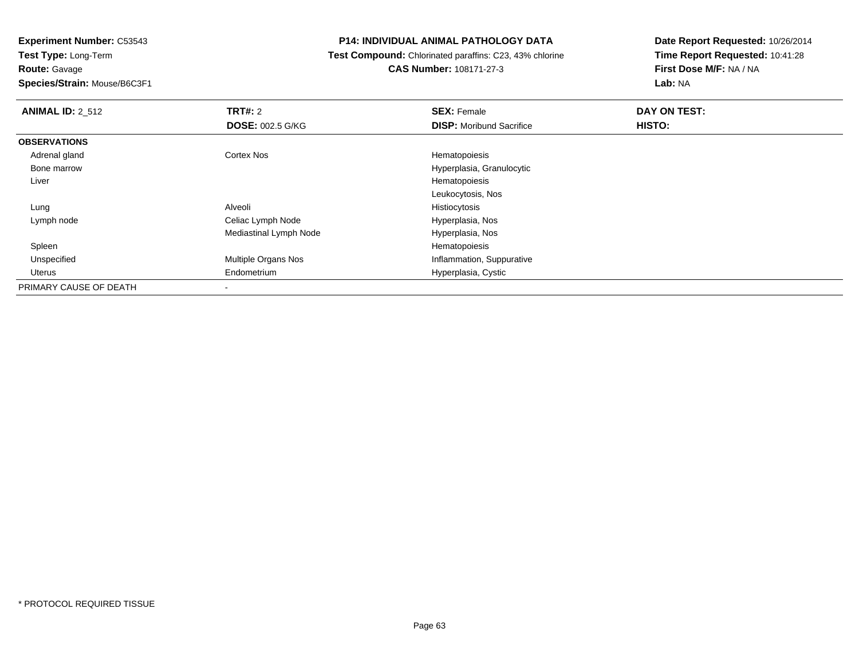**Route:** Gavage

**Species/Strain:** Mouse/B6C3F1

## **P14: INDIVIDUAL ANIMAL PATHOLOGY DATA**

 **Test Compound:** Chlorinated paraffins: C23, 43% chlorine**CAS Number:** 108171-27-3

| <b>ANIMAL ID: 2_512</b> | TRT#: 2                 | <b>SEX: Female</b>              | DAY ON TEST: |  |
|-------------------------|-------------------------|---------------------------------|--------------|--|
|                         | <b>DOSE: 002.5 G/KG</b> | <b>DISP:</b> Moribund Sacrifice | HISTO:       |  |
| <b>OBSERVATIONS</b>     |                         |                                 |              |  |
| Adrenal gland           | Cortex Nos              | Hematopoiesis                   |              |  |
| Bone marrow             |                         | Hyperplasia, Granulocytic       |              |  |
| Liver                   |                         | Hematopoiesis                   |              |  |
|                         |                         | Leukocytosis, Nos               |              |  |
| Lung                    | Alveoli                 | Histiocytosis                   |              |  |
| Lymph node              | Celiac Lymph Node       | Hyperplasia, Nos                |              |  |
|                         | Mediastinal Lymph Node  | Hyperplasia, Nos                |              |  |
| Spleen                  |                         | Hematopoiesis                   |              |  |
| Unspecified             | Multiple Organs Nos     | Inflammation, Suppurative       |              |  |
| Uterus                  | Endometrium             | Hyperplasia, Cystic             |              |  |
| PRIMARY CAUSE OF DEATH  | ۰                       |                                 |              |  |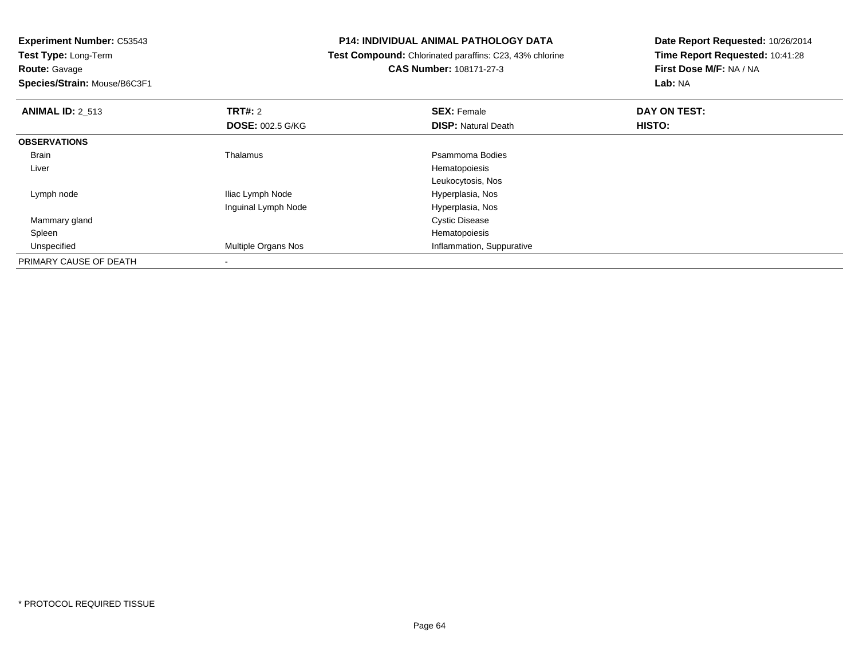**Route:** Gavage

**Species/Strain:** Mouse/B6C3F1

## **P14: INDIVIDUAL ANIMAL PATHOLOGY DATA**

 **Test Compound:** Chlorinated paraffins: C23, 43% chlorine**CAS Number:** 108171-27-3

| <b>ANIMAL ID: 2 513</b> | TRT#: 2<br><b>DOSE: 002.5 G/KG</b> | <b>SEX: Female</b><br><b>DISP: Natural Death</b> | DAY ON TEST:<br>HISTO: |  |
|-------------------------|------------------------------------|--------------------------------------------------|------------------------|--|
|                         |                                    |                                                  |                        |  |
| <b>OBSERVATIONS</b>     |                                    |                                                  |                        |  |
| <b>Brain</b>            | Thalamus                           | Psammoma Bodies                                  |                        |  |
| Liver                   |                                    | Hematopoiesis                                    |                        |  |
|                         |                                    | Leukocytosis, Nos                                |                        |  |
| Lymph node              | Iliac Lymph Node                   | Hyperplasia, Nos                                 |                        |  |
|                         | Inguinal Lymph Node                | Hyperplasia, Nos                                 |                        |  |
| Mammary gland           |                                    | <b>Cystic Disease</b>                            |                        |  |
| Spleen                  |                                    | Hematopoiesis                                    |                        |  |
| Unspecified             | <b>Multiple Organs Nos</b>         | Inflammation, Suppurative                        |                        |  |
| PRIMARY CAUSE OF DEATH  |                                    |                                                  |                        |  |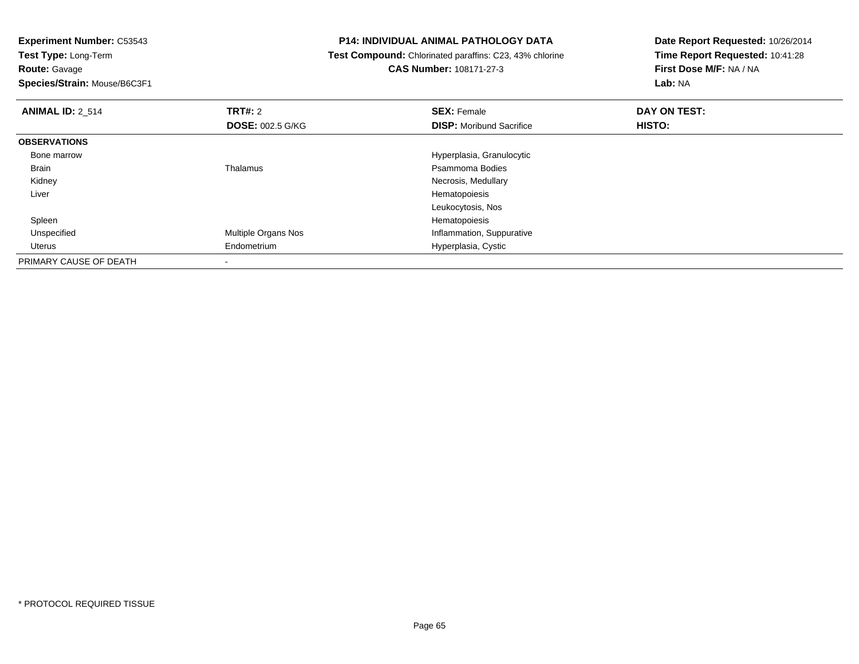**Route:** Gavage

**Species/Strain:** Mouse/B6C3F1

#### **P14: INDIVIDUAL ANIMAL PATHOLOGY DATA**

 **Test Compound:** Chlorinated paraffins: C23, 43% chlorine**CAS Number:** 108171-27-3

| <b>ANIMAL ID: 2_514</b> | TRT#: 2                    | <b>SEX: Female</b>              | DAY ON TEST: |  |
|-------------------------|----------------------------|---------------------------------|--------------|--|
|                         | <b>DOSE: 002.5 G/KG</b>    | <b>DISP:</b> Moribund Sacrifice | HISTO:       |  |
| <b>OBSERVATIONS</b>     |                            |                                 |              |  |
| Bone marrow             |                            | Hyperplasia, Granulocytic       |              |  |
| Brain                   | Thalamus                   | Psammoma Bodies                 |              |  |
| Kidney                  |                            | Necrosis, Medullary             |              |  |
| Liver                   |                            | Hematopoiesis                   |              |  |
|                         |                            | Leukocytosis, Nos               |              |  |
| Spleen                  |                            | Hematopoiesis                   |              |  |
| Unspecified             | <b>Multiple Organs Nos</b> | Inflammation, Suppurative       |              |  |
| Uterus                  | Endometrium                | Hyperplasia, Cystic             |              |  |
| PRIMARY CAUSE OF DEATH  |                            |                                 |              |  |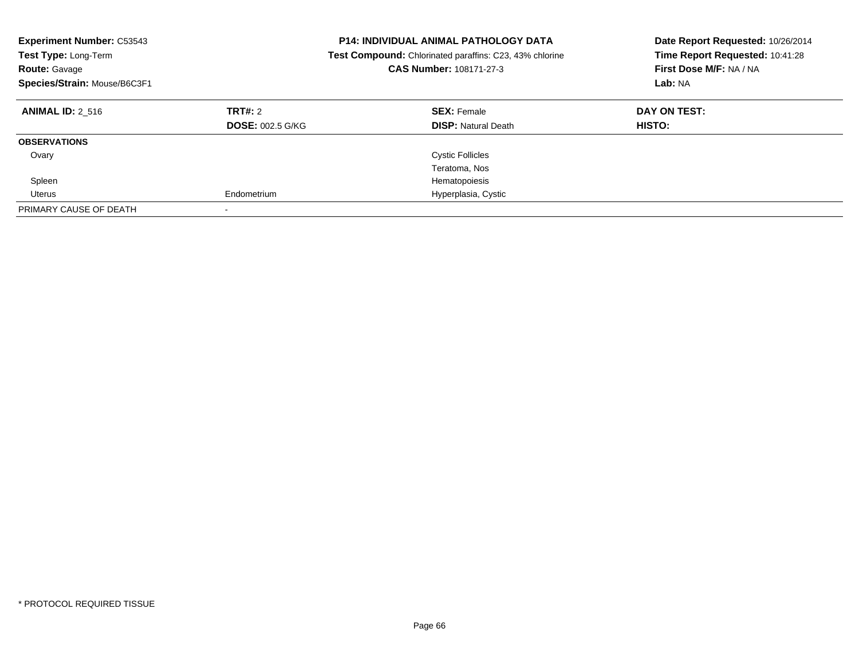| <b>Experiment Number: C53543</b><br>Test Type: Long-Term<br><b>Route: Gavage</b><br>Species/Strain: Mouse/B6C3F1 |                                    | <b>P14: INDIVIDUAL ANIMAL PATHOLOGY DATA</b><br><b>Test Compound:</b> Chlorinated paraffins: C23, 43% chlorine<br>CAS Number: 108171-27-3 | Date Report Requested: 10/26/2014<br>Time Report Requested: 10:41:28<br>First Dose M/F: NA / NA<br>Lab: NA |
|------------------------------------------------------------------------------------------------------------------|------------------------------------|-------------------------------------------------------------------------------------------------------------------------------------------|------------------------------------------------------------------------------------------------------------|
| <b>ANIMAL ID: 2 516</b>                                                                                          | TRT#: 2<br><b>DOSE: 002.5 G/KG</b> | <b>SEX: Female</b><br><b>DISP:</b> Natural Death                                                                                          | DAY ON TEST:<br><b>HISTO:</b>                                                                              |
| <b>OBSERVATIONS</b>                                                                                              |                                    |                                                                                                                                           |                                                                                                            |
| Ovary                                                                                                            |                                    | <b>Cystic Follicles</b>                                                                                                                   |                                                                                                            |
|                                                                                                                  |                                    | Teratoma, Nos                                                                                                                             |                                                                                                            |
| Spleen                                                                                                           |                                    | Hematopoiesis                                                                                                                             |                                                                                                            |
| Uterus                                                                                                           | Endometrium                        | Hyperplasia, Cystic                                                                                                                       |                                                                                                            |
| PRIMARY CAUSE OF DEATH                                                                                           |                                    |                                                                                                                                           |                                                                                                            |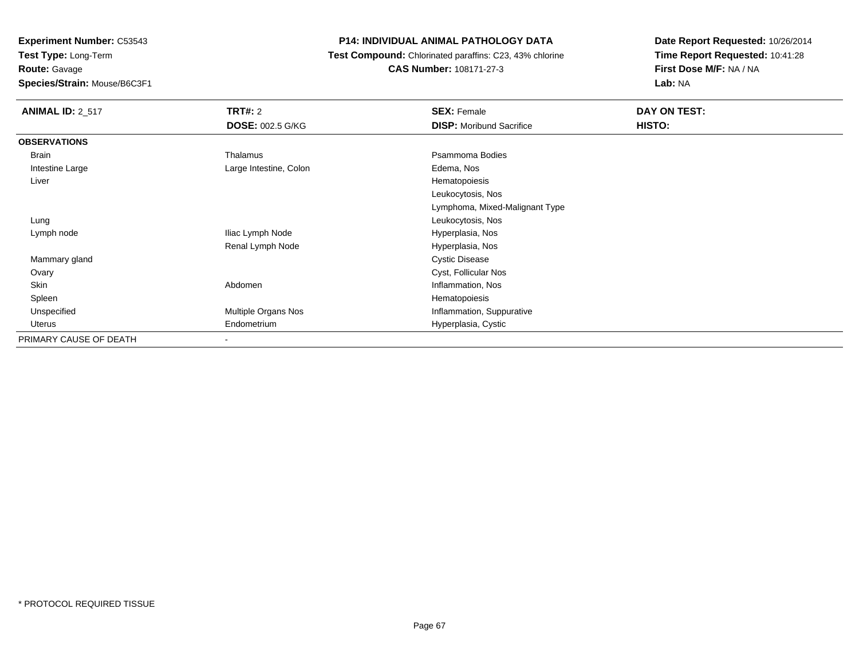**Route:** Gavage

**Species/Strain:** Mouse/B6C3F1

## **P14: INDIVIDUAL ANIMAL PATHOLOGY DATA**

 **Test Compound:** Chlorinated paraffins: C23, 43% chlorine**CAS Number:** 108171-27-3

| <b>ANIMAL ID: 2 517</b> | TRT#: 2                  | <b>SEX: Female</b>              | DAY ON TEST: |
|-------------------------|--------------------------|---------------------------------|--------------|
|                         | <b>DOSE: 002.5 G/KG</b>  | <b>DISP:</b> Moribund Sacrifice | HISTO:       |
| <b>OBSERVATIONS</b>     |                          |                                 |              |
| Brain                   | Thalamus                 | Psammoma Bodies                 |              |
| Intestine Large         | Large Intestine, Colon   | Edema, Nos                      |              |
| Liver                   |                          | Hematopoiesis                   |              |
|                         |                          | Leukocytosis, Nos               |              |
|                         |                          | Lymphoma, Mixed-Malignant Type  |              |
| Lung                    |                          | Leukocytosis, Nos               |              |
| Lymph node              | Iliac Lymph Node         | Hyperplasia, Nos                |              |
|                         | Renal Lymph Node         | Hyperplasia, Nos                |              |
| Mammary gland           |                          | <b>Cystic Disease</b>           |              |
| Ovary                   |                          | Cyst, Follicular Nos            |              |
| Skin                    | Abdomen                  | Inflammation, Nos               |              |
| Spleen                  |                          | Hematopoiesis                   |              |
| Unspecified             | Multiple Organs Nos      | Inflammation, Suppurative       |              |
| Uterus                  | Endometrium              | Hyperplasia, Cystic             |              |
| PRIMARY CAUSE OF DEATH  | $\overline{\phantom{0}}$ |                                 |              |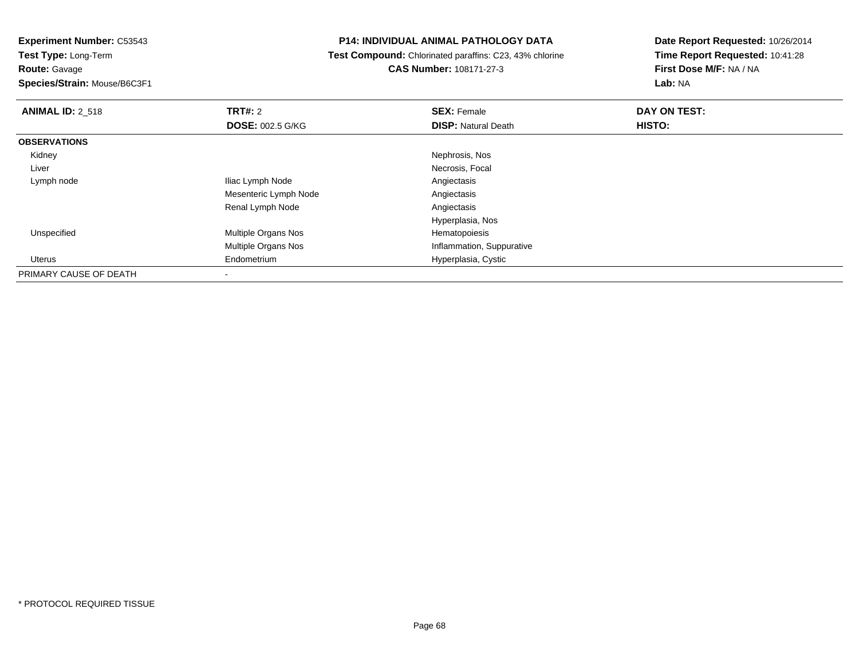**Test Type:** Long-Term**Route:** Gavage

**Species/Strain:** Mouse/B6C3F1

## **P14: INDIVIDUAL ANIMAL PATHOLOGY DATA**

 **Test Compound:** Chlorinated paraffins: C23, 43% chlorine**CAS Number:** 108171-27-3

| <b>ANIMAL ID: 2 518</b> | TRT#: 2                 | <b>SEX: Female</b>         | DAY ON TEST: |  |
|-------------------------|-------------------------|----------------------------|--------------|--|
|                         | <b>DOSE: 002.5 G/KG</b> | <b>DISP: Natural Death</b> | HISTO:       |  |
| <b>OBSERVATIONS</b>     |                         |                            |              |  |
| Kidney                  |                         | Nephrosis, Nos             |              |  |
| Liver                   |                         | Necrosis, Focal            |              |  |
| Lymph node              | Iliac Lymph Node        | Angiectasis                |              |  |
|                         | Mesenteric Lymph Node   | Angiectasis                |              |  |
|                         | Renal Lymph Node        | Angiectasis                |              |  |
|                         |                         | Hyperplasia, Nos           |              |  |
| Unspecified             | Multiple Organs Nos     | Hematopoiesis              |              |  |
|                         | Multiple Organs Nos     | Inflammation, Suppurative  |              |  |
| Uterus                  | Endometrium             | Hyperplasia, Cystic        |              |  |
| PRIMARY CAUSE OF DEATH  |                         |                            |              |  |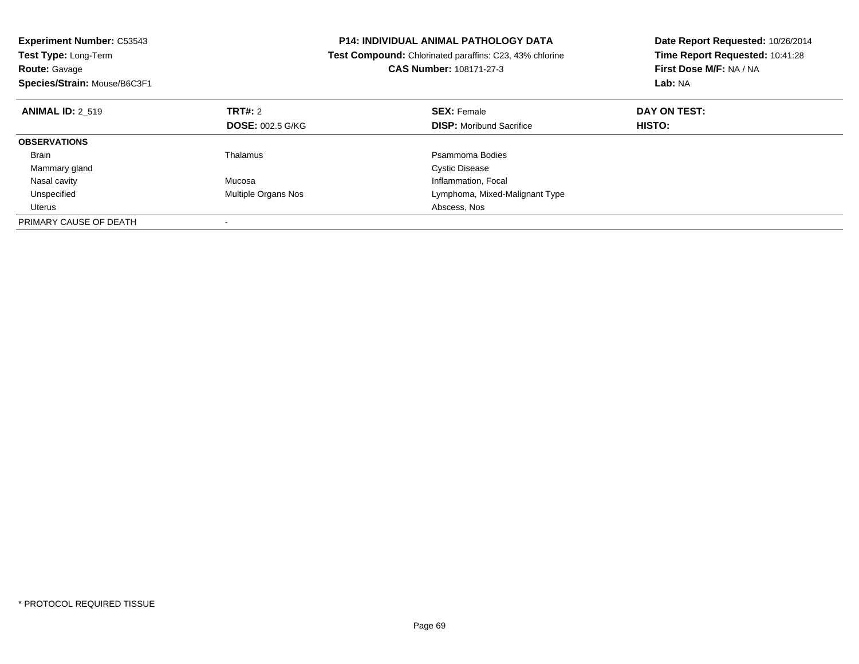| <b>Experiment Number: C53543</b><br><b>Test Type: Long-Term</b><br><b>Route: Gavage</b><br>Species/Strain: Mouse/B6C3F1 |                            | <b>P14: INDIVIDUAL ANIMAL PATHOLOGY DATA</b><br>Test Compound: Chlorinated paraffins: C23, 43% chlorine<br><b>CAS Number: 108171-27-3</b> | Date Report Requested: 10/26/2014<br>Time Report Requested: 10:41:28<br>First Dose M/F: NA / NA<br>Lab: NA |
|-------------------------------------------------------------------------------------------------------------------------|----------------------------|-------------------------------------------------------------------------------------------------------------------------------------------|------------------------------------------------------------------------------------------------------------|
| <b>ANIMAL ID: 2 519</b>                                                                                                 | <b>TRT#:</b> 2             | <b>SEX: Female</b>                                                                                                                        | DAY ON TEST:                                                                                               |
|                                                                                                                         | <b>DOSE: 002.5 G/KG</b>    | <b>DISP:</b> Moribund Sacrifice                                                                                                           | HISTO:                                                                                                     |
| <b>OBSERVATIONS</b>                                                                                                     |                            |                                                                                                                                           |                                                                                                            |
| <b>Brain</b>                                                                                                            | Thalamus                   | Psammoma Bodies                                                                                                                           |                                                                                                            |
| Mammary gland                                                                                                           |                            | <b>Cystic Disease</b>                                                                                                                     |                                                                                                            |
| Nasal cavity                                                                                                            | Mucosa                     | Inflammation, Focal                                                                                                                       |                                                                                                            |
| Unspecified                                                                                                             | <b>Multiple Organs Nos</b> | Lymphoma, Mixed-Malignant Type                                                                                                            |                                                                                                            |
| Uterus                                                                                                                  |                            | Abscess, Nos                                                                                                                              |                                                                                                            |
| PRIMARY CAUSE OF DEATH                                                                                                  |                            |                                                                                                                                           |                                                                                                            |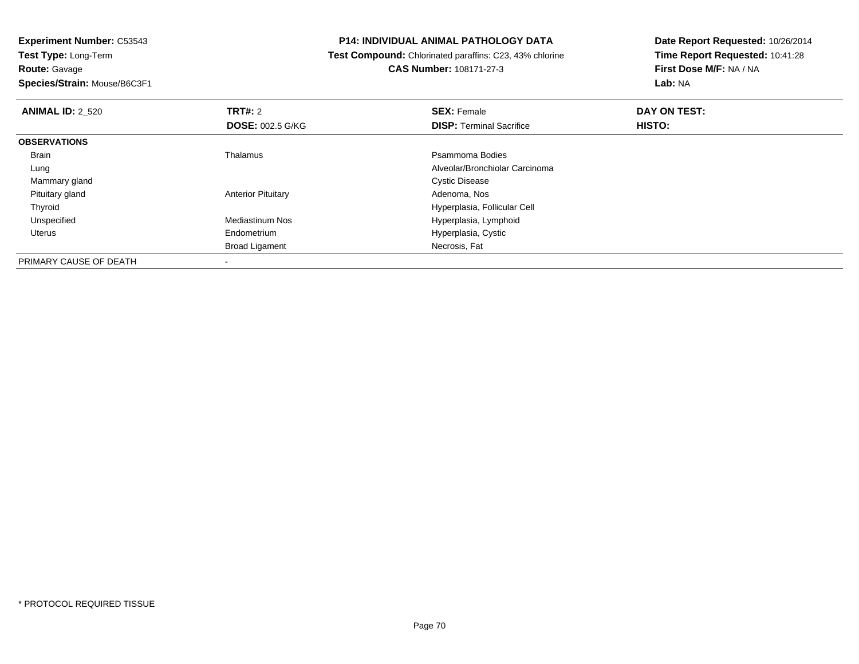**Experiment Number:** C53543**Test Type:** Long-Term**Route:** Gavage

# **Species/Strain:** Mouse/B6C3F1

#### **P14: INDIVIDUAL ANIMAL PATHOLOGY DATA**

 **Test Compound:** Chlorinated paraffins: C23, 43% chlorine**CAS Number:** 108171-27-3

| <b>ANIMAL ID: 2 520</b> | <b>TRT#:</b> 2            | <b>SEX: Female</b>              | DAY ON TEST: |  |
|-------------------------|---------------------------|---------------------------------|--------------|--|
|                         | <b>DOSE: 002.5 G/KG</b>   | <b>DISP:</b> Terminal Sacrifice | HISTO:       |  |
| <b>OBSERVATIONS</b>     |                           |                                 |              |  |
| Brain                   | Thalamus                  | Psammoma Bodies                 |              |  |
| Lung                    |                           | Alveolar/Bronchiolar Carcinoma  |              |  |
| Mammary gland           |                           | <b>Cystic Disease</b>           |              |  |
| Pituitary gland         | <b>Anterior Pituitary</b> | Adenoma, Nos                    |              |  |
| Thyroid                 |                           | Hyperplasia, Follicular Cell    |              |  |
| Unspecified             | <b>Mediastinum Nos</b>    | Hyperplasia, Lymphoid           |              |  |
| <b>Uterus</b>           | Endometrium               | Hyperplasia, Cystic             |              |  |
|                         | <b>Broad Ligament</b>     | Necrosis, Fat                   |              |  |
| PRIMARY CAUSE OF DEATH  |                           |                                 |              |  |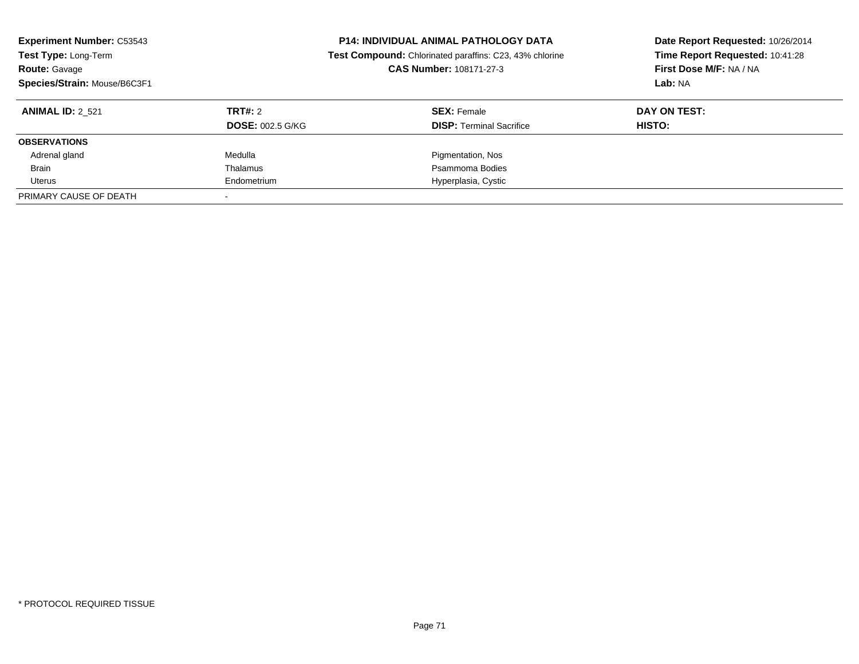| <b>Experiment Number: C53543</b><br>Test Type: Long-Term<br><b>Route: Gavage</b><br>Species/Strain: Mouse/B6C3F1 |                         | <b>P14: INDIVIDUAL ANIMAL PATHOLOGY DATA</b><br>Test Compound: Chlorinated paraffins: C23, 43% chlorine<br>CAS Number: 108171-27-3 | Date Report Requested: 10/26/2014<br>Time Report Requested: 10:41:28<br>First Dose M/F: NA / NA<br>Lab: NA |  |
|------------------------------------------------------------------------------------------------------------------|-------------------------|------------------------------------------------------------------------------------------------------------------------------------|------------------------------------------------------------------------------------------------------------|--|
| <b>ANIMAL ID: 2 521</b>                                                                                          | TRT#: 2                 | <b>SEX:</b> Female                                                                                                                 | DAY ON TEST:                                                                                               |  |
|                                                                                                                  | <b>DOSE: 002.5 G/KG</b> | <b>DISP:</b> Terminal Sacrifice                                                                                                    | HISTO:                                                                                                     |  |
| <b>OBSERVATIONS</b>                                                                                              |                         |                                                                                                                                    |                                                                                                            |  |
| Adrenal gland                                                                                                    | Medulla                 | Pigmentation, Nos                                                                                                                  |                                                                                                            |  |
| <b>Brain</b>                                                                                                     | Thalamus                | Psammoma Bodies                                                                                                                    |                                                                                                            |  |
| Uterus                                                                                                           | Endometrium             | Hyperplasia, Cystic                                                                                                                |                                                                                                            |  |
| PRIMARY CAUSE OF DEATH                                                                                           |                         |                                                                                                                                    |                                                                                                            |  |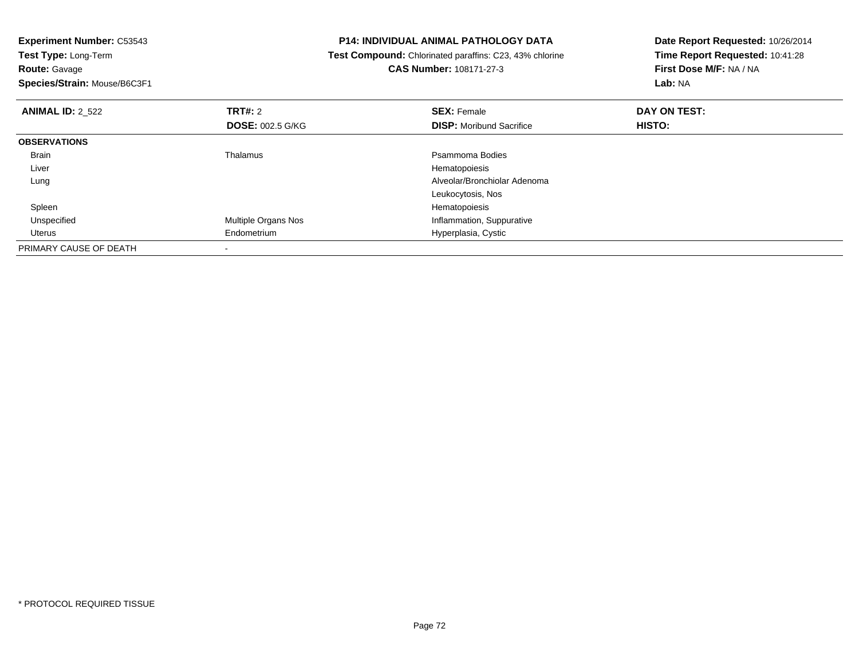| <b>Experiment Number: C53543</b>          | <b>P14: INDIVIDUAL ANIMAL PATHOLOGY DATA</b>            | Date Report Requested: 10/26/2014 |  |
|-------------------------------------------|---------------------------------------------------------|-----------------------------------|--|
| Test Type: Long-Term                      | Test Compound: Chlorinated paraffins: C23, 43% chlorine | Time Report Requested: 10:41:28   |  |
| Route: Gavage                             | <b>CAS Number: 108171-27-3</b>                          | First Dose M/F: NA / NA           |  |
| Species/Strain: Mouse/B6C3F1              |                                                         | Lab: NA                           |  |
| <b>TRT#:</b> 2<br><b>ANIMAL ID: 2 522</b> | <b>SEX: Female</b>                                      | DAY ON TEST:                      |  |
| <b>DOSE: 002.5 G/KG</b>                   | <b>DISP:</b> Moribund Sacrifice                         | <b>HISTO:</b>                     |  |
| <b>OBSERVATIONS</b>                       |                                                         |                                   |  |
| Thalamus<br>Brain                         | Psammoma Bodies                                         |                                   |  |
| Liver                                     | Hematopoiesis                                           |                                   |  |
| Lung                                      | Alveolar/Bronchiolar Adenoma                            |                                   |  |
|                                           | Leukocytosis, Nos                                       |                                   |  |
| Spleen                                    | Hematopoiesis                                           |                                   |  |
| Multiple Organs Nos<br>Unspecified        | Inflammation, Suppurative                               |                                   |  |
| Endometrium<br>Uterus                     | Hyperplasia, Cystic                                     |                                   |  |
| PRIMARY CAUSE OF DEATH                    |                                                         |                                   |  |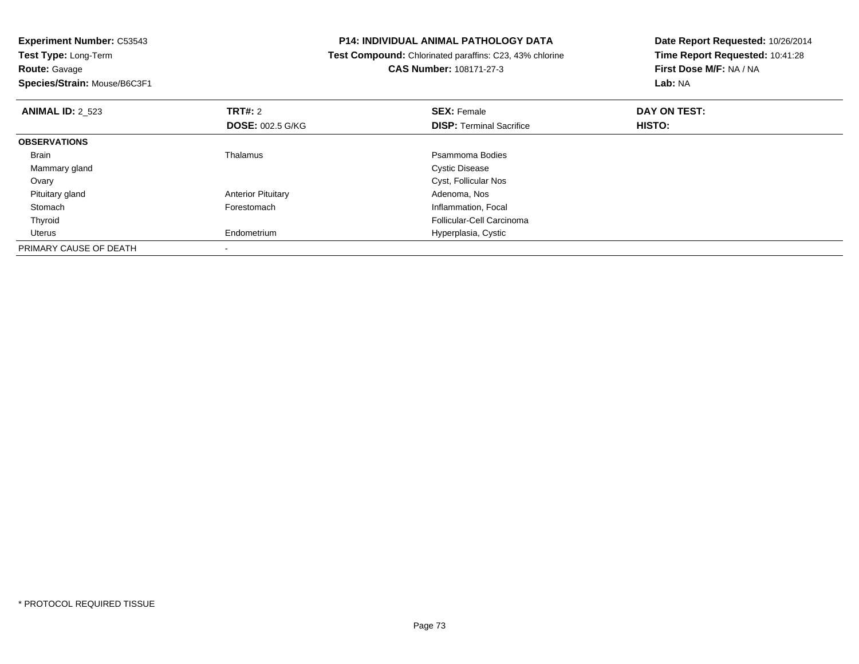**Experiment Number:** C53543**Test Type:** Long-Term**Route:** Gavage **Species/Strain:** Mouse/B6C3F1**P14: INDIVIDUAL ANIMAL PATHOLOGY DATA Test Compound:** Chlorinated paraffins: C23, 43% chlorine**CAS Number:** 108171-27-3**Date Report Requested:** 10/26/2014**Time Report Requested:** 10:41:28**First Dose M/F:** NA / NA**Lab:** NA**ANIMAL ID:** 2\_523**TRT#:** 2 **SEX:** Female **DAY ON TEST: DOSE:** 002.5 G/KG**DISP:** Terminal Sacrifice **HISTO: OBSERVATIONS** Brainn and the control of the Thalamus and the control of the Psammoma Bodies and the Psammoma Bodies of the Psammoma Bodies and the Psammoma Bodies of the Psammoma Bodies of the Psammoma Bodies of the Psammoma Bodies of the Ps Mammary glandd **Cystic Disease**  Ovary Cyst, Follicular Nos Pituitary glandAnterior Pituitary **Adenoma, Nosting Community Community** Adenoma, Nosting Prestomach Community Community Adenoma, F<br> **Adenomach** Community Community Community Community Community Community Community Community Community Co StomachInflammation, Focal Thyroid Follicular-Cell Carcinoma Uterus Endometrium Hyperplasia, Cystic PRIMARY CAUSE OF DEATH-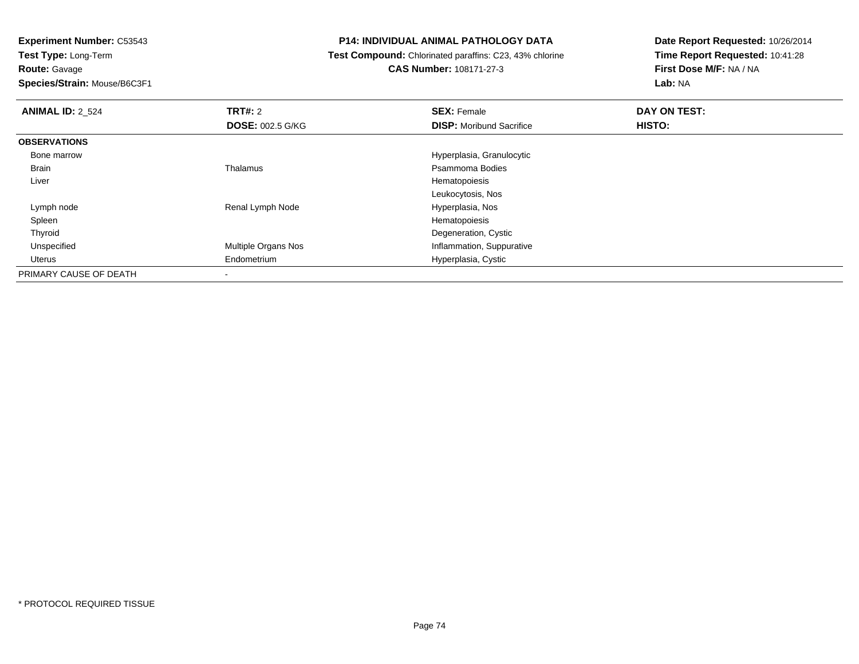**Route:** Gavage

**Species/Strain:** Mouse/B6C3F1

## **P14: INDIVIDUAL ANIMAL PATHOLOGY DATA**

 **Test Compound:** Chlorinated paraffins: C23, 43% chlorine**CAS Number:** 108171-27-3

| <b>ANIMAL ID: 2 524</b> | TRT#: 2                    | <b>SEX: Female</b>              | DAY ON TEST: |  |
|-------------------------|----------------------------|---------------------------------|--------------|--|
|                         | <b>DOSE: 002.5 G/KG</b>    | <b>DISP:</b> Moribund Sacrifice | HISTO:       |  |
| <b>OBSERVATIONS</b>     |                            |                                 |              |  |
| Bone marrow             |                            | Hyperplasia, Granulocytic       |              |  |
| Brain                   | Thalamus                   | Psammoma Bodies                 |              |  |
| Liver                   |                            | Hematopoiesis                   |              |  |
|                         |                            | Leukocytosis, Nos               |              |  |
| Lymph node              | Renal Lymph Node           | Hyperplasia, Nos                |              |  |
| Spleen                  |                            | Hematopoiesis                   |              |  |
| Thyroid                 |                            | Degeneration, Cystic            |              |  |
| Unspecified             | <b>Multiple Organs Nos</b> | Inflammation, Suppurative       |              |  |
| Uterus                  | Endometrium                | Hyperplasia, Cystic             |              |  |
| PRIMARY CAUSE OF DEATH  |                            |                                 |              |  |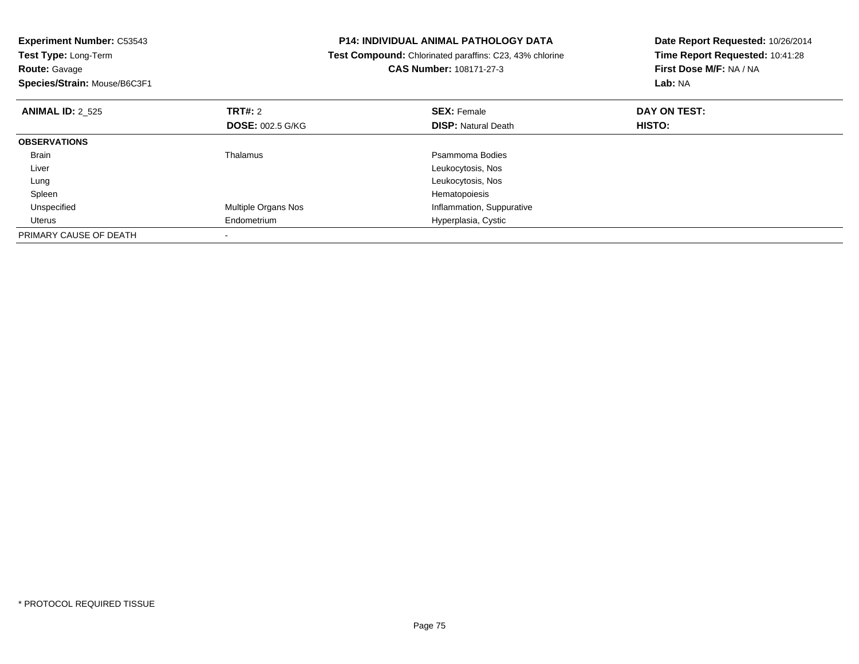| <b>Experiment Number: C53543</b><br>Test Type: Long-Term |                         | <b>P14: INDIVIDUAL ANIMAL PATHOLOGY DATA</b>            | Date Report Requested: 10/26/2014 |
|----------------------------------------------------------|-------------------------|---------------------------------------------------------|-----------------------------------|
|                                                          |                         | Test Compound: Chlorinated paraffins: C23, 43% chlorine | Time Report Requested: 10:41:28   |
| <b>Route: Gavage</b>                                     |                         | CAS Number: 108171-27-3                                 | First Dose M/F: NA / NA           |
| Species/Strain: Mouse/B6C3F1                             |                         |                                                         | Lab: NA                           |
| <b>ANIMAL ID: 2 525</b>                                  | <b>TRT#: 2</b>          | <b>SEX: Female</b>                                      | DAY ON TEST:                      |
|                                                          | <b>DOSE: 002.5 G/KG</b> | <b>DISP: Natural Death</b>                              | <b>HISTO:</b>                     |
| <b>OBSERVATIONS</b>                                      |                         |                                                         |                                   |
| Brain                                                    | Thalamus                | Psammoma Bodies                                         |                                   |
| Liver                                                    |                         | Leukocytosis, Nos                                       |                                   |
| Lung                                                     |                         | Leukocytosis, Nos                                       |                                   |
| Spleen                                                   |                         | Hematopoiesis                                           |                                   |
| Unspecified                                              | Multiple Organs Nos     | Inflammation, Suppurative                               |                                   |
| Uterus                                                   | Endometrium             | Hyperplasia, Cystic                                     |                                   |
| PRIMARY CAUSE OF DEATH                                   |                         |                                                         |                                   |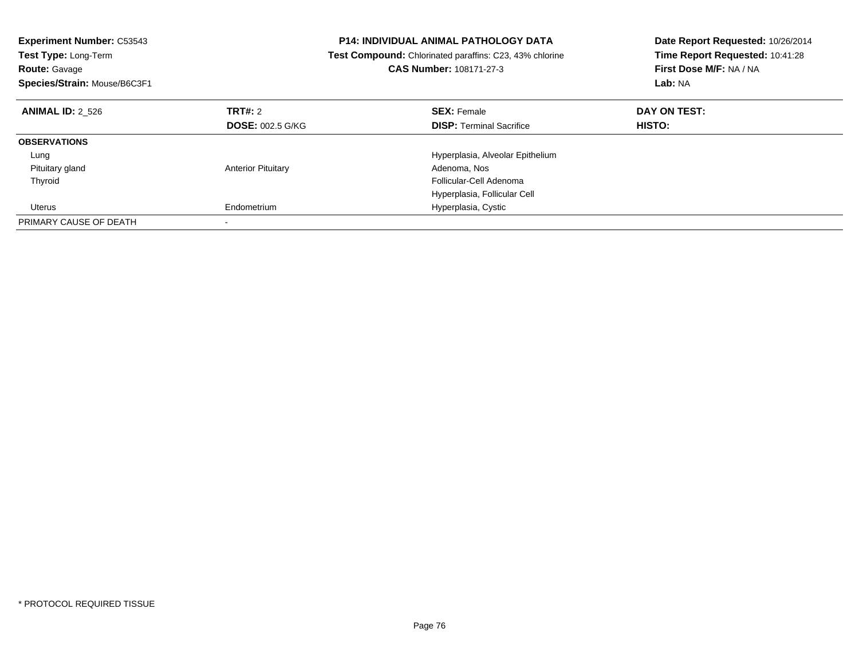| <b>Experiment Number: C53543</b><br>Test Type: Long-Term<br><b>Route: Gavage</b><br>Species/Strain: Mouse/B6C3F1 |                           | <b>P14: INDIVIDUAL ANIMAL PATHOLOGY DATA</b><br>Test Compound: Chlorinated paraffins: C23, 43% chlorine<br><b>CAS Number: 108171-27-3</b> | Date Report Requested: 10/26/2014<br>Time Report Requested: 10:41:28<br>First Dose M/F: NA / NA<br>Lab: NA |
|------------------------------------------------------------------------------------------------------------------|---------------------------|-------------------------------------------------------------------------------------------------------------------------------------------|------------------------------------------------------------------------------------------------------------|
| <b>ANIMAL ID: 2 526</b>                                                                                          | TRT#: 2                   | <b>SEX: Female</b>                                                                                                                        | DAY ON TEST:                                                                                               |
|                                                                                                                  | <b>DOSE: 002.5 G/KG</b>   | <b>DISP:</b> Terminal Sacrifice                                                                                                           | HISTO:                                                                                                     |
| <b>OBSERVATIONS</b>                                                                                              |                           |                                                                                                                                           |                                                                                                            |
| Lung                                                                                                             |                           | Hyperplasia, Alveolar Epithelium                                                                                                          |                                                                                                            |
| Pituitary gland                                                                                                  | <b>Anterior Pituitary</b> | Adenoma, Nos                                                                                                                              |                                                                                                            |
| Thyroid                                                                                                          |                           | Follicular-Cell Adenoma                                                                                                                   |                                                                                                            |
|                                                                                                                  |                           | Hyperplasia, Follicular Cell                                                                                                              |                                                                                                            |
| Uterus                                                                                                           | Endometrium               | Hyperplasia, Cystic                                                                                                                       |                                                                                                            |
| PRIMARY CAUSE OF DEATH                                                                                           |                           |                                                                                                                                           |                                                                                                            |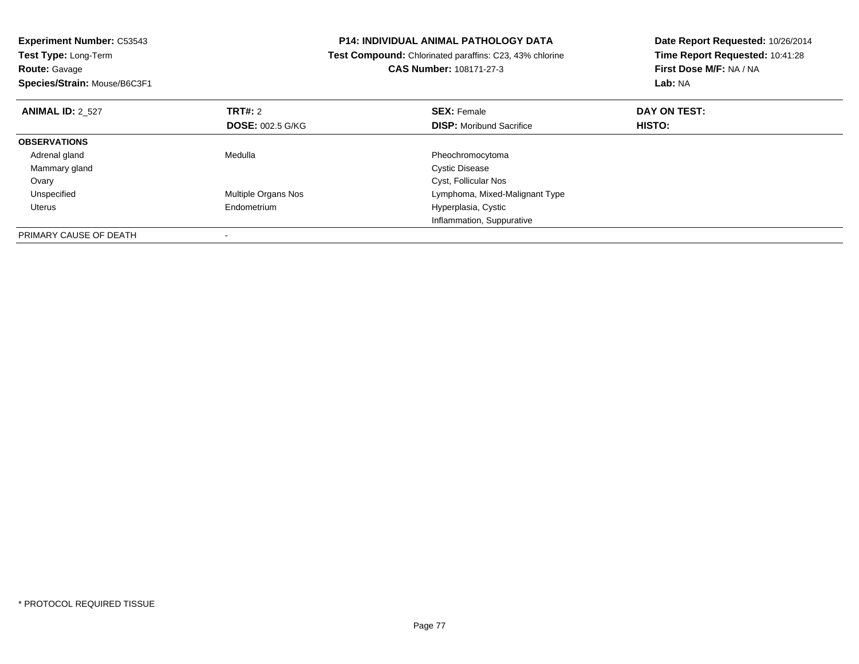| <b>Experiment Number: C53543</b><br>Test Type: Long-Term |                         | <b>P14: INDIVIDUAL ANIMAL PATHOLOGY DATA</b>            | Date Report Requested: 10/26/2014 |
|----------------------------------------------------------|-------------------------|---------------------------------------------------------|-----------------------------------|
|                                                          |                         | Test Compound: Chlorinated paraffins: C23, 43% chlorine | Time Report Requested: 10:41:28   |
| <b>Route: Gavage</b>                                     |                         | <b>CAS Number: 108171-27-3</b>                          | First Dose M/F: NA / NA           |
| Species/Strain: Mouse/B6C3F1                             |                         |                                                         | Lab: NA                           |
| <b>ANIMAL ID: 2 527</b>                                  | <b>TRT#: 2</b>          | <b>SEX: Female</b>                                      | DAY ON TEST:                      |
|                                                          | <b>DOSE: 002.5 G/KG</b> | <b>DISP:</b> Moribund Sacrifice                         | HISTO:                            |
| <b>OBSERVATIONS</b>                                      |                         |                                                         |                                   |
| Adrenal gland                                            | Medulla                 | Pheochromocytoma                                        |                                   |
| Mammary gland                                            |                         | <b>Cystic Disease</b>                                   |                                   |
| Ovary                                                    |                         | Cyst, Follicular Nos                                    |                                   |
| Unspecified                                              | Multiple Organs Nos     | Lymphoma, Mixed-Malignant Type                          |                                   |
| Uterus                                                   | Endometrium             | Hyperplasia, Cystic                                     |                                   |
|                                                          |                         | Inflammation, Suppurative                               |                                   |
| PRIMARY CAUSE OF DEATH                                   |                         |                                                         |                                   |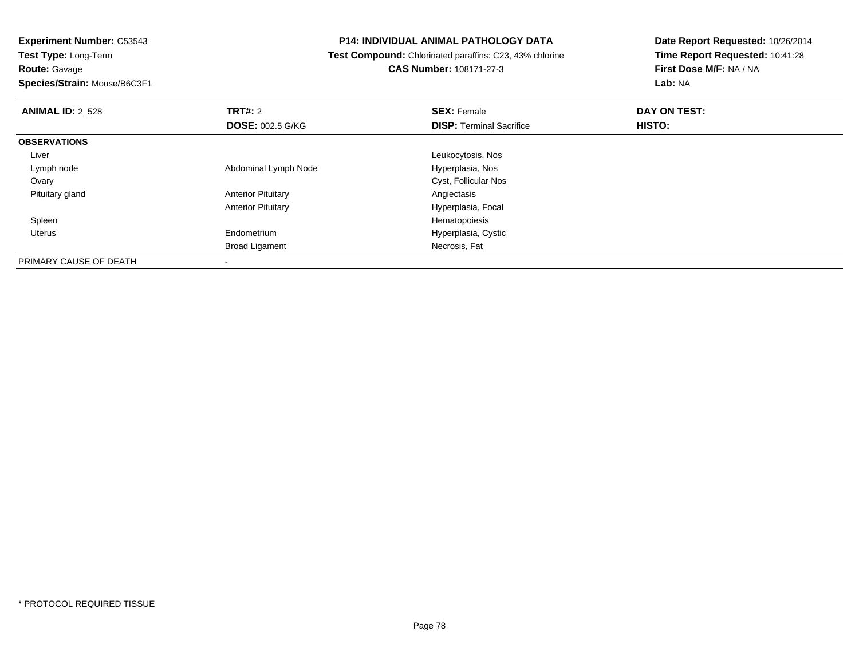**Route:** Gavage

**Species/Strain:** Mouse/B6C3F1

## **P14: INDIVIDUAL ANIMAL PATHOLOGY DATA**

 **Test Compound:** Chlorinated paraffins: C23, 43% chlorine**CAS Number:** 108171-27-3

| <b>ANIMAL ID: 2_528</b> | TRT#: 2                   | <b>SEX: Female</b>              | DAY ON TEST: |  |
|-------------------------|---------------------------|---------------------------------|--------------|--|
|                         | <b>DOSE: 002.5 G/KG</b>   | <b>DISP: Terminal Sacrifice</b> | HISTO:       |  |
| <b>OBSERVATIONS</b>     |                           |                                 |              |  |
| Liver                   |                           | Leukocytosis, Nos               |              |  |
| Lymph node              | Abdominal Lymph Node      | Hyperplasia, Nos                |              |  |
| Ovary                   |                           | Cyst, Follicular Nos            |              |  |
| Pituitary gland         | <b>Anterior Pituitary</b> | Angiectasis                     |              |  |
|                         | <b>Anterior Pituitary</b> | Hyperplasia, Focal              |              |  |
| Spleen                  |                           | Hematopoiesis                   |              |  |
| Uterus                  | Endometrium               | Hyperplasia, Cystic             |              |  |
|                         | <b>Broad Ligament</b>     | Necrosis, Fat                   |              |  |
| PRIMARY CAUSE OF DEATH  |                           |                                 |              |  |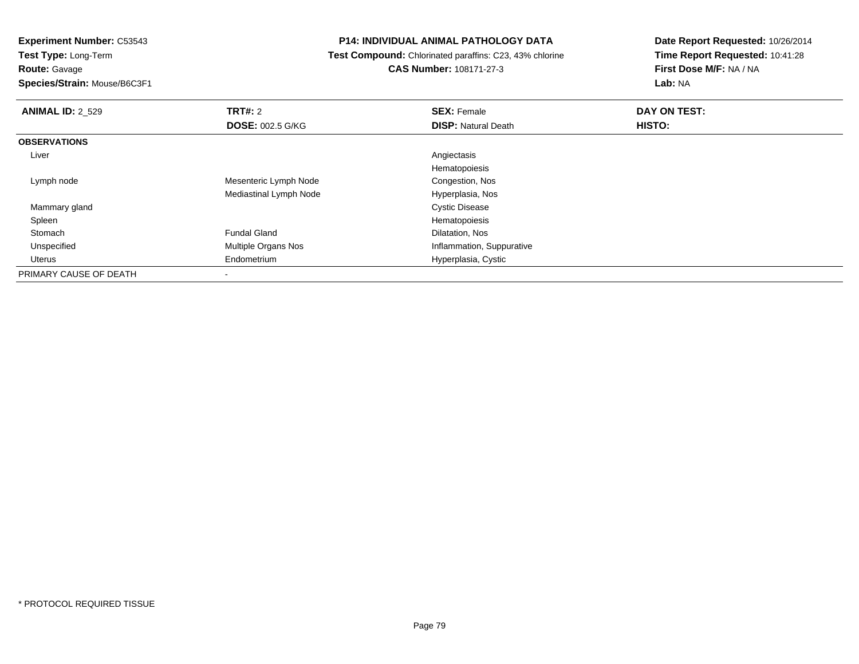**Experiment Number:** C53543

**Test Type:** Long-Term**Route:** Gavage

**Species/Strain:** Mouse/B6C3F1

## **P14: INDIVIDUAL ANIMAL PATHOLOGY DATA**

 **Test Compound:** Chlorinated paraffins: C23, 43% chlorine**CAS Number:** 108171-27-3

| <b>ANIMAL ID: 2 529</b> | <b>TRT#: 2</b>             | <b>SEX: Female</b>         | DAY ON TEST: |  |
|-------------------------|----------------------------|----------------------------|--------------|--|
|                         | <b>DOSE: 002.5 G/KG</b>    | <b>DISP: Natural Death</b> | HISTO:       |  |
| <b>OBSERVATIONS</b>     |                            |                            |              |  |
| Liver                   |                            | Angiectasis                |              |  |
|                         |                            | Hematopoiesis              |              |  |
| Lymph node              | Mesenteric Lymph Node      | Congestion, Nos            |              |  |
|                         | Mediastinal Lymph Node     | Hyperplasia, Nos           |              |  |
| Mammary gland           |                            | <b>Cystic Disease</b>      |              |  |
| Spleen                  |                            | Hematopoiesis              |              |  |
| Stomach                 | <b>Fundal Gland</b>        | Dilatation, Nos            |              |  |
| Unspecified             | <b>Multiple Organs Nos</b> | Inflammation, Suppurative  |              |  |
| Uterus                  | Endometrium                | Hyperplasia, Cystic        |              |  |
| PRIMARY CAUSE OF DEATH  |                            |                            |              |  |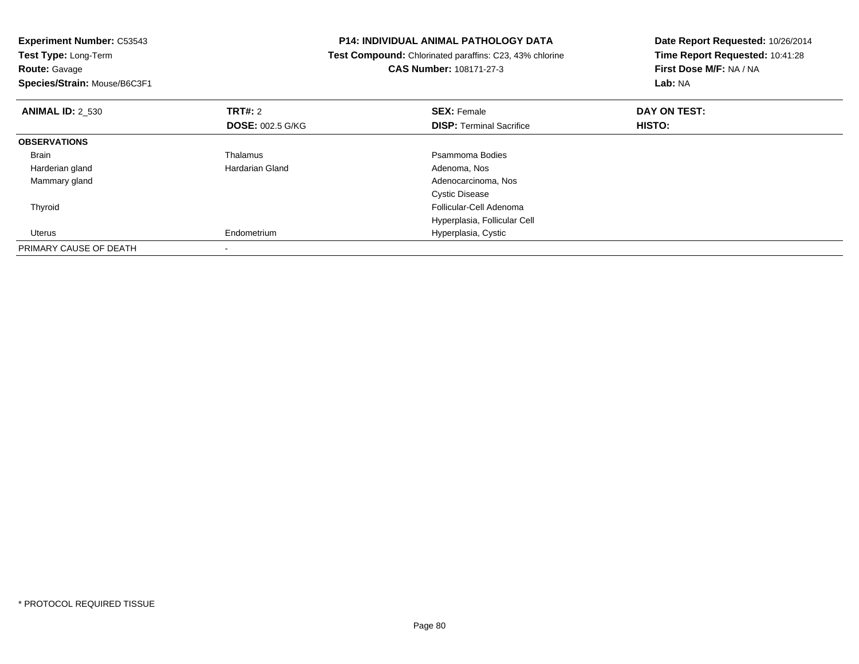| <b>Experiment Number: C53543</b><br>Test Type: Long-Term<br><b>Route: Gavage</b><br>Species/Strain: Mouse/B6C3F1 |                         | <b>P14: INDIVIDUAL ANIMAL PATHOLOGY DATA</b><br>Test Compound: Chlorinated paraffins: C23, 43% chlorine<br><b>CAS Number: 108171-27-3</b> | Date Report Requested: 10/26/2014<br>Time Report Requested: 10:41:28<br>First Dose M/F: NA / NA<br><b>Lab: NA</b> |
|------------------------------------------------------------------------------------------------------------------|-------------------------|-------------------------------------------------------------------------------------------------------------------------------------------|-------------------------------------------------------------------------------------------------------------------|
| <b>ANIMAL ID: 2 530</b>                                                                                          | TRT#: 2                 | <b>SEX: Female</b>                                                                                                                        | DAY ON TEST:                                                                                                      |
|                                                                                                                  | <b>DOSE: 002.5 G/KG</b> | <b>DISP:</b> Terminal Sacrifice                                                                                                           | HISTO:                                                                                                            |
| <b>OBSERVATIONS</b>                                                                                              |                         |                                                                                                                                           |                                                                                                                   |
| <b>Brain</b>                                                                                                     | Thalamus                | Psammoma Bodies                                                                                                                           |                                                                                                                   |
| Harderian gland                                                                                                  | Hardarian Gland         | Adenoma, Nos                                                                                                                              |                                                                                                                   |
| Mammary gland                                                                                                    |                         | Adenocarcinoma, Nos                                                                                                                       |                                                                                                                   |
|                                                                                                                  |                         | <b>Cystic Disease</b>                                                                                                                     |                                                                                                                   |
| Thyroid                                                                                                          |                         | Follicular-Cell Adenoma                                                                                                                   |                                                                                                                   |
|                                                                                                                  |                         | Hyperplasia, Follicular Cell                                                                                                              |                                                                                                                   |
| Uterus                                                                                                           | Endometrium             | Hyperplasia, Cystic                                                                                                                       |                                                                                                                   |
| PRIMARY CAUSE OF DEATH                                                                                           |                         |                                                                                                                                           |                                                                                                                   |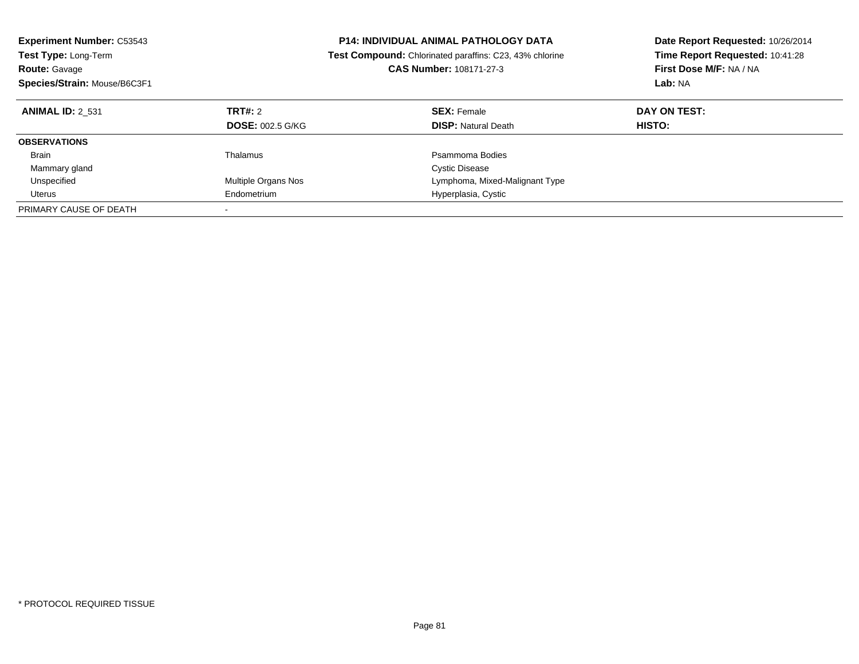| <b>Experiment Number: C53543</b><br><b>Test Type: Long-Term</b> |                         | <b>P14: INDIVIDUAL ANIMAL PATHOLOGY DATA</b>            | Date Report Requested: 10/26/2014 |  |
|-----------------------------------------------------------------|-------------------------|---------------------------------------------------------|-----------------------------------|--|
|                                                                 |                         | Test Compound: Chlorinated paraffins: C23, 43% chlorine | Time Report Requested: 10:41:28   |  |
| <b>Route: Gavage</b>                                            |                         | <b>CAS Number: 108171-27-3</b>                          | First Dose M/F: NA / NA           |  |
| Species/Strain: Mouse/B6C3F1                                    |                         |                                                         | <b>Lab: NA</b>                    |  |
| <b>ANIMAL ID: 2 531</b>                                         | TRT#: 2                 | <b>SEX: Female</b>                                      | DAY ON TEST:                      |  |
|                                                                 | <b>DOSE: 002.5 G/KG</b> | <b>DISP:</b> Natural Death                              | HISTO:                            |  |
| <b>OBSERVATIONS</b>                                             |                         |                                                         |                                   |  |
| <b>Brain</b>                                                    | Thalamus                | Psammoma Bodies                                         |                                   |  |
| Mammary gland                                                   |                         | <b>Cystic Disease</b>                                   |                                   |  |
| Unspecified                                                     | Multiple Organs Nos     | Lymphoma, Mixed-Malignant Type                          |                                   |  |
| Uterus                                                          | Endometrium             | Hyperplasia, Cystic                                     |                                   |  |
| PRIMARY CAUSE OF DEATH                                          |                         |                                                         |                                   |  |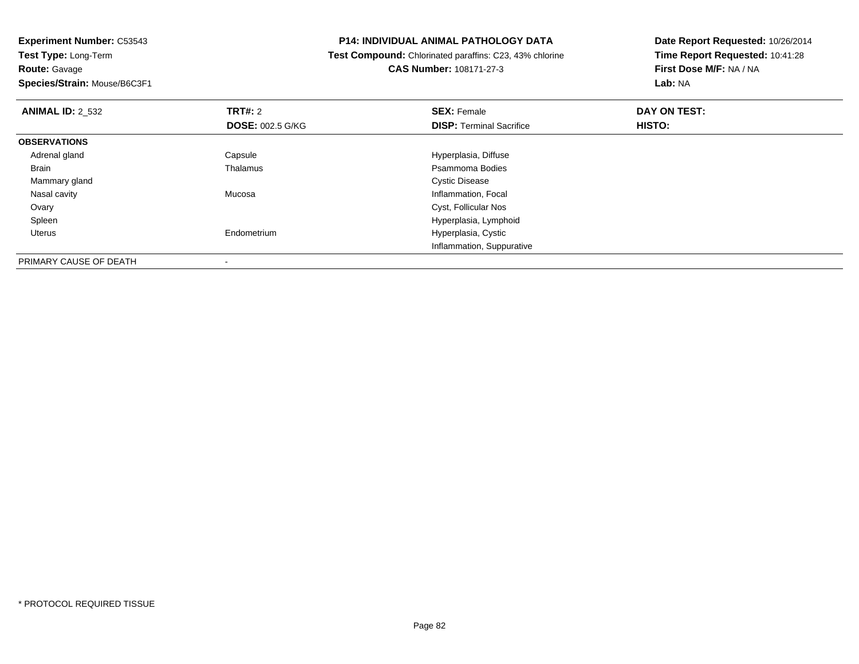**Experiment Number:** C53543**Test Type:** Long-Term**Route:** Gavage

**Species/Strain:** Mouse/B6C3F1

-

#### **P14: INDIVIDUAL ANIMAL PATHOLOGY DATA**

 **Test Compound:** Chlorinated paraffins: C23, 43% chlorine**CAS Number:** 108171-27-3

| <b>ANIMAL ID: 2_532</b> | TRT#: 2                 | <b>SEX: Female</b>              | DAY ON TEST: |  |
|-------------------------|-------------------------|---------------------------------|--------------|--|
|                         | <b>DOSE: 002.5 G/KG</b> | <b>DISP: Terminal Sacrifice</b> | HISTO:       |  |
| <b>OBSERVATIONS</b>     |                         |                                 |              |  |
| Adrenal gland           | Capsule                 | Hyperplasia, Diffuse            |              |  |
| Brain                   | Thalamus                | Psammoma Bodies                 |              |  |
| Mammary gland           |                         | <b>Cystic Disease</b>           |              |  |
| Nasal cavity            | Mucosa                  | Inflammation, Focal             |              |  |
| Ovary                   |                         | Cyst, Follicular Nos            |              |  |
| Spleen                  |                         | Hyperplasia, Lymphoid           |              |  |
| Uterus                  | Endometrium             | Hyperplasia, Cystic             |              |  |
|                         |                         | Inflammation, Suppurative       |              |  |
| PRIMARY CAUSE OF DEATH  |                         |                                 |              |  |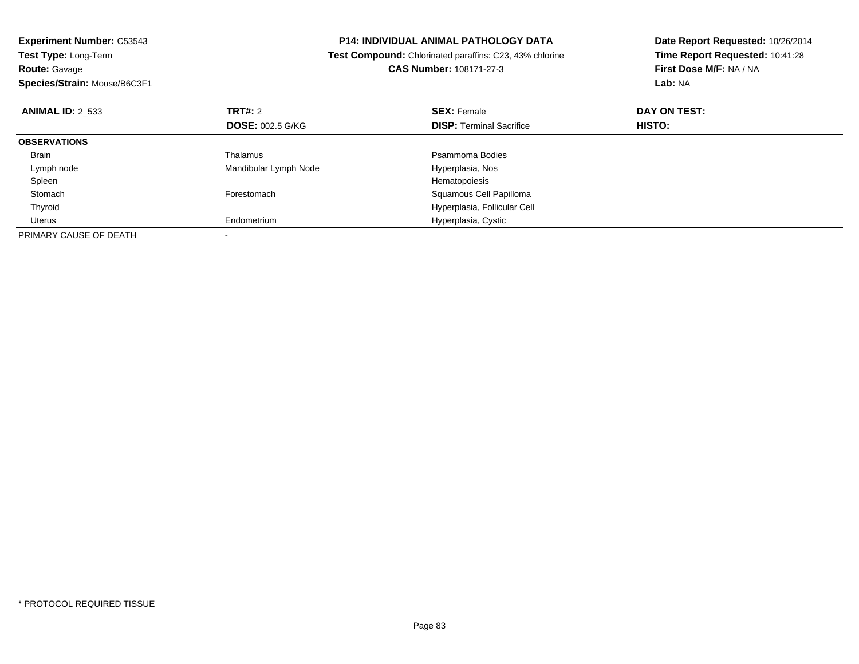| <b>Experiment Number: C53543</b>                       |                         | <b>P14: INDIVIDUAL ANIMAL PATHOLOGY DATA</b>                   | Date Report Requested: 10/26/2014 |  |
|--------------------------------------------------------|-------------------------|----------------------------------------------------------------|-----------------------------------|--|
| Test Type: Long-Term                                   |                         | <b>Test Compound:</b> Chlorinated paraffins: C23, 43% chlorine | Time Report Requested: 10:41:28   |  |
| <b>CAS Number: 108171-27-3</b><br><b>Route: Gavage</b> |                         |                                                                | First Dose M/F: NA / NA           |  |
| Species/Strain: Mouse/B6C3F1                           |                         |                                                                | Lab: NA                           |  |
| <b>ANIMAL ID: 2 533</b>                                | <b>TRT#: 2</b>          | <b>SEX: Female</b>                                             | DAY ON TEST:                      |  |
|                                                        | <b>DOSE: 002.5 G/KG</b> | <b>DISP: Terminal Sacrifice</b>                                | HISTO:                            |  |
| <b>OBSERVATIONS</b>                                    |                         |                                                                |                                   |  |
| Brain                                                  | Thalamus                | Psammoma Bodies                                                |                                   |  |
| Lymph node                                             | Mandibular Lymph Node   | Hyperplasia, Nos                                               |                                   |  |
| Spleen                                                 |                         | Hematopoiesis                                                  |                                   |  |
| Stomach                                                | Forestomach             | Squamous Cell Papilloma                                        |                                   |  |
| Thyroid                                                |                         | Hyperplasia, Follicular Cell                                   |                                   |  |
| Uterus                                                 | Endometrium             | Hyperplasia, Cystic                                            |                                   |  |
| PRIMARY CAUSE OF DEATH                                 |                         |                                                                |                                   |  |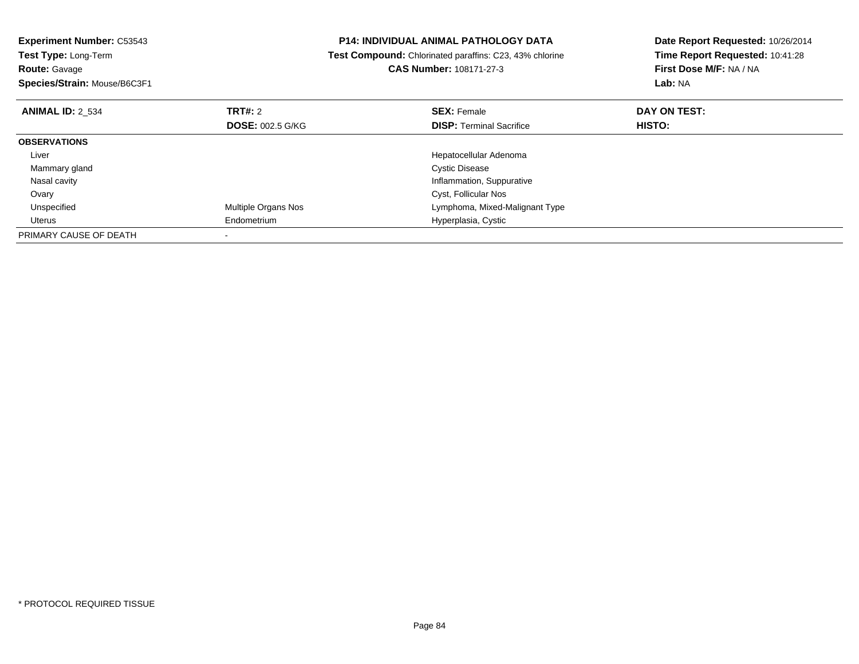| <b>Experiment Number: C53543</b><br><b>Test Type: Long-Term</b> |                            | <b>P14: INDIVIDUAL ANIMAL PATHOLOGY DATA</b>            | Date Report Requested: 10/26/2014 |
|-----------------------------------------------------------------|----------------------------|---------------------------------------------------------|-----------------------------------|
|                                                                 |                            | Test Compound: Chlorinated paraffins: C23, 43% chlorine | Time Report Requested: 10:41:28   |
| <b>Route: Gavage</b>                                            |                            | CAS Number: 108171-27-3                                 | First Dose M/F: NA / NA           |
| Species/Strain: Mouse/B6C3F1                                    |                            |                                                         | Lab: NA                           |
| <b>ANIMAL ID: 2 534</b>                                         | <b>TRT#:</b> 2             | <b>SEX: Female</b>                                      | DAY ON TEST:                      |
|                                                                 | <b>DOSE: 002.5 G/KG</b>    | <b>DISP:</b> Terminal Sacrifice                         | <b>HISTO:</b>                     |
| <b>OBSERVATIONS</b>                                             |                            |                                                         |                                   |
| Liver                                                           |                            | Hepatocellular Adenoma                                  |                                   |
| Mammary gland                                                   |                            | <b>Cystic Disease</b>                                   |                                   |
| Nasal cavity                                                    |                            | Inflammation, Suppurative                               |                                   |
| Ovary                                                           |                            | Cyst, Follicular Nos                                    |                                   |
| Unspecified                                                     | <b>Multiple Organs Nos</b> | Lymphoma, Mixed-Malignant Type                          |                                   |
| Uterus                                                          | Endometrium                | Hyperplasia, Cystic                                     |                                   |
| PRIMARY CAUSE OF DEATH                                          |                            |                                                         |                                   |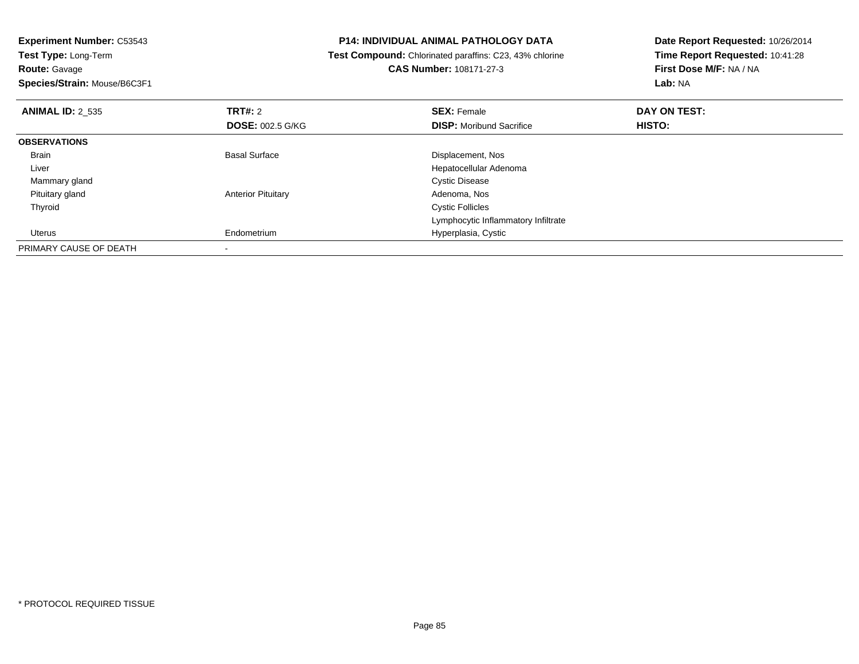| <b>Experiment Number: C53543</b>             | <b>P14: INDIVIDUAL ANIMAL PATHOLOGY DATA</b>            | Date Report Requested: 10/26/2014<br>Time Report Requested: 10:41:28 |  |
|----------------------------------------------|---------------------------------------------------------|----------------------------------------------------------------------|--|
| Test Type: Long-Term                         | Test Compound: Chlorinated paraffins: C23, 43% chlorine |                                                                      |  |
| Route: Gavage                                | <b>CAS Number: 108171-27-3</b>                          | First Dose M/F: NA / NA                                              |  |
| Species/Strain: Mouse/B6C3F1                 |                                                         | Lab: NA                                                              |  |
| <b>TRT#: 2</b><br><b>ANIMAL ID: 2 535</b>    | <b>SEX: Female</b>                                      | DAY ON TEST:                                                         |  |
| <b>DOSE: 002.5 G/KG</b>                      | <b>DISP:</b> Moribund Sacrifice                         | <b>HISTO:</b>                                                        |  |
| <b>OBSERVATIONS</b>                          |                                                         |                                                                      |  |
| <b>Basal Surface</b><br>Brain                | Displacement, Nos                                       |                                                                      |  |
| Liver                                        | Hepatocellular Adenoma                                  |                                                                      |  |
| Mammary gland                                | <b>Cystic Disease</b>                                   |                                                                      |  |
| <b>Anterior Pituitary</b><br>Pituitary gland | Adenoma, Nos                                            |                                                                      |  |
| Thyroid                                      | <b>Cystic Follicles</b>                                 |                                                                      |  |
|                                              | Lymphocytic Inflammatory Infiltrate                     |                                                                      |  |
| Endometrium<br>Uterus                        | Hyperplasia, Cystic                                     |                                                                      |  |
| PRIMARY CAUSE OF DEATH                       |                                                         |                                                                      |  |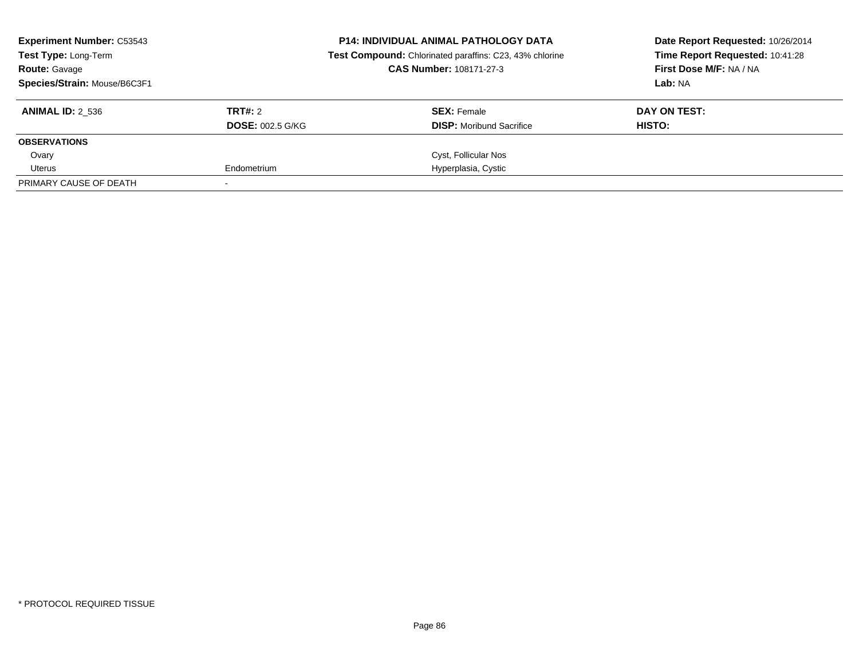| <b>Experiment Number: C53543</b><br>Test Type: Long-Term<br><b>Route: Gavage</b><br>Species/Strain: Mouse/B6C3F1 |                                    | <b>P14: INDIVIDUAL ANIMAL PATHOLOGY DATA</b><br>Test Compound: Chlorinated paraffins: C23, 43% chlorine<br>CAS Number: 108171-27-3 | Date Report Requested: 10/26/2014<br>Time Report Requested: 10:41:28<br>First Dose M/F: NA / NA<br>Lab: NA |  |
|------------------------------------------------------------------------------------------------------------------|------------------------------------|------------------------------------------------------------------------------------------------------------------------------------|------------------------------------------------------------------------------------------------------------|--|
| <b>ANIMAL ID: 2 536</b>                                                                                          | TRT#: 2<br><b>DOSE: 002.5 G/KG</b> | <b>SEX:</b> Female<br><b>DISP:</b> Moribund Sacrifice                                                                              | DAY ON TEST:<br>HISTO:                                                                                     |  |
| <b>OBSERVATIONS</b>                                                                                              |                                    |                                                                                                                                    |                                                                                                            |  |
| Ovary                                                                                                            |                                    | Cyst, Follicular Nos                                                                                                               |                                                                                                            |  |
| Uterus                                                                                                           | Endometrium                        | Hyperplasia, Cystic                                                                                                                |                                                                                                            |  |
| PRIMARY CAUSE OF DEATH                                                                                           |                                    |                                                                                                                                    |                                                                                                            |  |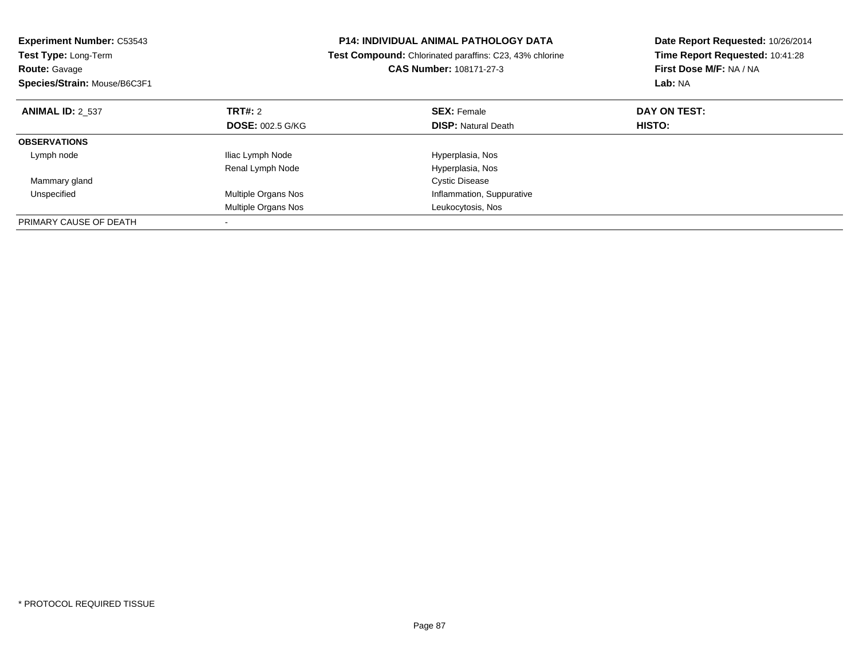| <b>Experiment Number: C53543</b><br><b>Test Type: Long-Term</b> |                         | <b>P14: INDIVIDUAL ANIMAL PATHOLOGY DATA</b>            | Date Report Requested: 10/26/2014 |
|-----------------------------------------------------------------|-------------------------|---------------------------------------------------------|-----------------------------------|
|                                                                 |                         | Test Compound: Chlorinated paraffins: C23, 43% chlorine | Time Report Requested: 10:41:28   |
| <b>Route: Gavage</b>                                            |                         | CAS Number: 108171-27-3                                 | First Dose M/F: NA / NA           |
| Species/Strain: Mouse/B6C3F1                                    |                         |                                                         | Lab: NA                           |
| <b>ANIMAL ID: 2 537</b>                                         | TRT#: 2                 | <b>SEX: Female</b>                                      | DAY ON TEST:                      |
|                                                                 | <b>DOSE: 002.5 G/KG</b> | <b>DISP: Natural Death</b>                              | HISTO:                            |
| <b>OBSERVATIONS</b>                                             |                         |                                                         |                                   |
| Lymph node                                                      | Iliac Lymph Node        | Hyperplasia, Nos                                        |                                   |
|                                                                 | Renal Lymph Node        | Hyperplasia, Nos                                        |                                   |
| Mammary gland                                                   |                         | <b>Cystic Disease</b>                                   |                                   |
| Unspecified                                                     | Multiple Organs Nos     | Inflammation, Suppurative                               |                                   |
|                                                                 | Multiple Organs Nos     | Leukocytosis, Nos                                       |                                   |
| PRIMARY CAUSE OF DEATH                                          |                         |                                                         |                                   |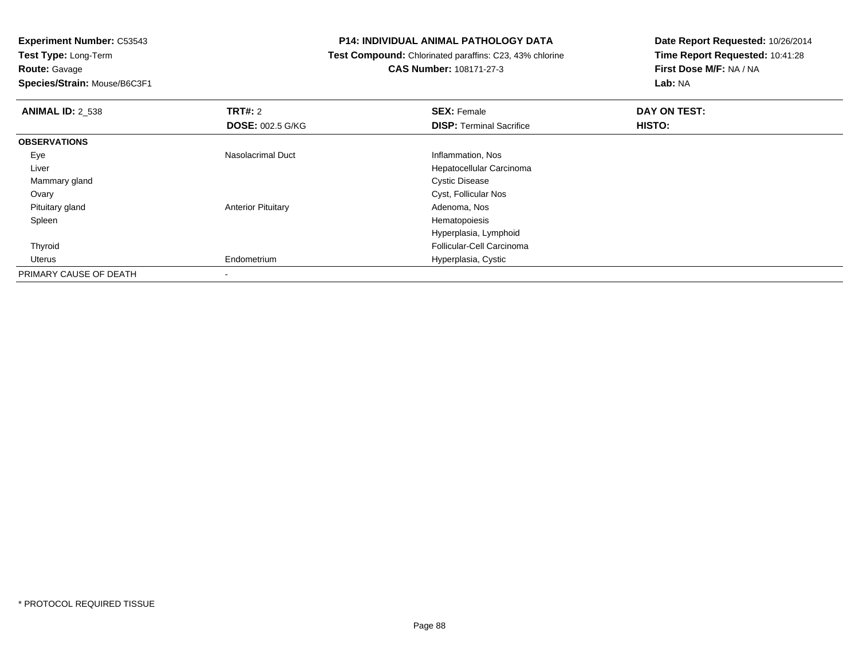**Experiment Number:** C53543**Test Type:** Long-Term**Route:** Gavage

**Species/Strain:** Mouse/B6C3F1

#### **P14: INDIVIDUAL ANIMAL PATHOLOGY DATA**

 **Test Compound:** Chlorinated paraffins: C23, 43% chlorine**CAS Number:** 108171-27-3

| <b>ANIMAL ID: 2_538</b> | TRT#: 2                   | <b>SEX: Female</b>              | DAY ON TEST:  |  |
|-------------------------|---------------------------|---------------------------------|---------------|--|
|                         | <b>DOSE: 002.5 G/KG</b>   | <b>DISP: Terminal Sacrifice</b> | <b>HISTO:</b> |  |
| <b>OBSERVATIONS</b>     |                           |                                 |               |  |
| Eye                     | <b>Nasolacrimal Duct</b>  | Inflammation, Nos               |               |  |
| Liver                   |                           | Hepatocellular Carcinoma        |               |  |
| Mammary gland           |                           | <b>Cystic Disease</b>           |               |  |
| Ovary                   |                           | Cyst, Follicular Nos            |               |  |
| Pituitary gland         | <b>Anterior Pituitary</b> | Adenoma, Nos                    |               |  |
| Spleen                  |                           | Hematopoiesis                   |               |  |
|                         |                           | Hyperplasia, Lymphoid           |               |  |
| Thyroid                 |                           | Follicular-Cell Carcinoma       |               |  |
| Uterus                  | Endometrium               | Hyperplasia, Cystic             |               |  |
| PRIMARY CAUSE OF DEATH  |                           |                                 |               |  |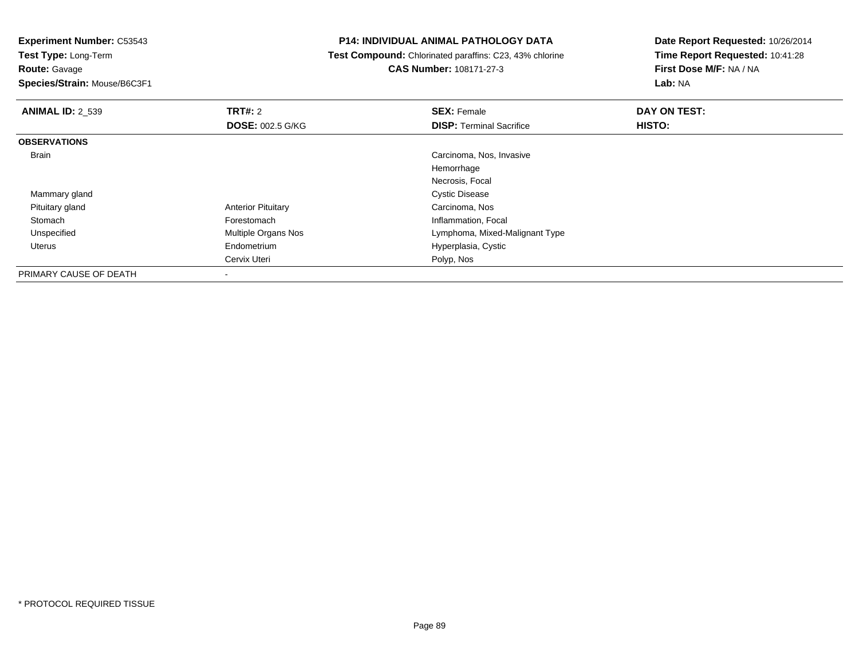# **Route:** Gavage

**Species/Strain:** Mouse/B6C3F1

# **P14: INDIVIDUAL ANIMAL PATHOLOGY DATA**

 **Test Compound:** Chlorinated paraffins: C23, 43% chlorine**CAS Number:** 108171-27-3

| <b>ANIMAL ID: 2_539</b> | TRT#: 2                   | <b>SEX: Female</b>              | DAY ON TEST: |  |
|-------------------------|---------------------------|---------------------------------|--------------|--|
|                         | <b>DOSE: 002.5 G/KG</b>   | <b>DISP: Terminal Sacrifice</b> | HISTO:       |  |
| <b>OBSERVATIONS</b>     |                           |                                 |              |  |
| Brain                   |                           | Carcinoma, Nos, Invasive        |              |  |
|                         |                           | Hemorrhage                      |              |  |
|                         |                           | Necrosis, Focal                 |              |  |
| Mammary gland           |                           | <b>Cystic Disease</b>           |              |  |
| Pituitary gland         | <b>Anterior Pituitary</b> | Carcinoma, Nos                  |              |  |
| Stomach                 | Forestomach               | Inflammation, Focal             |              |  |
| Unspecified             | Multiple Organs Nos       | Lymphoma, Mixed-Malignant Type  |              |  |
| Uterus                  | Endometrium               | Hyperplasia, Cystic             |              |  |
|                         | Cervix Uteri              | Polyp, Nos                      |              |  |
| PRIMARY CAUSE OF DEATH  | $\overline{\phantom{a}}$  |                                 |              |  |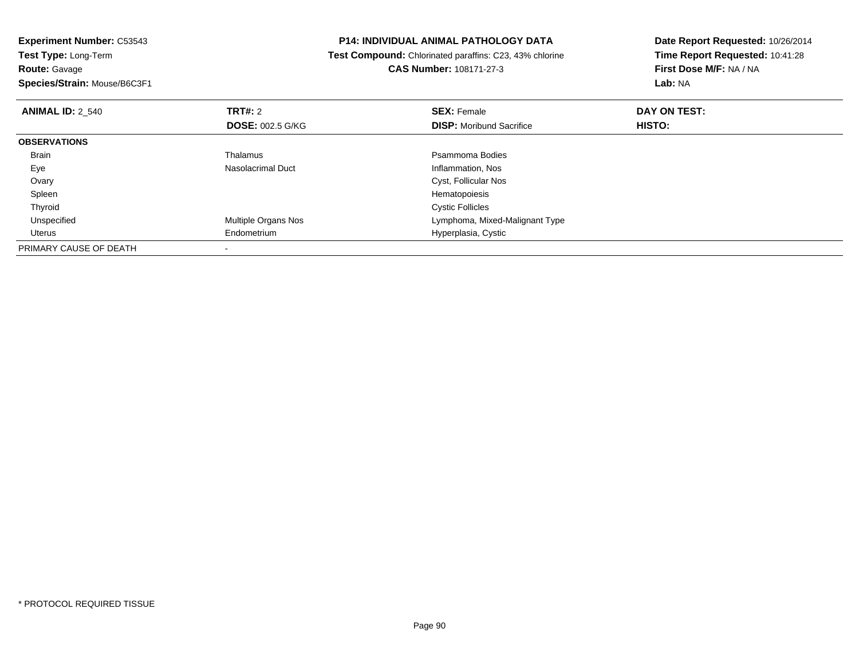| <b>Experiment Number: C53543</b>          | <b>P14: INDIVIDUAL ANIMAL PATHOLOGY DATA</b>            | Date Report Requested: 10/26/2014 |  |
|-------------------------------------------|---------------------------------------------------------|-----------------------------------|--|
| Test Type: Long-Term                      | Test Compound: Chlorinated paraffins: C23, 43% chlorine | Time Report Requested: 10:41:28   |  |
| Route: Gavage                             | <b>CAS Number: 108171-27-3</b>                          | First Dose M/F: NA / NA           |  |
| Species/Strain: Mouse/B6C3F1              |                                                         | Lab: NA                           |  |
| <b>TRT#: 2</b><br><b>ANIMAL ID: 2 540</b> | <b>SEX: Female</b>                                      | DAY ON TEST:                      |  |
| <b>DOSE: 002.5 G/KG</b>                   | <b>DISP:</b> Moribund Sacrifice                         | <b>HISTO:</b>                     |  |
| <b>OBSERVATIONS</b>                       |                                                         |                                   |  |
| Thalamus<br>Brain                         | Psammoma Bodies                                         |                                   |  |
| <b>Nasolacrimal Duct</b><br>Eye           | Inflammation, Nos                                       |                                   |  |
| Ovary                                     | Cyst, Follicular Nos                                    |                                   |  |
| Spleen                                    | Hematopoiesis                                           |                                   |  |
| Thyroid                                   | <b>Cystic Follicles</b>                                 |                                   |  |
| Multiple Organs Nos<br>Unspecified        | Lymphoma, Mixed-Malignant Type                          |                                   |  |
| Endometrium<br>Uterus                     | Hyperplasia, Cystic                                     |                                   |  |
| PRIMARY CAUSE OF DEATH                    |                                                         |                                   |  |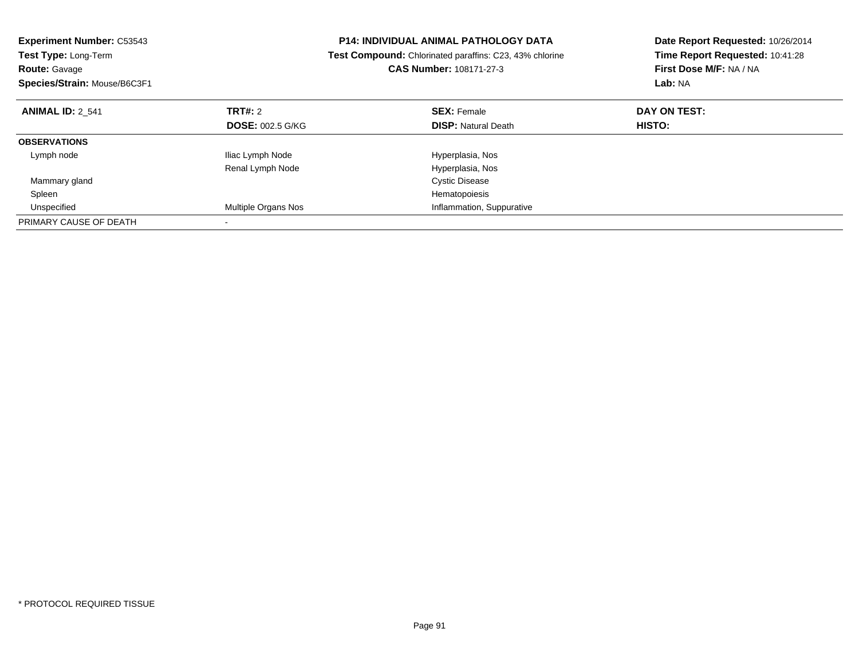| <b>Experiment Number: C53543</b><br>Test Type: Long-Term<br><b>Route: Gavage</b><br>Species/Strain: Mouse/B6C3F1 |                         | <b>P14: INDIVIDUAL ANIMAL PATHOLOGY DATA</b><br>Test Compound: Chlorinated paraffins: C23, 43% chlorine<br>CAS Number: 108171-27-3 | Date Report Requested: 10/26/2014<br>Time Report Requested: 10:41:28<br>First Dose M/F: NA / NA |  |
|------------------------------------------------------------------------------------------------------------------|-------------------------|------------------------------------------------------------------------------------------------------------------------------------|-------------------------------------------------------------------------------------------------|--|
|                                                                                                                  |                         |                                                                                                                                    | Lab: NA                                                                                         |  |
| <b>ANIMAL ID: 2 541</b>                                                                                          | <b>TRT#: 2</b>          | <b>SEX: Female</b>                                                                                                                 | DAY ON TEST:                                                                                    |  |
|                                                                                                                  | <b>DOSE: 002.5 G/KG</b> | <b>DISP: Natural Death</b>                                                                                                         | HISTO:                                                                                          |  |
| <b>OBSERVATIONS</b>                                                                                              |                         |                                                                                                                                    |                                                                                                 |  |
| Lymph node                                                                                                       | Iliac Lymph Node        | Hyperplasia, Nos                                                                                                                   |                                                                                                 |  |
|                                                                                                                  | Renal Lymph Node        | Hyperplasia, Nos                                                                                                                   |                                                                                                 |  |
| Mammary gland                                                                                                    |                         | <b>Cystic Disease</b>                                                                                                              |                                                                                                 |  |
| Spleen                                                                                                           |                         | Hematopoiesis                                                                                                                      |                                                                                                 |  |
| Unspecified                                                                                                      | Multiple Organs Nos     | Inflammation, Suppurative                                                                                                          |                                                                                                 |  |
| PRIMARY CAUSE OF DEATH                                                                                           |                         |                                                                                                                                    |                                                                                                 |  |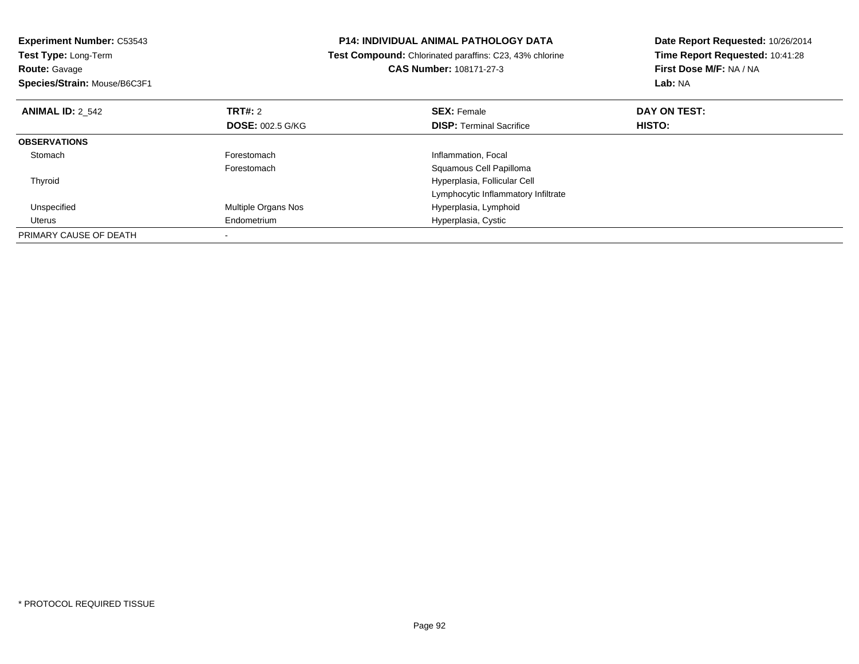| <b>Experiment Number: C53543</b><br>Test Type: Long-Term<br><b>Route: Gavage</b><br>Species/Strain: Mouse/B6C3F1 |                         | <b>P14: INDIVIDUAL ANIMAL PATHOLOGY DATA</b><br>Test Compound: Chlorinated paraffins: C23, 43% chlorine<br>CAS Number: 108171-27-3 | Date Report Requested: 10/26/2014<br>Time Report Requested: 10:41:28<br>First Dose M/F: NA / NA<br>Lab: NA |  |
|------------------------------------------------------------------------------------------------------------------|-------------------------|------------------------------------------------------------------------------------------------------------------------------------|------------------------------------------------------------------------------------------------------------|--|
| <b>ANIMAL ID: 2 542</b>                                                                                          | TRT#: 2                 | <b>SEX: Female</b>                                                                                                                 | DAY ON TEST:                                                                                               |  |
|                                                                                                                  | <b>DOSE: 002.5 G/KG</b> | <b>DISP:</b> Terminal Sacrifice                                                                                                    | HISTO:                                                                                                     |  |
| <b>OBSERVATIONS</b>                                                                                              |                         |                                                                                                                                    |                                                                                                            |  |
| Stomach                                                                                                          | Forestomach             | Inflammation, Focal                                                                                                                |                                                                                                            |  |
|                                                                                                                  | Forestomach             | Squamous Cell Papilloma                                                                                                            |                                                                                                            |  |
| Thyroid                                                                                                          |                         | Hyperplasia, Follicular Cell                                                                                                       |                                                                                                            |  |
|                                                                                                                  |                         | Lymphocytic Inflammatory Infiltrate                                                                                                |                                                                                                            |  |
| Unspecified                                                                                                      | Multiple Organs Nos     | Hyperplasia, Lymphoid                                                                                                              |                                                                                                            |  |
| Uterus                                                                                                           | Endometrium             | Hyperplasia, Cystic                                                                                                                |                                                                                                            |  |
| PRIMARY CAUSE OF DEATH                                                                                           |                         |                                                                                                                                    |                                                                                                            |  |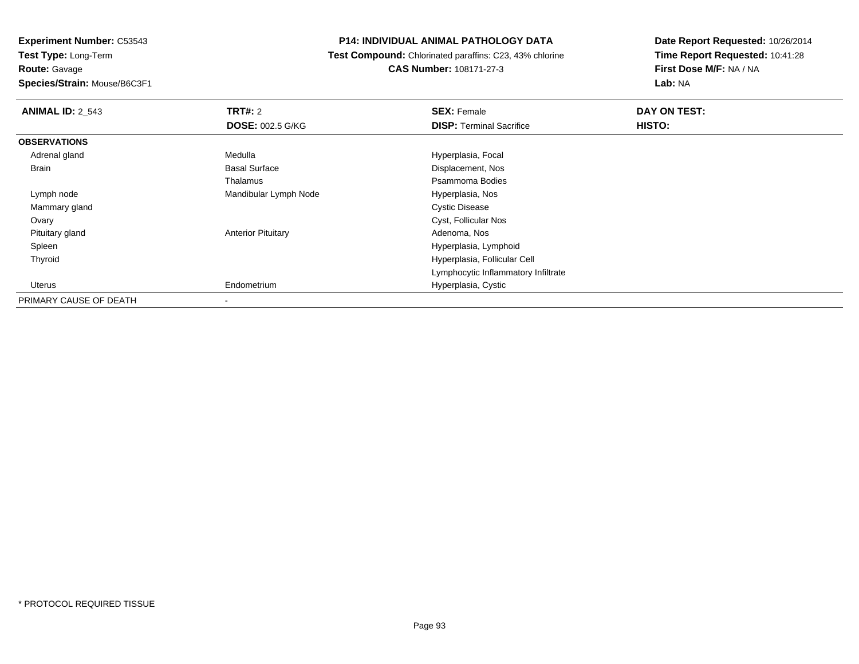**Route:** Gavage

**Species/Strain:** Mouse/B6C3F1

## **P14: INDIVIDUAL ANIMAL PATHOLOGY DATA**

 **Test Compound:** Chlorinated paraffins: C23, 43% chlorine**CAS Number:** 108171-27-3

| <b>ANIMAL ID: 2 543</b> | <b>TRT#: 2</b>            | <b>SEX: Female</b>                  | DAY ON TEST: |  |
|-------------------------|---------------------------|-------------------------------------|--------------|--|
|                         | <b>DOSE: 002.5 G/KG</b>   | <b>DISP: Terminal Sacrifice</b>     | HISTO:       |  |
| <b>OBSERVATIONS</b>     |                           |                                     |              |  |
| Adrenal gland           | Medulla                   | Hyperplasia, Focal                  |              |  |
| Brain                   | <b>Basal Surface</b>      | Displacement, Nos                   |              |  |
|                         | Thalamus                  | Psammoma Bodies                     |              |  |
| Lymph node              | Mandibular Lymph Node     | Hyperplasia, Nos                    |              |  |
| Mammary gland           |                           | <b>Cystic Disease</b>               |              |  |
| Ovary                   |                           | Cyst, Follicular Nos                |              |  |
| Pituitary gland         | <b>Anterior Pituitary</b> | Adenoma, Nos                        |              |  |
| Spleen                  |                           | Hyperplasia, Lymphoid               |              |  |
| Thyroid                 |                           | Hyperplasia, Follicular Cell        |              |  |
|                         |                           | Lymphocytic Inflammatory Infiltrate |              |  |
| Uterus                  | Endometrium               | Hyperplasia, Cystic                 |              |  |
| PRIMARY CAUSE OF DEATH  |                           |                                     |              |  |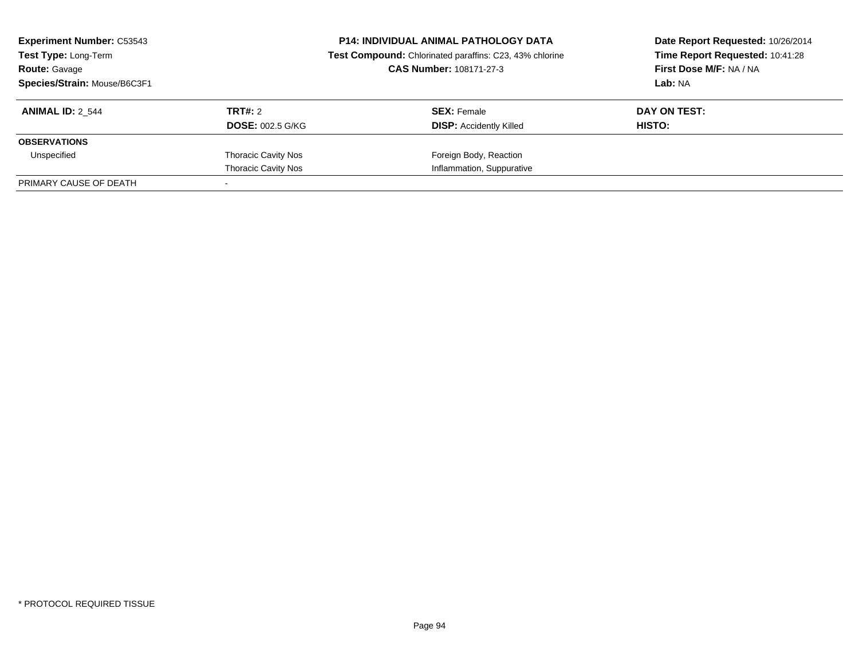| <b>Experiment Number: C53543</b><br><b>Test Type: Long-Term</b><br><b>Route: Gavage</b><br>Species/Strain: Mouse/B6C3F1 |                                    | <b>P14: INDIVIDUAL ANIMAL PATHOLOGY DATA</b><br>Test Compound: Chlorinated paraffins: C23, 43% chlorine<br>CAS Number: 108171-27-3 | Date Report Requested: 10/26/2014<br>Time Report Requested: 10:41:28<br>First Dose M/F: NA / NA<br>Lab: NA |  |
|-------------------------------------------------------------------------------------------------------------------------|------------------------------------|------------------------------------------------------------------------------------------------------------------------------------|------------------------------------------------------------------------------------------------------------|--|
| <b>ANIMAL ID: 2 544</b>                                                                                                 | TRT#: 2<br><b>DOSE: 002.5 G/KG</b> | <b>SEX: Female</b><br><b>DISP:</b> Accidently Killed                                                                               | DAY ON TEST:<br>HISTO:                                                                                     |  |
| <b>OBSERVATIONS</b>                                                                                                     |                                    |                                                                                                                                    |                                                                                                            |  |
| Unspecified                                                                                                             | <b>Thoracic Cavity Nos</b>         | Foreign Body, Reaction                                                                                                             |                                                                                                            |  |
|                                                                                                                         | <b>Thoracic Cavity Nos</b>         | Inflammation, Suppurative                                                                                                          |                                                                                                            |  |
| PRIMARY CAUSE OF DEATH                                                                                                  |                                    |                                                                                                                                    |                                                                                                            |  |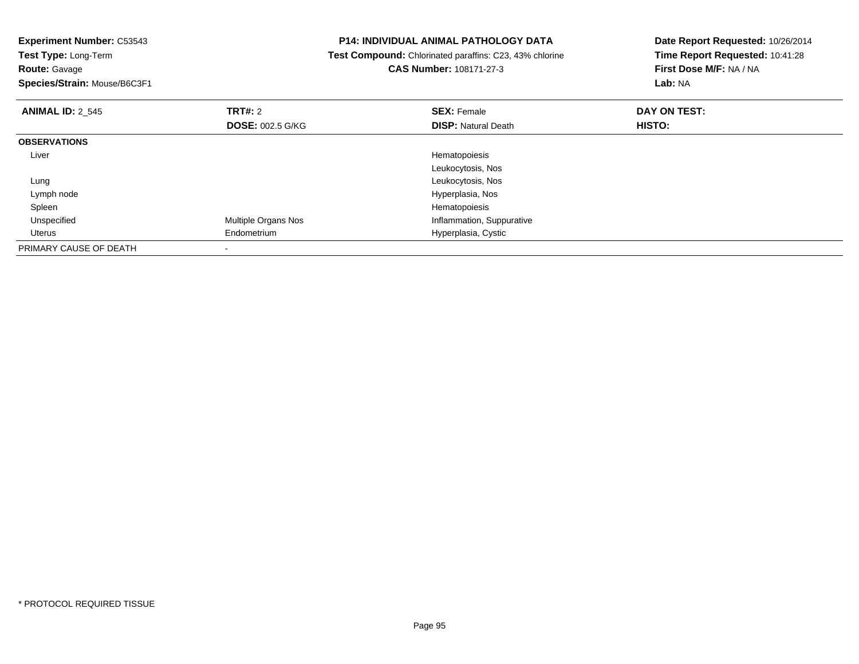| <b>Experiment Number: C53543</b><br>Test Type: Long-Term |                         | <b>P14: INDIVIDUAL ANIMAL PATHOLOGY DATA</b>            | Date Report Requested: 10/26/2014 |
|----------------------------------------------------------|-------------------------|---------------------------------------------------------|-----------------------------------|
|                                                          |                         | Test Compound: Chlorinated paraffins: C23, 43% chlorine | Time Report Requested: 10:41:28   |
| <b>Route: Gavage</b>                                     |                         | <b>CAS Number: 108171-27-3</b>                          | First Dose M/F: NA / NA           |
| Species/Strain: Mouse/B6C3F1                             |                         |                                                         | Lab: NA                           |
| <b>ANIMAL ID: 2 545</b>                                  | <b>TRT#: 2</b>          | <b>SEX: Female</b>                                      | DAY ON TEST:                      |
|                                                          | <b>DOSE: 002.5 G/KG</b> | <b>DISP:</b> Natural Death                              | HISTO:                            |
| <b>OBSERVATIONS</b>                                      |                         |                                                         |                                   |
| Liver                                                    |                         | Hematopoiesis                                           |                                   |
|                                                          |                         | Leukocytosis, Nos                                       |                                   |
| Lung                                                     |                         | Leukocytosis, Nos                                       |                                   |
| Lymph node                                               |                         | Hyperplasia, Nos                                        |                                   |
| Spleen                                                   |                         | Hematopoiesis                                           |                                   |
| Unspecified                                              | Multiple Organs Nos     | Inflammation, Suppurative                               |                                   |
| Uterus                                                   | Endometrium             | Hyperplasia, Cystic                                     |                                   |
| PRIMARY CAUSE OF DEATH                                   |                         |                                                         |                                   |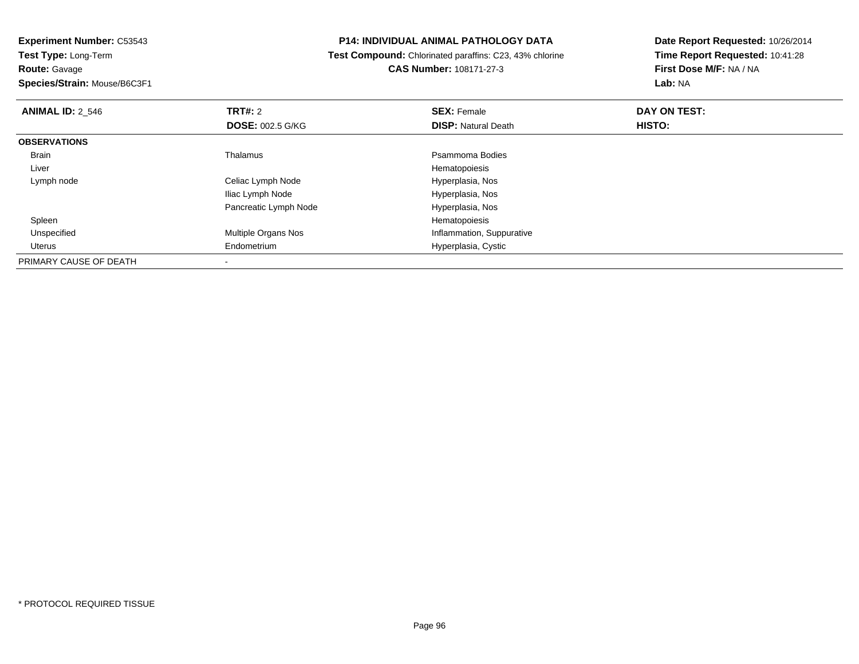**Route:** Gavage

**Species/Strain:** Mouse/B6C3F1

## **P14: INDIVIDUAL ANIMAL PATHOLOGY DATA**

 **Test Compound:** Chlorinated paraffins: C23, 43% chlorine**CAS Number:** 108171-27-3

| <b>ANIMAL ID: 2 546</b> | TRT#: 2                    | <b>SEX: Female</b>         | DAY ON TEST: |  |
|-------------------------|----------------------------|----------------------------|--------------|--|
|                         | <b>DOSE: 002.5 G/KG</b>    | <b>DISP: Natural Death</b> | HISTO:       |  |
| <b>OBSERVATIONS</b>     |                            |                            |              |  |
| Brain                   | Thalamus                   | Psammoma Bodies            |              |  |
| Liver                   |                            | Hematopoiesis              |              |  |
| Lymph node              | Celiac Lymph Node          | Hyperplasia, Nos           |              |  |
|                         | Iliac Lymph Node           | Hyperplasia, Nos           |              |  |
|                         | Pancreatic Lymph Node      | Hyperplasia, Nos           |              |  |
| Spleen                  |                            | Hematopoiesis              |              |  |
| Unspecified             | <b>Multiple Organs Nos</b> | Inflammation, Suppurative  |              |  |
| Uterus                  | Endometrium                | Hyperplasia, Cystic        |              |  |
| PRIMARY CAUSE OF DEATH  |                            |                            |              |  |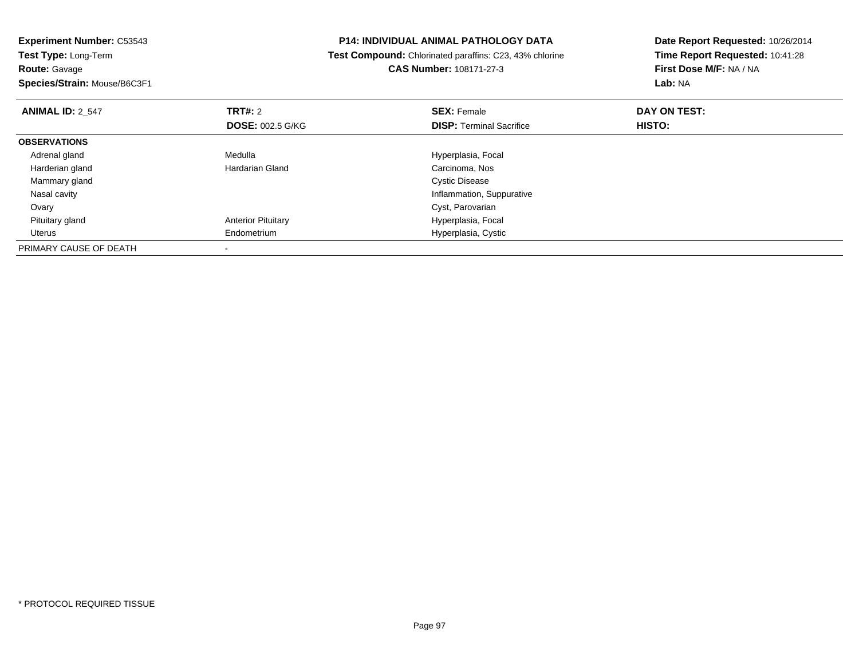| <b>Experiment Number: C53543</b><br>Test Type: Long-Term |  | <b>P14: INDIVIDUAL ANIMAL PATHOLOGY DATA</b>            | Date Report Requested: 10/26/2014 |
|----------------------------------------------------------|--|---------------------------------------------------------|-----------------------------------|
|                                                          |  | Test Compound: Chlorinated paraffins: C23, 43% chlorine | Time Report Requested: 10:41:28   |
| <b>Route: Gavage</b>                                     |  | <b>CAS Number: 108171-27-3</b>                          | First Dose M/F: NA / NA           |
| Species/Strain: Mouse/B6C3F1                             |  |                                                         | <b>Lab: NA</b>                    |
| <b>TRT#: 2</b><br><b>ANIMAL ID: 2 547</b>                |  | <b>SEX: Female</b>                                      | DAY ON TEST:                      |
| <b>DOSE: 002.5 G/KG</b>                                  |  | <b>DISP:</b> Terminal Sacrifice                         | HISTO:                            |
| <b>OBSERVATIONS</b>                                      |  |                                                         |                                   |
| Medulla<br>Adrenal gland                                 |  | Hyperplasia, Focal                                      |                                   |
| Harderian gland<br>Hardarian Gland                       |  | Carcinoma, Nos                                          |                                   |
| Mammary gland                                            |  | <b>Cystic Disease</b>                                   |                                   |
| Nasal cavity                                             |  | Inflammation, Suppurative                               |                                   |
| Ovary                                                    |  | Cyst, Parovarian                                        |                                   |
| <b>Anterior Pituitary</b><br>Pituitary gland             |  | Hyperplasia, Focal                                      |                                   |
| Endometrium<br>Uterus                                    |  | Hyperplasia, Cystic                                     |                                   |
| PRIMARY CAUSE OF DEATH                                   |  |                                                         |                                   |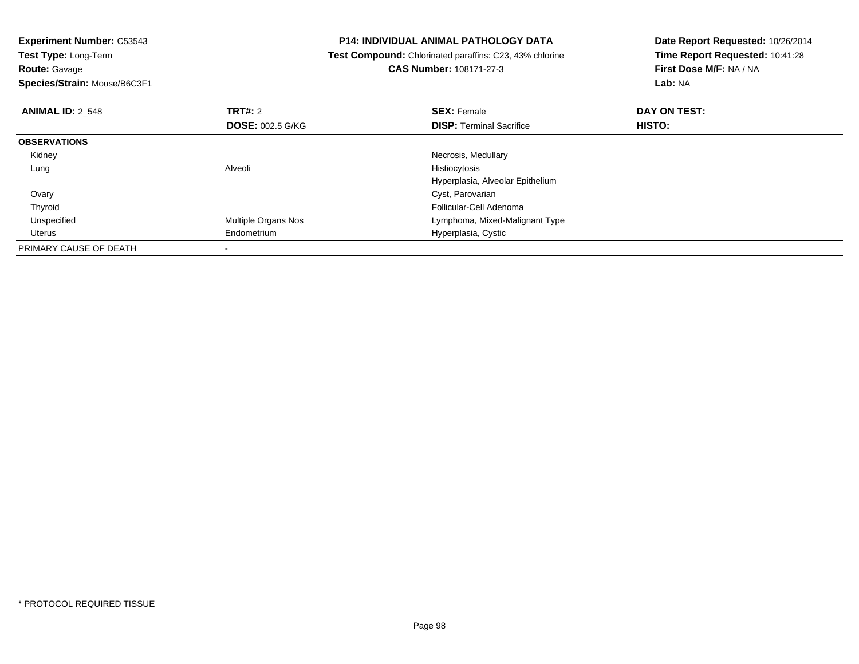| <b>Experiment Number: C53543</b>          | <b>P14: INDIVIDUAL ANIMAL PATHOLOGY DATA</b>            | Date Report Requested: 10/26/2014 |  |
|-------------------------------------------|---------------------------------------------------------|-----------------------------------|--|
| Test Type: Long-Term                      | Test Compound: Chlorinated paraffins: C23, 43% chlorine | Time Report Requested: 10:41:28   |  |
| <b>Route: Gavage</b>                      | <b>CAS Number: 108171-27-3</b>                          | First Dose M/F: NA / NA           |  |
| Species/Strain: Mouse/B6C3F1              |                                                         | Lab: NA                           |  |
| <b>TRT#: 2</b><br><b>ANIMAL ID: 2 548</b> | <b>SEX: Female</b>                                      | DAY ON TEST:                      |  |
| <b>DOSE: 002.5 G/KG</b>                   | <b>DISP: Terminal Sacrifice</b>                         | HISTO:                            |  |
| <b>OBSERVATIONS</b>                       |                                                         |                                   |  |
| Kidney                                    | Necrosis, Medullary                                     |                                   |  |
| Alveoli<br>Lung                           | Histiocytosis                                           |                                   |  |
|                                           | Hyperplasia, Alveolar Epithelium                        |                                   |  |
| Ovary                                     | Cyst, Parovarian                                        |                                   |  |
| Thyroid                                   | Follicular-Cell Adenoma                                 |                                   |  |
| Unspecified<br>Multiple Organs Nos        | Lymphoma, Mixed-Malignant Type                          |                                   |  |
| Uterus<br>Endometrium                     | Hyperplasia, Cystic                                     |                                   |  |
| PRIMARY CAUSE OF DEATH                    |                                                         |                                   |  |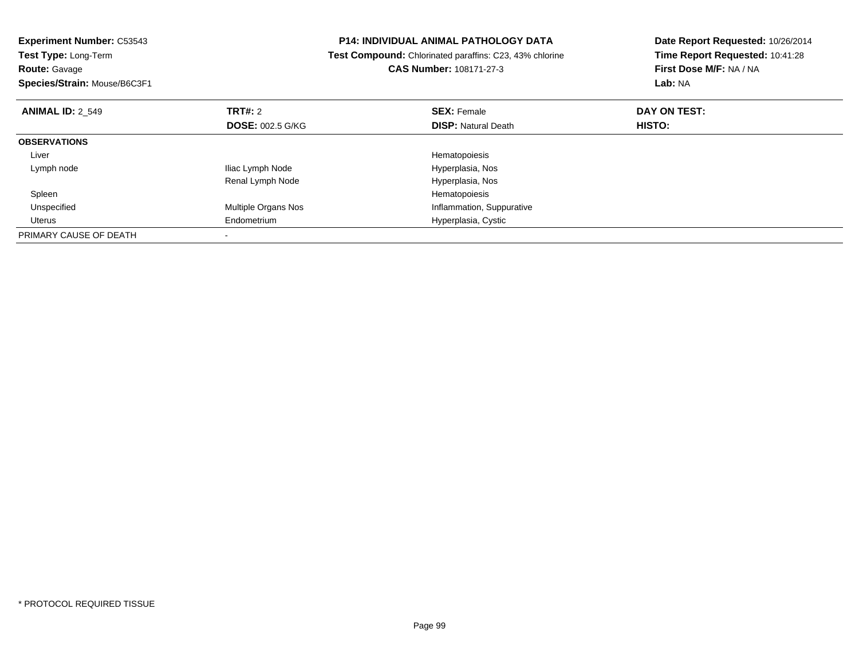| <b>Experiment Number: C53543</b>   | <b>P14: INDIVIDUAL ANIMAL PATHOLOGY DATA</b>                   | Date Report Requested: 10/26/2014 |
|------------------------------------|----------------------------------------------------------------|-----------------------------------|
| Test Type: Long-Term               | <b>Test Compound:</b> Chlorinated paraffins: C23, 43% chlorine | Time Report Requested: 10:41:28   |
| <b>Route: Gavage</b>               | CAS Number: 108171-27-3                                        | First Dose M/F: NA / NA           |
| Species/Strain: Mouse/B6C3F1       |                                                                | Lab: NA                           |
| TRT#: 2<br><b>ANIMAL ID: 2 549</b> | <b>SEX: Female</b>                                             | DAY ON TEST:                      |
| <b>DOSE: 002.5 G/KG</b>            | <b>DISP: Natural Death</b>                                     | HISTO:                            |
| <b>OBSERVATIONS</b>                |                                                                |                                   |
| Liver                              | Hematopoiesis                                                  |                                   |
| Iliac Lymph Node<br>Lymph node     | Hyperplasia, Nos                                               |                                   |
| Renal Lymph Node                   | Hyperplasia, Nos                                               |                                   |
| Spleen                             | Hematopoiesis                                                  |                                   |
| Multiple Organs Nos<br>Unspecified | Inflammation, Suppurative                                      |                                   |
| Endometrium<br>Uterus              | Hyperplasia, Cystic                                            |                                   |
| PRIMARY CAUSE OF DEATH             |                                                                |                                   |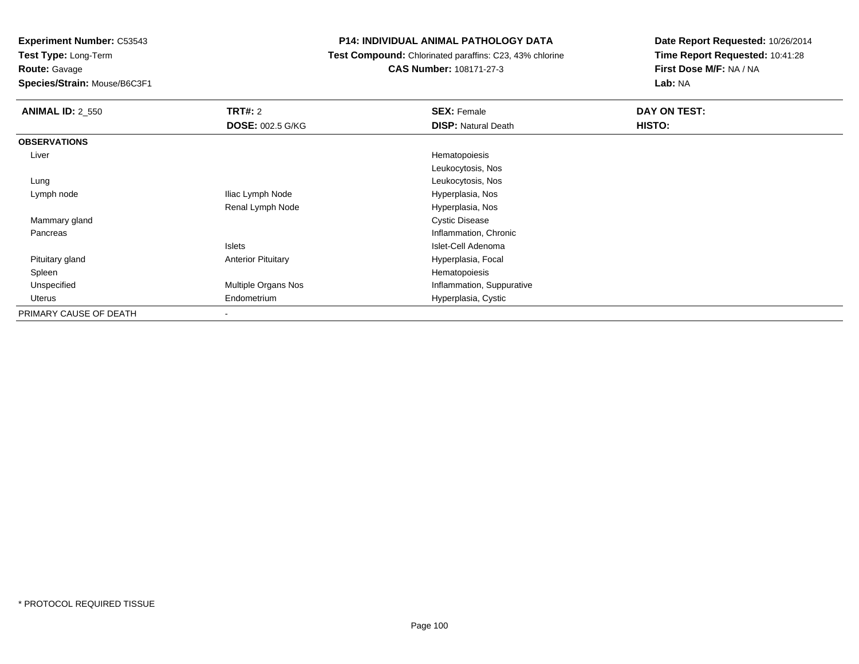**Experiment Number:** C53543

**Test Type:** Long-Term**Route:** Gavage

**Species/Strain:** Mouse/B6C3F1

# **P14: INDIVIDUAL ANIMAL PATHOLOGY DATA**

 **Test Compound:** Chlorinated paraffins: C23, 43% chlorine**CAS Number:** 108171-27-3

| <b>ANIMAL ID: 2 550</b> | TRT#: 2                   | <b>SEX: Female</b>         | DAY ON TEST: |
|-------------------------|---------------------------|----------------------------|--------------|
|                         | <b>DOSE: 002.5 G/KG</b>   | <b>DISP: Natural Death</b> | HISTO:       |
| <b>OBSERVATIONS</b>     |                           |                            |              |
| Liver                   |                           | Hematopoiesis              |              |
|                         |                           | Leukocytosis, Nos          |              |
| Lung                    |                           | Leukocytosis, Nos          |              |
| Lymph node              | Iliac Lymph Node          | Hyperplasia, Nos           |              |
|                         | Renal Lymph Node          | Hyperplasia, Nos           |              |
| Mammary gland           |                           | <b>Cystic Disease</b>      |              |
| Pancreas                |                           | Inflammation, Chronic      |              |
|                         | Islets                    | Islet-Cell Adenoma         |              |
| Pituitary gland         | <b>Anterior Pituitary</b> | Hyperplasia, Focal         |              |
| Spleen                  |                           | Hematopoiesis              |              |
| Unspecified             | Multiple Organs Nos       | Inflammation, Suppurative  |              |
| Uterus                  | Endometrium               | Hyperplasia, Cystic        |              |
| PRIMARY CAUSE OF DEATH  | ۰                         |                            |              |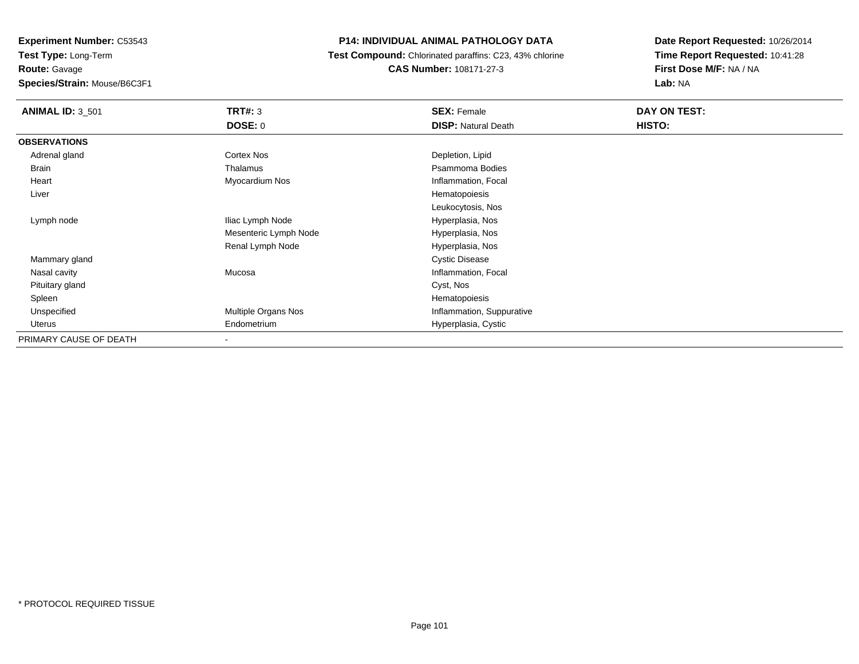**Experiment Number:** C53543**Test Type:** Long-Term**Route:** Gavage**Species/Strain:** Mouse/B6C3F1

## **P14: INDIVIDUAL ANIMAL PATHOLOGY DATA**

 **Test Compound:** Chlorinated paraffins: C23, 43% chlorine**CAS Number:** 108171-27-3

| <b>ANIMAL ID: 3_501</b> | <b>TRT#: 3</b>        | <b>SEX: Female</b>         | DAY ON TEST: |  |
|-------------------------|-----------------------|----------------------------|--------------|--|
|                         | <b>DOSE: 0</b>        | <b>DISP: Natural Death</b> | HISTO:       |  |
| <b>OBSERVATIONS</b>     |                       |                            |              |  |
| Adrenal gland           | Cortex Nos            | Depletion, Lipid           |              |  |
| <b>Brain</b>            | Thalamus              | Psammoma Bodies            |              |  |
| Heart                   | Myocardium Nos        | Inflammation, Focal        |              |  |
| Liver                   |                       | Hematopoiesis              |              |  |
|                         |                       | Leukocytosis, Nos          |              |  |
| Lymph node              | Iliac Lymph Node      | Hyperplasia, Nos           |              |  |
|                         | Mesenteric Lymph Node | Hyperplasia, Nos           |              |  |
|                         | Renal Lymph Node      | Hyperplasia, Nos           |              |  |
| Mammary gland           |                       | <b>Cystic Disease</b>      |              |  |
| Nasal cavity            | Mucosa                | Inflammation, Focal        |              |  |
| Pituitary gland         |                       | Cyst, Nos                  |              |  |
| Spleen                  |                       | Hematopoiesis              |              |  |
| Unspecified             | Multiple Organs Nos   | Inflammation, Suppurative  |              |  |
| Uterus                  | Endometrium           | Hyperplasia, Cystic        |              |  |
| PRIMARY CAUSE OF DEATH  | -                     |                            |              |  |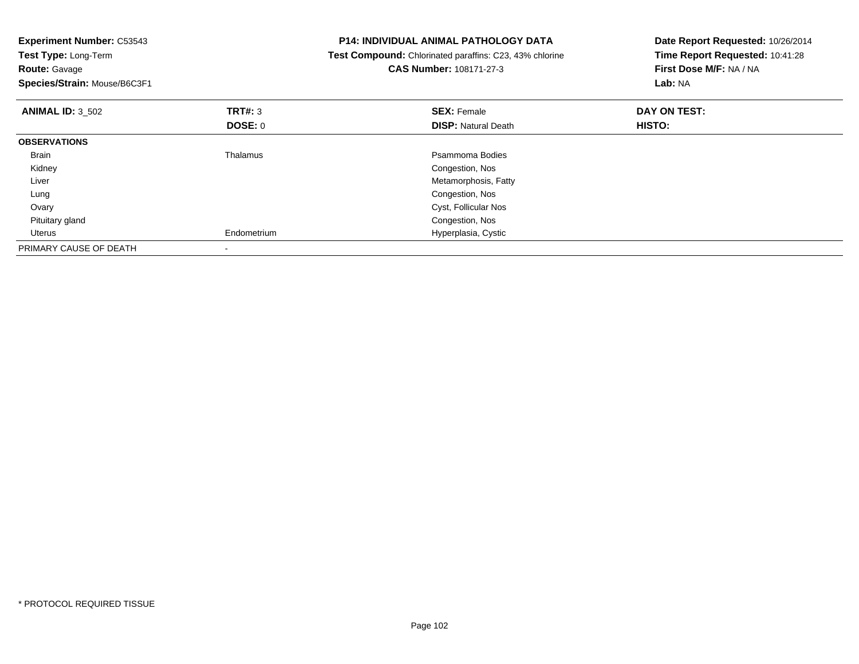| <b>Experiment Number: C53543</b>             |                | <b>P14: INDIVIDUAL ANIMAL PATHOLOGY DATA</b>                                       | Date Report Requested: 10/26/2014                          |  |
|----------------------------------------------|----------------|------------------------------------------------------------------------------------|------------------------------------------------------------|--|
| Test Type: Long-Term<br><b>Route: Gavage</b> |                | Test Compound: Chlorinated paraffins: C23, 43% chlorine<br>CAS Number: 108171-27-3 | Time Report Requested: 10:41:28<br>First Dose M/F: NA / NA |  |
| Species/Strain: Mouse/B6C3F1                 |                |                                                                                    | <b>Lab: NA</b>                                             |  |
| <b>ANIMAL ID: 3 502</b>                      | <b>TRT#: 3</b> | <b>SEX: Female</b>                                                                 | DAY ON TEST:                                               |  |
|                                              | DOSE: 0        | <b>DISP: Natural Death</b>                                                         | HISTO:                                                     |  |
| <b>OBSERVATIONS</b>                          |                |                                                                                    |                                                            |  |
| Brain                                        | Thalamus       | Psammoma Bodies                                                                    |                                                            |  |
| Kidney                                       |                | Congestion, Nos                                                                    |                                                            |  |
| Liver                                        |                | Metamorphosis, Fatty                                                               |                                                            |  |
| Lung                                         |                | Congestion, Nos                                                                    |                                                            |  |
| Ovary                                        |                | Cyst, Follicular Nos                                                               |                                                            |  |
| Pituitary gland                              |                | Congestion, Nos                                                                    |                                                            |  |
| Uterus                                       | Endometrium    | Hyperplasia, Cystic                                                                |                                                            |  |
| PRIMARY CAUSE OF DEATH                       |                |                                                                                    |                                                            |  |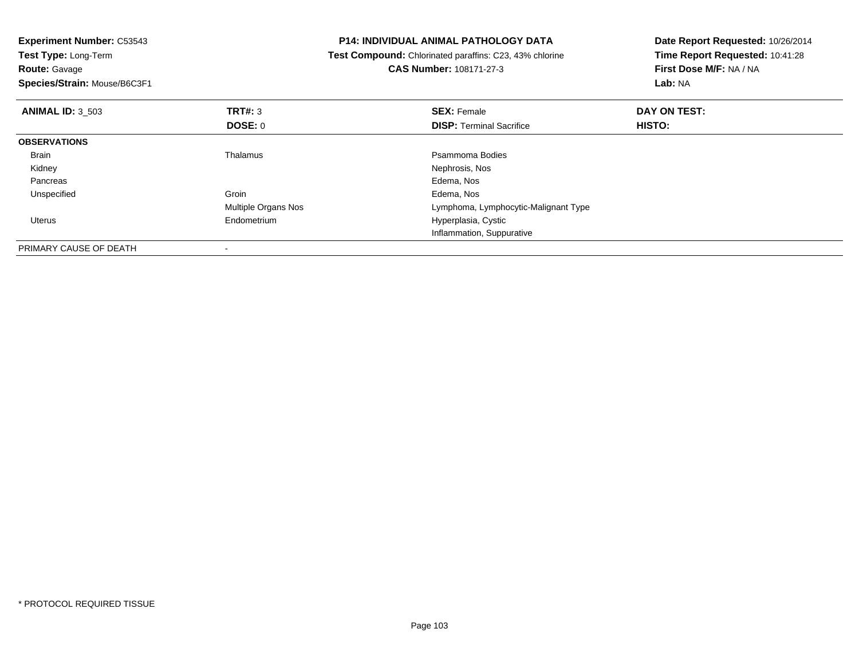| <b>Experiment Number: C53543</b>          | <b>P14: INDIVIDUAL ANIMAL PATHOLOGY DATA</b>            | Date Report Requested: 10/26/2014 |
|-------------------------------------------|---------------------------------------------------------|-----------------------------------|
| Test Type: Long-Term                      | Test Compound: Chlorinated paraffins: C23, 43% chlorine | Time Report Requested: 10:41:28   |
| <b>Route: Gavage</b>                      | <b>CAS Number: 108171-27-3</b>                          | First Dose M/F: NA / NA           |
| Species/Strain: Mouse/B6C3F1              |                                                         | Lab: NA                           |
| <b>ANIMAL ID: 3 503</b><br><b>TRT#: 3</b> | <b>SEX: Female</b>                                      | DAY ON TEST:                      |
| DOSE: 0                                   | <b>DISP:</b> Terminal Sacrifice                         | HISTO:                            |
| <b>OBSERVATIONS</b>                       |                                                         |                                   |
| Thalamus<br>Brain                         | Psammoma Bodies                                         |                                   |
| Kidney                                    | Nephrosis, Nos                                          |                                   |
| Pancreas                                  | Edema, Nos                                              |                                   |
| Groin<br>Unspecified                      | Edema, Nos                                              |                                   |
| Multiple Organs Nos                       | Lymphoma, Lymphocytic-Malignant Type                    |                                   |
| Endometrium<br>Uterus                     | Hyperplasia, Cystic                                     |                                   |
|                                           | Inflammation, Suppurative                               |                                   |
| PRIMARY CAUSE OF DEATH                    |                                                         |                                   |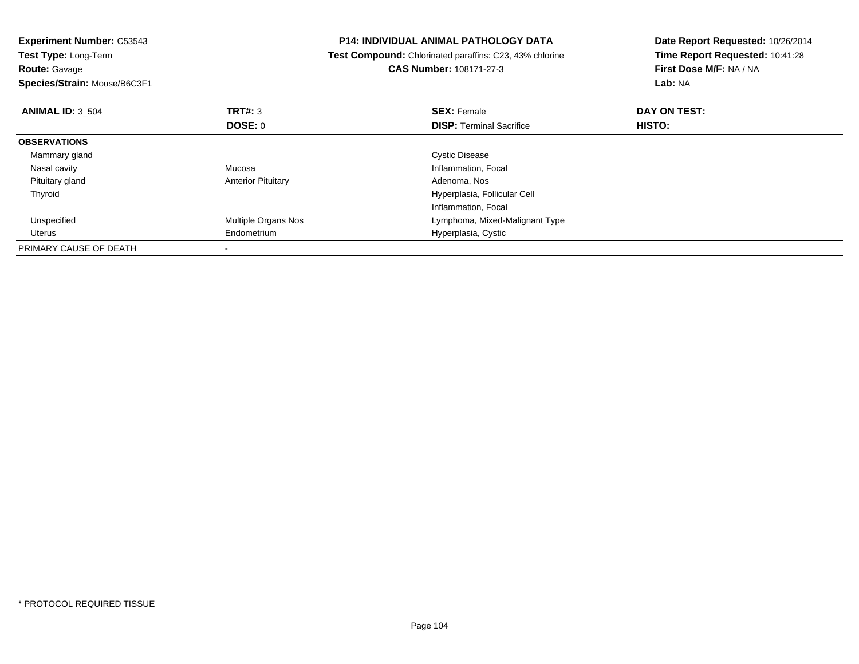| <b>Experiment Number: C53543</b><br><b>Test Type: Long-Term</b><br><b>Route: Gavage</b> |                            | <b>P14: INDIVIDUAL ANIMAL PATHOLOGY DATA</b><br><b>Test Compound:</b> Chlorinated paraffins: C23, 43% chlorine<br><b>CAS Number: 108171-27-3</b> | Date Report Requested: 10/26/2014<br>Time Report Requested: 10:41:28<br>First Dose M/F: NA / NA |
|-----------------------------------------------------------------------------------------|----------------------------|--------------------------------------------------------------------------------------------------------------------------------------------------|-------------------------------------------------------------------------------------------------|
| Species/Strain: Mouse/B6C3F1                                                            |                            |                                                                                                                                                  | Lab: NA                                                                                         |
| <b>ANIMAL ID: 3 504</b>                                                                 | <b>TRT#: 3</b>             | <b>SEX: Female</b>                                                                                                                               | DAY ON TEST:                                                                                    |
|                                                                                         | DOSE: 0                    | <b>DISP:</b> Terminal Sacrifice                                                                                                                  | HISTO:                                                                                          |
| <b>OBSERVATIONS</b>                                                                     |                            |                                                                                                                                                  |                                                                                                 |
| Mammary gland                                                                           |                            | <b>Cystic Disease</b>                                                                                                                            |                                                                                                 |
| Nasal cavity                                                                            | Mucosa                     | Inflammation, Focal                                                                                                                              |                                                                                                 |
| Pituitary gland                                                                         | <b>Anterior Pituitary</b>  | Adenoma, Nos                                                                                                                                     |                                                                                                 |
| Thyroid                                                                                 |                            | Hyperplasia, Follicular Cell                                                                                                                     |                                                                                                 |
|                                                                                         |                            | Inflammation, Focal                                                                                                                              |                                                                                                 |
| Unspecified                                                                             | <b>Multiple Organs Nos</b> | Lymphoma, Mixed-Malignant Type                                                                                                                   |                                                                                                 |
| Uterus                                                                                  | Endometrium                | Hyperplasia, Cystic                                                                                                                              |                                                                                                 |
| PRIMARY CAUSE OF DEATH                                                                  |                            |                                                                                                                                                  |                                                                                                 |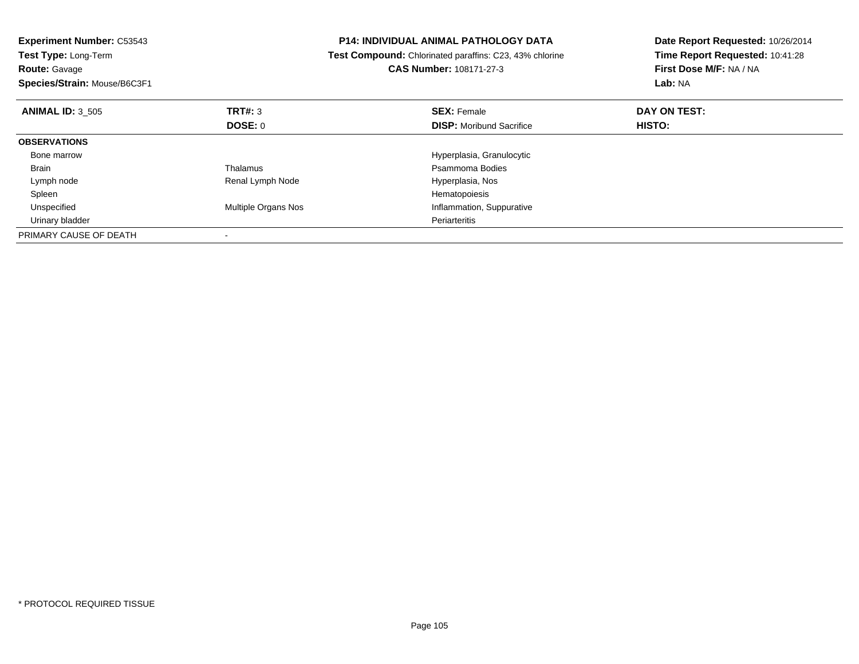| <b>Experiment Number: C53543</b><br>Test Type: Long-Term<br><b>Route: Gavage</b><br>Species/Strain: Mouse/B6C3F1 |                     | <b>P14: INDIVIDUAL ANIMAL PATHOLOGY DATA</b><br>Test Compound: Chlorinated paraffins: C23, 43% chlorine<br>CAS Number: 108171-27-3 | Date Report Requested: 10/26/2014<br>Time Report Requested: 10:41:28<br>First Dose M/F: NA / NA<br>Lab: NA |
|------------------------------------------------------------------------------------------------------------------|---------------------|------------------------------------------------------------------------------------------------------------------------------------|------------------------------------------------------------------------------------------------------------|
| <b>ANIMAL ID: 3 505</b>                                                                                          | TRT#: 3             | <b>SEX: Female</b>                                                                                                                 | DAY ON TEST:                                                                                               |
|                                                                                                                  | DOSE: 0             | <b>DISP:</b> Moribund Sacrifice                                                                                                    | HISTO:                                                                                                     |
| <b>OBSERVATIONS</b>                                                                                              |                     |                                                                                                                                    |                                                                                                            |
| Bone marrow                                                                                                      |                     | Hyperplasia, Granulocytic                                                                                                          |                                                                                                            |
| Brain                                                                                                            | Thalamus            | Psammoma Bodies                                                                                                                    |                                                                                                            |
| Lymph node                                                                                                       | Renal Lymph Node    | Hyperplasia, Nos                                                                                                                   |                                                                                                            |
| Spleen                                                                                                           |                     | Hematopoiesis                                                                                                                      |                                                                                                            |
| Unspecified                                                                                                      | Multiple Organs Nos | Inflammation, Suppurative                                                                                                          |                                                                                                            |
| Urinary bladder                                                                                                  |                     | Periarteritis                                                                                                                      |                                                                                                            |
| PRIMARY CAUSE OF DEATH                                                                                           |                     |                                                                                                                                    |                                                                                                            |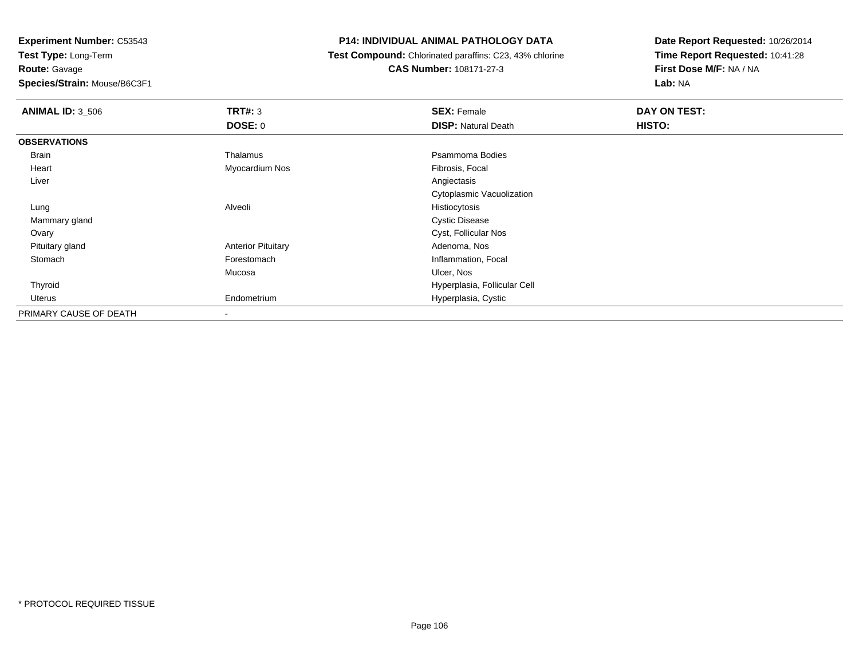**Route:** Gavage

**Species/Strain:** Mouse/B6C3F1

# **P14: INDIVIDUAL ANIMAL PATHOLOGY DATA**

 **Test Compound:** Chlorinated paraffins: C23, 43% chlorine**CAS Number:** 108171-27-3

| <b>ANIMAL ID: 3_506</b> | TRT#: 3                   | <b>SEX: Female</b>           | DAY ON TEST: |
|-------------------------|---------------------------|------------------------------|--------------|
|                         | <b>DOSE: 0</b>            | <b>DISP: Natural Death</b>   | HISTO:       |
| <b>OBSERVATIONS</b>     |                           |                              |              |
| Brain                   | Thalamus                  | Psammoma Bodies              |              |
| Heart                   | Myocardium Nos            | Fibrosis, Focal              |              |
| Liver                   |                           | Angiectasis                  |              |
|                         |                           | Cytoplasmic Vacuolization    |              |
| Lung                    | Alveoli                   | Histiocytosis                |              |
| Mammary gland           |                           | <b>Cystic Disease</b>        |              |
| Ovary                   |                           | Cyst, Follicular Nos         |              |
| Pituitary gland         | <b>Anterior Pituitary</b> | Adenoma, Nos                 |              |
| Stomach                 | Forestomach               | Inflammation, Focal          |              |
|                         | Mucosa                    | Ulcer, Nos                   |              |
| Thyroid                 |                           | Hyperplasia, Follicular Cell |              |
| Uterus                  | Endometrium               | Hyperplasia, Cystic          |              |
| PRIMARY CAUSE OF DEATH  | $\overline{\phantom{a}}$  |                              |              |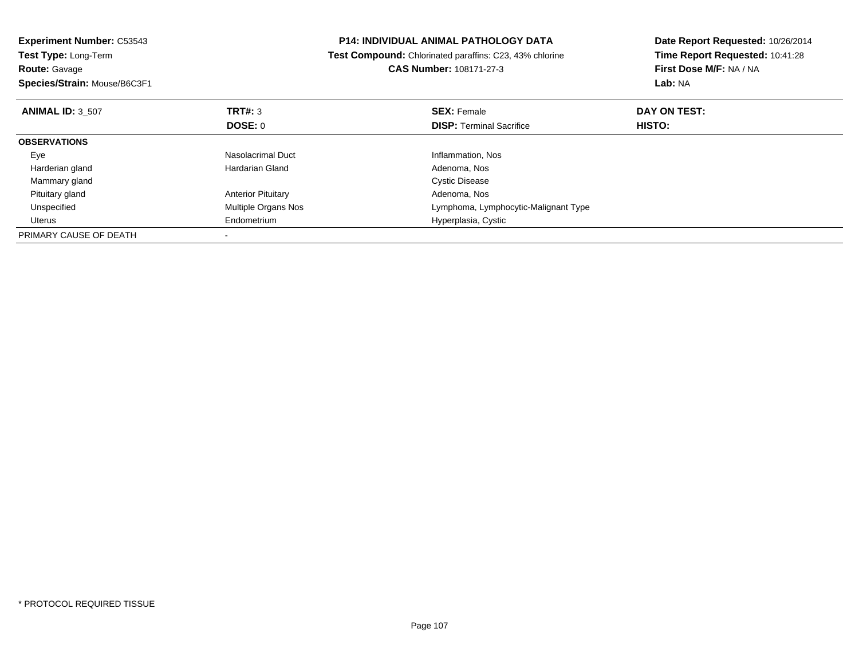| <b>Experiment Number: C53543</b><br>Test Type: Long-Term<br><b>Route: Gavage</b><br>Species/Strain: Mouse/B6C3F1 |                           | <b>P14: INDIVIDUAL ANIMAL PATHOLOGY DATA</b><br>Test Compound: Chlorinated paraffins: C23, 43% chlorine<br><b>CAS Number: 108171-27-3</b> | Date Report Requested: 10/26/2014<br>Time Report Requested: 10:41:28<br>First Dose M/F: NA / NA<br>Lab: NA |
|------------------------------------------------------------------------------------------------------------------|---------------------------|-------------------------------------------------------------------------------------------------------------------------------------------|------------------------------------------------------------------------------------------------------------|
| <b>ANIMAL ID: 3 507</b>                                                                                          | TRT#: 3<br>DOSE: 0        | <b>SEX: Female</b><br><b>DISP:</b> Terminal Sacrifice                                                                                     | DAY ON TEST:<br><b>HISTO:</b>                                                                              |
| <b>OBSERVATIONS</b>                                                                                              |                           |                                                                                                                                           |                                                                                                            |
| Eye                                                                                                              | Nasolacrimal Duct         | Inflammation, Nos                                                                                                                         |                                                                                                            |
| Harderian gland                                                                                                  | Hardarian Gland           | Adenoma, Nos                                                                                                                              |                                                                                                            |
| Mammary gland                                                                                                    |                           | <b>Cystic Disease</b>                                                                                                                     |                                                                                                            |
| Pituitary gland                                                                                                  | <b>Anterior Pituitary</b> | Adenoma, Nos                                                                                                                              |                                                                                                            |
| Unspecified                                                                                                      | Multiple Organs Nos       | Lymphoma, Lymphocytic-Malignant Type                                                                                                      |                                                                                                            |
| Uterus                                                                                                           | Endometrium               | Hyperplasia, Cystic                                                                                                                       |                                                                                                            |
| PRIMARY CAUSE OF DEATH                                                                                           |                           |                                                                                                                                           |                                                                                                            |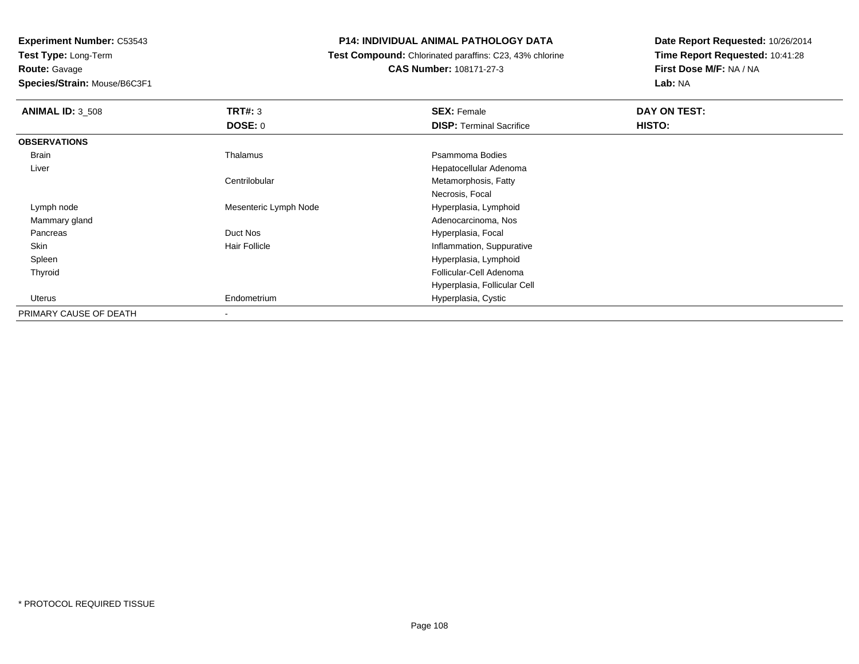**Experiment Number:** C53543

**Test Type:** Long-Term**Route:** Gavage

**Species/Strain:** Mouse/B6C3F1

# **P14: INDIVIDUAL ANIMAL PATHOLOGY DATA**

 **Test Compound:** Chlorinated paraffins: C23, 43% chlorine**CAS Number:** 108171-27-3

| <b>ANIMAL ID: 3 508</b> | TRT#: 3<br><b>DOSE: 0</b> | <b>SEX: Female</b><br><b>DISP: Terminal Sacrifice</b> | DAY ON TEST:<br>HISTO: |
|-------------------------|---------------------------|-------------------------------------------------------|------------------------|
| <b>OBSERVATIONS</b>     |                           |                                                       |                        |
| Brain                   | Thalamus                  | Psammoma Bodies                                       |                        |
| Liver                   |                           | Hepatocellular Adenoma                                |                        |
|                         | Centrilobular             | Metamorphosis, Fatty                                  |                        |
|                         |                           | Necrosis, Focal                                       |                        |
| Lymph node              | Mesenteric Lymph Node     | Hyperplasia, Lymphoid                                 |                        |
| Mammary gland           |                           | Adenocarcinoma, Nos                                   |                        |
| Pancreas                | Duct Nos                  | Hyperplasia, Focal                                    |                        |
| Skin                    | <b>Hair Follicle</b>      | Inflammation, Suppurative                             |                        |
| Spleen                  |                           | Hyperplasia, Lymphoid                                 |                        |
| Thyroid                 |                           | Follicular-Cell Adenoma                               |                        |
|                         |                           | Hyperplasia, Follicular Cell                          |                        |
| Uterus                  | Endometrium               | Hyperplasia, Cystic                                   |                        |
| PRIMARY CAUSE OF DEATH  |                           |                                                       |                        |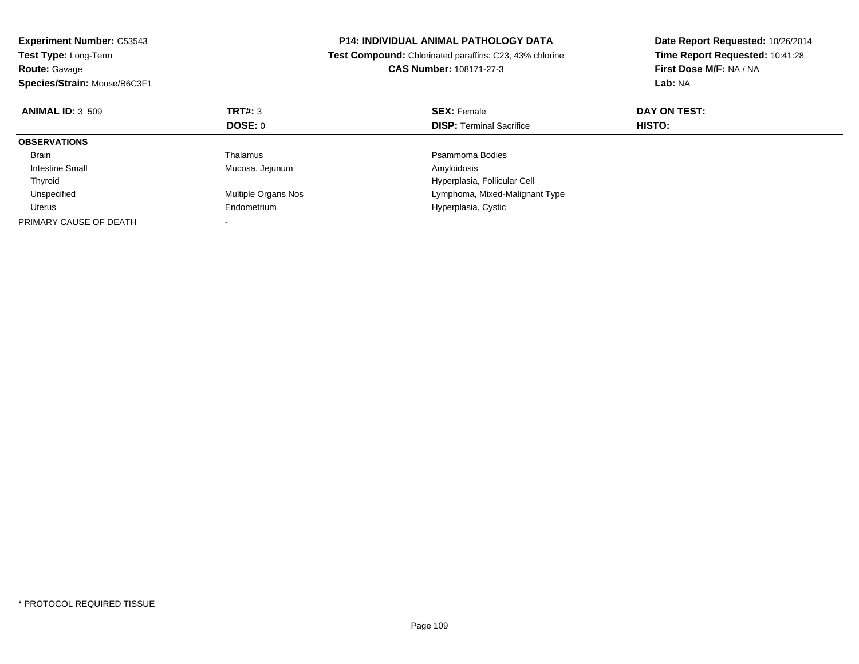| <b>Experiment Number: C53543</b><br><b>Test Type: Long-Term</b><br><b>Route: Gavage</b> |                     | <b>P14: INDIVIDUAL ANIMAL PATHOLOGY DATA</b><br>Test Compound: Chlorinated paraffins: C23, 43% chlorine<br><b>CAS Number: 108171-27-3</b> | Date Report Requested: 10/26/2014<br>Time Report Requested: 10:41:28<br>First Dose M/F: NA / NA<br>Lab: NA |
|-----------------------------------------------------------------------------------------|---------------------|-------------------------------------------------------------------------------------------------------------------------------------------|------------------------------------------------------------------------------------------------------------|
| Species/Strain: Mouse/B6C3F1                                                            |                     |                                                                                                                                           |                                                                                                            |
| <b>ANIMAL ID: 3 509</b>                                                                 | TRT#: 3             | <b>SEX: Female</b>                                                                                                                        | DAY ON TEST:                                                                                               |
|                                                                                         | <b>DOSE: 0</b>      | <b>DISP:</b> Terminal Sacrifice                                                                                                           | HISTO:                                                                                                     |
| <b>OBSERVATIONS</b>                                                                     |                     |                                                                                                                                           |                                                                                                            |
| Brain                                                                                   | Thalamus            | Psammoma Bodies                                                                                                                           |                                                                                                            |
| <b>Intestine Small</b>                                                                  | Mucosa, Jejunum     | Amyloidosis                                                                                                                               |                                                                                                            |
| Thyroid                                                                                 |                     | Hyperplasia, Follicular Cell                                                                                                              |                                                                                                            |
| Unspecified                                                                             | Multiple Organs Nos | Lymphoma, Mixed-Malignant Type                                                                                                            |                                                                                                            |
| Uterus                                                                                  | Endometrium         | Hyperplasia, Cystic                                                                                                                       |                                                                                                            |
| PRIMARY CAUSE OF DEATH                                                                  |                     |                                                                                                                                           |                                                                                                            |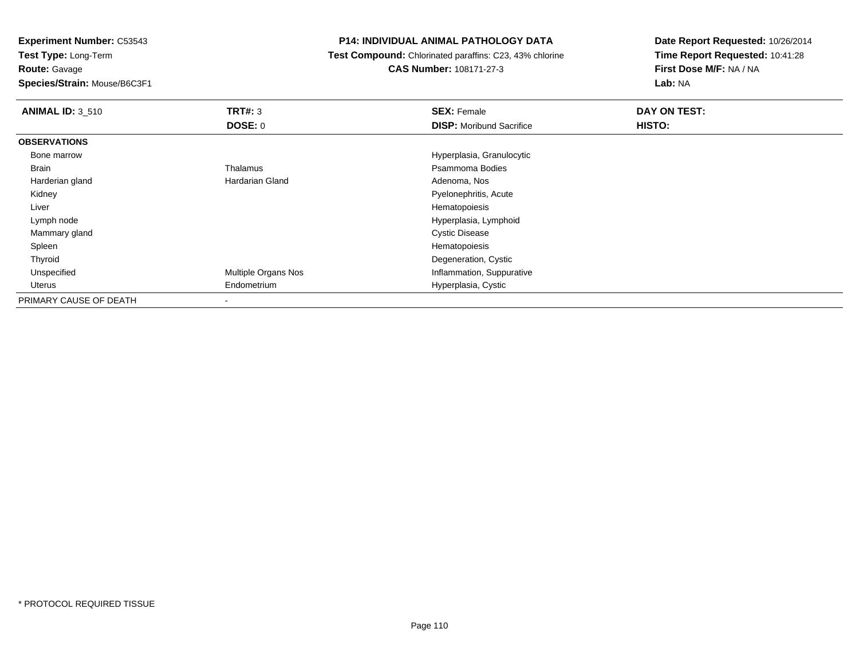**Test Type:** Long-Term**Route:** Gavage

**Species/Strain:** Mouse/B6C3F1

# **P14: INDIVIDUAL ANIMAL PATHOLOGY DATA**

**Test Compound:** Chlorinated paraffins: C23, 43% chlorine

**CAS Number:** 108171-27-3

| <b>ANIMAL ID: 3 510</b> | TRT#: 3             | <b>SEX: Female</b>              | DAY ON TEST: |  |
|-------------------------|---------------------|---------------------------------|--------------|--|
|                         | DOSE: 0             | <b>DISP:</b> Moribund Sacrifice | HISTO:       |  |
| <b>OBSERVATIONS</b>     |                     |                                 |              |  |
| Bone marrow             |                     | Hyperplasia, Granulocytic       |              |  |
| Brain                   | Thalamus            | Psammoma Bodies                 |              |  |
| Harderian gland         | Hardarian Gland     | Adenoma, Nos                    |              |  |
| Kidney                  |                     | Pyelonephritis, Acute           |              |  |
| Liver                   |                     | Hematopoiesis                   |              |  |
| Lymph node              |                     | Hyperplasia, Lymphoid           |              |  |
| Mammary gland           |                     | <b>Cystic Disease</b>           |              |  |
| Spleen                  |                     | Hematopoiesis                   |              |  |
| Thyroid                 |                     | Degeneration, Cystic            |              |  |
| Unspecified             | Multiple Organs Nos | Inflammation, Suppurative       |              |  |
| Uterus                  | Endometrium         | Hyperplasia, Cystic             |              |  |
| PRIMARY CAUSE OF DEATH  |                     |                                 |              |  |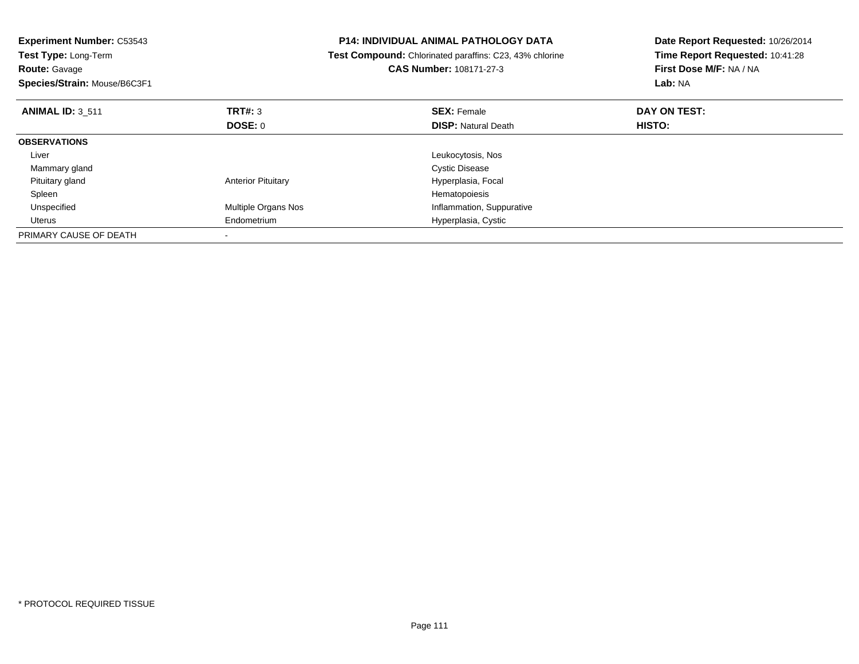| <b>Experiment Number: C53543</b><br>Test Type: Long-Term<br><b>Route: Gavage</b><br>Species/Strain: Mouse/B6C3F1 |                           | <b>P14: INDIVIDUAL ANIMAL PATHOLOGY DATA</b><br>Test Compound: Chlorinated paraffins: C23, 43% chlorine<br>CAS Number: 108171-27-3 | Date Report Requested: 10/26/2014<br>Time Report Requested: 10:41:28<br>First Dose M/F: NA / NA<br>Lab: NA |
|------------------------------------------------------------------------------------------------------------------|---------------------------|------------------------------------------------------------------------------------------------------------------------------------|------------------------------------------------------------------------------------------------------------|
| <b>ANIMAL ID: 3 511</b>                                                                                          | TRT#: 3                   | <b>SEX: Female</b>                                                                                                                 | DAY ON TEST:                                                                                               |
|                                                                                                                  | DOSE: 0                   | <b>DISP:</b> Natural Death                                                                                                         | <b>HISTO:</b>                                                                                              |
| <b>OBSERVATIONS</b>                                                                                              |                           |                                                                                                                                    |                                                                                                            |
| Liver                                                                                                            |                           | Leukocytosis, Nos                                                                                                                  |                                                                                                            |
| Mammary gland                                                                                                    |                           | <b>Cystic Disease</b>                                                                                                              |                                                                                                            |
| Pituitary gland                                                                                                  | <b>Anterior Pituitary</b> | Hyperplasia, Focal                                                                                                                 |                                                                                                            |
| Spleen                                                                                                           |                           | Hematopoiesis                                                                                                                      |                                                                                                            |
| Unspecified                                                                                                      | Multiple Organs Nos       | Inflammation, Suppurative                                                                                                          |                                                                                                            |
| Uterus                                                                                                           | Endometrium               | Hyperplasia, Cystic                                                                                                                |                                                                                                            |
| PRIMARY CAUSE OF DEATH                                                                                           |                           |                                                                                                                                    |                                                                                                            |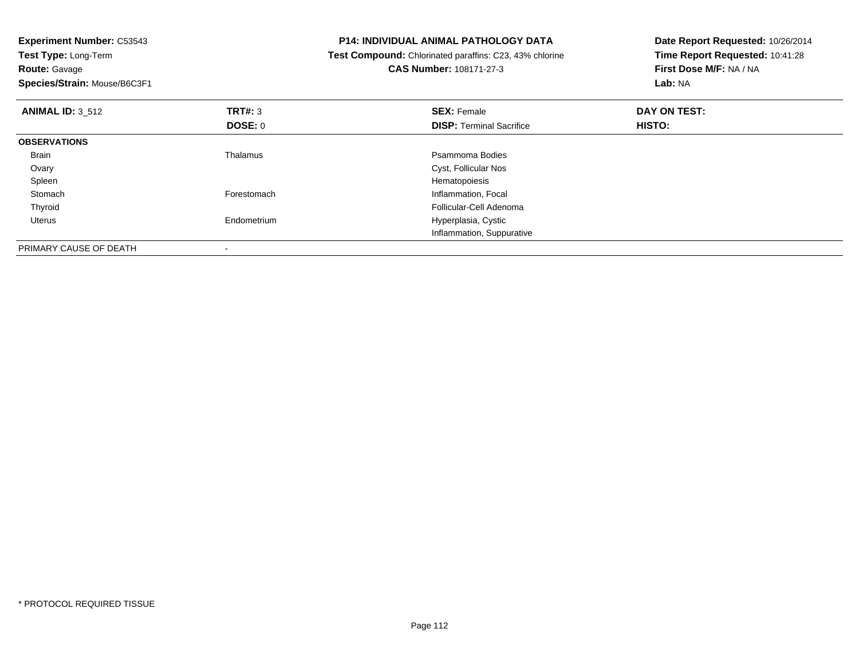| <b>Experiment Number: C53543</b><br>Test Type: Long-Term |                | <b>P14: INDIVIDUAL ANIMAL PATHOLOGY DATA</b>                   | Date Report Requested: 10/26/2014 |  |
|----------------------------------------------------------|----------------|----------------------------------------------------------------|-----------------------------------|--|
|                                                          |                | <b>Test Compound:</b> Chlorinated paraffins: C23, 43% chlorine | Time Report Requested: 10:41:28   |  |
| <b>Route: Gavage</b>                                     |                | <b>CAS Number: 108171-27-3</b>                                 | First Dose M/F: NA / NA           |  |
| Species/Strain: Mouse/B6C3F1                             |                |                                                                | Lab: NA                           |  |
| <b>ANIMAL ID: 3 512</b>                                  | <b>TRT#: 3</b> | <b>SEX: Female</b>                                             | DAY ON TEST:                      |  |
|                                                          | DOSE: 0        | <b>DISP:</b> Terminal Sacrifice                                | HISTO:                            |  |
| <b>OBSERVATIONS</b>                                      |                |                                                                |                                   |  |
| Brain                                                    | Thalamus       | Psammoma Bodies                                                |                                   |  |
| Ovary                                                    |                | Cyst, Follicular Nos                                           |                                   |  |
| Spleen                                                   |                | Hematopoiesis                                                  |                                   |  |
| Stomach                                                  | Forestomach    | Inflammation, Focal                                            |                                   |  |
| Thyroid                                                  |                | Follicular-Cell Adenoma                                        |                                   |  |
| Uterus                                                   | Endometrium    | Hyperplasia, Cystic                                            |                                   |  |
|                                                          |                | Inflammation, Suppurative                                      |                                   |  |
| PRIMARY CAUSE OF DEATH                                   |                |                                                                |                                   |  |

-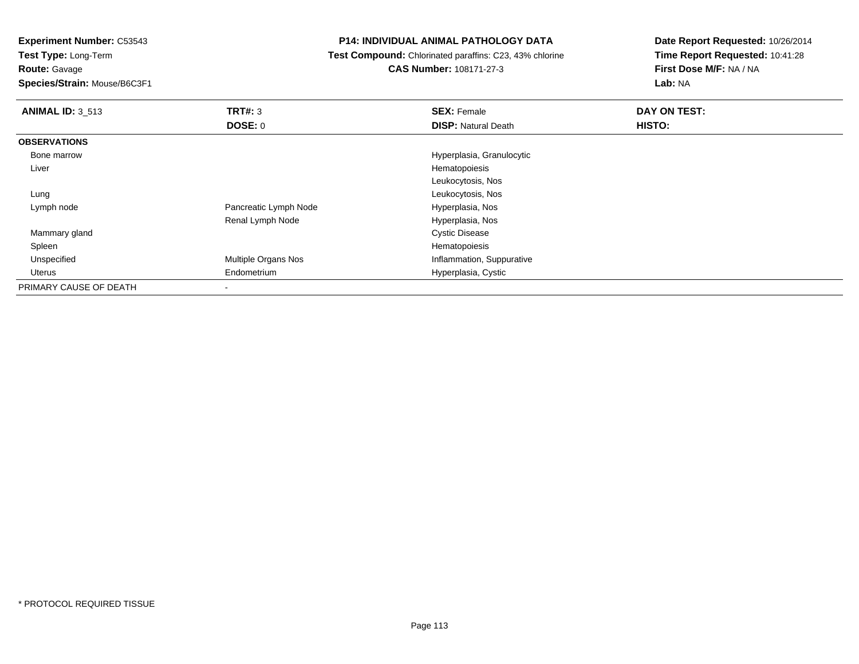**Test Type:** Long-Term

**Route:** Gavage

**Species/Strain:** Mouse/B6C3F1

### **P14: INDIVIDUAL ANIMAL PATHOLOGY DATA**

**Test Compound:** Chlorinated paraffins: C23, 43% chlorine

**CAS Number:** 108171-27-3

| <b>ANIMAL ID: 3 513</b> | <b>TRT#: 3</b>        | <b>SEX: Female</b>         | DAY ON TEST: |
|-------------------------|-----------------------|----------------------------|--------------|
|                         | DOSE: 0               | <b>DISP: Natural Death</b> | HISTO:       |
| <b>OBSERVATIONS</b>     |                       |                            |              |
| Bone marrow             |                       | Hyperplasia, Granulocytic  |              |
| Liver                   |                       | Hematopoiesis              |              |
|                         |                       | Leukocytosis, Nos          |              |
| Lung                    |                       | Leukocytosis, Nos          |              |
| Lymph node              | Pancreatic Lymph Node | Hyperplasia, Nos           |              |
|                         | Renal Lymph Node      | Hyperplasia, Nos           |              |
| Mammary gland           |                       | <b>Cystic Disease</b>      |              |
| Spleen                  |                       | Hematopoiesis              |              |
| Unspecified             | Multiple Organs Nos   | Inflammation, Suppurative  |              |
| Uterus                  | Endometrium           | Hyperplasia, Cystic        |              |
| PRIMARY CAUSE OF DEATH  | ۰                     |                            |              |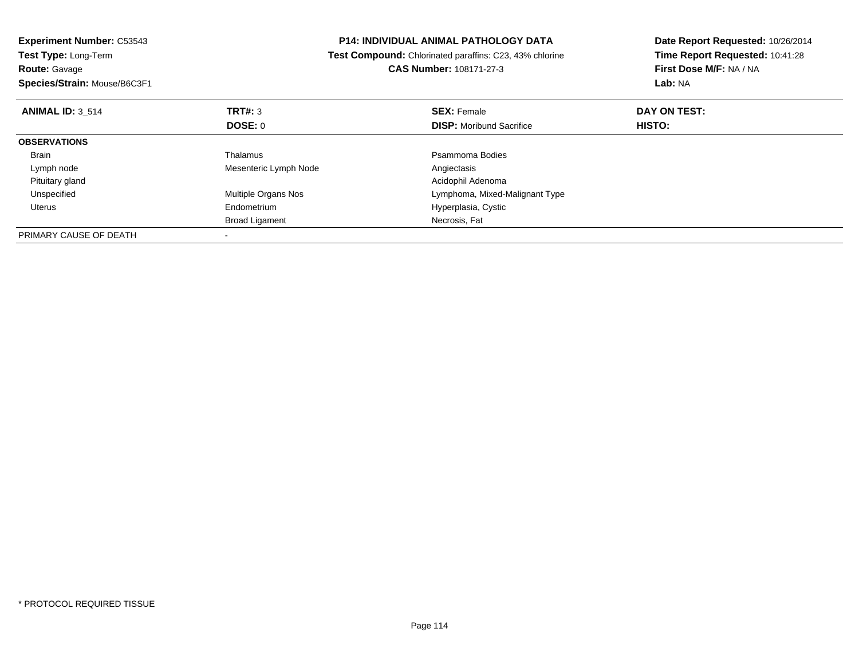| <b>Experiment Number: C53543</b> | <b>P14: INDIVIDUAL ANIMAL PATHOLOGY DATA</b> |                                                                | Date Report Requested: 10/26/2014 |  |
|----------------------------------|----------------------------------------------|----------------------------------------------------------------|-----------------------------------|--|
| Test Type: Long-Term             |                                              | <b>Test Compound:</b> Chlorinated paraffins: C23, 43% chlorine | Time Report Requested: 10:41:28   |  |
| <b>Route: Gavage</b>             |                                              | CAS Number: 108171-27-3                                        | First Dose M/F: NA / NA           |  |
| Species/Strain: Mouse/B6C3F1     |                                              |                                                                | Lab: NA                           |  |
| <b>ANIMAL ID: 3 514</b>          | TRT#: 3                                      | <b>SEX: Female</b>                                             | DAY ON TEST:                      |  |
|                                  | <b>DOSE: 0</b>                               | <b>DISP:</b> Moribund Sacrifice                                | <b>HISTO:</b>                     |  |
| <b>OBSERVATIONS</b>              |                                              |                                                                |                                   |  |
| Brain                            | Thalamus                                     | Psammoma Bodies                                                |                                   |  |
| Lymph node                       | Mesenteric Lymph Node                        | Angiectasis                                                    |                                   |  |
| Pituitary gland                  |                                              | Acidophil Adenoma                                              |                                   |  |
| Unspecified                      | <b>Multiple Organs Nos</b>                   | Lymphoma, Mixed-Malignant Type                                 |                                   |  |
| Uterus                           | Endometrium                                  | Hyperplasia, Cystic                                            |                                   |  |
|                                  | <b>Broad Ligament</b>                        | Necrosis, Fat                                                  |                                   |  |
| PRIMARY CAUSE OF DEATH           |                                              |                                                                |                                   |  |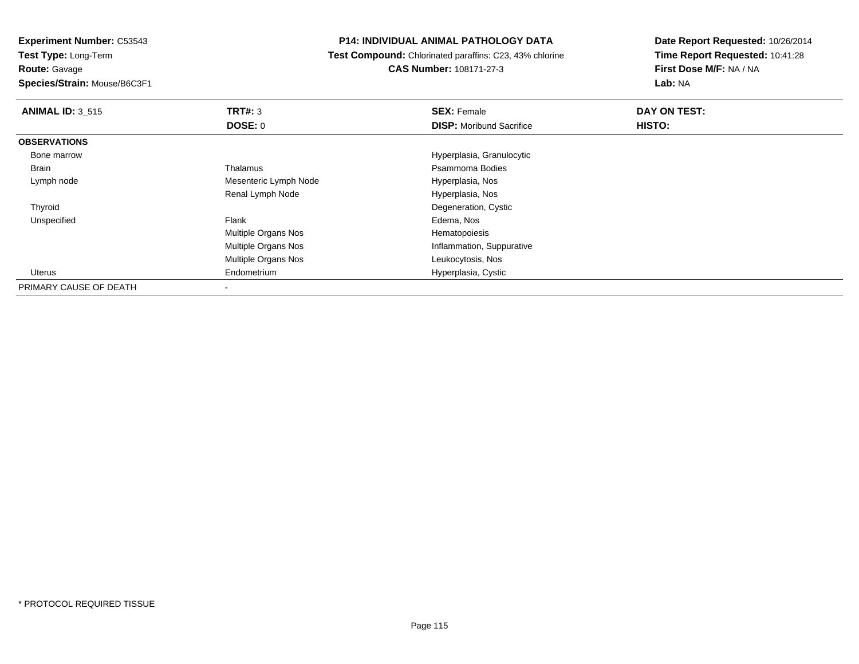**Test Type:** Long-Term**Route:** Gavage

**Species/Strain:** Mouse/B6C3F1

#### **P14: INDIVIDUAL ANIMAL PATHOLOGY DATA**

 **Test Compound:** Chlorinated paraffins: C23, 43% chlorine**CAS Number:** 108171-27-3

| <b>ANIMAL ID: 3 515</b> | TRT#: 3                    | <b>SEX: Female</b>              | DAY ON TEST: |  |
|-------------------------|----------------------------|---------------------------------|--------------|--|
|                         | <b>DOSE: 0</b>             | <b>DISP:</b> Moribund Sacrifice | HISTO:       |  |
| <b>OBSERVATIONS</b>     |                            |                                 |              |  |
| Bone marrow             |                            | Hyperplasia, Granulocytic       |              |  |
| Brain                   | Thalamus                   | Psammoma Bodies                 |              |  |
| Lymph node              | Mesenteric Lymph Node      | Hyperplasia, Nos                |              |  |
|                         | Renal Lymph Node           | Hyperplasia, Nos                |              |  |
| Thyroid                 |                            | Degeneration, Cystic            |              |  |
| Unspecified             | Flank                      | Edema, Nos                      |              |  |
|                         | <b>Multiple Organs Nos</b> | Hematopoiesis                   |              |  |
|                         | <b>Multiple Organs Nos</b> | Inflammation, Suppurative       |              |  |
|                         | <b>Multiple Organs Nos</b> | Leukocytosis, Nos               |              |  |
| Uterus                  | Endometrium                | Hyperplasia, Cystic             |              |  |
| PRIMARY CAUSE OF DEATH  |                            |                                 |              |  |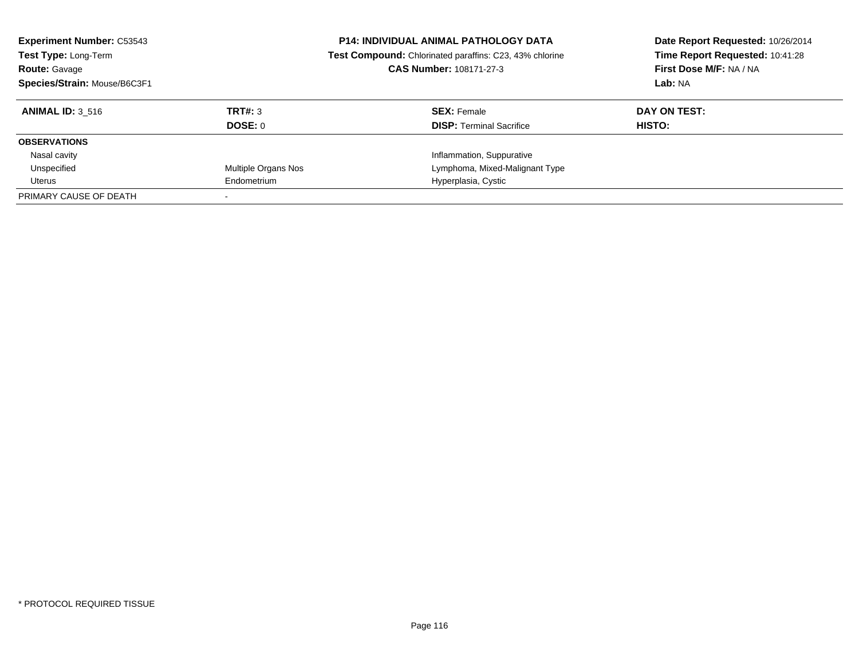| <b>Experiment Number: C53543</b><br>Test Type: Long-Term<br><b>Route: Gavage</b><br>Species/Strain: Mouse/B6C3F1 |                     | <b>P14: INDIVIDUAL ANIMAL PATHOLOGY DATA</b><br>Test Compound: Chlorinated paraffins: C23, 43% chlorine<br>CAS Number: 108171-27-3 | Date Report Requested: 10/26/2014<br>Time Report Requested: 10:41:28<br>First Dose M/F: NA / NA<br>Lab: NA |
|------------------------------------------------------------------------------------------------------------------|---------------------|------------------------------------------------------------------------------------------------------------------------------------|------------------------------------------------------------------------------------------------------------|
| <b>ANIMAL ID: 3 516</b>                                                                                          | TRT#: 3             | <b>SEX: Female</b>                                                                                                                 | DAY ON TEST:                                                                                               |
|                                                                                                                  | <b>DOSE: 0</b>      | <b>DISP:</b> Terminal Sacrifice                                                                                                    | HISTO:                                                                                                     |
| <b>OBSERVATIONS</b>                                                                                              |                     |                                                                                                                                    |                                                                                                            |
| Nasal cavity                                                                                                     |                     | Inflammation, Suppurative                                                                                                          |                                                                                                            |
| Unspecified                                                                                                      | Multiple Organs Nos | Lymphoma, Mixed-Malignant Type                                                                                                     |                                                                                                            |
| Uterus                                                                                                           | Endometrium         | Hyperplasia, Cystic                                                                                                                |                                                                                                            |
| PRIMARY CAUSE OF DEATH                                                                                           |                     |                                                                                                                                    |                                                                                                            |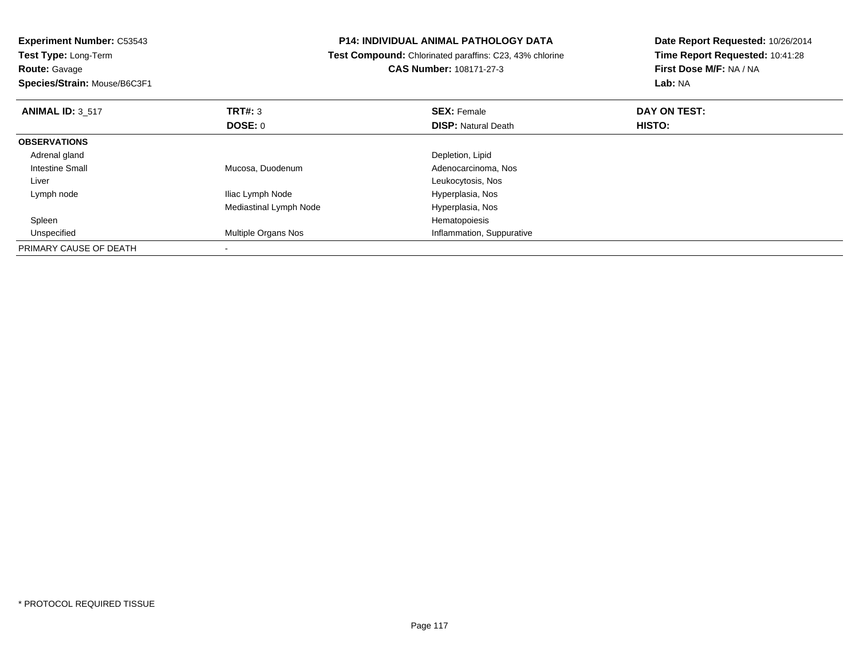**Experiment Number:** C53543**Test Type:** Long-Term**Route:** Gavage **Species/Strain:** Mouse/B6C3F1**P14: INDIVIDUAL ANIMAL PATHOLOGY DATA Test Compound:** Chlorinated paraffins: C23, 43% chlorine**CAS Number:** 108171-27-3**Date Report Requested:** 10/26/2014**Time Report Requested:** 10:41:28**First Dose M/F:** NA / NA**Lab:** NA**ANIMAL ID:** 3\_517 **TRT#:** <sup>3</sup> **SEX:** Female **DAY ON TEST: DOSE:** 0**DISP:** Natural Death **HISTO: OBSERVATIONS** Adrenal gland Depletion, Lipid Intestine Small Mucosa, Duodenum Adenocarcinoma, Nos Liver Leukocytosis, NosHyperplasia, Nos Lymph nodeIliac Lymph Node Mediastinal Lymph Node Hyperplasia, Nos Spleenn and the state of the state of the state of the state of the state of the state of the state of the state of the state of the state of the state of the state of the state of the state of the state of the state of the stat UnspecifiedMultiple Organs Nos **Inflammation**, Suppurative PRIMARY CAUSE OF DEATH-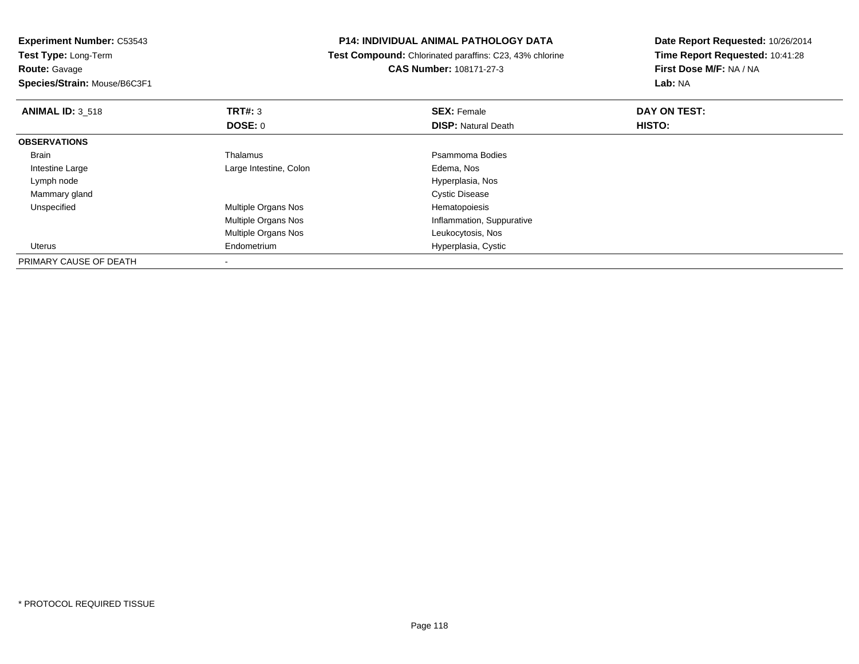**Experiment Number:** C53543**Test Type:** Long-Term

**Route:** Gavage

**Species/Strain:** Mouse/B6C3F1

# **P14: INDIVIDUAL ANIMAL PATHOLOGY DATA**

 **Test Compound:** Chlorinated paraffins: C23, 43% chlorine**CAS Number:** 108171-27-3

| <b>ANIMAL ID: 3 518</b> | TRT#: 3                    | <b>SEX: Female</b>         | DAY ON TEST: |  |
|-------------------------|----------------------------|----------------------------|--------------|--|
|                         | DOSE: 0                    | <b>DISP: Natural Death</b> | HISTO:       |  |
| <b>OBSERVATIONS</b>     |                            |                            |              |  |
| Brain                   | Thalamus                   | Psammoma Bodies            |              |  |
| Intestine Large         | Large Intestine, Colon     | Edema, Nos                 |              |  |
| Lymph node              |                            | Hyperplasia, Nos           |              |  |
| Mammary gland           |                            | <b>Cystic Disease</b>      |              |  |
| Unspecified             | Multiple Organs Nos        | Hematopoiesis              |              |  |
|                         | Multiple Organs Nos        | Inflammation, Suppurative  |              |  |
|                         | <b>Multiple Organs Nos</b> | Leukocytosis, Nos          |              |  |
| Uterus                  | Endometrium                | Hyperplasia, Cystic        |              |  |
| PRIMARY CAUSE OF DEATH  |                            |                            |              |  |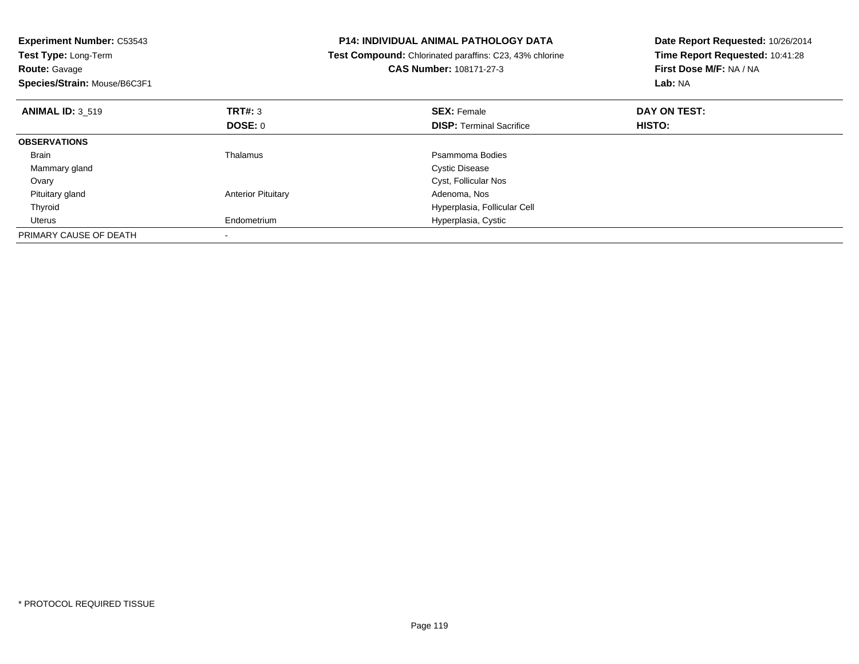| <b>Experiment Number: C53543</b><br>Test Type: Long-Term<br><b>Route: Gavage</b><br>Species/Strain: Mouse/B6C3F1 |                           | <b>P14: INDIVIDUAL ANIMAL PATHOLOGY DATA</b><br>Test Compound: Chlorinated paraffins: C23, 43% chlorine<br>CAS Number: 108171-27-3 | Date Report Requested: 10/26/2014<br>Time Report Requested: 10:41:28<br>First Dose M/F: NA / NA<br>Lab: NA |
|------------------------------------------------------------------------------------------------------------------|---------------------------|------------------------------------------------------------------------------------------------------------------------------------|------------------------------------------------------------------------------------------------------------|
| <b>ANIMAL ID: 3_519</b>                                                                                          | TRT#: 3                   | <b>SEX: Female</b>                                                                                                                 | DAY ON TEST:                                                                                               |
|                                                                                                                  | DOSE: 0                   | <b>DISP:</b> Terminal Sacrifice                                                                                                    | <b>HISTO:</b>                                                                                              |
| <b>OBSERVATIONS</b>                                                                                              |                           |                                                                                                                                    |                                                                                                            |
| Brain                                                                                                            | Thalamus                  | Psammoma Bodies                                                                                                                    |                                                                                                            |
| Mammary gland                                                                                                    |                           | <b>Cystic Disease</b>                                                                                                              |                                                                                                            |
| Ovary                                                                                                            |                           | Cyst, Follicular Nos                                                                                                               |                                                                                                            |
| Pituitary gland                                                                                                  | <b>Anterior Pituitary</b> | Adenoma, Nos                                                                                                                       |                                                                                                            |
| Thyroid                                                                                                          |                           | Hyperplasia, Follicular Cell                                                                                                       |                                                                                                            |
| Uterus                                                                                                           | Endometrium               | Hyperplasia, Cystic                                                                                                                |                                                                                                            |
| PRIMARY CAUSE OF DEATH                                                                                           |                           |                                                                                                                                    |                                                                                                            |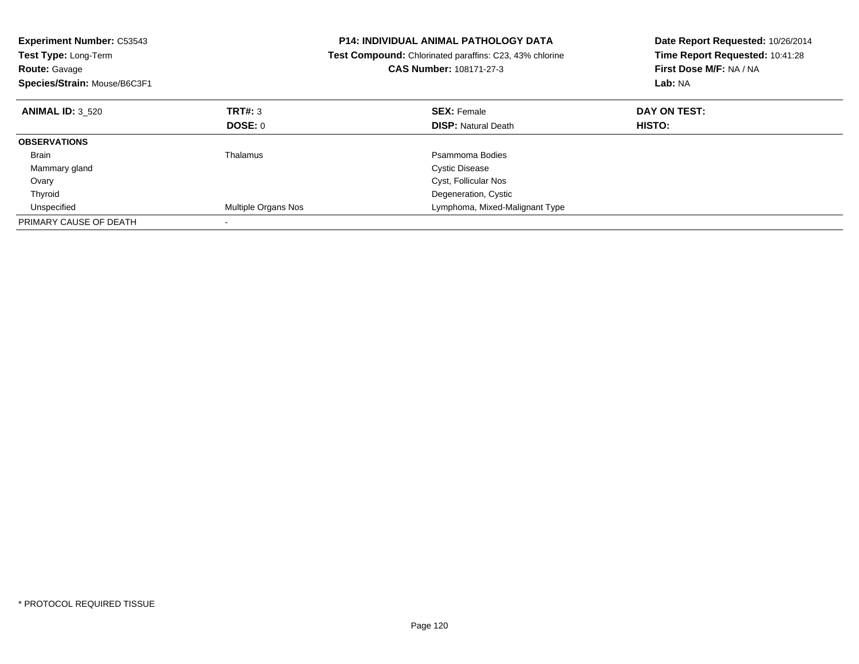| <b>Experiment Number: C53543</b><br><b>Test Type: Long-Term</b><br><b>Route: Gavage</b><br>Species/Strain: Mouse/B6C3F1 |                     | <b>P14: INDIVIDUAL ANIMAL PATHOLOGY DATA</b><br>Test Compound: Chlorinated paraffins: C23, 43% chlorine<br><b>CAS Number: 108171-27-3</b> | Date Report Requested: 10/26/2014<br>Time Report Requested: 10:41:28<br>First Dose M/F: NA / NA<br>Lab: NA |
|-------------------------------------------------------------------------------------------------------------------------|---------------------|-------------------------------------------------------------------------------------------------------------------------------------------|------------------------------------------------------------------------------------------------------------|
| <b>ANIMAL ID: 3 520</b>                                                                                                 | <b>TRT#: 3</b>      | <b>SEX: Female</b>                                                                                                                        | DAY ON TEST:                                                                                               |
|                                                                                                                         | DOSE: 0             | <b>DISP:</b> Natural Death                                                                                                                | HISTO:                                                                                                     |
| <b>OBSERVATIONS</b>                                                                                                     |                     |                                                                                                                                           |                                                                                                            |
| <b>Brain</b>                                                                                                            | Thalamus            | Psammoma Bodies                                                                                                                           |                                                                                                            |
| Mammary gland                                                                                                           |                     | <b>Cystic Disease</b>                                                                                                                     |                                                                                                            |
| Ovary                                                                                                                   |                     | Cyst, Follicular Nos                                                                                                                      |                                                                                                            |
| Thyroid                                                                                                                 |                     | Degeneration, Cystic                                                                                                                      |                                                                                                            |
| Unspecified                                                                                                             | Multiple Organs Nos | Lymphoma, Mixed-Malignant Type                                                                                                            |                                                                                                            |
| PRIMARY CAUSE OF DEATH                                                                                                  |                     |                                                                                                                                           |                                                                                                            |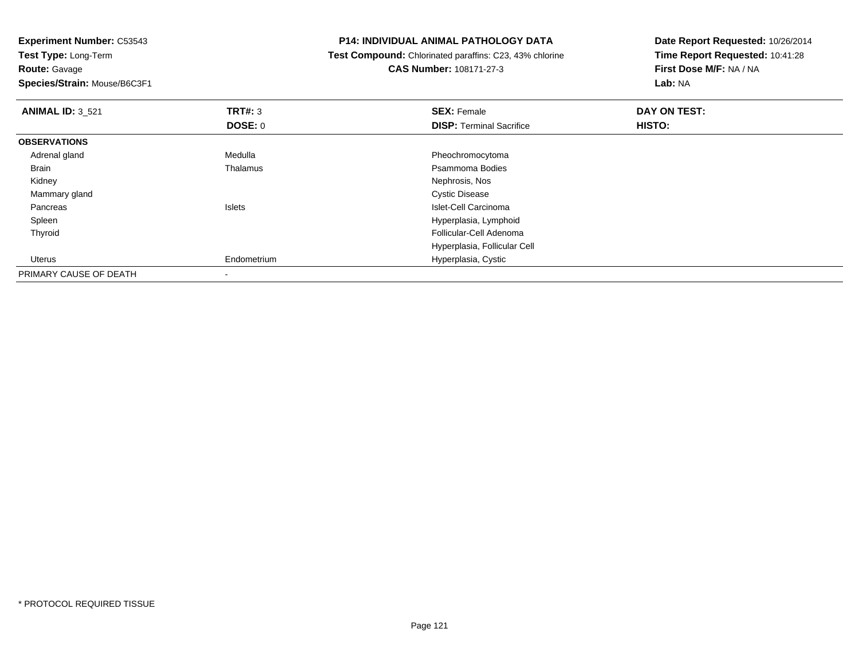**Experiment Number:** C53543**Test Type:** Long-Term**Route:** Gavage **Species/Strain:** Mouse/B6C3F1**P14: INDIVIDUAL ANIMAL PATHOLOGY DATA Test Compound:** Chlorinated paraffins: C23, 43% chlorine**CAS Number:** 108171-27-3**Date Report Requested:** 10/26/2014**Time Report Requested:** 10:41:28**First Dose M/F:** NA / NA**Lab:** NA**ANIMAL ID:** 3\_521**TRT#:** 3 **SEX:** Female **DAY ON TEST: DOSE:** 0**DISP:** Terminal Sacrifice **HISTO: OBSERVATIONS** Adrenal glandMedulla **Medulla** Pheochromocytoma<br>Thalamus **Pheochromocytoma**<br>Psammoma Bodies BrainPsammoma Bodies<br>Nephrosis, Nos Kidneyy which is a set of the set of the set of the set of the set of the set of the Nephrosis, Nos Mammary glandCystic Disease<br>Islets العالم العالمية العالمية العالمية العالمية العالمية العالمية العالمية العالمية العالمية<br>Islets العالمية العالمية العالمية العالمية العالمية العالمية العالمية العالمية العالمية العالمية العالمية الع PancreasIslet-Cell Carcinoma Hyperplasia, Lymphoid Spleen Thyroid Follicular-Cell Adenoma Hyperplasia, Follicular Cell Uterus Endometrium Hyperplasia, Cystic PRIMARY CAUSE OF DEATH-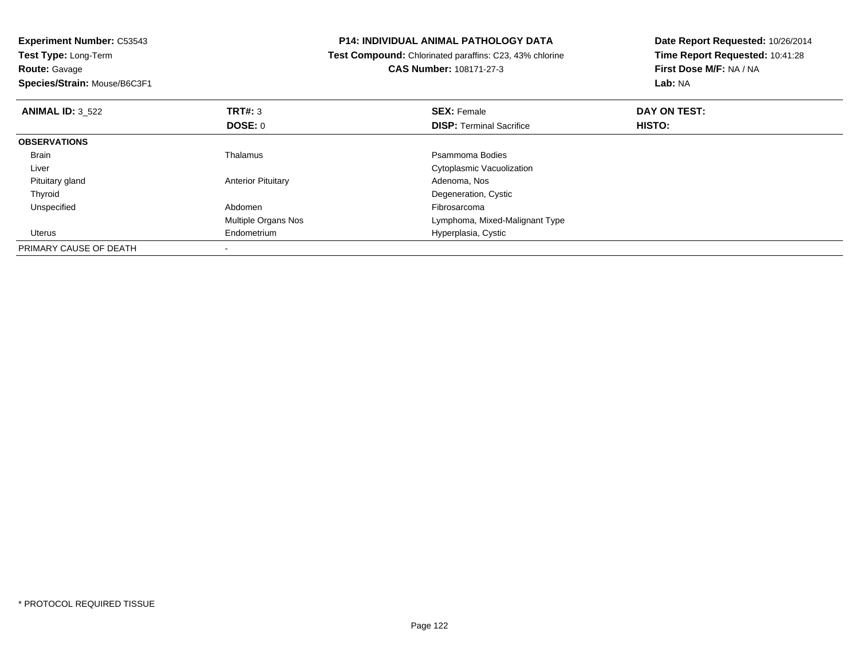| <b>Experiment Number: C53543</b>   |                           | <b>P14: INDIVIDUAL ANIMAL PATHOLOGY DATA</b>            | Date Report Requested: 10/26/2014 |
|------------------------------------|---------------------------|---------------------------------------------------------|-----------------------------------|
| <b>Test Type: Long-Term</b>        |                           | Test Compound: Chlorinated paraffins: C23, 43% chlorine | Time Report Requested: 10:41:28   |
| <b>Route: Gavage</b>               |                           | CAS Number: 108171-27-3                                 | First Dose M/F: NA / NA           |
| Species/Strain: Mouse/B6C3F1       |                           |                                                         | Lab: NA                           |
| TRT#: 3<br><b>ANIMAL ID: 3 522</b> |                           | <b>SEX: Female</b>                                      | DAY ON TEST:                      |
| DOSE: 0                            |                           | <b>DISP:</b> Terminal Sacrifice                         | HISTO:                            |
| <b>OBSERVATIONS</b>                |                           |                                                         |                                   |
| Thalamus<br>Brain                  |                           | Psammoma Bodies                                         |                                   |
| Liver                              |                           | Cytoplasmic Vacuolization                               |                                   |
| Pituitary gland                    | <b>Anterior Pituitary</b> | Adenoma, Nos                                            |                                   |
| Thyroid                            |                           | Degeneration, Cystic                                    |                                   |
| Unspecified<br>Abdomen             |                           | Fibrosarcoma                                            |                                   |
|                                    | Multiple Organs Nos       | Lymphoma, Mixed-Malignant Type                          |                                   |
| Endometrium<br>Uterus              |                           | Hyperplasia, Cystic                                     |                                   |
| PRIMARY CAUSE OF DEATH             |                           |                                                         |                                   |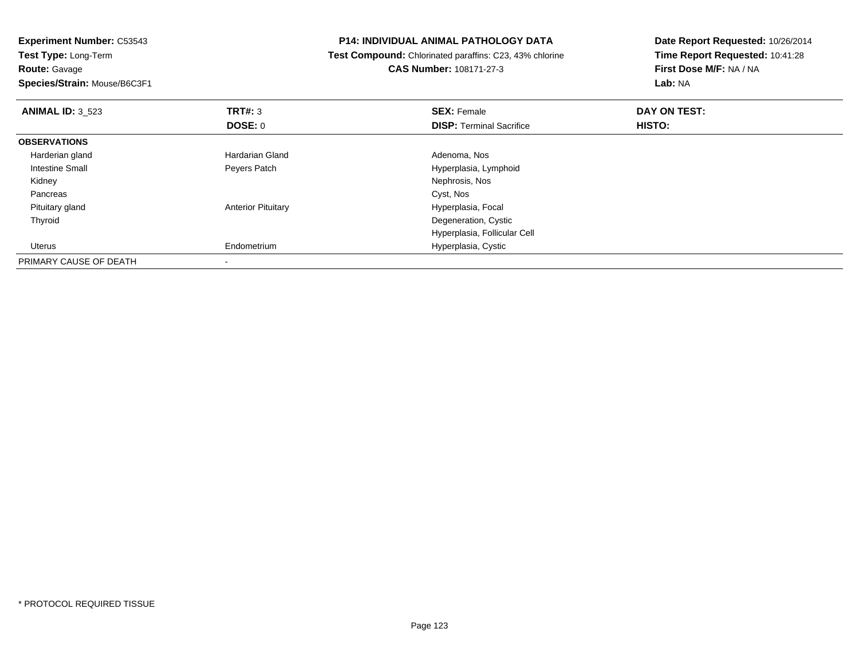**Experiment Number:** C53543**Test Type:** Long-Term**Route:** Gavage **Species/Strain:** Mouse/B6C3F1**P14: INDIVIDUAL ANIMAL PATHOLOGY DATA Test Compound:** Chlorinated paraffins: C23, 43% chlorine**CAS Number:** 108171-27-3**Date Report Requested:** 10/26/2014**Time Report Requested:** 10:41:28**First Dose M/F:** NA / NA**Lab:** NA**ANIMAL ID:** 3\_523**TRT#:** 3 **SEX:** Female **DAY ON TEST: DOSE:** 0**DISP:** Terminal Sacrifice **HISTO: OBSERVATIONS** Harderian glandHardarian Gland **Adenoma**, Nos Intestine Small Peyers Patch Hyperplasia, Lymphoid Kidney Nephrosis, Nos Pancreass and the contract of the contract of the contract of the contract of the contract of the contract of the contract of the contract of the contract of the contract of the contract of the contract of the contract of the cont Pituitary glandAnterior Pituitary **Material Executive Contracts** Hyperplasia, Focal Thyroid Degeneration, Cystic Hyperplasia, Follicular Cell Uterus Endometrium Hyperplasia, Cystic PRIMARY CAUSE OF DEATH-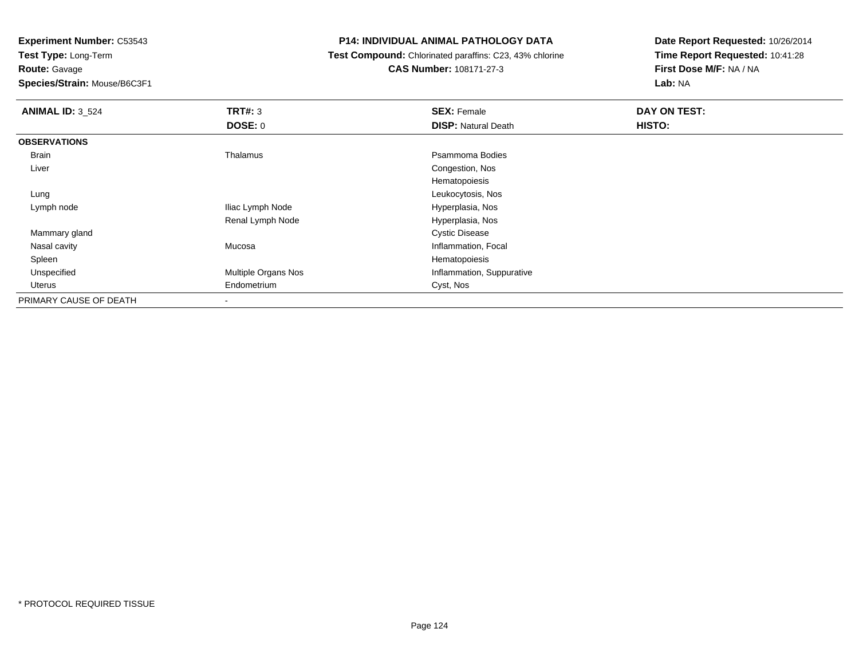**Test Type:** Long-Term**Route:** Gavage

**Species/Strain:** Mouse/B6C3F1

### **P14: INDIVIDUAL ANIMAL PATHOLOGY DATA**

 **Test Compound:** Chlorinated paraffins: C23, 43% chlorine**CAS Number:** 108171-27-3

| <b>ANIMAL ID: 3_524</b> | TRT#: 3             | <b>SEX: Female</b>         | DAY ON TEST: |
|-------------------------|---------------------|----------------------------|--------------|
|                         | <b>DOSE: 0</b>      | <b>DISP: Natural Death</b> | HISTO:       |
| <b>OBSERVATIONS</b>     |                     |                            |              |
| Brain                   | Thalamus            | Psammoma Bodies            |              |
| Liver                   |                     | Congestion, Nos            |              |
|                         |                     | Hematopoiesis              |              |
| Lung                    |                     | Leukocytosis, Nos          |              |
| Lymph node              | Iliac Lymph Node    | Hyperplasia, Nos           |              |
|                         | Renal Lymph Node    | Hyperplasia, Nos           |              |
| Mammary gland           |                     | <b>Cystic Disease</b>      |              |
| Nasal cavity            | Mucosa              | Inflammation, Focal        |              |
| Spleen                  |                     | Hematopoiesis              |              |
| Unspecified             | Multiple Organs Nos | Inflammation, Suppurative  |              |
| Uterus                  | Endometrium         | Cyst, Nos                  |              |
| PRIMARY CAUSE OF DEATH  |                     |                            |              |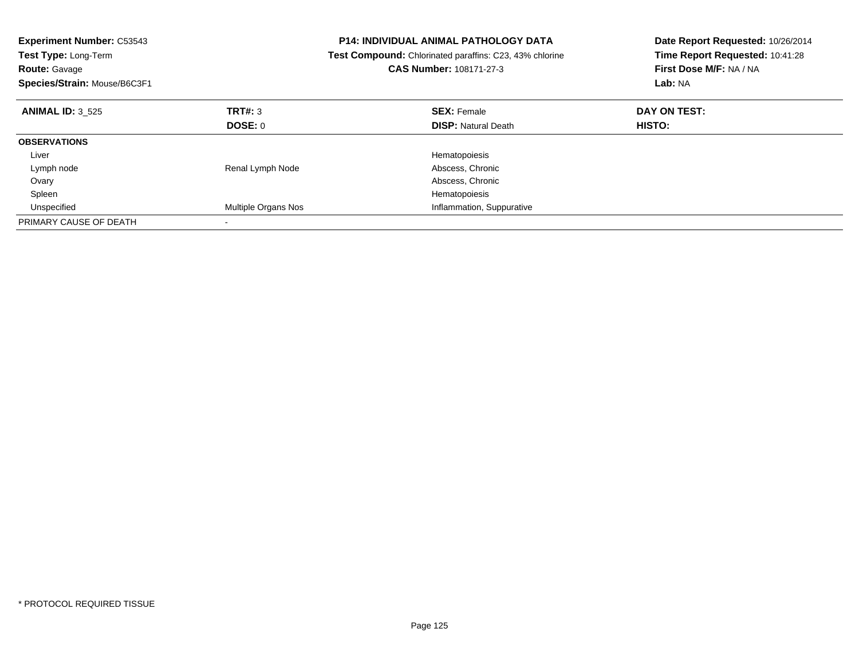| <b>Experiment Number: C53543</b><br>Test Type: Long-Term<br><b>Route: Gavage</b><br>Species/Strain: Mouse/B6C3F1 |                     | <b>P14: INDIVIDUAL ANIMAL PATHOLOGY DATA</b><br>Test Compound: Chlorinated paraffins: C23, 43% chlorine<br><b>CAS Number: 108171-27-3</b> | Date Report Requested: 10/26/2014<br>Time Report Requested: 10:41:28<br>First Dose M/F: NA / NA<br>Lab: NA |
|------------------------------------------------------------------------------------------------------------------|---------------------|-------------------------------------------------------------------------------------------------------------------------------------------|------------------------------------------------------------------------------------------------------------|
| <b>ANIMAL ID: 3 525</b>                                                                                          | <b>TRT#: 3</b>      | <b>SEX: Female</b>                                                                                                                        | DAY ON TEST:                                                                                               |
|                                                                                                                  | DOSE: 0             | <b>DISP:</b> Natural Death                                                                                                                | HISTO:                                                                                                     |
| <b>OBSERVATIONS</b>                                                                                              |                     |                                                                                                                                           |                                                                                                            |
| Liver                                                                                                            |                     | Hematopoiesis                                                                                                                             |                                                                                                            |
| Lymph node                                                                                                       | Renal Lymph Node    | Abscess, Chronic                                                                                                                          |                                                                                                            |
| Ovary                                                                                                            |                     | Abscess, Chronic                                                                                                                          |                                                                                                            |
| Spleen                                                                                                           |                     | Hematopoiesis                                                                                                                             |                                                                                                            |
| Unspecified                                                                                                      | Multiple Organs Nos | Inflammation, Suppurative                                                                                                                 |                                                                                                            |
| PRIMARY CAUSE OF DEATH                                                                                           |                     |                                                                                                                                           |                                                                                                            |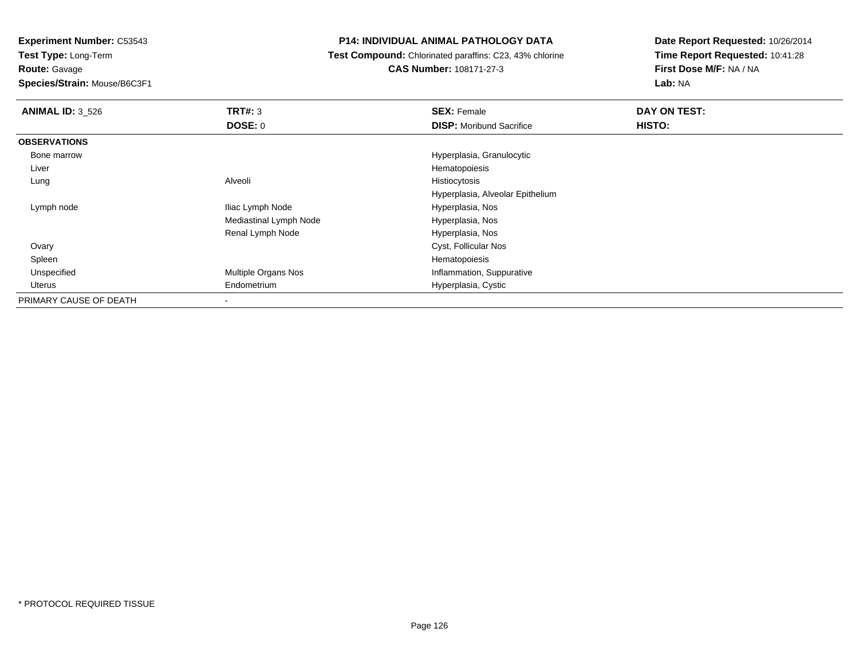**Test Type:** Long-Term**Route:** Gavage

**Species/Strain:** Mouse/B6C3F1

# **P14: INDIVIDUAL ANIMAL PATHOLOGY DATA**

**Test Compound:** Chlorinated paraffins: C23, 43% chlorine

**CAS Number:** 108171-27-3

| <b>ANIMAL ID: 3 526</b> | TRT#: 3                | <b>SEX: Female</b>               | DAY ON TEST: |
|-------------------------|------------------------|----------------------------------|--------------|
|                         | <b>DOSE: 0</b>         | <b>DISP:</b> Moribund Sacrifice  | HISTO:       |
| <b>OBSERVATIONS</b>     |                        |                                  |              |
| Bone marrow             |                        | Hyperplasia, Granulocytic        |              |
| Liver                   |                        | Hematopoiesis                    |              |
| Lung                    | Alveoli                | Histiocytosis                    |              |
|                         |                        | Hyperplasia, Alveolar Epithelium |              |
| Lymph node              | Iliac Lymph Node       | Hyperplasia, Nos                 |              |
|                         | Mediastinal Lymph Node | Hyperplasia, Nos                 |              |
|                         | Renal Lymph Node       | Hyperplasia, Nos                 |              |
| Ovary                   |                        | Cyst, Follicular Nos             |              |
| Spleen                  |                        | Hematopoiesis                    |              |
| Unspecified             | Multiple Organs Nos    | Inflammation, Suppurative        |              |
| Uterus                  | Endometrium            | Hyperplasia, Cystic              |              |
| PRIMARY CAUSE OF DEATH  | $\,$                   |                                  |              |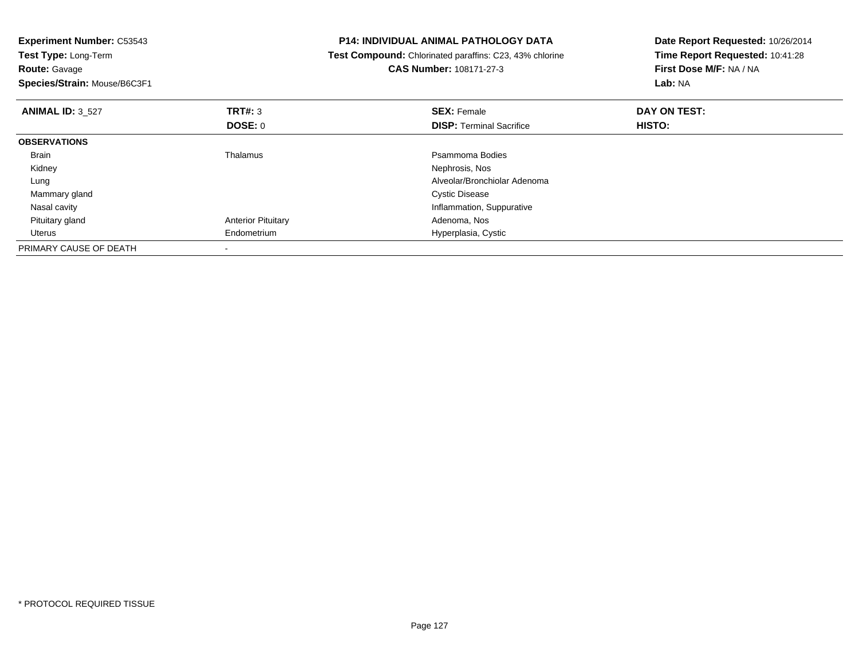| <b>Experiment Number: C53543</b><br>Test Type: Long-Term<br><b>Route: Gavage</b><br>Species/Strain: Mouse/B6C3F1 |                           | <b>P14: INDIVIDUAL ANIMAL PATHOLOGY DATA</b><br>Test Compound: Chlorinated paraffins: C23, 43% chlorine<br><b>CAS Number: 108171-27-3</b> | Date Report Requested: 10/26/2014<br>Time Report Requested: 10:41:28<br>First Dose M/F: NA / NA<br>Lab: NA |
|------------------------------------------------------------------------------------------------------------------|---------------------------|-------------------------------------------------------------------------------------------------------------------------------------------|------------------------------------------------------------------------------------------------------------|
|                                                                                                                  |                           |                                                                                                                                           |                                                                                                            |
| <b>ANIMAL ID: 3_527</b>                                                                                          | <b>TRT#: 3</b>            | <b>SEX: Female</b>                                                                                                                        | DAY ON TEST:                                                                                               |
|                                                                                                                  | <b>DOSE: 0</b>            | <b>DISP:</b> Terminal Sacrifice                                                                                                           | HISTO:                                                                                                     |
| <b>OBSERVATIONS</b>                                                                                              |                           |                                                                                                                                           |                                                                                                            |
| Brain                                                                                                            | Thalamus                  | Psammoma Bodies                                                                                                                           |                                                                                                            |
| Kidney                                                                                                           |                           | Nephrosis, Nos                                                                                                                            |                                                                                                            |
| Lung                                                                                                             |                           | Alveolar/Bronchiolar Adenoma                                                                                                              |                                                                                                            |
| Mammary gland                                                                                                    |                           | Cystic Disease                                                                                                                            |                                                                                                            |
| Nasal cavity                                                                                                     |                           | Inflammation, Suppurative                                                                                                                 |                                                                                                            |
| Pituitary gland                                                                                                  | <b>Anterior Pituitary</b> | Adenoma, Nos                                                                                                                              |                                                                                                            |
| Uterus                                                                                                           | Endometrium               | Hyperplasia, Cystic                                                                                                                       |                                                                                                            |
| PRIMARY CAUSE OF DEATH                                                                                           |                           |                                                                                                                                           |                                                                                                            |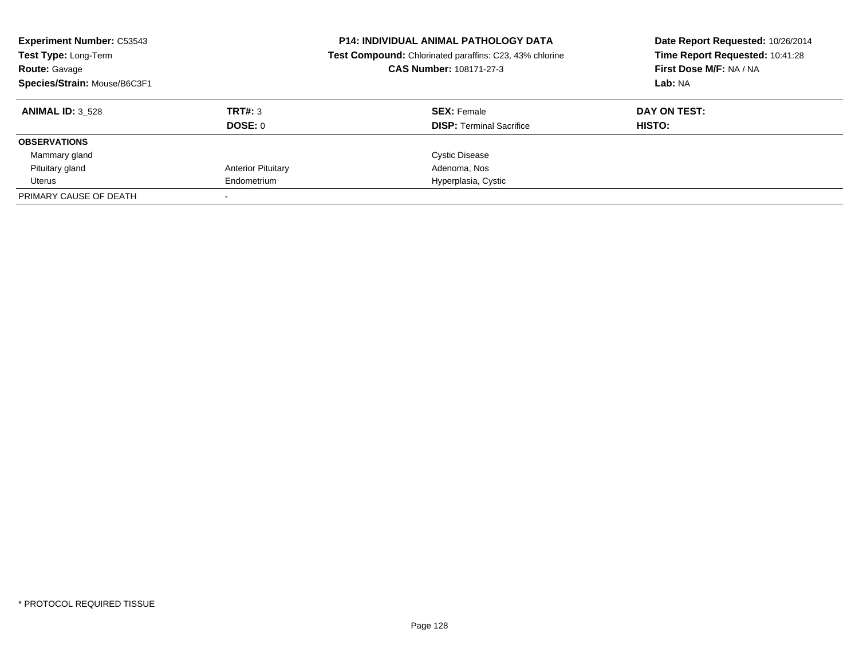| <b>Experiment Number: C53543</b><br>Test Type: Long-Term<br><b>Route: Gavage</b><br>Species/Strain: Mouse/B6C3F1 |                           | <b>P14: INDIVIDUAL ANIMAL PATHOLOGY DATA</b><br>Date Report Requested: 10/26/2014<br>Time Report Requested: 10:41:28<br>Test Compound: Chlorinated paraffins: C23, 43% chlorine<br>First Dose M/F: NA / NA<br>CAS Number: 108171-27-3<br>Lab: NA |              |
|------------------------------------------------------------------------------------------------------------------|---------------------------|--------------------------------------------------------------------------------------------------------------------------------------------------------------------------------------------------------------------------------------------------|--------------|
| <b>ANIMAL ID: 3 528</b>                                                                                          | TRT#: 3                   | <b>SEX: Female</b>                                                                                                                                                                                                                               | DAY ON TEST: |
|                                                                                                                  | DOSE: 0                   | <b>DISP:</b> Terminal Sacrifice                                                                                                                                                                                                                  | HISTO:       |
| <b>OBSERVATIONS</b>                                                                                              |                           |                                                                                                                                                                                                                                                  |              |
| Mammary gland                                                                                                    |                           | <b>Cystic Disease</b>                                                                                                                                                                                                                            |              |
| Pituitary gland                                                                                                  | <b>Anterior Pituitary</b> | Adenoma, Nos                                                                                                                                                                                                                                     |              |
| Uterus                                                                                                           | Endometrium               | Hyperplasia, Cystic                                                                                                                                                                                                                              |              |
| PRIMARY CAUSE OF DEATH                                                                                           |                           |                                                                                                                                                                                                                                                  |              |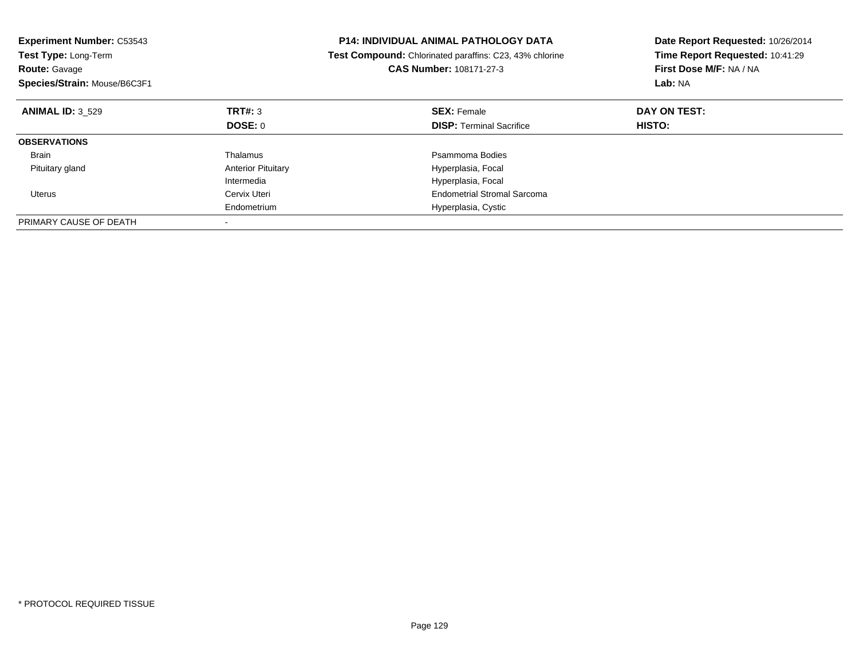| <b>Experiment Number: C53543</b><br><b>Test Type: Long-Term</b><br><b>Route: Gavage</b><br>Species/Strain: Mouse/B6C3F1 |                           | <b>P14: INDIVIDUAL ANIMAL PATHOLOGY DATA</b><br>Test Compound: Chlorinated paraffins: C23, 43% chlorine<br>CAS Number: 108171-27-3 | Date Report Requested: 10/26/2014<br>Time Report Requested: 10:41:29<br>First Dose M/F: NA / NA<br>Lab: NA |
|-------------------------------------------------------------------------------------------------------------------------|---------------------------|------------------------------------------------------------------------------------------------------------------------------------|------------------------------------------------------------------------------------------------------------|
| <b>ANIMAL ID: 3 529</b>                                                                                                 | TRT#: 3                   | <b>SEX: Female</b>                                                                                                                 | DAY ON TEST:                                                                                               |
|                                                                                                                         | DOSE: 0                   | <b>DISP:</b> Terminal Sacrifice                                                                                                    | <b>HISTO:</b>                                                                                              |
| <b>OBSERVATIONS</b>                                                                                                     |                           |                                                                                                                                    |                                                                                                            |
| <b>Brain</b>                                                                                                            | Thalamus                  | Psammoma Bodies                                                                                                                    |                                                                                                            |
| Pituitary gland                                                                                                         | <b>Anterior Pituitary</b> | Hyperplasia, Focal                                                                                                                 |                                                                                                            |
|                                                                                                                         | Intermedia                | Hyperplasia, Focal                                                                                                                 |                                                                                                            |
| <b>Uterus</b>                                                                                                           | Cervix Uteri              | Endometrial Stromal Sarcoma                                                                                                        |                                                                                                            |
|                                                                                                                         | Endometrium               | Hyperplasia, Cystic                                                                                                                |                                                                                                            |
| PRIMARY CAUSE OF DEATH                                                                                                  |                           |                                                                                                                                    |                                                                                                            |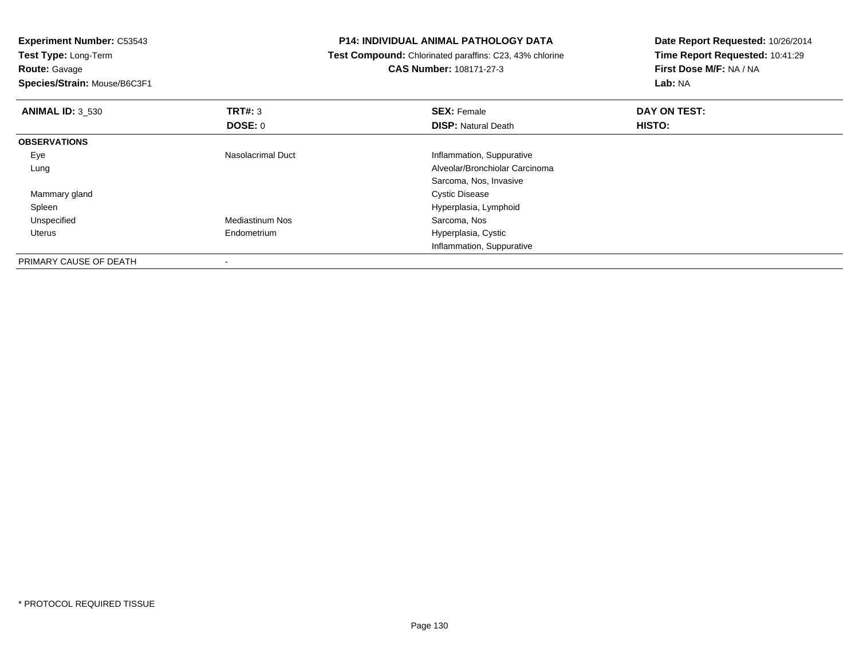**Experiment Number:** C53543**Test Type:** Long-Term**Route:** Gavage **Species/Strain:** Mouse/B6C3F1**P14: INDIVIDUAL ANIMAL PATHOLOGY DATA Test Compound:** Chlorinated paraffins: C23, 43% chlorine**CAS Number:** 108171-27-3**Date Report Requested:** 10/26/2014**Time Report Requested:** 10:41:29**First Dose M/F:** NA / NA**Lab:** NA**ANIMAL ID:** 3\_530**C SEX:** Female **DAY ON TEST: DAY ON TEST: DOSE:** 0**DISP:** Natural Death **HISTO: OBSERVATIONS** EyeNasolacrimal Duct **Inflammation**, Suppurative Lung Alveolar/Bronchiolar Carcinoma Sarcoma, Nos, Invasive Mammary gland Cystic Disease Spleen Hyperplasia, Lymphoid UnspecifiedMediastinum Nos

> Hyperplasia, Cystic Inflammation, Suppurative

PRIMARY CAUSE OF DEATH-

Endometrium

Uterus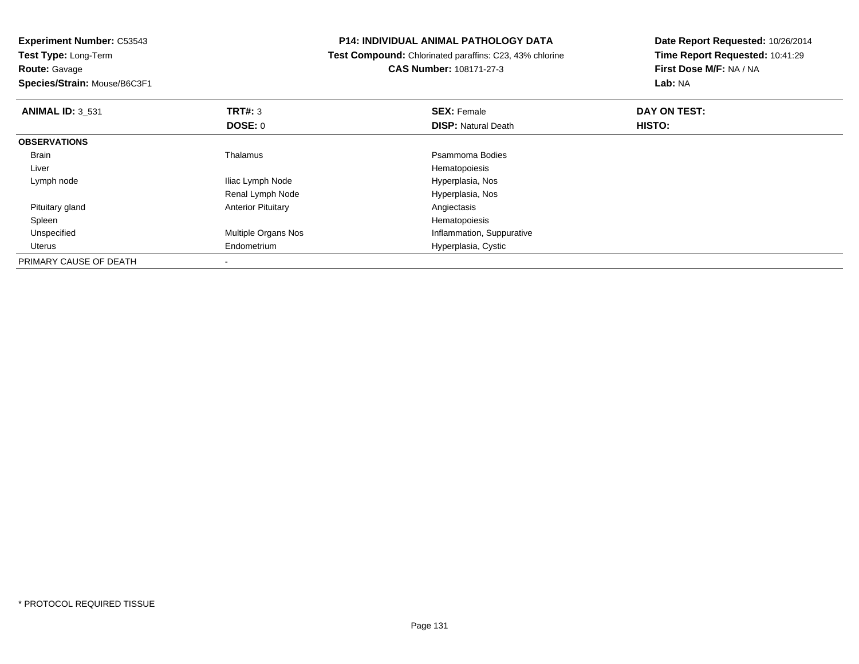**Experiment Number:** C53543**Test Type:** Long-Term

**Route:** Gavage

**Species/Strain:** Mouse/B6C3F1

### **P14: INDIVIDUAL ANIMAL PATHOLOGY DATA**

 **Test Compound:** Chlorinated paraffins: C23, 43% chlorine**CAS Number:** 108171-27-3

| <b>ANIMAL ID: 3 531</b> | TRT#: 3                    | <b>SEX: Female</b>         | DAY ON TEST: |  |
|-------------------------|----------------------------|----------------------------|--------------|--|
|                         | <b>DOSE: 0</b>             | <b>DISP: Natural Death</b> | HISTO:       |  |
| <b>OBSERVATIONS</b>     |                            |                            |              |  |
| Brain                   | Thalamus                   | Psammoma Bodies            |              |  |
| Liver                   |                            | Hematopoiesis              |              |  |
| Lymph node              | Iliac Lymph Node           | Hyperplasia, Nos           |              |  |
|                         | Renal Lymph Node           | Hyperplasia, Nos           |              |  |
| Pituitary gland         | <b>Anterior Pituitary</b>  | Angiectasis                |              |  |
| Spleen                  |                            | Hematopoiesis              |              |  |
| Unspecified             | <b>Multiple Organs Nos</b> | Inflammation, Suppurative  |              |  |
| Uterus                  | Endometrium                | Hyperplasia, Cystic        |              |  |
| PRIMARY CAUSE OF DEATH  |                            |                            |              |  |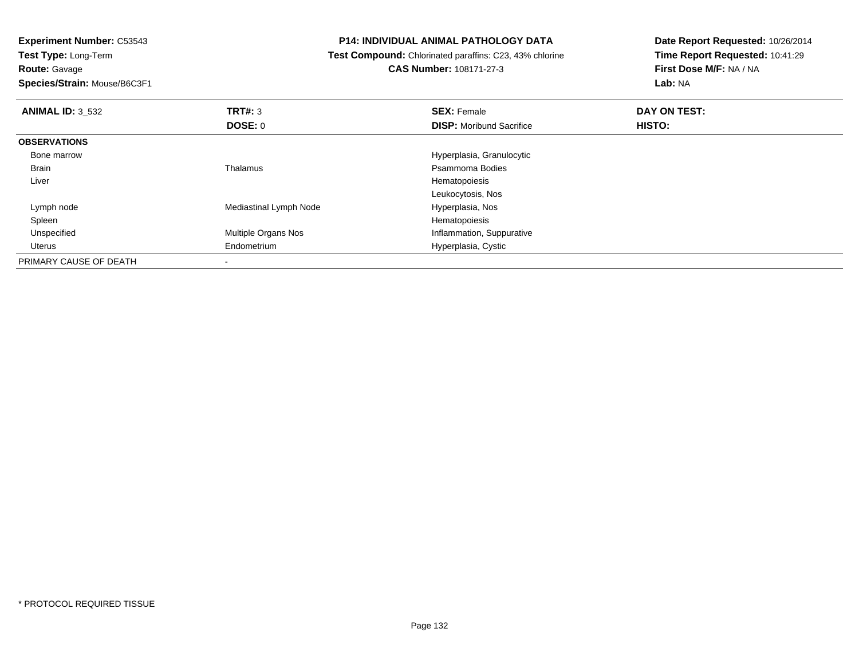**Test Type:** Long-Term**Route:** Gavage

**Species/Strain:** Mouse/B6C3F1

# **P14: INDIVIDUAL ANIMAL PATHOLOGY DATA**

**Test Compound:** Chlorinated paraffins: C23, 43% chlorine

**CAS Number:** 108171-27-3

| <b>ANIMAL ID: 3 532</b> | TRT#: 3                    | <b>SEX: Female</b>              | DAY ON TEST: |  |
|-------------------------|----------------------------|---------------------------------|--------------|--|
|                         | DOSE: 0                    | <b>DISP:</b> Moribund Sacrifice | HISTO:       |  |
| <b>OBSERVATIONS</b>     |                            |                                 |              |  |
| Bone marrow             |                            | Hyperplasia, Granulocytic       |              |  |
| Brain                   | Thalamus                   | Psammoma Bodies                 |              |  |
| Liver                   |                            | Hematopoiesis                   |              |  |
|                         |                            | Leukocytosis, Nos               |              |  |
| Lymph node              | Mediastinal Lymph Node     | Hyperplasia, Nos                |              |  |
| Spleen                  |                            | Hematopoiesis                   |              |  |
| Unspecified             | <b>Multiple Organs Nos</b> | Inflammation, Suppurative       |              |  |
| Uterus                  | Endometrium                | Hyperplasia, Cystic             |              |  |
| PRIMARY CAUSE OF DEATH  |                            |                                 |              |  |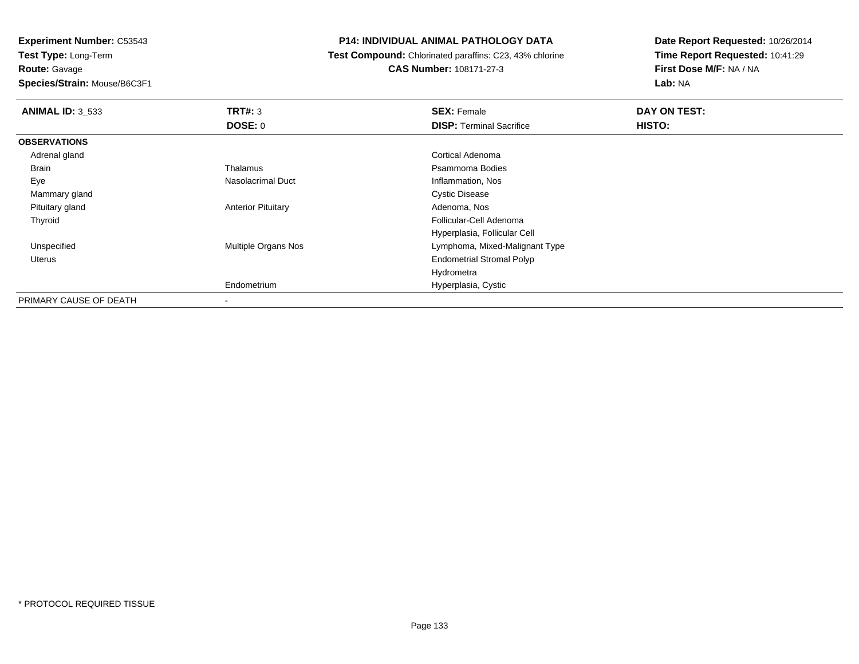**Experiment Number:** C53543**Test Type:** Long-Term

**Route:** Gavage

**Species/Strain:** Mouse/B6C3F1

# **P14: INDIVIDUAL ANIMAL PATHOLOGY DATA**

 **Test Compound:** Chlorinated paraffins: C23, 43% chlorine**CAS Number:** 108171-27-3

| <b>ANIMAL ID: 3_533</b> | TRT#: 3                   | <b>SEX: Female</b>               | DAY ON TEST: |  |
|-------------------------|---------------------------|----------------------------------|--------------|--|
|                         | DOSE: 0                   | <b>DISP: Terminal Sacrifice</b>  | HISTO:       |  |
| <b>OBSERVATIONS</b>     |                           |                                  |              |  |
| Adrenal gland           |                           | Cortical Adenoma                 |              |  |
| Brain                   | Thalamus                  | Psammoma Bodies                  |              |  |
| Eye                     | Nasolacrimal Duct         | Inflammation, Nos                |              |  |
| Mammary gland           |                           | <b>Cystic Disease</b>            |              |  |
| Pituitary gland         | <b>Anterior Pituitary</b> | Adenoma, Nos                     |              |  |
| Thyroid                 |                           | Follicular-Cell Adenoma          |              |  |
|                         |                           | Hyperplasia, Follicular Cell     |              |  |
| Unspecified             | Multiple Organs Nos       | Lymphoma, Mixed-Malignant Type   |              |  |
| Uterus                  |                           | <b>Endometrial Stromal Polyp</b> |              |  |
|                         |                           | Hydrometra                       |              |  |
|                         | Endometrium               | Hyperplasia, Cystic              |              |  |
| PRIMARY CAUSE OF DEATH  |                           |                                  |              |  |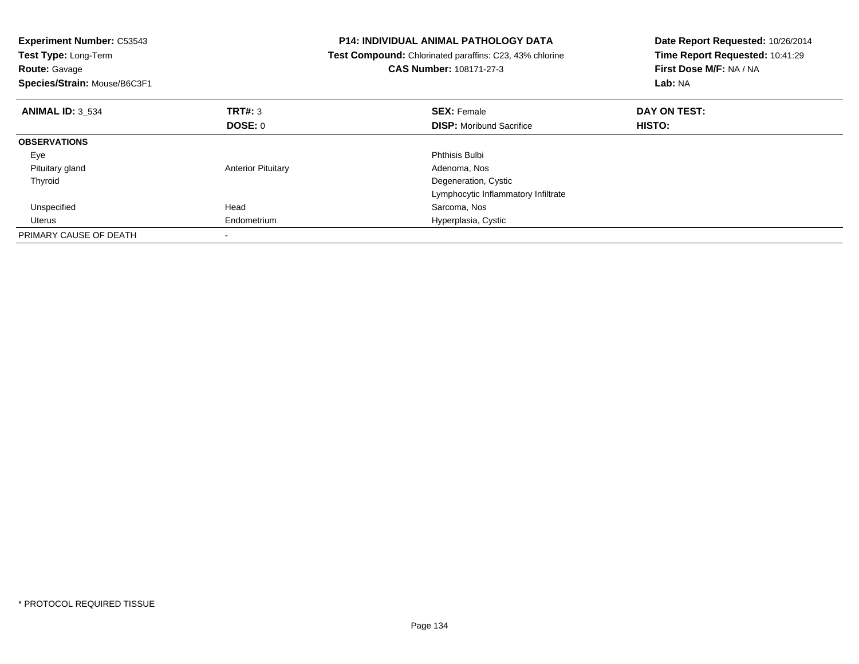| <b>Experiment Number: C53543</b><br>Test Type: Long-Term<br><b>Route: Gavage</b><br>Species/Strain: Mouse/B6C3F1 |                           | <b>P14: INDIVIDUAL ANIMAL PATHOLOGY DATA</b><br>Test Compound: Chlorinated paraffins: C23, 43% chlorine<br>CAS Number: 108171-27-3 | Date Report Requested: 10/26/2014<br>Time Report Requested: 10:41:29<br>First Dose M/F: NA / NA<br>Lab: NA |
|------------------------------------------------------------------------------------------------------------------|---------------------------|------------------------------------------------------------------------------------------------------------------------------------|------------------------------------------------------------------------------------------------------------|
| <b>ANIMAL ID: 3 534</b>                                                                                          | TRT#: 3                   | <b>SEX: Female</b>                                                                                                                 | DAY ON TEST:                                                                                               |
|                                                                                                                  | DOSE: 0                   | <b>DISP:</b> Moribund Sacrifice                                                                                                    | HISTO:                                                                                                     |
| <b>OBSERVATIONS</b>                                                                                              |                           |                                                                                                                                    |                                                                                                            |
| Eye                                                                                                              |                           | <b>Phthisis Bulbi</b>                                                                                                              |                                                                                                            |
| Pituitary gland                                                                                                  | <b>Anterior Pituitary</b> | Adenoma, Nos                                                                                                                       |                                                                                                            |
| Thyroid                                                                                                          |                           | Degeneration, Cystic                                                                                                               |                                                                                                            |
|                                                                                                                  |                           | Lymphocytic Inflammatory Infiltrate                                                                                                |                                                                                                            |
| Unspecified                                                                                                      | Head                      | Sarcoma, Nos                                                                                                                       |                                                                                                            |
| Uterus                                                                                                           | Endometrium               | Hyperplasia, Cystic                                                                                                                |                                                                                                            |
| PRIMARY CAUSE OF DEATH                                                                                           |                           |                                                                                                                                    |                                                                                                            |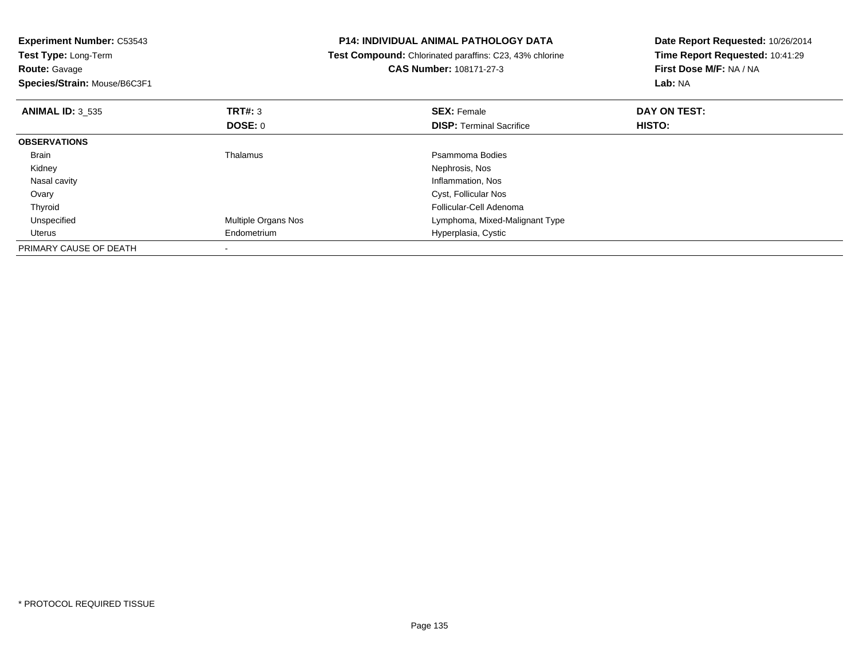| <b>Experiment Number: C53543</b><br>Test Type: Long-Term |                            | <b>P14: INDIVIDUAL ANIMAL PATHOLOGY DATA</b>            | Date Report Requested: 10/26/2014 |
|----------------------------------------------------------|----------------------------|---------------------------------------------------------|-----------------------------------|
|                                                          |                            | Test Compound: Chlorinated paraffins: C23, 43% chlorine | Time Report Requested: 10:41:29   |
| <b>Route: Gavage</b>                                     |                            | <b>CAS Number: 108171-27-3</b>                          | First Dose M/F: NA / NA           |
| Species/Strain: Mouse/B6C3F1                             |                            |                                                         | Lab: NA                           |
| <b>ANIMAL ID: 3 535</b>                                  | <b>TRT#: 3</b>             | <b>SEX: Female</b>                                      | DAY ON TEST:                      |
|                                                          | DOSE: 0                    | <b>DISP:</b> Terminal Sacrifice                         | HISTO:                            |
| <b>OBSERVATIONS</b>                                      |                            |                                                         |                                   |
| Brain                                                    | Thalamus                   | Psammoma Bodies                                         |                                   |
| Kidney                                                   |                            | Nephrosis, Nos                                          |                                   |
| Nasal cavity                                             |                            | Inflammation, Nos                                       |                                   |
| Ovary                                                    |                            | Cyst, Follicular Nos                                    |                                   |
| Thyroid                                                  |                            | Follicular-Cell Adenoma                                 |                                   |
| Unspecified                                              | <b>Multiple Organs Nos</b> | Lymphoma, Mixed-Malignant Type                          |                                   |
| Uterus                                                   | Endometrium                | Hyperplasia, Cystic                                     |                                   |
| PRIMARY CAUSE OF DEATH                                   |                            |                                                         |                                   |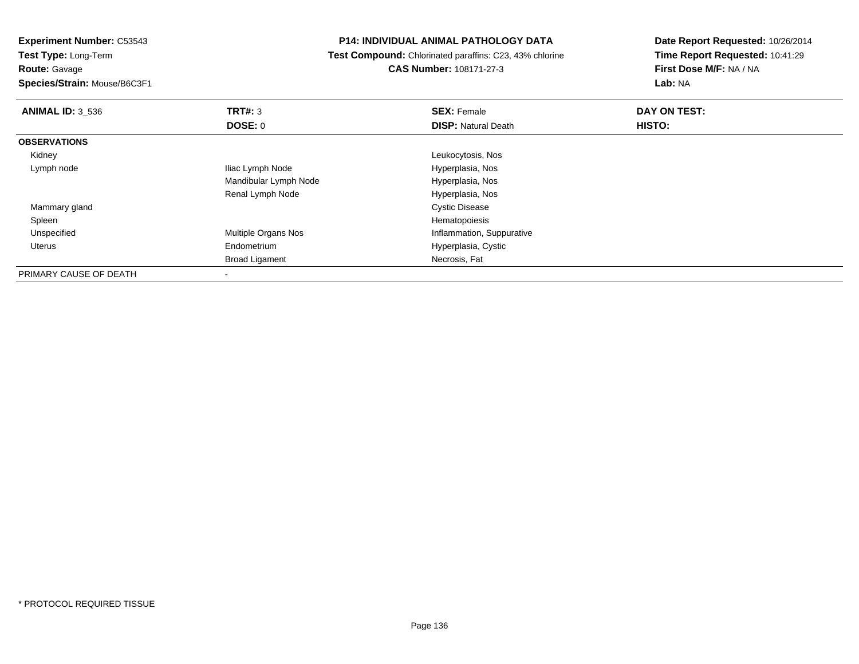**Test Type:** Long-Term

**Route:** Gavage

**Species/Strain:** Mouse/B6C3F1

# **P14: INDIVIDUAL ANIMAL PATHOLOGY DATA**

 **Test Compound:** Chlorinated paraffins: C23, 43% chlorine**CAS Number:** 108171-27-3

| <b>ANIMAL ID: 3_536</b> | TRT#: 3                    | <b>SEX: Female</b>         | DAY ON TEST: |  |
|-------------------------|----------------------------|----------------------------|--------------|--|
|                         | DOSE: 0                    | <b>DISP: Natural Death</b> | HISTO:       |  |
| <b>OBSERVATIONS</b>     |                            |                            |              |  |
| Kidney                  |                            | Leukocytosis, Nos          |              |  |
| Lymph node              | Iliac Lymph Node           | Hyperplasia, Nos           |              |  |
|                         | Mandibular Lymph Node      | Hyperplasia, Nos           |              |  |
|                         | Renal Lymph Node           | Hyperplasia, Nos           |              |  |
| Mammary gland           |                            | <b>Cystic Disease</b>      |              |  |
| Spleen                  |                            | Hematopoiesis              |              |  |
| Unspecified             | <b>Multiple Organs Nos</b> | Inflammation, Suppurative  |              |  |
| Uterus                  | Endometrium                | Hyperplasia, Cystic        |              |  |
|                         | <b>Broad Ligament</b>      | Necrosis, Fat              |              |  |
| PRIMARY CAUSE OF DEATH  | $\overline{\phantom{a}}$   |                            |              |  |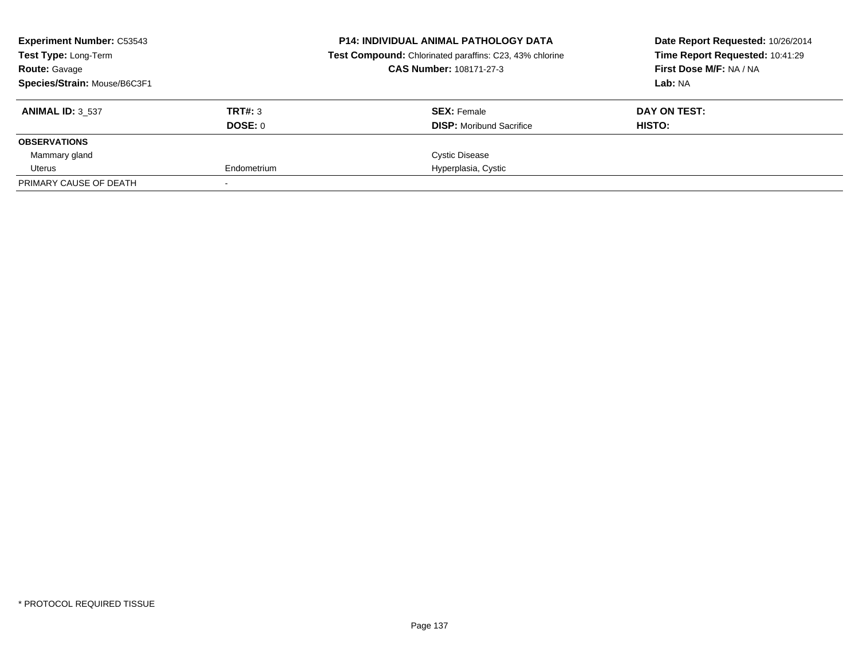| <b>Experiment Number: C53543</b><br><b>Test Type: Long-Term</b> |             | <b>P14: INDIVIDUAL ANIMAL PATHOLOGY DATA</b><br><b>Test Compound:</b> Chlorinated paraffins: C23, 43% chlorine | Date Report Requested: 10/26/2014<br>Time Report Requested: 10:41:29<br>First Dose M/F: NA / NA<br>Lab: NA |  |
|-----------------------------------------------------------------|-------------|----------------------------------------------------------------------------------------------------------------|------------------------------------------------------------------------------------------------------------|--|
| <b>Route: Gavage</b>                                            |             | <b>CAS Number: 108171-27-3</b>                                                                                 |                                                                                                            |  |
| Species/Strain: Mouse/B6C3F1                                    |             |                                                                                                                |                                                                                                            |  |
| <b>ANIMAL ID: 3 537</b>                                         | TRT#: 3     | <b>SEX: Female</b>                                                                                             | DAY ON TEST:                                                                                               |  |
|                                                                 | DOSE: 0     | <b>DISP:</b> Moribund Sacrifice                                                                                | HISTO:                                                                                                     |  |
| <b>OBSERVATIONS</b>                                             |             |                                                                                                                |                                                                                                            |  |
| Mammary gland                                                   |             | <b>Cystic Disease</b>                                                                                          |                                                                                                            |  |
| Uterus                                                          | Endometrium | Hyperplasia, Cystic                                                                                            |                                                                                                            |  |
| PRIMARY CAUSE OF DEATH                                          |             |                                                                                                                |                                                                                                            |  |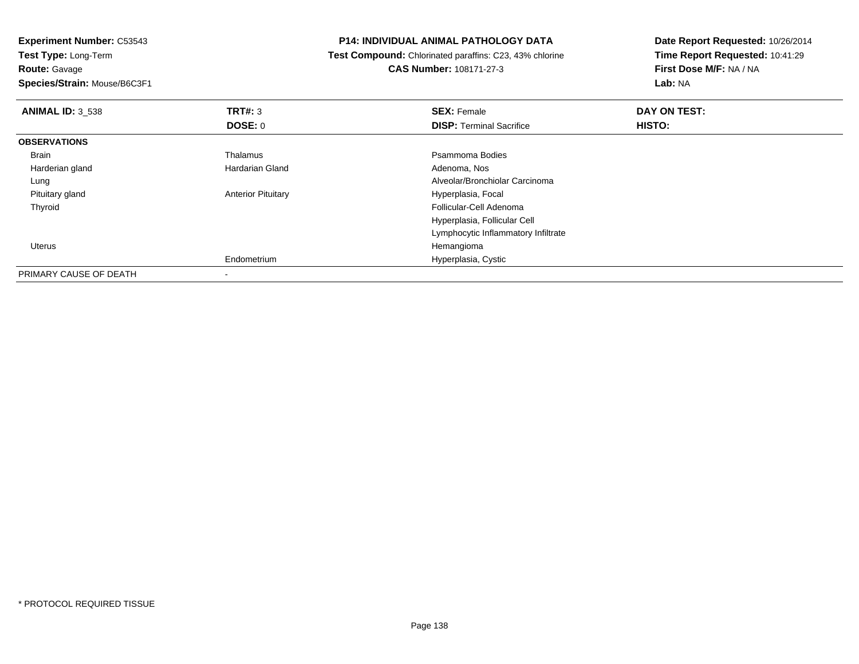**Experiment Number:** C53543**Test Type:** Long-Term**Route:** Gavage **Species/Strain:** Mouse/B6C3F1**P14: INDIVIDUAL ANIMAL PATHOLOGY DATA Test Compound:** Chlorinated paraffins: C23, 43% chlorine**CAS Number:** 108171-27-3**Date Report Requested:** 10/26/2014**Time Report Requested:** 10:41:29**First Dose M/F:** NA / NA**Lab:** NA**ANIMAL ID:** 3\_538**REX:** Female **DAY ON TEST: SEX:** Female **SEX:** Female **DOSE:** 0**DISP:** Terminal Sacrifice **HISTO: OBSERVATIONS** Brainn and the control of the Thalamus and the control of the Psammoma Bodies and the Psammoma Bodies of the Psammoma Bodies and the Psammoma Bodies of the Psammoma Bodies of the Psammoma Bodies of the Psammoma Bodies of the Ps Harderian glandHardarian Gland **Adenoma, Nos** Adenoma, Nos Lung Alveolar/Bronchiolar Carcinoma Pituitary glandAnterior Pituitary **Hyperplasia**, Focal Thyroid Follicular-Cell Adenoma Hyperplasia, Follicular CellLymphocytic Inflammatory Infiltrate Uteruss and the contract of the contract of the contract of the contract of the contract of the contract of the contract of the contract of the contract of the contract of the contract of the contract of the contract of the cont m Hyperplasia, Cystic EndometriumPRIMARY CAUSE OF DEATH-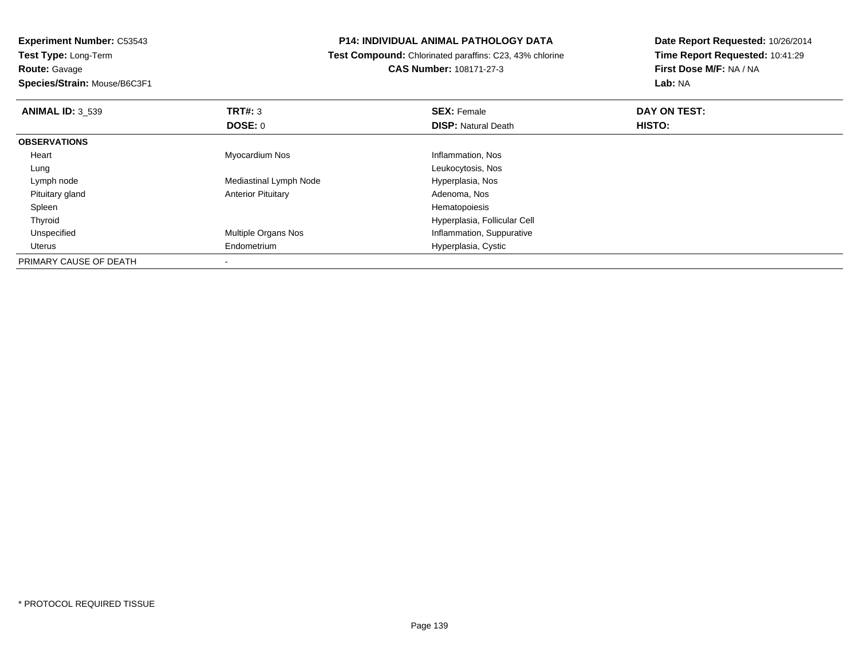**Experiment Number:** C53543**Test Type:** Long-Term

# **Route:** Gavage

**Species/Strain:** Mouse/B6C3F1

# **P14: INDIVIDUAL ANIMAL PATHOLOGY DATA**

 **Test Compound:** Chlorinated paraffins: C23, 43% chlorine**CAS Number:** 108171-27-3

| <b>ANIMAL ID: 3 539</b> | TRT#: 3                    | <b>SEX: Female</b>           | DAY ON TEST: |  |
|-------------------------|----------------------------|------------------------------|--------------|--|
|                         | <b>DOSE: 0</b>             | <b>DISP:</b> Natural Death   | HISTO:       |  |
| <b>OBSERVATIONS</b>     |                            |                              |              |  |
| Heart                   | Myocardium Nos             | Inflammation, Nos            |              |  |
| Lung                    |                            | Leukocytosis, Nos            |              |  |
| Lymph node              | Mediastinal Lymph Node     | Hyperplasia, Nos             |              |  |
| Pituitary gland         | <b>Anterior Pituitary</b>  | Adenoma, Nos                 |              |  |
| Spleen                  |                            | Hematopoiesis                |              |  |
| Thyroid                 |                            | Hyperplasia, Follicular Cell |              |  |
| Unspecified             | <b>Multiple Organs Nos</b> | Inflammation, Suppurative    |              |  |
| Uterus                  | Endometrium                | Hyperplasia, Cystic          |              |  |
| PRIMARY CAUSE OF DEATH  |                            |                              |              |  |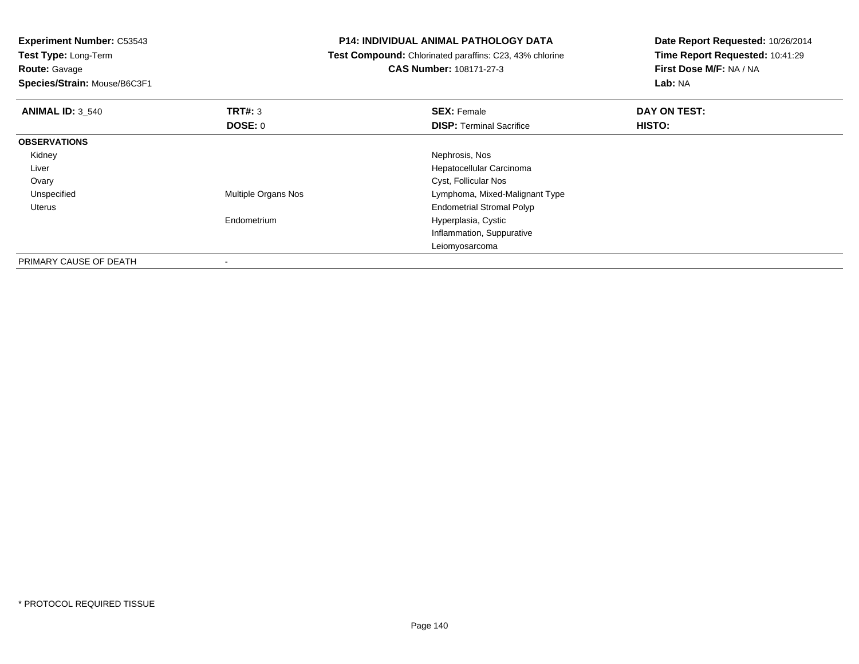**Experiment Number:** C53543**Test Type:** Long-Term**Route:** Gavage

**Species/Strain:** Mouse/B6C3F1

# **P14: INDIVIDUAL ANIMAL PATHOLOGY DATA**

 **Test Compound:** Chlorinated paraffins: C23, 43% chlorine**CAS Number:** 108171-27-3

| <b>ANIMAL ID: 3_540</b> | TRT#: 3                  | <b>SEX: Female</b>               | DAY ON TEST: |  |
|-------------------------|--------------------------|----------------------------------|--------------|--|
|                         | <b>DOSE: 0</b>           | <b>DISP: Terminal Sacrifice</b>  | HISTO:       |  |
| <b>OBSERVATIONS</b>     |                          |                                  |              |  |
| Kidney                  |                          | Nephrosis, Nos                   |              |  |
| Liver                   |                          | Hepatocellular Carcinoma         |              |  |
| Ovary                   |                          | Cyst, Follicular Nos             |              |  |
| Unspecified             | Multiple Organs Nos      | Lymphoma, Mixed-Malignant Type   |              |  |
| Uterus                  |                          | <b>Endometrial Stromal Polyp</b> |              |  |
|                         | Endometrium              | Hyperplasia, Cystic              |              |  |
|                         |                          | Inflammation, Suppurative        |              |  |
|                         |                          | Leiomyosarcoma                   |              |  |
| PRIMARY CAUSE OF DEATH  | $\overline{\phantom{a}}$ |                                  |              |  |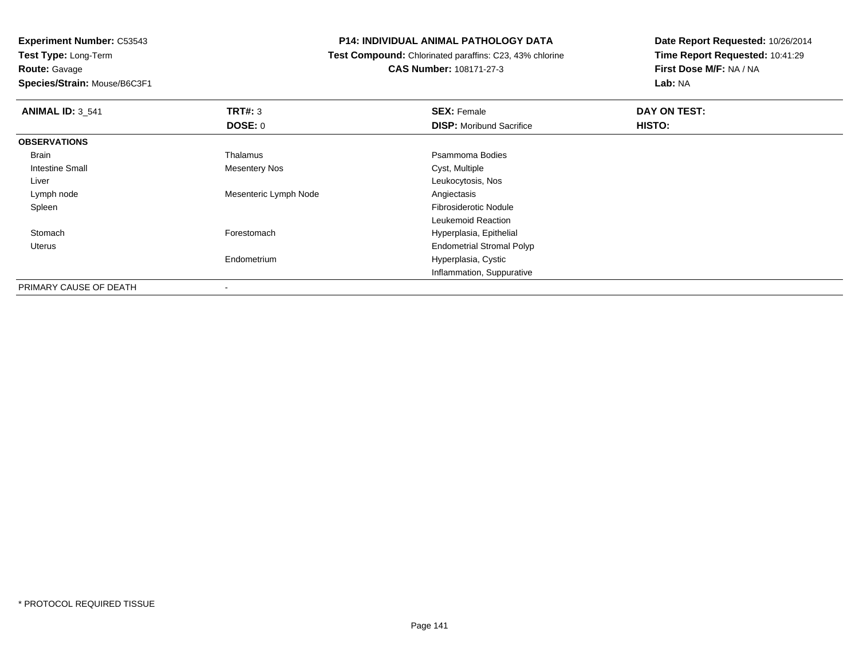**Experiment Number:** C53543**Test Type:** Long-Term**Route:** Gavage

**Species/Strain:** Mouse/B6C3F1

#### **P14: INDIVIDUAL ANIMAL PATHOLOGY DATA**

 **Test Compound:** Chlorinated paraffins: C23, 43% chlorine**CAS Number:** 108171-27-3

| <b>ANIMAL ID: 3_541</b> | TRT#: 3               | <b>SEX: Female</b>               | DAY ON TEST: |  |
|-------------------------|-----------------------|----------------------------------|--------------|--|
|                         | <b>DOSE: 0</b>        | <b>DISP:</b> Moribund Sacrifice  | HISTO:       |  |
| <b>OBSERVATIONS</b>     |                       |                                  |              |  |
| Brain                   | Thalamus              | Psammoma Bodies                  |              |  |
| <b>Intestine Small</b>  | <b>Mesentery Nos</b>  | Cyst, Multiple                   |              |  |
| Liver                   |                       | Leukocytosis, Nos                |              |  |
| Lymph node              | Mesenteric Lymph Node | Angiectasis                      |              |  |
| Spleen                  |                       | <b>Fibrosiderotic Nodule</b>     |              |  |
|                         |                       | Leukemoid Reaction               |              |  |
| Stomach                 | Forestomach           | Hyperplasia, Epithelial          |              |  |
| Uterus                  |                       | <b>Endometrial Stromal Polyp</b> |              |  |
|                         | Endometrium           | Hyperplasia, Cystic              |              |  |
|                         |                       | Inflammation, Suppurative        |              |  |
| PRIMARY CAUSE OF DEATH  | ٠                     |                                  |              |  |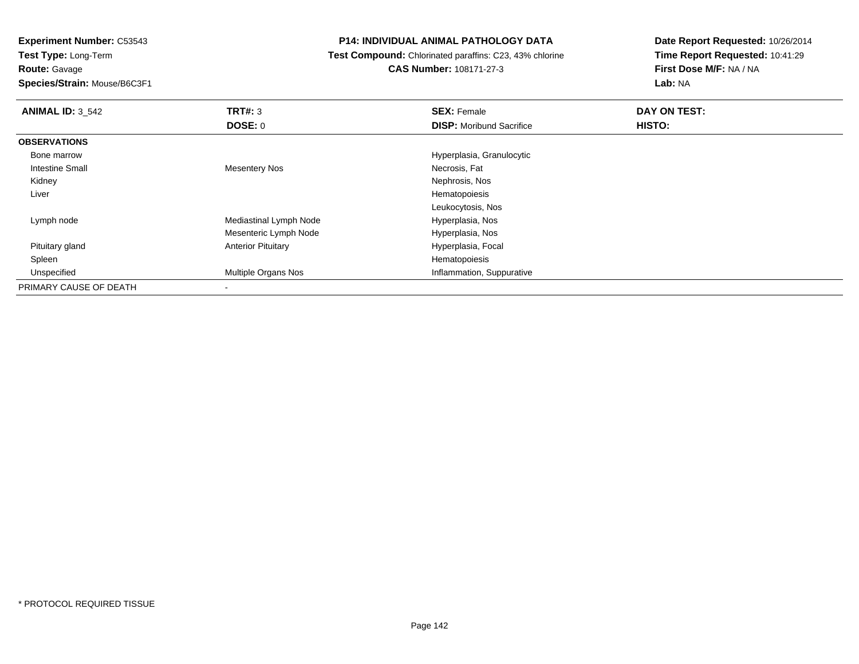**Test Type:** Long-Term**Route:** Gavage

**Species/Strain:** Mouse/B6C3F1

#### **P14: INDIVIDUAL ANIMAL PATHOLOGY DATA**

**Test Compound:** Chlorinated paraffins: C23, 43% chlorine

**CAS Number:** 108171-27-3

| <b>ANIMAL ID: 3 542</b> | TRT#: 3                   | <b>SEX: Female</b>              | DAY ON TEST: |  |
|-------------------------|---------------------------|---------------------------------|--------------|--|
|                         | DOSE: 0                   | <b>DISP:</b> Moribund Sacrifice | HISTO:       |  |
| <b>OBSERVATIONS</b>     |                           |                                 |              |  |
| Bone marrow             |                           | Hyperplasia, Granulocytic       |              |  |
| <b>Intestine Small</b>  | <b>Mesentery Nos</b>      | Necrosis, Fat                   |              |  |
| Kidney                  |                           | Nephrosis, Nos                  |              |  |
| Liver                   |                           | Hematopoiesis                   |              |  |
|                         |                           | Leukocytosis, Nos               |              |  |
| Lymph node              | Mediastinal Lymph Node    | Hyperplasia, Nos                |              |  |
|                         | Mesenteric Lymph Node     | Hyperplasia, Nos                |              |  |
| Pituitary gland         | <b>Anterior Pituitary</b> | Hyperplasia, Focal              |              |  |
| Spleen                  |                           | Hematopoiesis                   |              |  |
| Unspecified             | Multiple Organs Nos       | Inflammation, Suppurative       |              |  |
| PRIMARY CAUSE OF DEATH  |                           |                                 |              |  |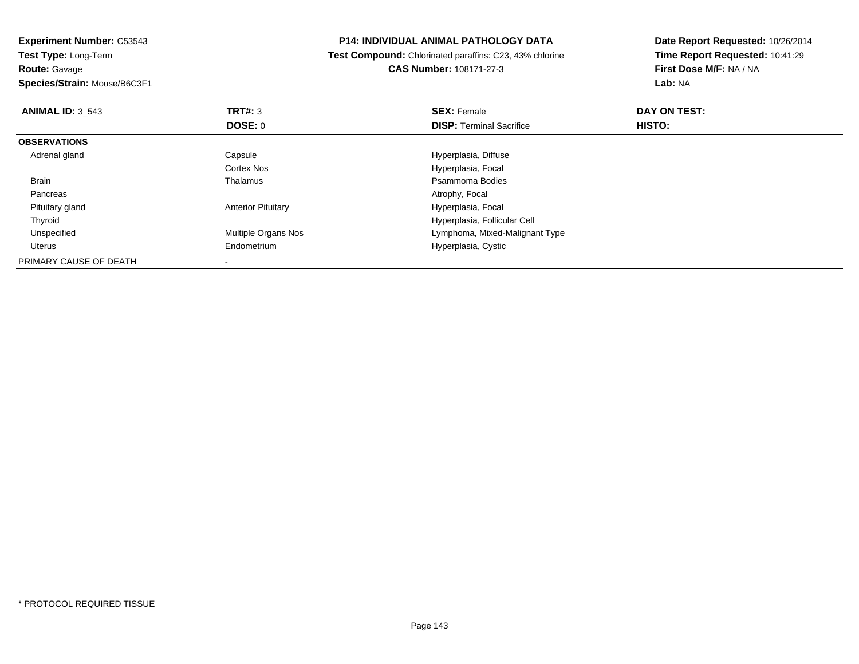**Experiment Number:** C53543**Test Type:** Long-Term**Route:** Gavage **Species/Strain:** Mouse/B6C3F1**P14: INDIVIDUAL ANIMAL PATHOLOGY DATA Test Compound:** Chlorinated paraffins: C23, 43% chlorine**CAS Number:** 108171-27-3**Date Report Requested:** 10/26/2014**Time Report Requested:** 10:41:29**First Dose M/F:** NA / NA**Lab:** NA**ANIMAL ID:** 3\_543**TRT#:** 3 **SEX:** Female **DAY ON TEST: DOSE:** 0**DISP:** Terminal Sacrifice **HISTO: OBSERVATIONS** Adrenal glandCapsule **Capsule Capsule Capsule Capsule Capsule Capsule Capsule Capsule Capsule Capsule Capsule Capsule Capsule Capsule Capsule Capsule Capsule Capsule Capsule Capsule Capsule Cap** Cortex Nos Hyperplasia, Focal Brainn and the control of the Thalamus and the control of the Psammoma Bodies and the Psammoma Bodies of the Psammoma Bodies and the Psammoma Bodies of the Psammoma Bodies of the Psammoma Bodies of the Psammoma Bodies of the Ps Pancreas Atrophy, Focal Pituitary glandAnterior Pituitary **Hyperplasia**, Focal ThyroidHyperplasia, Follicular Cell<br>Multiple Organs Nos extensions a complement control of the Multiple Organs Nos UnspecifiedLymphoma, Mixed-Malignant Type Uterus Endometrium Hyperplasia, Cystic PRIMARY CAUSE OF DEATH-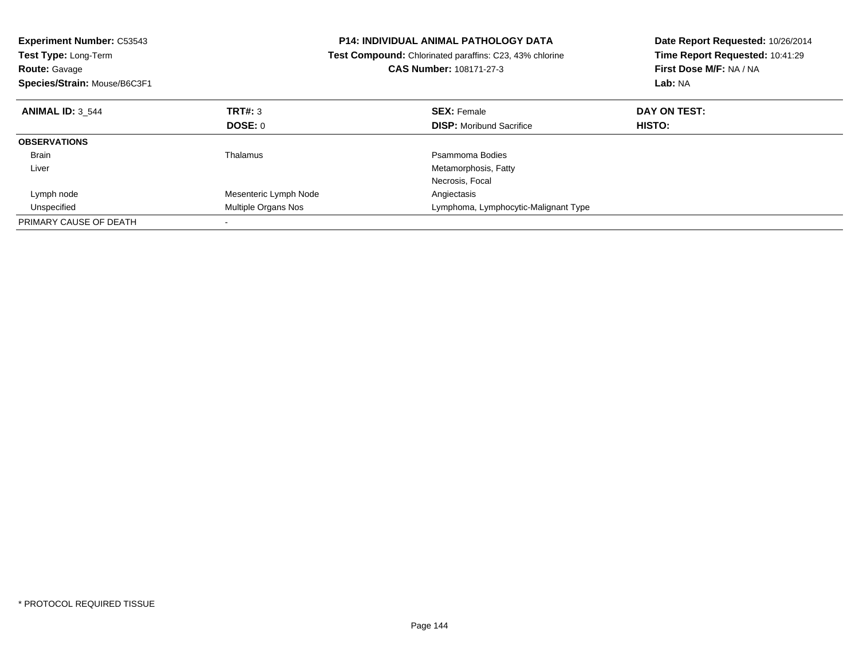| <b>Experiment Number: C53543</b><br><b>Test Type: Long-Term</b><br><b>Route: Gavage</b><br>Species/Strain: Mouse/B6C3F1 |                       | <b>P14: INDIVIDUAL ANIMAL PATHOLOGY DATA</b><br><b>Test Compound:</b> Chlorinated paraffins: C23, 43% chlorine<br>CAS Number: 108171-27-3 | Date Report Requested: 10/26/2014<br>Time Report Requested: 10:41:29<br>First Dose M/F: NA / NA<br>Lab: NA |  |
|-------------------------------------------------------------------------------------------------------------------------|-----------------------|-------------------------------------------------------------------------------------------------------------------------------------------|------------------------------------------------------------------------------------------------------------|--|
| <b>ANIMAL ID: 3 544</b>                                                                                                 | TRT#: 3               | <b>SEX: Female</b>                                                                                                                        | DAY ON TEST:                                                                                               |  |
|                                                                                                                         | DOSE: 0               | <b>DISP:</b> Moribund Sacrifice                                                                                                           | HISTO:                                                                                                     |  |
| <b>OBSERVATIONS</b>                                                                                                     |                       |                                                                                                                                           |                                                                                                            |  |
| <b>Brain</b>                                                                                                            | Thalamus              | Psammoma Bodies                                                                                                                           |                                                                                                            |  |
| Liver                                                                                                                   |                       | Metamorphosis, Fatty                                                                                                                      |                                                                                                            |  |
|                                                                                                                         |                       | Necrosis, Focal                                                                                                                           |                                                                                                            |  |
| Lymph node                                                                                                              | Mesenteric Lymph Node | Angiectasis                                                                                                                               |                                                                                                            |  |
| Unspecified                                                                                                             | Multiple Organs Nos   | Lymphoma, Lymphocytic-Malignant Type                                                                                                      |                                                                                                            |  |
| PRIMARY CAUSE OF DEATH                                                                                                  |                       |                                                                                                                                           |                                                                                                            |  |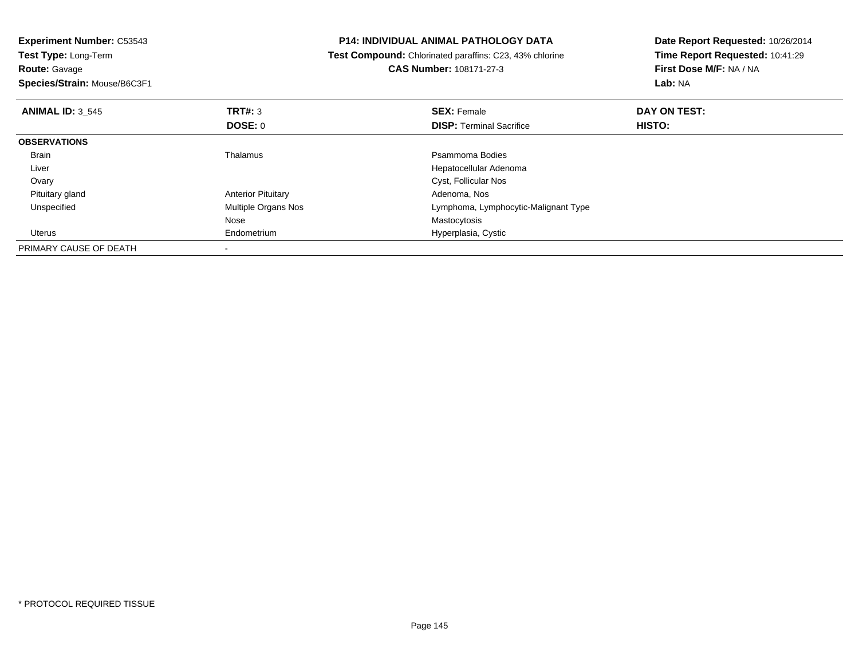| <b>P14: INDIVIDUAL ANIMAL PATHOLOGY DATA</b>                                    | Date Report Requested: 10/26/2014 |  |
|---------------------------------------------------------------------------------|-----------------------------------|--|
| Test Type: Long-Term<br>Test Compound: Chlorinated paraffins: C23, 43% chlorine |                                   |  |
| <b>CAS Number: 108171-27-3</b>                                                  | First Dose M/F: NA / NA           |  |
|                                                                                 | Lab: NA                           |  |
| <b>SEX: Female</b>                                                              | DAY ON TEST:                      |  |
| <b>DISP:</b> Terminal Sacrifice                                                 | <b>HISTO:</b>                     |  |
|                                                                                 |                                   |  |
| Psammoma Bodies                                                                 |                                   |  |
| Hepatocellular Adenoma                                                          |                                   |  |
| Cyst, Follicular Nos                                                            |                                   |  |
| Adenoma, Nos                                                                    |                                   |  |
| Lymphoma, Lymphocytic-Malignant Type                                            |                                   |  |
| Mastocytosis                                                                    |                                   |  |
| Hyperplasia, Cystic                                                             |                                   |  |
|                                                                                 |                                   |  |
|                                                                                 |                                   |  |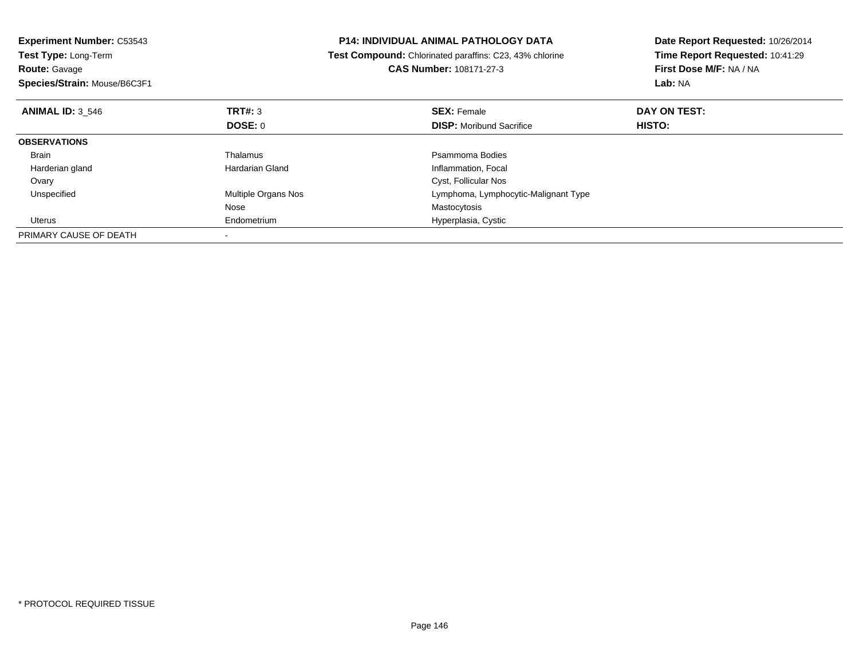| <b>Experiment Number: C53543</b> |                     | <b>P14: INDIVIDUAL ANIMAL PATHOLOGY DATA</b><br>Date Report Requested: 10/26/2014 |                                                            |  |
|----------------------------------|---------------------|-----------------------------------------------------------------------------------|------------------------------------------------------------|--|
| Test Type: Long-Term             |                     | Test Compound: Chlorinated paraffins: C23, 43% chlorine                           | Time Report Requested: 10:41:29<br>First Dose M/F: NA / NA |  |
| <b>Route: Gavage</b>             |                     | CAS Number: 108171-27-3                                                           |                                                            |  |
| Species/Strain: Mouse/B6C3F1     |                     |                                                                                   | Lab: NA                                                    |  |
| <b>ANIMAL ID: 3 546</b>          | TRT#: 3             | <b>SEX: Female</b>                                                                | DAY ON TEST:                                               |  |
|                                  | DOSE: 0             | <b>DISP:</b> Moribund Sacrifice                                                   | HISTO:                                                     |  |
| <b>OBSERVATIONS</b>              |                     |                                                                                   |                                                            |  |
| Brain                            | Thalamus            | Psammoma Bodies                                                                   |                                                            |  |
| Harderian gland                  | Hardarian Gland     | Inflammation, Focal                                                               |                                                            |  |
| Ovary                            |                     | Cyst, Follicular Nos                                                              |                                                            |  |
| Unspecified                      | Multiple Organs Nos | Lymphoma, Lymphocytic-Malignant Type                                              |                                                            |  |
|                                  | Nose                | Mastocytosis                                                                      |                                                            |  |
| Uterus                           | Endometrium         | Hyperplasia, Cystic                                                               |                                                            |  |
| PRIMARY CAUSE OF DEATH           |                     |                                                                                   |                                                            |  |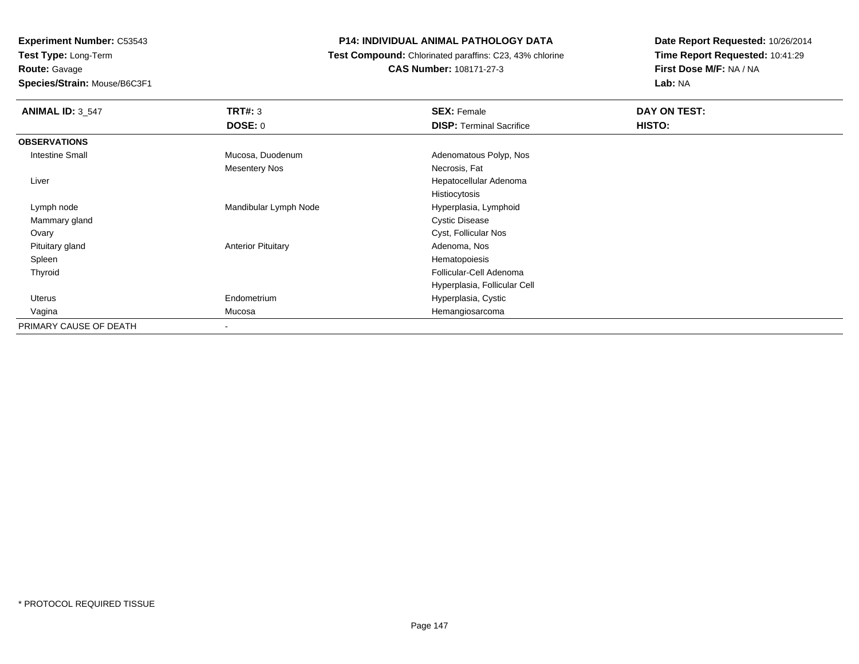**Experiment Number:** C53543**Test Type:** Long-Term

**Route:** Gavage

**Species/Strain:** Mouse/B6C3F1

## **P14: INDIVIDUAL ANIMAL PATHOLOGY DATA**

**Test Compound:** Chlorinated paraffins: C23, 43% chlorine

**CAS Number:** 108171-27-3

**Date Report Requested:** 10/26/2014**Time Report Requested:** 10:41:29**First Dose M/F:** NA / NA**Lab:** NA

| <b>ANIMAL ID: 3_547</b> | TRT#: 3<br><b>DOSE: 0</b> | <b>SEX: Female</b><br><b>DISP: Terminal Sacrifice</b> | DAY ON TEST:<br>HISTO: |
|-------------------------|---------------------------|-------------------------------------------------------|------------------------|
| <b>OBSERVATIONS</b>     |                           |                                                       |                        |
| <b>Intestine Small</b>  | Mucosa, Duodenum          | Adenomatous Polyp, Nos                                |                        |
|                         | <b>Mesentery Nos</b>      | Necrosis, Fat                                         |                        |
| Liver                   |                           | Hepatocellular Adenoma                                |                        |
|                         |                           | Histiocytosis                                         |                        |
| Lymph node              | Mandibular Lymph Node     | Hyperplasia, Lymphoid                                 |                        |
| Mammary gland           |                           | <b>Cystic Disease</b>                                 |                        |
| Ovary                   |                           | Cyst, Follicular Nos                                  |                        |
| Pituitary gland         | <b>Anterior Pituitary</b> | Adenoma, Nos                                          |                        |
| Spleen                  |                           | Hematopoiesis                                         |                        |
| Thyroid                 |                           | Follicular-Cell Adenoma                               |                        |
|                         |                           | Hyperplasia, Follicular Cell                          |                        |
| Uterus                  | Endometrium               | Hyperplasia, Cystic                                   |                        |
| Vagina                  | Mucosa                    | Hemangiosarcoma                                       |                        |
| PRIMARY CAUSE OF DEATH  |                           |                                                       |                        |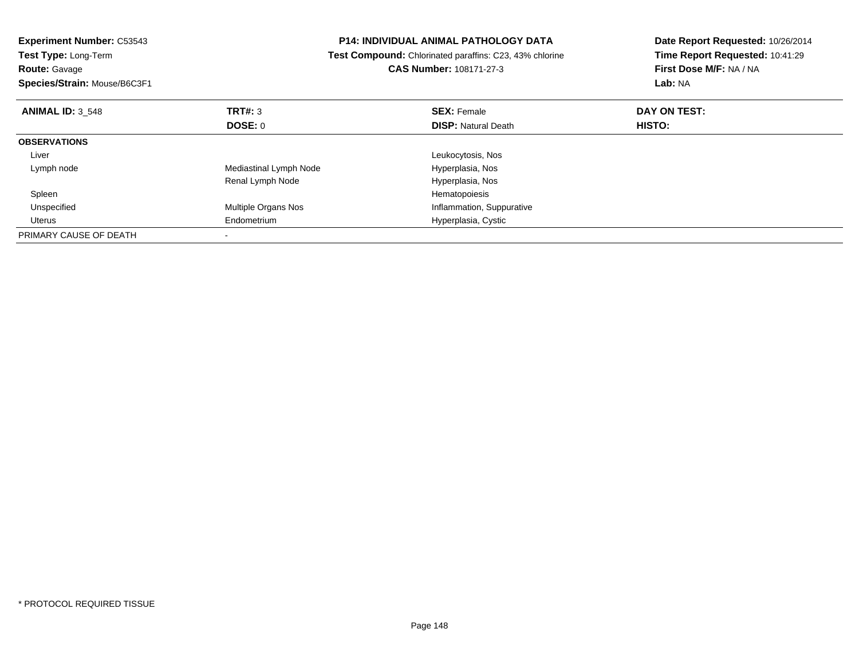| <b>Experiment Number: C53543</b> | <b>P14: INDIVIDUAL ANIMAL PATHOLOGY DATA</b><br>Test Compound: Chlorinated paraffins: C23, 43% chlorine |                            | Date Report Requested: 10/26/2014<br>Time Report Requested: 10:41:29 |  |
|----------------------------------|---------------------------------------------------------------------------------------------------------|----------------------------|----------------------------------------------------------------------|--|
| Test Type: Long-Term             |                                                                                                         |                            |                                                                      |  |
| <b>Route: Gavage</b>             |                                                                                                         | CAS Number: 108171-27-3    | First Dose M/F: NA / NA                                              |  |
| Species/Strain: Mouse/B6C3F1     |                                                                                                         |                            | Lab: NA                                                              |  |
| <b>ANIMAL ID: 3 548</b>          | TRT#: 3                                                                                                 | <b>SEX: Female</b>         | DAY ON TEST:                                                         |  |
|                                  | DOSE: 0                                                                                                 | <b>DISP: Natural Death</b> | HISTO:                                                               |  |
| <b>OBSERVATIONS</b>              |                                                                                                         |                            |                                                                      |  |
| Liver                            |                                                                                                         | Leukocytosis, Nos          |                                                                      |  |
| Lymph node                       | Mediastinal Lymph Node                                                                                  | Hyperplasia, Nos           |                                                                      |  |
|                                  | Renal Lymph Node                                                                                        | Hyperplasia, Nos           |                                                                      |  |
| Spleen                           |                                                                                                         | Hematopoiesis              |                                                                      |  |
| Unspecified                      | Multiple Organs Nos                                                                                     | Inflammation, Suppurative  |                                                                      |  |
| Uterus                           | Endometrium                                                                                             | Hyperplasia, Cystic        |                                                                      |  |
| PRIMARY CAUSE OF DEATH           |                                                                                                         |                            |                                                                      |  |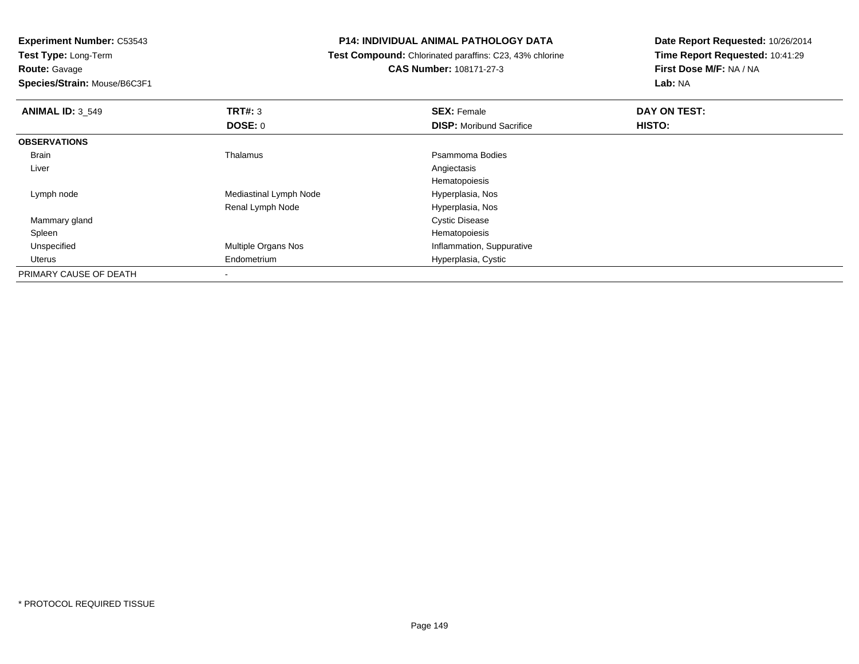**Experiment Number:** C53543

**Test Type:** Long-Term**Route:** Gavage

**Species/Strain:** Mouse/B6C3F1

## **P14: INDIVIDUAL ANIMAL PATHOLOGY DATA**

 **Test Compound:** Chlorinated paraffins: C23, 43% chlorine**CAS Number:** 108171-27-3

**Date Report Requested:** 10/26/2014**Time Report Requested:** 10:41:29**First Dose M/F:** NA / NA**Lab:** NA

| <b>ANIMAL ID: 3 549</b> | TRT#: 3                    | <b>SEX: Female</b>              | DAY ON TEST: |  |
|-------------------------|----------------------------|---------------------------------|--------------|--|
|                         | DOSE: 0                    | <b>DISP:</b> Moribund Sacrifice | HISTO:       |  |
| <b>OBSERVATIONS</b>     |                            |                                 |              |  |
| Brain                   | Thalamus                   | Psammoma Bodies                 |              |  |
| Liver                   |                            | Angiectasis                     |              |  |
|                         |                            | Hematopoiesis                   |              |  |
| Lymph node              | Mediastinal Lymph Node     | Hyperplasia, Nos                |              |  |
|                         | Renal Lymph Node           | Hyperplasia, Nos                |              |  |
| Mammary gland           |                            | <b>Cystic Disease</b>           |              |  |
| Spleen                  |                            | Hematopoiesis                   |              |  |
| Unspecified             | <b>Multiple Organs Nos</b> | Inflammation, Suppurative       |              |  |
| Uterus                  | Endometrium                | Hyperplasia, Cystic             |              |  |
| PRIMARY CAUSE OF DEATH  |                            |                                 |              |  |